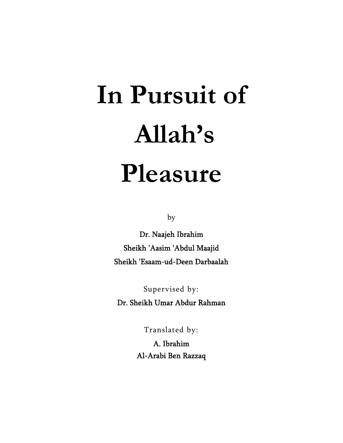# **In Pursuit of Allah's Pleasure**

by

Dr. Naajeh Ibrahim Sheikh 'Aasim 'Abdul Maajid Sheikh 'Esaam-ud-Deen Darbaalah

Supervised by:

Dr. Sheikh Umar Abdur Rahman

Translated by:

A. Ibrahim Al-Arabi Ben Razzaq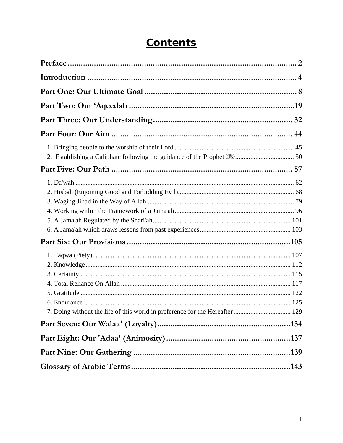| 7. Doing without the life of this world in preference for the Hereafter  129 |  |
|------------------------------------------------------------------------------|--|
|                                                                              |  |
|                                                                              |  |
|                                                                              |  |

# **Contents**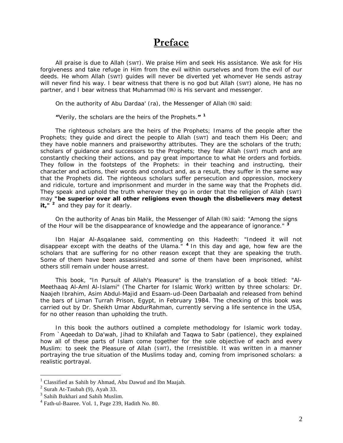# **Preface**

<span id="page-2-0"></span>All praise is due to Allah (SWT). We praise Him and seek His assistance. We ask for His forgiveness and take refuge in Him from the evil within ourselves and from the evil of our deeds. He whom Allah (SWT) guides will never be diverted yet whomever He sends astray will never find his way. I bear witness that there is no god but Allah (SWT) alone, He has no partner, and I bear witness that Muhammad () is His servant and messenger.

On the authority of Abu Dardaa' (ra), the Messenger of Allah  $(\frac{4}{3})$  said:

### *"Verily, the scholars are the heirs of the Prophets."* **[1](#page-2-1)**

 The righteous scholars are the heirs of the Prophets; Imams of the people after the Prophets; they guide and direct the people to Allah (SWT) and teach them His Deen; and they have noble manners and praiseworthy attributes. They are the scholars of the truth; scholars of quidance and successors to the Prophets; they fear Allah (SWT) much and are constantly checking their actions, and pay great importance to what He orders and forbids. They follow in the footsteps of the Prophets: in their teaching and instructing, their character and actions, their words and conduct and, as a result, they suffer in the same way that the Prophets did. The righteous scholars suffer persecution and oppression, mockery and ridicule, torture and imprisonment and murder in the same way that the Prophets did. They speak and uphold the truth wherever they go in order that the religion of Allah (SWT) may *"be superior over all other religions even though the disbelievers may detest it*,<sup> $n^2$  $n^2$ </sup> and they pay for it dearly.

On the authority of Anas bin Malik, the Messenger of Allah (5) said: "*Among the signs of the Hour will be the disappearance of knowledge and the appearance of ignorance."* **[3](#page-2-3)**

Ibn Hajar Al-Asqalanee said, commenting on this Hadeeth: *"Indeed it will not disappear except with the deaths of the Ulama."* **[4](#page-2-4)** In this day and age, how few are the scholars that are suffering for no other reason except that they are speaking the truth. Some of them have been assassinated and some of them have been imprisoned, whilst others still remain under house arrest.

This book, *"In Pursuit of Allah's Pleasure" is* the translation of a book titled: *"Al-Meethaaq Al-Aml Al-Islami"* (The Charter for Islamic Work) written by three scholars: Dr. Naajeh Ibrahim, Asim Abdul-Majid and Esaam-ud-Deen Darbaalah and released from behind the bars of Liman Turrah Prison, Egypt, in February 1984. The checking of this book was carried out by Dr. Sheikh Umar AbdurRahman, currently serving a life sentence in the USA, for no other reason than upholding the truth.

In this book the authors outlined a complete methodology for Islamic work today. From `Aqeedah to Da'wah, Jihad to Khilafah and Taqwa to Sabr (patience), they explained how all of these parts of Islam come together for the sole objective of each and every Muslim: to seek the Pleasure of Allah (SWT), the Irresistible. It was written in a manner portraying the true situation of the Muslims today and, coming from imprisoned scholars: a realistic portrayal.

<span id="page-2-1"></span><sup>1</sup> Classified as Sahih by Ahmad, Abu Dawud and Ibn Maajah.

<span id="page-2-2"></span> $2$  Surah At-Taubah (9), Ayah 33.

<span id="page-2-3"></span><sup>&</sup>lt;sup>3</sup> Sahih Bukhari and Sahih Muslim.

<span id="page-2-4"></span><sup>4</sup> Fath-ul-Baaree. Vol. 1, Page 239, Hadith No. 80.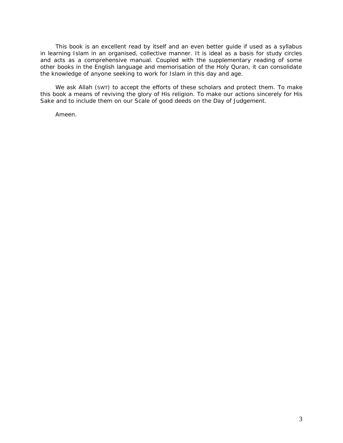This book is an excellent read by itself and an even better guide if used as a syllabus in learning Islam in an organised, collective manner. It is ideal as a basis for study circles and acts as a comprehensive manual. Coupled with the supplementary reading of some other books in the English language and memorisation of the Holy Quran, it can consolidate the knowledge of anyone seeking to work for Islam in this day and age.

We ask Allah (SWT) to accept the efforts of these scholars and protect them. To make this book a means of reviving the glory of His religion. To make our actions sincerely for His Sake and to include them on our Scale of good deeds on the Day of Judgement.

Ameen.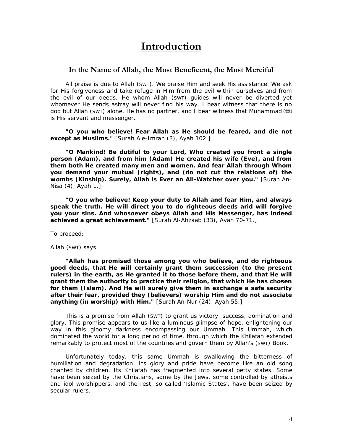# **Introduction**

# <span id="page-4-0"></span>**In the Name of Allah, the Most Beneficent, the Most Merciful**

All praise is due to Allah (SWT). We praise Him and seek His assistance. We ask for His forgiveness and take refuge in Him from the evil within ourselves and from the evil of our deeds. He whom Allah (SWT) guides will never be diverted yet whomever He sends astray will never find his way. I bear witness that there is no god but Allah (SWT) alone, He has no partner, and I bear witness that Muhammad is His servant and messenger.

*"O you who believe! Fear Allah as He should be feared, and die not except as Muslims."* [Surah Ale-Imran (3), Ayah 102.]

*"O Mankind! Be dutiful to your Lord, Who created you front a single person (Adam), and from him (Adam) He created his wife (Eve), and from them both He created many men and women. And fear Allah through Whom you demand your mutual (rights), and (do not cut the relations of) the wombs (Kinship). Surely, Allah is Ever an All-Watcher over you."* [Surah An-Nisa (4), Ayah 1.]

*"O you who believe! Keep your duty to Allah and fear Him, and always speak the truth. He will direct you to do righteous deeds arid will forgive you your sins. And whosoever obeys Allah and His Messenger, has indeed achieved a great achievement."* [Surah Al-Ahzaab (33), Ayah 70-71.]

To proceed:

Allah (SWT) says:

*"Allah has promised those among you who believe, and do righteous good deeds, that He will certainly grant them succession (to the present rulers) in the earth, as He granted it to those before them, and that He will grant them the authority to practice their religion, that which He has chosen for them (Islam). And He will surely give them in exchange a safe security after their fear, provided they (believers) worship Him and do not associate anything (in worship) with Him."* [Surah An-Nur (24), Ayah 55.]

 This is a promise from Allah (SWT) to grant us victory, success, domination and glory. This promise appears to us like a luminous glimpse of hope, enlightening our way in this gloomy darkness encompassing our *Ummah.* This *Ummah,* which dominated the world for a long period of time, through which the *Khilafah* extended remarkably to protect most of the countries and govern them by Allah's (SWT) Book.

Unfortunately today, this same *Ummah is* swallowing the bitterness of humiliation and degradation. Its glory and pride have become like an old song chanted by children. Its *Khilafah* has fragmented into several petty states. Some have been seized by the Christians, some by the Jews, some controlled by atheists and idol worshippers, and the rest, so called '*Islamic States',* have been seized by secular rulers.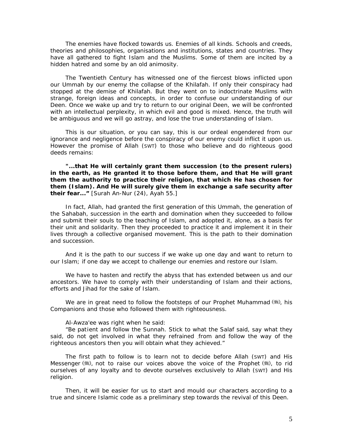The enemies have flocked towards us. Enemies of all kinds. Schools and creeds, theories and philosophies, organisations and institutions, states and countries. They have all gathered to fight Islam and the Muslims. Some of them are incited by a hidden hatred and some by an old animosity.

The Twentieth Century has witnessed one of the fiercest blows inflicted upon our *Ummah* by our enemy: the collapse of the *Khilafah*. If only their conspiracy had stopped at the demise of *Khilafah*. But they went on to indoctrinate Muslims with strange, foreign ideas and concepts, in order to confuse our understanding of our *Deen.* Once we wake up and try to return to our original *Deen,* we will be confronted with an intellectual perplexity, in which evil and good is mixed. Hence, the truth will be ambiguous and we will go astray, and lose the true understanding of Islam.

This is our situation, or you can say, this is our ordeal engendered from our ignorance and negligence before the conspiracy of our enemy could inflict it upon us. However the promise of Allah (SWT) to those who believe and do righteous good deeds remains:

*"...that He will certainly grant them succession (to the present rulers) in the earth, as He granted it to those before them, and that He will grant them the authority to practice their religion, that which He has chosen for them (Islam). And He will surely give them in exchange a safe security after their fear..."* [Surah An-Nur (24), Ayah 55.]

In fact, Allah, had granted the first generation of this *Ummah,* the generation of the *Sahabah,* succession in the earth and domination when they succeeded to follow and submit their souls to the teaching of Islam, and adopted it, alone, as a basis for their unit and solidarity. Then they proceeded to practice it and implement it in their lives through a collective organised movement. This is the path to their domination and succession.

And it is the path to our success if we wake up one day and want to return to our Islam; if one day we accept to challenge our enemies and restore our Islam.

We have to hasten and rectify the abyss that has extended between us and our ancestors. We have to comply with their understanding of Islam and their actions, efforts and *Jihad* for the sake of Islam.

We are in great need to follow the footsteps of our Prophet Muhammad  $(\frac{4}{3})$ , his Companions and those who followed them with righteousness.

#### Al-Awza'ee was right when he said:

*"Be patient and follow the Sunnah. Stick to what the Salaf said, say what they*  said, do not get involved in what they refrained from and follow the way of the *righteous ancestors then you will obtain what they achieved."* 

 The first path to follow is to learn not to decide before Allah (SWT) and His Messenger (,), not to raise our voices above the voice of the Prophet (,), to rid ourselves of any loyalty and to devote ourselves exclusively to Allah (SWT) and His religion.

Then, it will be easier for us to start and mould our characters according to a true and sincere Islamic code as a preliminary step towards the revival of this *Deen.*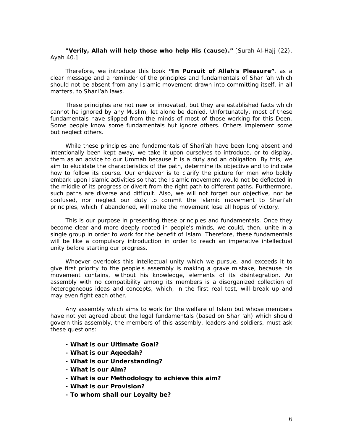*"Verily, Allah will help those who help His (cause)."* [Surah Al-Hajj (22), Ayah 40.]

Therefore, we introduce this book *"In Pursuit of Allah's Pleasure",* as a clear message and a reminder of the principles and fundamentals of *Shari'ah* which should not be absent from any Islamic movement drawn into committing itself, in all matters, to *Shari'ah* laws.

These principles are not new or innovated, but they are established facts which cannot he ignored by any Muslim, let alone be denied. Unfortunately, most of these fundamentals have slipped from the minds of most of those working for this Deen. Some people know some fundamentals hut ignore others. Others implement some but neglect others.

While these principles and fundamentals of *Shari'ah* have been long absent and intentionally been kept away, we take it upon ourselves to introduce, or to display, them as an advice to our *Ummah* because it is a duty and an obligation. By this, we aim to elucidate the characteristics of the path, determine its objective and to indicate how to follow its course. Our endeavor is to clarify the picture for men who boldly embark upon Islamic activities so that the Islamic movement would not be deflected in the middle of its progress or divert from the right path to different paths. Furthermore, such paths are diverse and difficult. Also, we will not forget our objective, nor be confused, nor neglect our duty to commit the Islamic movement to *Shari'ah*  principles, which if abandoned, will make the movement lose all hopes of victory.

This is our purpose in presenting these principles and fundamentals. Once they become clear and more deeply rooted in people's minds, we could, then, unite in a single group in order to work for the benefit of Islam. Therefore, these fundamentals will be like a compulsory introduction in order to reach an imperative intellectual unity before starting our progress.

Whoever overlooks this intellectual unity which we pursue, and exceeds it to give first priority to the people's assembly is making a grave mistake, because his movement contains, without his knowledge, elements of its disintegration. An assembly with no compatibility among its members is a disorganized collection of heterogeneous ideas and concepts, which, in the first real test, will break up and may even fight each other.

Any assembly which aims to work for the welfare of Islam but whose members have not yet agreed about the legal fundamentals (based on *Shari'ah)* which should govern this assembly, the members of this assembly, leaders and soldiers, must ask these questions:

- **What is our Ultimate Goal?**
- **What is our Aqeedah?**
- **What is our Understanding?**
- **What is our Aim?**
- **What is our Methodology to achieve this aim?**
- **What is our Provision?**
- **To whom shall our Loyalty be?**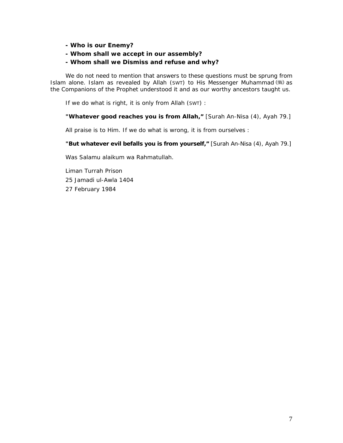- **Who is our Enemy?**
- **Whom shall we accept in our assembly?**

# **- Whom shall we Dismiss and refuse and why?**

We do not need to mention that answers to these questions must be sprung from Islam alone. Islam as revealed by Allah (SWT) to His Messenger Muhammad (#3) as the Companions of the Prophet understood it and as our worthy ancestors taught us.

If we do what is right, it is only from Allah (SWT) :

*"Whatever good reaches you is from Allah,"* [Surah An-Nisa (4), Ayah 79.]

All praise is to Him. If we do what is wrong, it is from ourselves :

*"But whatever evil befalls you is from yourself,"* [Surah An-Nisa (4), Ayah 79.]

*Was Salamu alaikum wa Rahmatullah.* 

Liman Turrah Prison 25 Jamadi ul-Awla 1404 27 February 1984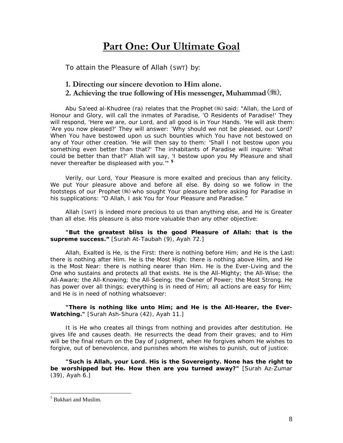# **Part One: Our Ultimate Goal**

<span id="page-8-0"></span>To attain the Pleasure of Allah (SWT) by:

# **1. Directing our sincere devotion to Him alone.**  2. Achieving the true following of His messenger, Muhammad (**2**).

*Abu Sa'eed al-Khudree (ra) relates that the Prophet (* $\frac{m}{m}$ *) said: "Allah, the Lord of Honour and Glory*, *will call the inmates of Paradise, 'O Residents of Paradise!' They will respond, 'Here we are, our Lord, and all good is in Your Hands. 'He will ask them: 'Are you now pleased?' They will answer: 'Why should we not be pleased, our Lord? When You have bestowed upon us such bounties which You have not bestowed on any of Your other creation. 'He will then say to them: 'Shall I not bestow upon you something even better than that?' The inhabitants of Paradise will inquire: 'What could be better than that?' Allah will say, 'I bestow upon you My Pleasure and shall never thereafter be displeased with you.'"* **[5](#page-8-1)**

Verily, our Lord, Your Pleasure is more exalted and precious than any felicity. We put Your pleasure above and before all else. By doing so we follow in the footsteps of our Prophet (5) who sought Your pleasure before asking for Paradise in his supplications: "*O Allah, I ask You for Your Pleasure and Paradise."* 

Allah (SWT) is indeed more precious to us than anything else, and He is Greater than all else. His pleasure is also more valuable than any other objective:

# *"But the greatest bliss is the good Pleasure of Allah: that is the supreme success."* [Surah At-Taubah (9), Ayah 72.]

Allah, Exalted is He, is the First: there is nothing before Him; and He is the Last: there is nothing after Him. He is the Most High: there is nothing above Him, and He is the Most Near: there is nothing nearer than Him. He is the Ever-Living and the One who sustains and protects all that exists. He is the All-Mighty; the All-Wise; the All-Aware; the All-Knowing; the All-Seeing; the Owner of Power; the Most Strong. He has power over all things; everything is in need of Him; all actions are easy for Him; and He is in need of nothing whatsoever:

# *"There is nothing like unto Him; and He is the All-Hearer, the Ever-Watching."* [Surah Ash-Shura (42), Ayah 11.]

It is He who creates all things from nothing and provides after destitution. He gives life and causes death. He resurrects the dead from their graves; and to Him will be the final return on the Day of Judgment, when He forgives whom He wishes to forgive, out of benevolence, and punishes whom He wishes to punish, out of justice:

*"Such is Allah, your Lord. His is the Sovereignty. None has the right to be worshipped but He. How then are you turned away?"* [Surah Az-Zumar (39), Ayah 6.]

<span id="page-8-1"></span><sup>5</sup> Bukhari and Muslim.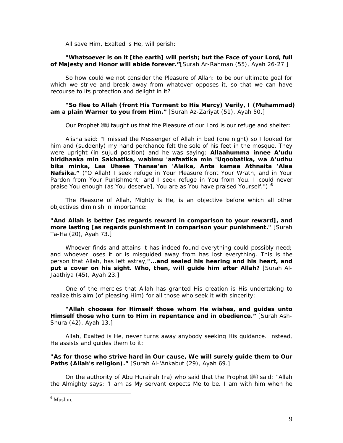All save Him, Exalted is He, will perish:

# *"Whatsoever is on it [the earth] will perish; but the Face of your Lord, full of Majesty and Honor will abide forever."*[Surah Ar-Rahman (55), Ayah 26-27.]

So how could we not consider the Pleasure of Allah: to be our ultimate goal for which we strive and break away from whatever opposes it, so that we can have recourse to its protection and delight in it?

# *"So flee to Allah (front His Torment to His Mercy) Verily, I (Muhammad) am a plain Warner to you from Him."* [Surah Az-Zariyat (51), Ayah 50.]

Our Prophet ( $\gg$ ) taught us that the Pleasure of our Lord is our refuge and shelter:

*A'isha said: "I missed the Messenger of Allah in bed (one night) so I looked for him and (suddenly) my hand perchance felt the sole of his feet in the mosque. They were upright (in sujud position) and he was saying: Allaahumma innee A'udu biridhaaka min Sakhatika, wabimu 'aafaatika min 'Uqoobatika, wa A'udhu bika minka, Laa Uhsee Thanaa'an 'Alaika, Anta kamaa Athnaita 'Alaa Nafsika." ("O Allah! I seek refuge in Your Pleasure front Your Wrath, and in Your Pardon from Your Punishment; and I seek refuge in You from You. I could never praise You enough (as You deserve], You are as You have praised Yourself.")* **[6](#page-9-0)**

The Pleasure of Allah, Mighty is He, is an objective before which all other objectives diminish in importance:

# *"And Allah is better [as regards reward in comparison to your reward], and more lasting [as regards punishment in comparison your punishment."* [Surah Ta-Ha (20), Ayah 73.]

Whoever finds and attains it has indeed found everything could possibly need; and whoever loses it or is misguided away from has lost everything. This is the person that Allah, has left astray,*"***...***and sealed his hearing and his heart, and put a cover on his sight. Who, then, will guide him after Allah?* [Surah Al-Jaathiya (45), Ayah 23.]

One of the mercies that Allah has granted His creation is His undertaking to realize this aim (of pleasing Him) for all those who seek it with sincerity:

*"Allah chooses for Himself those whom He wishes, and guides unto Himself those who turn to Him in repentance and in obedience."* [Surah Ash-Shura (42), Ayah 13.]

Allah, Exalted is He, never turns away anybody seeking His guidance. Instead, He assists and guides them to it:

# *"As for those who strive hard in Our cause, We will surely guide them to Our*  Paths (Allah's religion)." [Surah Al-'Ankabut (29), Ayah 69.]

*On the authority of Abu Hurairah (ra) who said that the Prophet*  $\mathcal{F}_s$  said: "*Allah the Almighty says: 'I am as My servant expects Me to be. I am with him when he* 

<span id="page-9-0"></span><sup>6</sup> Muslim.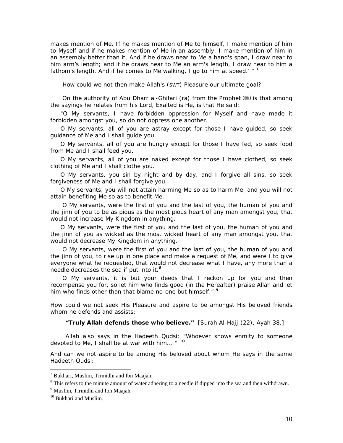*makes mention of Me. If he makes mention of Me to himself, I make mention of him to Myself and if he makes mention of Me in an assembly, I make mention of him in an assembly better than it. And if he draws near to Me a hand's span, I draw near to him arm's length; and if he draws near to Me an arm's length, I draw near to him a fathom's length. And if he comes to Me walking, I go to him at speed.'* " **[7](#page-10-0)**

How could we not then make Allah's (SWT) Pleasure our ultimate goal?

*On the authority of Abu Dharr al-Ghifari (ra) from the Prophet* (\*) is that among *the sayings he relates from his Lord, Exalted is He, is that He said:* 

*"O My servants, I have forbidden oppression for Myself and have made it forbidden amongst you, so do not oppress one another.* 

*O My servants, all of you are astray except for those I have guided, so seek guidance of Me and I shall guide you.* 

*O My servants, all of you are hungry except for those I have fed, so seek food from Me and I shall feed you.* 

*O My servants, all of you are naked except for those I have clothed, so seek clothing of Me and I shall clothe you.* 

*O My servants, you sin by night and by day, and I forgive all sins, so seek forgiveness of Me and I shall forgive you.* 

*O My servants, you will not attain harming Me so as to harm Me, and you will not attain benefiting Me so as to benefit Me.* 

 *O My servants, were the first of you and the last of you, the human of you and the jinn of you to be as pious as the most pious heart of any man amongst you, that would not increase My Kingdom in anything.* 

*O My servants, were the first of you and the last of you, the human of you and the jinn of you as wicked as the most wicked heart of any man amongst you, that would not decrease My Kingdom in anything.* 

 *O My servants, were the first of you and the last of you, the human of you and the jinn of you, to rise up in one place and make a request of Me, and were I to give everyone what he requested, that would not decrease what I have, any more than a needle decreases the sea if put into it.***[8](#page-10-1)**

 *O My servants, it is but your deeds that I reckon up for you and then recompense you for, so let him who finds good (in the Hereafter) praise Allah and let him who finds other than that blame no-one but himself."* **[9](#page-10-2)**

How could we not seek His Pleasure and aspire to be amongst His beloved friends whom he defends and assists:

*"Truly Allah defends those who believe."* [Surah Al-Hajj (22), Ayah 38.]

Allah also says in the *Hadeeth Qudsi: "Whoever shows enmity to someone devoted to Me, I shall be at war with him... "* **[10](#page-10-3)**

And can we not aspire to be among His beloved about whom He says in the same *Hadeeth Qudsi:* 

<span id="page-10-0"></span><sup>&</sup>lt;sup>7</sup> Bukhari, Muslim, Tirmidhi and Ibn Maajah.

<span id="page-10-1"></span><sup>&</sup>lt;sup>8</sup> This refers to the minute amount of water adhering to a needle if dipped into the sea and then withdrawn.

<sup>&</sup>lt;sup>9</sup> Muslim, Tirmidhi and Ibn Maajah.

<span id="page-10-3"></span><span id="page-10-2"></span><sup>&</sup>lt;sup>10</sup> Bukhari and Muslim.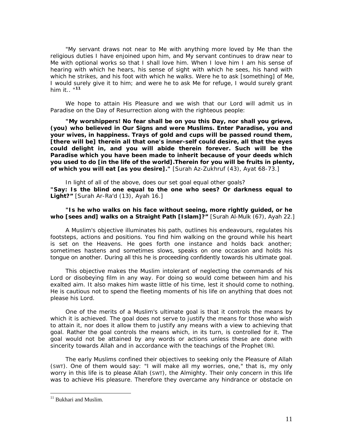*"My servant draws not near to Me with anything more loved by Me than the religious duties I have enjoined upon him, and My servant continues to draw near to Me with optional works so that I shall love him. When I love him I am his sense of hearing with which he hears, his sense of sight with which he sees, his hand with which he strikes, and his foot with which he walks. Were he to ask [something] of Me, I would surely give it to him; and were he to ask Me for refuge, I would surely grant him it.. "***[11](#page-11-0)**

We hope to attain His Pleasure and we wish that our Lord will admit us in Paradise on the Day of Resurrection along with the righteous people:

*"My worshippers! No fear shall be on you this Day, nor shall you grieve, (you) who believed in Our Signs and were Muslims. Enter Paradise, you and your wives, in happiness. Trays of gold and cups will be passed round them, [there will be] therein all that one's inner-self could desire, all that the eyes could delight in, and you will abide therein forever. Such will be the Paradise which you have been made to inherit because of your deeds which you used to do [in the life of the world].Therein for you will be fruits in plenty, of which you will eat [as you desire]."* [Surah Az-Zukhruf (43), Ayat 68-73.]

In light of all of the above, does our set goal equal other goals? *"Say***:** *Is the blind one equal to the one who sees? Or darkness equal to Light?"* [Surah Ar-Ra'd (13), Ayah 16.]

# *"Is he who walks on his face without seeing, more rightly guided, or he who [sees and] walks on a Straight Path [Islam]?"* [Surah Al-Mulk (67), Ayah 22.]

A Muslim's objective illuminates his path, outlines his endeavours, regulates his footsteps, actions and positions. You find him walking on the ground while his heart is set on the Heavens. He goes forth one instance and holds back another; sometimes hastens and sometimes slows, speaks on one occasion and holds his tongue on another. During all this he is proceeding confidently towards his ultimate goal.

This objective makes the Muslim intolerant of neglecting the commands of his Lord or disobeying film in any way. For doing so would come between him and his exalted aim. It also makes him waste little of his time, lest it should come to nothing. He is cautious not to spend the fleeting moments of his life on anything that does not please his Lord.

One of the merits of a Muslim's ultimate goal is that it controls the means by which it is achieved. The goal does not serve to justify the means for those who wish to attain it, nor does it allow them to justify any means with a view to achieving that goal. Rather the goal controls the means which, in its turn, is controlled for it. The goal would not be attained by any words or actions unless these are done with sincerity towards Allah and in accordance with the teachings of the Prophet  $(\frac{4}{3})$ .

The early Muslims confined their objectives to seeking only the Pleasure of Allah (SWT). One of them would say: "I will make all my worries, one," that is, my only worry in this life is to please Allah (SWT), the Almighty. Their only concern in this life was to achieve His pleasure. Therefore they overcame any hindrance or obstacle on

<span id="page-11-0"></span><sup>&</sup>lt;sup>11</sup> Bukhari and Muslim.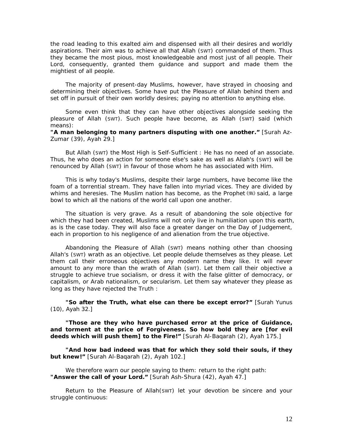the road leading to this exalted aim and dispensed with all their desires and worldly aspirations. Their aim was to achieve all that Allah (SWT) commanded of them. Thus they became the most pious, most knowledgeable and most just of all people. Their Lord, consequently, granted them guidance and support and made them the mightiest of all people.

The majority of present-day Muslims, however, have strayed in choosing and determining their objectives. Some have put the Pleasure of Allah behind them and set off in pursuit of their own worldly desires; paying no attention to anything else.

Some even think that they can have other objectives alongside seeking the pleasure of Allah (SWT). Such people have become, as Allah (SWT) said (which means):

# *"A man belonging to many partners disputing with one another."* [Surah Az-Zumar (39), Ayah 29.]

But Allah (SWT) the Most High is Self-Sufficient : He has no need of an associate. Thus, he who does an action for someone else's sake as well as Allah's (SWT) will be renounced by Allah (SWT) in favour of those whom he has associated with Him.

This is why today's Muslims, despite their large numbers, have become like the foam of a torrential stream. They have fallen into myriad vices. They are divided by whims and heresies. The Muslim nation has become, as the Prophet (.) said, a large bowl to which all the nations of the world call upon one another.

The situation is very grave. As a result of abandoning the sole objective for which they had been created, Muslims will not only live in humiliation upon this earth, as is the case today. They will also face a greater danger on the Day of Judgement, each in proportion to his negligence of and alienation from the true objective.

Abandoning the Pleasure of Allah (SWT) means nothing other than choosing Allah's (SWT) wrath as an objective. Let people delude themselves as they please. Let them call their erroneous objectives any modern name they like. It will never amount to any more than the wrath of Allah (SWT). Let them call their objective a struggle to achieve true socialism, or dress it with the false glitter of democracy, or capitalism, or Arab nationalism, or secularism. Let them say whatever they please as long as they have rejected the Truth :

*"So after the Truth, what else can there be except error?"* [Surah Yunus (10), Ayah 32.]

*"Those are they who have purchased error at the price of Guidance, and torment at the price of Forgiveness. So how bold they are [for evil deeds which will push them] to the Fire!"* [Surah Al-Baqarah (2), Ayah 175.]

*"And how bad indeed was that for which they sold their souls, if they but knew!"* [Surah Al-Baqarah (2), Ayah 102.]

We therefore warn our people saying to them: return to the right path: *"Answer the call of your Lord."* [Surah Ash-Shura (42), Ayah 47.]

Return to the Pleasure of Allah(SWT) let your devotion be sincere and your struggle continuous: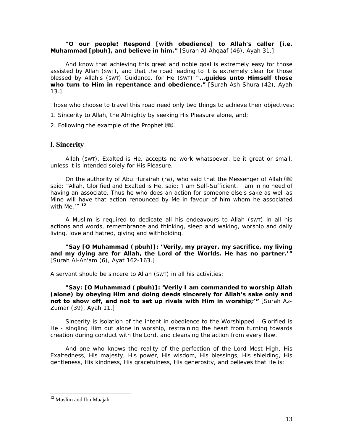# *"O our people! Respond [with obedience] to Allah's caller [i.e. Muhammad [pbuh], and believe in him."* [Surah Al-Ahqaaf (46), Ayah 31.]

And know that achieving this great and noble goal is extremely easy for those assisted by Allah (SWT), and that the road leading to it is extremely clear for those blessed by Allah's (SWT) Guidance, for He (SWT) *"...guides unto Himself those who turn to Him in repentance and obedience."* [Surah Ash-Shura (42), Ayah 13.]

Those who choose to travel this road need only two things to achieve their objectives:

1. Sincerity to Allah, the Almighty by seeking His Pleasure alone, and;

2. Following the example of the Prophet  $(\frac{4}{3})$ .

# **l. Sincerity**

Allah (SWT), Exalted is He, accepts no work whatsoever, be it great or small, unless it is intended solely for His Pleasure.

*On the authority of Abu Hurairah (ra)*, *who said that the Messenger of Allah said: "Allah, Glorified and Exalted is He, said:* '*I am Self-Sufficient. I am in no need of having an associate. Thus he who does an action for someone else's sake as well as Mine will have that action renounced by Me in favour of him whom he associated with Me.'"* **[12](#page-13-0)**

A Muslim is required to dedicate all his endeavours to Allah (SWT) in all his actions and words, remembrance and thinking, sleep and waking, worship and daily living, love and hatred, giving and withholding.

*"Say [O Muhammad ( pbuh)]: ' Verily, my prayer, my sacrifice, my living and my dying are for Allah, the Lord of the Worlds. He has no partner.'"* [Surah Al-An'am (6), Ayat 162-163.]

A servant should be sincere to Allah (SWT) in all his activities:

*"Say: [O Muhammad ( pbuh)]: 'Verily I am commanded to worship Allah (alone) by obeying Him and doing deeds sincerely for Allah's sake only and not to show off, and not to set up rivals with Him in worship;'"* [Surah Az-Zumar (39), Ayah 11.]

Sincerity is isolation of the intent in obedience to the Worshipped - Glorified is He - singling Him out alone in worship, restraining the heart from turning towards creation during conduct with the Lord, and cleansing the action from every flaw.

And one who knows the reality of the perfection of the Lord Most High, His Exaltedness, His majesty, His power, His wisdom, His blessings, His shielding, His gentleness, His kindness, His gracefulness, His generosity, and believes that He is:

<span id="page-13-0"></span><sup>&</sup>lt;sup>12</sup> Muslim and Ibn Maajah.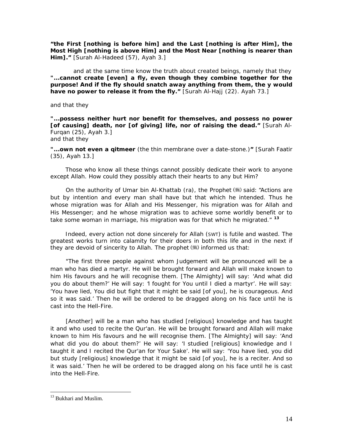*"the First [nothing is before him] and the Last [nothing is after Him], the Most High [nothing is above Him] and the Most Near [nothing is nearer than Him]."* [Surah Al-Hadeed (57), Ayah 3.]

 and at the same time know the truth about created beings, namely that they *"...cannot create [even] a fly, even though they combine together for the purpose! And if the fly should snatch away anything from them, the y would have no power to release it from the fly.* " [Surah Al-Hajj (22). Ayah 73.]

and that they

*"...possess neither hurt nor benefit for themselves, and possess no power [of causing] death, nor [of giving] life, nor of raising the dead."* [Surah Al-Furqan (25), Ayah 3.] and that they

*"...own not even a qitmeer* (the thin membrane over a date-stone.)*"* [Surah Faatir (35), Ayah 13.]

Those who know all these things cannot possibly dedicate their work to anyone except Allah. How could they possibly attach their hearts to any but Him?

*On the authority of Umar bin Al-Khattab (ra), the Prophet*  $\ddot{\mathcal{L}}$  *said: "Actions are but by intention and every man shall have but that which he intended. Thus he whose migration was for Allah and His Messenger, his migration was for Allah and His Messenger; and he whose migration was to achieve some worldly benefit or to take some woman in marriage, his migration was for that which he migrated."* **[13](#page-14-0)**

Indeed, every action not done sincerely for Allah (SWT) is futile and wasted. The greatest works turn into calamity for their doers in both this life and in the next if they are devoid of sincerity to Allah. The prophet (#) informed us that:

*"The first three people against whom Judgement will be pronounced will be a man who has died a martyr. He will be brought forward and Allah will make known to him His favours and he will recognise them. [The Almighty] will say: 'And what did you do about them?' He will say: 'I fought for You until I died a martyr'. He will say: 'You have lied, You did but fight that it might be said [of you], he is courageous. And so it was said.' Then he will be ordered to be dragged along on his face until he is cast into the Hell-Fire.* 

*[Another] will be a man who has studied [religious] knowledge and has taught it and who used to recite the Qur'an. He will be brought forward and Allah will make known to him His favours and he will recognise them. [The Almighty] will say: 'And what did you do about them?' He will say: 'I studied [religious] knowledge and I taught it and I recited the Qur'an for Your Sake'. He will say: 'You have lied, you did but study [religious] knowledge that it might be said [of you], he is a reciter. And so it was said.' Then he will be ordered to be dragged along on his face until he is cast into the Hell-Fire.* 

<span id="page-14-0"></span><sup>&</sup>lt;sup>13</sup> Bukhari and Muslim.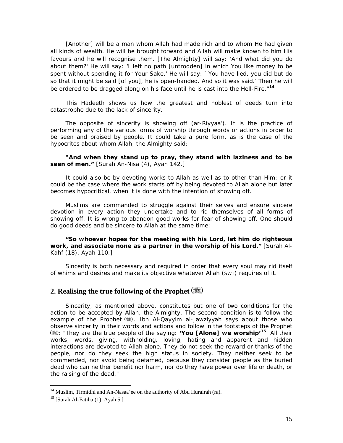[Another] will be a man whom Allah had made rich and to whom He had given *all kinds of wealth. He will be brought forward and Allah will make known to him His favours and he will recognise them. [The Almighty] will say: 'And what did you do about them?' He will say: 'I left no path [untrodden] in which You like money to be spent without spending it for Your Sake.' He will say: `You have lied, you did but do*  so that it might be said [of you], he is open-handed. And so it was said.' Then he will *be ordered to be dragged along on his face until he is cast into the Hell-Fire."***[14](#page-15-0)**

This Hadeeth shows us how the greatest and noblest of deeds turn into catastrophe due to the lack of sincerity.

The opposite of sincerity is showing off *(ar-Riyyaa').* It is the practice of performing any of the various forms of worship through words or actions in order to be seen and praised by people. It could take a pure form, as is the case of the hypocrites about whom Allah, the Almighty said:

# *"And when they stand up to pray, they stand with laziness and to be seen of men."* [Surah An-Nisa (4), Ayah 142.]

It could also be by devoting works to Allah as well as to other than Him; or it could be the case where the work starts off by being devoted to Allah alone but later becomes hypocritical, when it is done with the intention of showing off.

Muslims are commanded to struggle against their selves and ensure sincere devotion in every action they undertake and to rid themselves of all forms of showing off. It is wrong to abandon good works for fear of showing off. One should do good deeds and be sincere to Allah at the same time:

# *"So whoever hopes for the meeting with his Lord, let him do righteous work, and associate none as a partner in the worship of his Lord."* [Surah Al-Kahf (18), Ayah 110.]

Sincerity is both necessary and required in order that every soul may rid itself of whims and desires and make its objective whatever Allah (SWT) requires of it.

# **2. Realising the true following of the Prophet**

Sincerity, as mentioned above, constitutes but one of two conditions for the action to be accepted by Allah, the Almighty. The second condition is to follow the example of the Prophet ( ). Ibn Al-Qayyim al-Jawziyyah says about those who observe sincerity in their words and actions and follow in the footsteps of the Prophet : "They are the true people of the saying: *'You [Alone] we worship'***[15](#page-15-1)***.* All their works, words, giving, withholding, loving, hating and apparent and hidden interactions are devoted to Allah alone. They do not seek the reward or thanks of the people, nor do they seek the high status in society. They neither seek to be commended, nor avoid being defamed, because they consider people as the buried dead who can neither benefit nor harm, nor do they have power over life or death, or the raising of the dead."

<span id="page-15-0"></span><sup>&</sup>lt;sup>14</sup> Muslim, Tirmidhi and An-Nasaa'ee on the authority of Abu Hurairah (ra).<br><sup>15</sup> [Surah Al-Fatiha (1), Ayah 5.]

<span id="page-15-1"></span>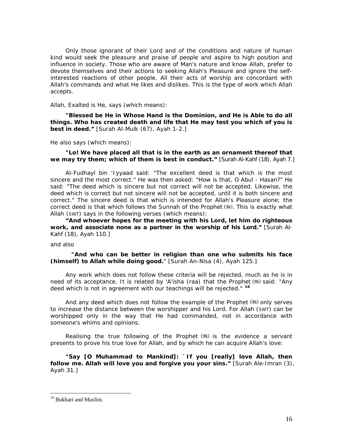Only those ignorant of their Lord and of the conditions and nature of human kind would seek the pleasure and praise of people and aspire to high position and influence in society. Those who are aware of Man's nature and know Allah, prefer to devote themselves and their actions to seeking Allah's Pleasure and ignore the selfinterested reactions of other people. All their acts of worship are concordant with Allah's commands and what He likes and dislikes. This is the type of work which Allah accepts.

Allah, Exalted is He, says (which means):

*"Blessed be He in Whose Hand is the Dominion, and He is Able to do all things. Who has created death and life that He may test you which of you is best in deed."* [Surah Al-Mulk (67), Ayah 1-2.]

He also says (which means):

## *"Lo! We have placed all that is in the earth as an ornament thereof that we may try them; which of them is best in conduct."* [Surah Al-Kahf (18), Ayah 7.]

Al-Fudhayl bin 'Iyyaad said: "The excellent deed is that which is the most sincere and the most correct." He was then asked: "How is that, O Abul - Hasan?" He said: "The deed which is sincere but not correct will not be accepted. Likewise, the deed which is correct but not sincere will not be accepted, until it is both sincere and correct." The sincere deed is that which is intended for Allah's Pleasure alone; the correct deed is that which follows the Sunnah of the Prophet (...). This is exactly what Allah (SWT) says in the following verses (which means):

*"And whoever hopes for the meeting with his Lord, let him do righteous work, and associate none as a partner in the worship of his Lord."* [Surah Al-Kahf (18), Ayah 110.]

and also

 *"And who can be better in religion than one who submits his face (himself) to Allah while doing good."* [Surah An-Nisa (4), Ayah 125.]

Any work which does not follow these criteria will be rejected, much as he is in need of its acceptance. It is related by 'A'isha (raa) that the Prophet (.) said: "Any *deed which is not in agreement with our teachings will be rejected."* **[16](#page-16-0)**

And any deed which does not follow the example of the Prophet  $(*)$  only serves to increase the distance between the worshipper and his Lord. For Allah (SWT) can be worshipped only in the way that He had commanded, not in accordance with someone's whims and opinions.

Realising the true following of the Prophet  $(\frac{4}{3})$  is the evidence a servant presents to prove his true love for Allah, and by which he can acquire Allah's love:

*"Say [O Muhammad to Mankind]: `If you [really] love Allah, then follow me. Allah will love you and forgive you your sins."* [Surah Ale-Imran (3), Ayah 31.]

<span id="page-16-0"></span><sup>&</sup>lt;sup>16</sup> Bukhari and Muslim.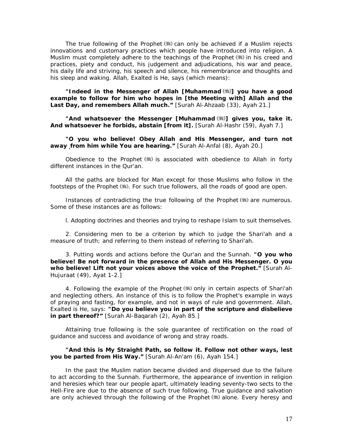The true following of the Prophet  $(*\ast)$  can only be achieved if a Muslim rejects innovations and customary practices which people have introduced into religion. A Muslim must completely adhere to the teachings of the Prophet (...) in his creed and practices, piety and conduct, his judgement and adjudications, his war and peace, his daily life and striving, his speech and silence, his remembrance and thoughts and his sleep and waking. Allah, Exalted is He, says (which means):

*"Indeed in the Messenger of Allah [Muhammad ] you have a good example to follow for him who hopes in [the Meeting with] Allah and the Last Day, and remembers Allah much."* [Surah Al-Ahzaab (33), Ayah 21.]

*"And whatsoever the Messenger [Muhammad ] gives you, take it. And whatsoever he forbids, abstain [from it].* [Surah Al-Hashr (59), Ayah 7.]

*"O you who believe! Obey Allah and His Messenger, and turn not away from him while You are hearing."* [Surah Al-Anfal (8), Ayah 20.]

Obedience to the Prophet  $(\frac{4}{3})$  is associated with obedience to Allah in forty different instances in the Qur'an.

All the paths are blocked for Man except for those Muslims who follow in the footsteps of the Prophet (...). For such true followers, all the roads of good are open.

Instances of contradicting the true following of the Prophet (#) are numerous. Some of these instances are as follows:

l. Adopting doctrines and theories and trying to reshape Islam to suit themselves.

2. Considering men to be a criterion by which to judge the *Shari'ah* and a measure of truth; and referring to them instead of referring to *Shari'ah.* 

3. Putting words and actions before the Qur'an and the Sunnah. *"O you who believe! Be not forward in the presence of Allah and His Messenger. O you who believe! Lift not your voices above the voice of the Prophet."* [Surah Al-Hujuraat (49), Ayat 1-2.]

4. Following the example of the Prophet (...) only in certain aspects of Shari'ah and neglecting others. An instance of this is to follow the Prophet's example in ways of praying and fasting, for example, and not in ways of rule and government. Allah, Exalted is He, says: *"Do you believe you in part of the scripture and disbelieve in part thereof?"* [Surah Al-Baqarah (2), Ayah 85.]

Attaining true following is the sole guarantee of rectification on the road of guidance and success and avoidance of wrong and stray roads.

### *"And this is My Straight Path, so follow it. Follow not other ways, lest you be parted from His Way."* [Surah Al-An'am (6), Ayah 154.]

In the past the Muslim nation became divided and dispersed due to the failure to act according to the Sunnah. Furthermore, the appearance of invention in religion and heresies which tear our people apart, ultimately leading seventy-two sects to the Hell-Fire are due to the absence of such true following. True guidance and salvation are only achieved through the following of the Prophet (卷) alone. Every heresy and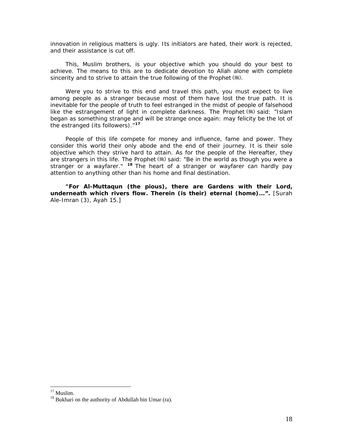innovation in religious matters is ugly. Its initiators are hated, their work is rejected, and their assistance is cut off.

This, Muslim brothers, is your objective which you should do your best to achieve. The means to this are to dedicate devotion to Allah alone with complete sincerity and to strive to attain the true following of the Prophet (...)

Were you to strive to this end and travel this path, you must expect to live among people as a stranger because most of them have lost the true path. It is inevitable for the people of truth to feel estranged in the midst of people of falsehood like the estrangement of light in complete darkness. The Prophet (#) said: "*Islam began as something strange and will be strange once again: may felicity be the lot of the estranged (its followers)."***[1](#page-18-0)7**

People of this life compete for money and influence, fame and power. They consider this world their only abode and the end of their journey. It is their sole objective which they strive hard to attain. As for the people of the Hereafter, they are strangers in this life. The Prophet (#) said: "Be in the world as though you were a *stranger or a wayfarer."* **[1](#page-18-1)8** The heart of a stranger or wayfarer can hardly pay attention to anything other than his home and final destination.

*"For Al-Muttaqun (the pious), there are Gardens with their Lord, underneath which rivers flow. Therein (is their) eternal (home)...".* [Surah Ale-Imran (3), Ayah 15.]

<sup>&</sup>lt;sup>17</sup> Muslim.

<span id="page-18-1"></span><span id="page-18-0"></span><sup>&</sup>lt;sup>18</sup> Bukhari on the authority of Abdullah bin Umar (ra).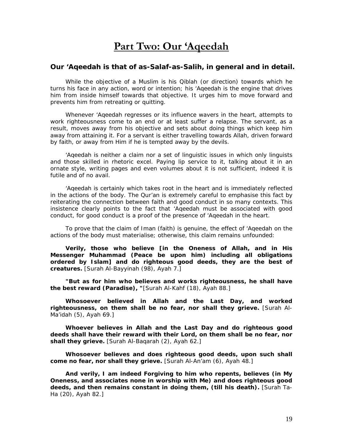# **Part Two: Our 'Aqeedah**

# <span id="page-19-0"></span>*Our 'Aqeedah is that of as-Salaf-as-Salih, in general and in detail.*

While the objective of a Muslim is his Qiblah (or direction) towards which he turns his face in any action, word or intention; his *'Aqeedah* is the engine that drives him from inside himself towards that objective. It urges him to move forward and prevents him from retreating or quitting.

Whenever *'Aqeedah* regresses or its influence wavers in the heart, attempts to work righteousness come to an end or at least suffer a relapse. The servant, as a result, moves away from his objective and sets about doing things which keep him away from attaining it. For a servant is either travelling towards Allah, driven forward by faith, or away from Him if he is tempted away by the devils.

*'Aqeedah* is neither a claim nor a set of linguistic issues in which only linguists and those skilled in rhetoric excel. Paying lip service to it, talking about it in an ornate style, writing pages and even volumes about it is not sufficient, indeed it is futile and of no avail.

*'Aqeedah* is certainly which takes root in the heart and is immediately reflected in the actions of the body. The Qur'an is extremely careful to emphasise this fact by reiterating the connection between faith and good conduct in so many contexts. This insistence clearly points to the fact that *'Aqeedah* must be associated with good conduct, for good conduct is a proof of the presence of *'Aqeedah* in the heart.

To prove that the claim of *Iman* (faith) is genuine, the effect of *'Aqeedah* on the actions of the body must materialise; otherwise, this claim remains unfounded:

*Verily, those who believe [in the Oneness of Allah, and in His Messenger Muhammad (Peace be upon him) including all obligations ordered by Islam] and do righteous good deeds, they are the best of creatures.* [Surah Al-Bayyinah (98), Ayah 7.]

*"But as for him who believes and works righteousness, he shall have the best reward (Paradise), "*[Surah Al-Kahf (18), Ayah 88.]

*Whosoever believed in Allah and the Last Day, and worked righteousness, on them shall be no fear, nor shall they grieve.* [Surah Al-Ma'idah (5), Ayah 69.]

*Whoever believes in Allah and the Last Day and do righteous good deeds shall have their reward with their Lord, on them shall be no fear, nor*  shall they grieve. [Surah Al-Baqarah (2), Ayah 62.]

*Whosoever believes and does righteous good deeds, upon such shall come no fear, nor shall they grieve.* [Surah Al-An'am (6), Ayah 48.]

*And verily, I am indeed Forgiving to him who repents, believes (in My Oneness, and associates none in worship with Me) and does righteous good deeds, and then remains constant in doing them, (till his death).* [Surah Ta-Ha (20), Ayah 82.]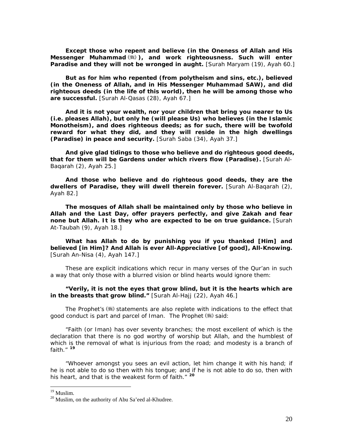*Except those who repent and believe (in the Oneness of Allah and His Messenger Muhammad ), and work righteousness. Such will enter*  Paradise and they will not be wronged in aught. [Surah Maryam (19), Ayah 60.]

*But as for him who repented (from polytheism and sins, etc.), believed (in the Oneness of Allah, and in His Messenger Muhammad SAW), and did righteous deeds (in the life of this world), then he will be among those who are successful.* [Surah Al-Qasas (28), Ayah 67.]

*And it is not your wealth, nor your children that bring you nearer to Us (i.e. pleases Allah), but only he (will please Us) who believes (in the Islamic Monotheism), and does righteous deeds; as for such, there will be twofold reward for what they did, and they will reside in the high dwellings (Paradise) in peace and security.* [Surah Saba (34), Ayah 37.]

*And give glad tidings to those who believe and do righteous good deeds, that for them will be Gardens under which rivers flow (Paradise).* [Surah Al-Baqarah (2), Ayah 25.]

*And those who believe and do righteous good deeds, they are the dwellers of Paradise, they will dwell therein forever.* [Surah Al-Baqarah (2), Ayah 82.]

*The mosques of Allah shall be maintained only by those who believe in Allah and the Last Day, offer prayers perfectly, and give Zakah and fear none but Allah. It is they who are expected to be on true guidance.* [Surah At-Taubah (9), Ayah 18.]

*What has Allah to do by punishing you if you thanked [Him] and believed [in Him]? And Allah is ever All-Appreciative [of good], All-Knowing.* [Surah An-Nisa (4), Ayah 147.]

These are explicit indications which recur in many verses of the Qur'an in such a way that only those with a blurred vision or blind hearts would ignore them:

*"Verily, it is not the eyes that grow blind, but it is the hearts which are in the breasts that grow blind."* [Surah Al-Hajj (22), Ayah 46.]

The Prophet's ( $\equiv$ ) statements are also replete with indications to the effect that good conduct is part and parcel of *Iman.* The Prophet ( $\gg$ ) said:

*"Faith (or Iman) has over seventy branches; the most excellent of which is the declaration that there is no god worthy of worship but Allah, and the humblest of*  which is the removal of what is injurious from the road; and modesty is a branch of *faith."* **[1](#page-20-0)9**

*"Whoever amongst you sees an evil action, let him change it with his hand; if he is not able to do so then with his tongue; and if he is not able to do so, then with his heart, and that is the weakest form of faith."* **[20](#page-20-1)**

<sup>&</sup>lt;sup>19</sup> Muslim.

<span id="page-20-1"></span><span id="page-20-0"></span><sup>&</sup>lt;sup>20</sup> Muslim, on the authority of Abu Sa'eed al-Khudree.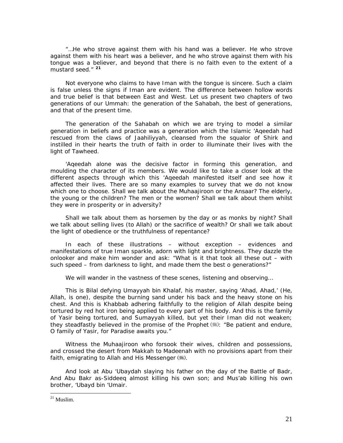*"…He who strove against them with his hand was a believer. He who strove against them with his heart was a believer, and he who strove against them with his tongue was a believer, and beyond that there is no faith even to the extent of a mustard seed."* **[2](#page-21-0)1**

Not everyone who claims to have *Iman* with the tongue is sincere. Such a claim is false unless the signs if *Iman* are evident. The difference between hollow words and true belief is that between East and West. Let us present two chapters of two generations of our *Ummah*: the generation of the Sahabah, the best of generations, and that of the present time.

The generation of the Sahabah on which we are trying to model a similar generation in beliefs and practice was a generation which the Islamic *'Aqeedah* had rescued from the claws of Jaahiliyyah, cleansed from the squalor of Shirk and instilled in their hearts the truth of faith in order to illuminate their lives with the light of Tawheed.

*'Aqeedah* alone was the decisive factor in forming this generation, and moulding the character of its members. We would like to take a closer look at the different aspects through which this *'Aqeedah* manifested itself and see how it affected their lives. There are so many examples to survey that we do not know which one to choose. Shall we talk about the Muhaajiroon or the Ansaar? The elderly, the young or the children? The men or the women? Shall we talk about them whilst they were in prosperity or in adversity?

Shall we talk about them as horsemen by the day or as monks by night? Shall we talk about selling lives (to Allah) or the sacrifice of wealth? Or shall we talk about the light of obedience or the truthfulness of repentance?

In each of these illustrations – without exception – evidences and manifestations of true *Iman* sparkle, adorn with light and brightness. They dazzle the onlooker and make him wonder and ask: "What is it that took all these out – with such speed – from darkness to light, and made them the best o generations?"

We will wander in the vastness of these scenes, listening and observing…

This is Bilal defying Umayyah bin Khalaf, his master, saying *'Ahad, Ahad,'* (He, Allah, is one), despite the burning sand under his back and the heavy stone on his chest. And this is Khabbab adhering faithfully to the religion of Allah despite being tortured by red hot iron being applied to every part of his body. And this is the family of Yasir being tortured, and Sumayyah killed, but yet their *Iman* did not weaken; they steadfastly believed in the promise of the Prophet (\*): *"Be patient and endure, O family of Yasir, for Paradise awaits you."* 

Witness the Muhaajiroon who forsook their wives, children and possessions, and crossed the desert from Makkah to Madeenah with no provisions apart from their faith, emigrating to Allah and His Messenger  $(\mathbb{H})$ .

And look at Abu 'Ubaydah slaying his father on the day of the Battle of Badr, And Abu Bakr as-Siddeeq almost killing his own son; and Mus'ab killing his own brother, 'Ubayd bin 'Umair.

<span id="page-21-0"></span> $21$  Muslim.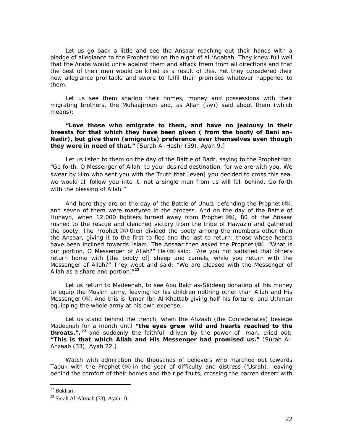Let us go back a little and see the Ansaar reaching out their hands with a pledge of allegiance to the Prophet (5) on the night of al-'Agabah. They knew full well that the Arabs would unite against them and attack them from all directions and that the best of their men would be killed as a result of this. Yet they considered their new allegiance profitable and swore to fulfil their promises whatever happened to them.

Let us see them sharing their homes, money and possessions with their migrating brothers, the Muhaajiroon and, as Allah (SWT) said about them (which means):

*"Love those who emigrate to them, and have no jealousy in their breasts for that which they have been given ( from the booty of Bani an-Nadir), but give them (emigrants) preference over themselves even though they were in need of that."* [Surah Al-Hashr (59), Ayah 9.]

Let us listen to them on the day of the Battle of Badr, saying to the Prophet  $(\frac{4}{3})$ : *"Go forth, O Messenger of Allah, to your desired destination, for we are with you. We swear by Him who sent you with the Truth that [even] you decided to cross this sea, we would all follow you into it, not a single man from us will fall behind. Go forth with the blessing of Allah."* 

And here they are on the day of the Battle of Uhud, defending the Prophet  $(\frac{4}{3})$ , and seven of them were martyred in the process. And on the day of the Battle of Hunayn, when 12,000 fighters turned away from Prophet ( ) 80 of the Ansaar rushed to the rescue and clenched victory from the tribe of Hawazin and gathered the booty. The Prophet  $(\frac{4}{3})$  then divided the booty among the members other than the Ansaar, giving it to the first to flee and the last to return: those whose hearts have been inclined towards Islam. The Ansaar then asked the Prophet (#): *"What is our portion, O Messenger of Allah?"* He (5) said: *"Are you not satisfied that others return home with [the booty of] sheep and camels, while you return with the Messenger of Allah?"* They wept and said: *"We are pleased with the Messenger of Allah as a share and portion."***[22](#page-22-0)**

Let us return to Madeenah, to see Abu Bakr as-Siddeeq donating all his money to equip the Muslim army, leaving for his children nothing other than Allah and His Messenger ( ). And this is 'Umar Ibn Al-Khattab giving half his fortune, and Uthman equipping the whole army at his own expense.

Let us stand behind the trench, when the Ahzaab (the Confederates) besiege Madeenah for a month until *"the eyes grew wild and hearts reached to the throats.",* **[2](#page-22-1)3** and suddenly the faithful, driven by the power of *Iman,* cried out: *"This is that which Allah and His Messenger had promised us."* [Surah Al-Ahzaab (33), Ayah 22.]

Watch with admiration the thousands of believers who marched out towards Tabuk with the Prophet  $\left(\frac{1}{2}\right)$  in the year of difficulty and distress ('Usrah), leaving behind the comfort of their homes and the ripe fruits, crossing the barren desert with

<sup>22</sup> Bukhari.

<span id="page-22-1"></span><span id="page-22-0"></span> $23$  Surah Al-Ahzaab (33), Ayah 10.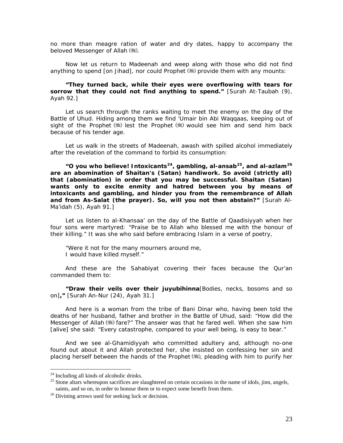no more than meagre ration of water and dry dates, happy to accompany the beloved Messenger of Allah (卷).

Now let us return to Madeenah and weep along with those who did not find anything to spend [on *Jihad*], nor could Prophet (.) provide them with any mounts:

## *"They turned back, while their eyes were overflowing with tears for sorrow that they could not find anything to spend."* [Surah At-Taubah (9), Ayah 92.]

Let us search through the ranks waiting to meet the enemy on the day of the Battle of Uhud. Hiding among them we find 'Umair bin Abi Waqqaas, keeping out of sight of the Prophet  $(\frac{4}{3})$  lest the Prophet  $(\frac{4}{3})$  would see him and send him back because of his tender age.

Let us walk in the streets of Madeenah, awash with spilled alcohol immediately after the revelation of the command to forbid its consumption:

*"O you who believe! Intoxicants***[2](#page-23-0)4***, gambling, al-ansab***[25](#page-23-1)***, and al-azlam***[2](#page-23-2)6** *are an abomination of Shaitan's (Satan) handiwork. So avoid (strictly all) that (abomination) in order that you may be successful. Shaitan (Satan) wants only to excite enmity and hatred between you by means of intoxicants and gambling, and hinder you from the remembrance of Allah and from As-Salat (the prayer). So, will you not then abstain?"* [Surah Al-Ma'idah (5), Ayah 91.]

Let us listen to al-Khansaa' on the day of the Battle of Qaadisiyyah when her four sons were martyred: *"Praise be to Allah who blessed me with the honour of their killing."* It was she who said before embracing Islam in a verse of poetry,

*"Were it not for the many mourners around me, I would have killed myself."* 

And these are the Sahabiyat covering their faces because the Qur'an commanded them to:

*"Draw their veils over their juyubihinna*[Bodies, necks, bosoms and so on]*,"* [Surah An-Nur (24), Ayah 31.]

And here is a woman from the tribe of Bani Dinar who, having been told the deaths of her husband, father and brother in the Battle of Uhud, said: *"How did the Messenger of Allah* (5) *fare?"* The answer was that he fared well. When she saw him [alive] she said: *"Every catastrophe, compared to your well being, is easy to bear."*

And we see al-Ghamidiyyah who committed adultery and, although no-one found out about it and Allah protected her, she insisted on confessing her sin and placing herself between the hands of the Prophet (,) pleading with him to purify her

<span id="page-23-0"></span><sup>&</sup>lt;sup>24</sup> Including all kinds of alcoholic drinks.

<span id="page-23-1"></span><sup>&</sup>lt;sup>25</sup> Stone altars whereupon sacrifices are slaughtered on certain occasions in the name of idols, jinn, angels, saints, and so on, in order to honour them or to expect some benefit from them.<br><sup>26</sup> Divining arrows used for seeking luck or decision.

<span id="page-23-2"></span>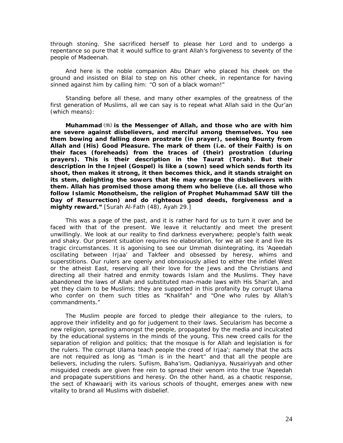through stoning. She sacrificed herself to please her Lord and to undergo a repentance so pure that it would suffice to grant Allah's forgiveness to seventy of the people of Madeenah.

And here is the noble companion Abu Dharr who placed his cheek on the ground and insisted on Bilal to step on his other cheek, in repentance for having sinned against him by calling him: *"O son of a black woman!"* 

Standing before all these, and many other examples of the greatness of the first generation of Muslims, all we can say is to repeat what Allah said in the Qur'an (which means):

*Muhammad*  $(\ddot{x})$  is the Messenger of Allah, and those who are with him *are severe against disbelievers, and merciful among themselves. You see them bowing and falling down prostrate (in prayer), seeking Bounty from Allah and (His) Good Pleasure. The mark of them (i.e. of their Faith) is on their faces (foreheads) from the traces of (their) prostration (during prayers). This is their description in the Taurat (Torah). But their description in the Injeel (Gospel) is like a (sown) seed which sends forth its shoot, then makes it strong, it then becomes thick, and it stands straight on its stem, delighting the sowers that He may enrage the disbelievers with them. Allah has promised those among them who believe (i.e. all those who follow Islamic Monotheism, the religion of Prophet Muhammad SAW till the Day of Resurrection) and do righteous good deeds, forgiveness and a mighty reward."* [Surah Al-Fath (48), Ayah 29.]

This was a page of the past, and it is rather hard for us to turn it over and be faced with that of the present. We leave it reluctantly and meet the present unwillingly. We look at our reality to find darkness everywhere; people's faith weak and shaky. Our present situation requires no elaboration, for we all see it and live its tragic circumstances. It is agonising to see our *Ummah* disintegrating, its *'Aqeedah*  oscillating between Irjaa' and Takfeer and obsessed by heresy, whims and superstitions. Our rulers are openly and obnoxiously allied to either the infidel West or the atheist East, reserving all their love for the Jews and the Christians and directing all their hatred and enmity towards Islam and the Muslims. They have abandoned the laws of Allah and substituted man-made laws with His *Shari'ah*, and yet they claim to be Muslims; they are supported in this profanity by corrupt *Ulama* who confer on them such titles as "Khalifah" and "One who rules by Allah's commandments."

The Muslim people are forced to pledge their allegiance to the rulers, to approve their infidelity and go for judgement to their laws. Secularism has become a new religion, spreading amongst the people, propagated by the media and inculcated by the educational systems in the minds of the young. This new creed calls for the separation of religion and politics; that the mosque is for Allah and legislation is for the rulers. The corrupt *Ulama* teach people the creed of Irjaa'; namely that the acts are not required as long as "*Iman* is in the heart" and that all the people are believers, including the rulers. Sufiism, Baha'ism, Qadianiyya, Nusairiyyah and other misguided creeds are given free rein to spread their venom into the true *'Aqeedah* and propagate superstitions and heresy. On the other hand, as a chaotic response, the sect of Khawaarij with its various schools of thought, emerges anew with new vitality to brand all Muslims with disbelief.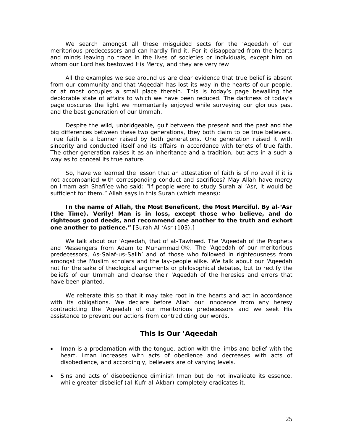We search amongst all these misguided sects for the *'Aqeedah* of our meritorious predecessors and can hardly find it. For it disappeared from the hearts and minds leaving no trace in the lives of societies or individuals, except him on whom our Lord has bestowed His Mercy, and they are very few!

All the examples we see around us are clear evidence that true belief is absent from our community and that *'Aqeedah* has lost its way in the hearts of our people, or at most occupies a small place therein. This is today's page bewailing the deplorable state of affairs to which we have been reduced. The darkness of today's page obscures the light we momentarily enjoyed while surveying our glorious past and the best generation of our *Ummah*.

Despite the wild, unbridgeable, gulf between the present and the past and the big differences between these two generations, they both claim to be true believers. True faith is a banner raised by both generations. One generation raised it with sincerity and conducted itself and its affairs in accordance with tenets of true faith. The other generation raises it as an inheritance and a tradition, but acts in a such a way as to conceal its true nature.

So, have we learned the lesson that an attestation of faith is of no avail if it is not accompanied with corresponding conduct and sacrifices? May Allah have mercy on Imam ash-Shafi'ee who said: "*If people were to study Surah al-'Asr, it would be sufficient for them."* Allah says in this Surah (which means):

# *In the name of Allah, the Most Beneficent, the Most Merciful. By al-'Asr (the Time). Verily! Man is in loss, except those who believe, and do righteous good deeds, and recommend one another to the truth and exhort one another to patience."* [Surah Al-'Asr (103).]

We talk about our *'Aqeedah,* that of at-Tawheed. The *'Aqeedah* of the Prophets and Messengers from Adam to Muhammad (5). The *'Aqeedah* of our meritorious predecessors, As-Salaf-us-Salih' and of those who followed in righteousness from amongst the Muslim scholars and the lay-people alike. We talk about our *'Aqeedah*  not for the sake of theological arguments or philosophical debates, but to rectify the beliefs of our *Ummah* and cleanse their *'Aqeedah* of the heresies and errors that have been planted.

We reiterate this so that it may take root in the hearts and act in accordance with its obligations. We declare before Allah our innocence from any heresy contradicting the *'Aqeedah* of our meritorious predecessors and we seek His assistance to prevent our actions from contradicting our words.

# **This is Our** *'Aqeedah*

- Iman is a proclamation with the tongue, action with the limbs and belief with the heart. Iman increases with acts of obedience and decreases with acts of disobedience, and accordingly, believers are of varying levels.
- Sins and acts of disobedience diminish Iman but do not invalidate its essence, while greater disbelief *(al-Kufr al-Akbar)* completely eradicates it.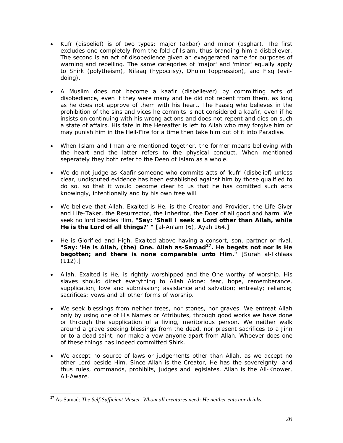- *Kufr* (disbelief) is of two types: major (*akbar*) and minor (*asghar*). The first excludes one completely from the fold of Islam, thus branding him a disbeliever. The second is an act of disobedience given an exaggerated name for purposes of warning and repelling. The same categories of 'major' and 'minor' equally apply to *Shirk* (polytheism), *Nifaaq* (hypocrisy), *Dhulm* (oppression), and *Fisq* (evildoing).
- A Muslim does not become a *kaafir* (disbeliever) by committing acts of disobedience, even if they were many and he did not repent from them, as long as he does not approve of them with his heart. The *Faasiq* who believes in the prohibition of the sins and vices he commits is not considered a *kaafir*, even if he insists on continuing with his wrong actions and does not repent and dies on such a state of affairs. His fate in the Hereafter is left to Allah who may forgive him or may punish him in the Hell-Fire for a time then take him out of it into Paradise.
- When Islam and Iman are mentioned together, the former means believing with the heart and the latter refers to the physical conduct. When mentioned seperately they both refer to the *Deen* of Islam as a whole.
- We do not judge as *Kaafir* someone who commits acts of *'kufr'* (disbelief) unless clear, undisputed evidence has been established against him by those qualified to do so, so that it would become clear to us that he has comitted such acts knowingly, intentionally and by his own free will.
- We believe that Allah, Exalted is He, is the Creator and Provider, the Life-Giver and Life-Taker, the Resurrector, the Inheritor, the Doer of all good and harm. We seek no lord besides Him, *"Say: 'Shall I seek a Lord other than Allah, while He is the Lord of all things?' "* [al-An'am (6), Ayah 164.]
- He is Glorified and High, Exalted above having a consort, son, partner or rival, *"Say: 'He is Allah, (the) One. Allah as-Samad***[27](#page-26-0)***. He begets not nor is He begotten; and there is none comparable unto Him."* [Surah al-Ikhlaas  $(112).$
- Allah, Exalted is He, is rightly worshipped and the One worthy of worship. His slaves should direct everything to Allah Alone: fear, hope, rememberance, supplication, love and submission; assistance and salvation; entreaty; reliance; sacrifices; vows and all other forms of worship.
- We seek blessings from neither trees, nor stones, nor graves. We entreat Allah only by using one of His Names or Attributes, through good works we have done or through the supplication of a living, meritorious person. We neither walk around a grave seeking blessings from the dead, nor present sacrifices to a Jinn or to a dead saint, nor make a vow anyone apart from Allah. Whoever does one of these things has indeed committed *Shirk*.
- We accept no source of laws or judgements other than Allah, as we accept no other Lord beside Him. Since Allah is the Creator, He has the sovereignty, and thus rules, commands, prohibits, judges and legislates. Allah is the All-Knower, All-Aware.

<span id="page-26-0"></span><sup>27</sup> As-Samad: *The Self-Sufficient Master, Whom all creatures need; He neither eats nor drinks.*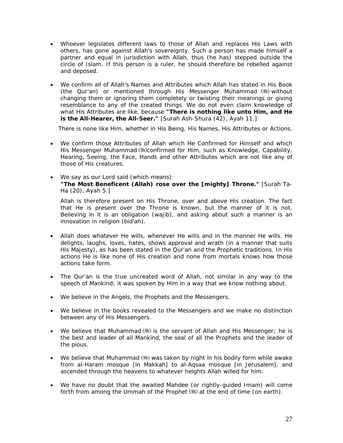- Whoever legislates different laws to those of Allah and replaces His Laws with others, has gone against Allah's sovereignty. Such a person has made himself a partner and equal in jurisdiction with Allah, thus (he has) stepped outside the circle of Islam. If this person is a ruler, he should therefore be rebelled against and deposed.
- We confirm all of Allah's Names and Attributes which Allah has stated in His Book (the Qur'an) or mentioned through His Messenger Muhammad (#) without changing them or ignoring them completely or twisting their meanings or giving resemblance to any of the created things. We do not even claim knowledge of what His Attributes are like, because *"There is nothing like unto Him, and He is the All-Hearer, the All-Seer.*" [Surah Ash-Shura (42), Ayah 11.]

There is none like Him, whether in His Being, His Names, His Attributes or Actions.

- We confirm those Attributes of Allah which He Confirmed for Himself and which His Messenger Muhammad (5) confirmed for Him, such as Knowledge, Capability, Hearing, Seeing, the Face, Hands and other Attributes which are not like any of those of His creatures.
- We say as our Lord said (which means): *"The Most Beneficent (Allah) rose over the [mighty] Throne."* [Surah Ta-Ha (20), Ayah 5.]

 Allah is therefore present on His Throne, over and above His creation. The fact that He is present over the Throne is known, but the manner of it is not. Believing in it is an obligation (*wajib*), and asking about such a manner is an innovation in religion (*bid'ah*).

- Allah does whatever He wills, whenever He wills and in the manner He wills. He delights, laughs, loves, hates, shows approval and wrath (in a manner that suits His Majesty), as has been stated in the Qur'an and the Prophetic traditions. In His actions He is like none of His creation and none from mortals knows how those actions take form.
- The Qur'an is the true uncreated word of Allah, not similar in any way to the speech of Mankind; it was spoken by Him in a way that we know nothing about.
- We believe in the Angels, the Prophets and the Messengers.
- We believe in the books revealed to the Messengers and we make no distinction between any of His Messengers.
- We believe that Muhammad  $(\frac{4}{3})$  is the servant of Allah and His Messenger; he is the best and leader of all Mankind, the seal of all the Prophets and the leader of the pious.
- We believe that Muhammad  $(\&)$  was taken by night in his bodily form while awake from al-Haram mosque [in Makkah] to al-Aqsaa mosque [in Jerusalem], and ascended through the heavens to whatever heights Allah willed for him.
- We have no doubt that the awaited Mahdee (or rightly-guided Imam) will come forth from among the *Ummah* of the Prophet (5) at the end of time (on earth).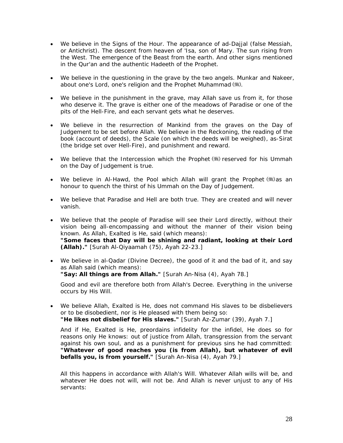- We believe in the Signs of the Hour. The appearance of ad-Dajjal (false Messiah, or Antichrist). The descent from heaven of 'Isa, son of Mary. The sun rising from the West. The emergence of the Beast from the earth. And other signs mentioned in the Qur'an and the authentic Hadeeth of the Prophet.
- We believe in the questioning in the grave by the two angels. Munkar and Nakeer, about one's Lord, one's religion and the Prophet Muhammad (卷).
- We believe in the punishment in the grave, may Allah save us from it, for those who deserve it. The grave is either one of the meadows of Paradise or one of the pits of the Hell-Fire, and each servant gets what he deserves.
- We believe in the resurrection of Mankind from the graves on the Day of Judgement to be set before Allah. We believe in the Reckoning, the reading of the book (account of deeds), the Scale (on which the deeds will be weighed), as-Sirat (the bridge set over Hell-Fire), and punishment and reward.
- We believe that the Intercession which the Prophet ( is ) reserved for his *Ummah* on the Day of Judgement is true.
- We believe in Al-Hawd, the Pool which Allah will grant the Prophet  $(*)$  as an honour to quench the thirst of his *Ummah* on the Day of Judgement.
- We believe that Paradise and Hell are both true. They are created and will never vanish.
- We believe that the people of Paradise will see their Lord directly, without their vision being all-encompassing and without the manner of their vision being known. As Allah, Exalted is He, said (which means): *"Some faces that Day will be shining and radiant, looking at their Lord (Allah)."* [Surah Al-Qiyaamah (75), Ayah 22-23.]
- We believe in al-Qadar (Divine Decree), the good of it and the bad of it, and say as Allah said (which means): *"Say: All things are from Allah."* [Surah An-Nisa (4), Ayah 78.]

Good and evil are therefore both from Allah's Decree. Everything in the universe occurs by His Will.

• We believe Allah, Exalted is He, does not command His slaves to be disbelievers or to be disobedient, nor is He pleased with them being so: *"He likes not disbelief for His slaves."* [Surah Az-Zumar (39), Ayah 7.]

And if He, Exalted is He, preordains infidelity for the infidel, He does so for reasons only He knows: out of justice from Allah, transgression from the servant against his own soul, and as a punishment for previous sins he had committed: *"Whatever of good reaches you (is from Allah), but whatever of evil befalls you, is from yourself."* [Surah An-Nisa (4), Ayah 79.]

 All this happens in accordance with Allah's Will. Whatever Allah wills will be, and whatever He does not will, will not be. And Allah is never unjust to any of His servants: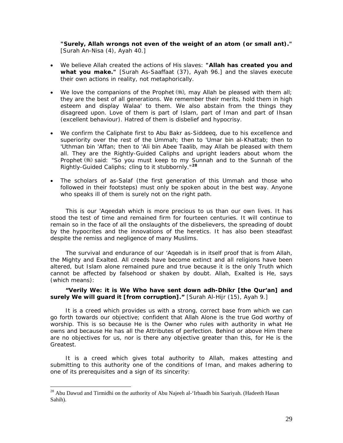*"Surely, Allah wrongs not even of the weight of an atom (or small ant)."*  [Surah An-Nisa (4), Ayah 40.]

- We believe Allah created the actions of His slaves: *"Allah has created you and what you make."* [Surah As-Saaffaat (37), Ayah 96.] and the slaves execute their own actions in reality, not metaphorically.
- We love the companions of the Prophet  $(\mathcal{H})$ , may Allah be pleased with them all; they are the best of all generations. We remember their merits, hold them in high esteem and display *Walaa'* to them. We also abstain from the things they disagreed upon. Love of them is part of Islam, part of *Iman* and part of *Ihsan* (excellent behaviour). Hatred of them is disbelief and hypocrisy.
- We confirm the Caliphate first to Abu Bakr as-Siddeeq, due to his excellence and superiority over the rest of the *Ummah*; then to 'Umar bin al-Khattab; then to 'Uthman bin 'Affan; then to 'Ali bin Abee Taalib, may Allah be pleased with them all. They are the Rightly-Guided Caliphs and upright leaders about whom the Prophet  $(*)$  said: "So you must keep to my Sunnah and to the Sunnah of the *Rightly-Guided Caliphs; cling to it stubbornly."***[28](#page-29-0)**
- The scholars of *as-Salaf* (the first generation of this *Ummah* and those who followed in their footsteps) must only be spoken about in the best way. Anyone who speaks ill of them is surely not on the right path.

This is our *'Aqeedah* which is more precious to us than our own lives. It has stood the test of time and remained firm for fourteen centuries. It will continue to remain so in the face of all the onslaughts of the disbelievers, the spreading of doubt by the hypocrites and the innovations of the heretics. It has also been steadfast despite the remiss and negligence of many Muslims.

The survival and endurance of our *'Aqeedah* is in itself proof that is from Allah, the Mighty and Exalted. All creeds have become extinct and all religions have been altered, but Islam alone remained pure and true because it is the only Truth which cannot be affected by falsehood or shaken by doubt. Allah, Exalted is He, says (which means):

# *"Verily We: it is We Who have sent down adh-Dhikr [the Qur'an] and surely We will guard it [from corruption]."* [Surah Al-Hijr (15), Ayah 9.]

It is a creed which provides us with a strong, correct base from which we can go forth towards our objective; confident that Allah Alone is the true God worthy of worship. This is so because He is the Owner who rules with authority in what He owns and because He has all the Attributes of perfection. Behind or above Him there are no objectives for us, nor is there any objective greater than this, for He is the Greatest.

It is a creed which gives total authority to Allah, makes attesting and submitting to this authority one of the conditions of *Iman*, and makes adhering to one of its prerequisites and a sign of its sincerity:

<span id="page-29-0"></span><sup>&</sup>lt;sup>28</sup> Abu Dawud and Tirmidhi on the authority of Abu Najeeh al-'Irbaadh bin Saariyah. (Hadeeth Hasan Sahih).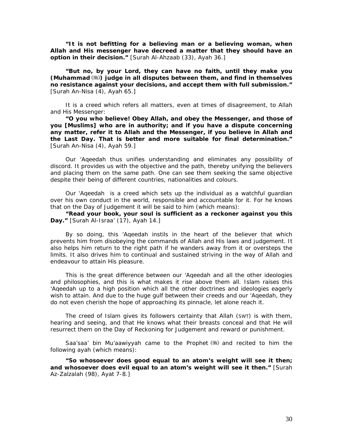*"It is not befitting for a believing man or a believing woman, when Allah and His messenger have decreed a matter that they should have an option in their decision."* [Surah Al-Ahzaab (33), Ayah 36.]

*"But no, by your Lord, they can have no faith, until they make you (Muhammad* **) judge in all disputes between them, and find in themselves no resistance against your decisions, and accept them with full submission."** [Surah An-Nisa (4), Ayah 65.]

It is a creed which refers all matters, even at times of disagreement, to Allah and His Messenger:

*"O you who believe! Obey Allah, and obey the Messenger, and those of you [Muslims] who are in authority; and if you have a dispute concerning any matter, refer it to Allah and the Messenger, if you believe in Allah and the Last Day. That is better and more suitable for final determination."* [Surah An-Nisa (4), Ayah 59.]

Our *'Aqeedah* thus unifies understanding and eliminates any possibility of discord. It provides us with the objective and the path, thereby unifying the believers and placing them on the same path. One can see them seeking the same objective despite their being of different countries, nationalities and colours.

Our *'Aqeedah* is a creed which sets up the individual as a watchful guardian over his own conduct in the world, responsible and accountable for it. For he knows that on the Day of Judgement it will be said to him (which means):

*"Read your book, your soul is sufficient as a reckoner against you this Day."* [Surah Al-Israa' (17), Ayah 14.]

By so doing, this *'Aqeedah* instils in the heart of the believer that which prevents him from disobeying the commands of Allah and His laws and judgement. It also helps him return to the right path if he wanders away from it or oversteps the limits. It also drives him to continual and sustained striving in the way of Allah and endeavour to attain His pleasure.

This is the great difference between our *'Aqeedah* and all the other ideologies and philosophies, and this is what makes it rise above them all. Islam raises this *'Aqeedah* up to a high position which all the other doctrines and ideologies eagerly wish to attain. And due to the huge gulf between their creeds and our *'Aqeedah*, they do not even cherish the hope of approaching its pinnacle, let alone reach it.

The creed of Islam gives its followers certainty that Allah (SWT) is with them, hearing and seeing, and that He knows what their breasts conceal and that He will resurrect them on the Day of Reckoning for Judgement and reward or punishment.

Saa'saa' bin Mu'aawiyyah came to the Prophet  $(\frac{4}{3})$  and recited to him the following ayah (which means):

*"So whosoever does good equal to an atom's weight will see it then; and whosoever does evil equal to an atom's weight will see it then."* [Surah Az-Zalzalah (98), Ayat 7-8.]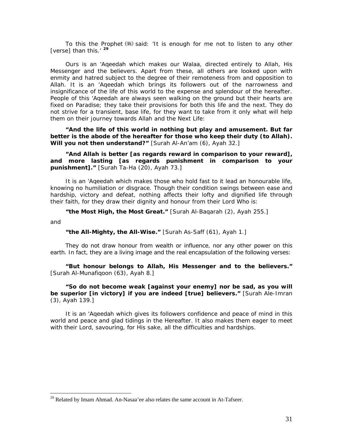To this the Prophet (5) said: *'It is enough for me not to listen to any other [verse] than this.'* **[2](#page-31-0)9**

Ours is an *'Aqeedah* which makes our Walaa, directed entirely to Allah, His Messenger and the believers. Apart from these, all others are looked upon with enmity and hatred subject to the degree of their remoteness from and opposition to Allah. It is an *'Aqeedah* which brings its followers out of the narrowness and insignificance of the life of this world to the expense and splendour of the hereafter. People of this *'Aqeedah* are always seen walking on the ground but their hearts are fixed on Paradise; they take their provisions for both this life and the next. They do not strive for a transient, base life, for they want to take from it only what will help them on their journey towards Allah and the Next Life:

*"And the life of this world in nothing but play and amusement. But far better is the abode of the hereafter for those who keep their duty (to Allah). Will you not then understand?"* [Surah Al-An'am (6), Ayah 32.]

*"And Allah is better [as regards reward in comparison to your reward], and more lasting [as regards punishment in comparison to your punishment]."* [Surah Ta-Ha (20), Ayah 73.]

It is an *'Aqeedah* which makes those who hold fast to it lead an honourable life, knowing no humiliation or disgrace. Though their condition swings between ease and hardship, victory and defeat, nothing affects their lofty and dignified life through their faith, for they draw their dignity and honour from their Lord Who is:

*"the Most High, the Most Great."* [Surah Al-Baqarah (2), Ayah 255.]

*and* 

 $\overline{a}$ 

#### *"the All-Mighty, the All-Wise."* [Surah As-Saff (61), Ayah 1.]

They do not draw honour from wealth or influence, nor any other power on this earth. In fact, they are a living image and the real encapsulation of the following verses:

*"But honour belongs to Allah, His Messenger and to the believers."* [Surah Al-Munafiqoon (63), Ayah 8.]

## *"So do not become weak [against your enemy] nor be sad, as you will be superior [in victory] if you are indeed [true] believers."* [Surah Ale-Imran (3), Ayah 139.]

It is an *'Aqeedah* which gives its followers confidence and peace of mind in this world and peace and glad tidings in the Hereafter. It also makes them eager to meet with their Lord, savouring, for His sake, all the difficulties and hardships.

<span id="page-31-0"></span><sup>&</sup>lt;sup>29</sup> Related by Imam Ahmad. An-Nasaa'ee also relates the same account in At-Tafseer.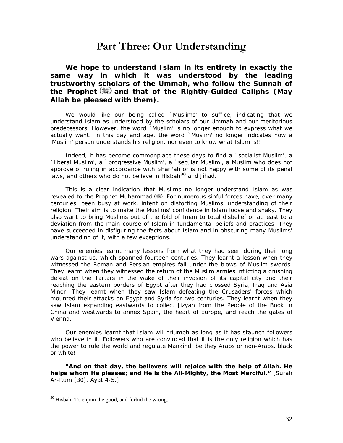# **Part Three: Our Understanding**

<span id="page-32-0"></span>*We hope to understand Islam in its entirety in exactly the same way in which it was understood by the leading trustworthy scholars of the Ummah, who follow the Sunnah of the Prophet and that of the Rightly-Guided Caliphs (May Allah be pleased with them).* 

We would like our being called `Muslims' to suffice, indicating that we understand Islam as understood by the scholars of our *Ummah* and our meritorious predecessors. However, the word `Muslim' is no longer enough to express what we actually want. In this day and age, the word `Muslim' no longer indicates how a 'Muslim' person understands his religion, nor even to know what Islam is!!

Indeed, it has become commonplace these days to find a `socialist Muslim', a `liberal Muslim', a `progressive Muslim', a `secular Muslim', a Muslim who does not approve of ruling in accordance with *Shari'ah* or is not happy with some of its penal laws, and others who do not believe in *Hisbah***[3](#page-32-1)0** and *Jihad.* 

This is a clear indication that Muslims no longer understand Islam as was revealed to the Prophet Muhammad (卷). For numerous sinful forces have, over many centuries, been busy at work, intent on distorting Muslims' understanding of their religion. Their aim is to make the Muslims' confidence in Islam loose and shaky. They also want to bring Muslims out of the fold of *Iman* to total disbelief or at least to a deviation from the main course of Islam in fundamental beliefs and practices. They have succeeded in disfiguring the facts about Islam and in obscuring many Muslims' understanding of it, with a few exceptions.

Our enemies learnt many lessons from what they had seen during their long wars against us, which spanned fourteen centuries. They learnt a lesson when they witnessed the Roman and Persian empires fall under the blows of Muslim swords. They learnt when they witnessed the return of the Muslim armies inflicting a crushing defeat on the Tartars in the wake of their invasion of its capital city and their reaching the eastern borders of Egypt after they had crossed Syria, Iraq and Asia Minor. They learnt when they saw Islam defeating the Crusaders' forces which mounted their attacks on Egypt and Syria for two centuries. They learnt when they saw Islam expanding eastwards to collect *Jizyah* from the People of the Book in China and westwards to annex Spain, the heart of Europe, and reach the gates of Vienna.

Our enemies learnt that Islam will triumph as long as it has staunch followers who believe in it. Followers who are convinced that it is the only religion which has the power to rule the world and regulate Mankind, be they Arabs or non-Arabs, black or white!

*"And on that day, the believers will rejoice with the help of Allah. He helps whom He pleases; and He is the All-Mighty, the Most Merciful."* [Surah Ar-Rum (30), Ayat 4-5.]

<span id="page-32-1"></span><sup>&</sup>lt;sup>30</sup> Hisbah: To enjoin the good, and forbid the wrong.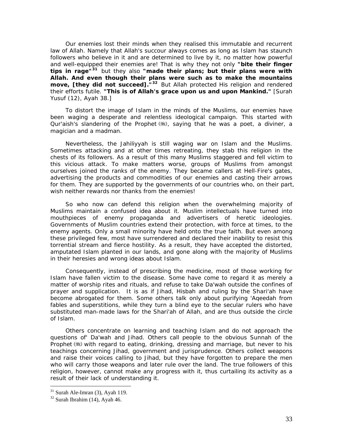Our enemies lost their minds when they realised this immutable and recurrent law of Allah. Namely that Allah's succour always comes as long as Islam has staunch followers who believe in it and are determined to live by it, no matter how powerful and well-equipped their enemies are! That is why they not only *"bite their finger tips in rage"***[3](#page-33-0)1** but they also *"made their plans; but their plans were with Allah. And even though their plans were such as to make the mountains move, [they did not succeed]."***[32](#page-33-1)** But Allah protected His religion and rendered their efforts futile. *"This is of Allah's grace upon us and upon Mankind."* [Surah Yusuf (12), Ayah 38.]

To distort the image of Islam in the minds of the Muslims, our enemies have been waging a desperate and relentless ideological campaign. This started with Qur'aish's slandering of the Prophet (,), saying that he was a poet, a diviner, a magician and a madman.

Nevertheless, the *Jahiliyyah* is still waging war on Islam and the Muslims. Sometimes attacking and at other times retreating, they stab this religion in the chests of its followers. As a result of this many Muslims staggered and fell victim to this vicious attack. To make matters worse, groups of Muslims from amongst ourselves joined the ranks of the enemy. They became callers at Hell-Fire's gates, advertising the products and commodities of our enemies and casting their arrows for them. They are supported by the governments of our countries who, on their part, wish neither rewards nor thanks from the enemies!

So who now can defend this religion when the overwhelming majority of Muslims maintain a confused idea about it. Muslim intellectuals have turned into mouthpieces of enemy propaganda and advertisers of heretic ideologies. Governments of Muslim countries extend their protection, with force at times, to the enemy agents. Only a small minority have held onto the true faith. But even among these privileged few, most have surrendered and declared their inability to resist this torrential stream and fierce hostility. As a result, they have accepted the distorted, amputated Islam planted in our lands, and gone along with the majority of Muslims in their heresies and wrong ideas about Islam.

Consequently, instead of prescribing the medicine, most of those working for Islam have fallen victim to the disease. Some have come to regard it as merely a matter of worship rites and rituals, and refuse to take *Da'wah* outside the confines of prayer and supplication. It is as if *Jihad, Hisbah* and ruling by the *Shari'ah* have become abrogated for them. Some others talk only about purifying *'Aqeedah* from fables and superstitions, while they turn a blind eye to the secular rulers who have substituted man-made laws for the *Shari'ah* of Allah, and are thus outside the circle of Islam.

Others concentrate on learning and teaching Islam and do not approach the questions *of' Da'wah* and *Jihad.* Others call people to the obvious Sunnah of the Prophet () with regard to eating, drinking, dressing and marriage, but never to his teachings concerning *Jihad,* government and jurisprudence. Others collect weapons and raise their voices calling to *Jihad,* but they have forgotten to prepare the men who will carry those weapons and later rule over the land. The true followers of this religion, however, cannot make any progress with it, thus curtailing its activity as a result of their lack of understanding it.

<span id="page-33-0"></span> $31$  Surah Ale-Imran (3), Ayah 119.

<span id="page-33-1"></span> $32$  Surah Ibrahim (14), Ayah 46.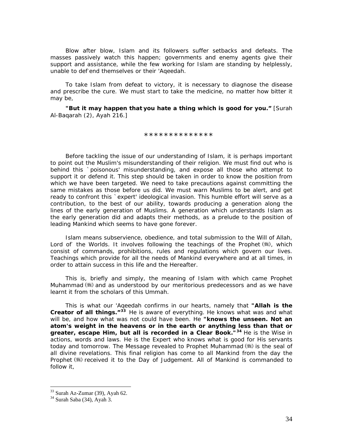Blow after blow, Islam and its followers suffer setbacks and defeats. The masses passively watch this happen; governments and enemy agents give their support and assistance, while the few working for Islam are standing by helplessly, unable to def-end themselves or their *'Aqeedah.* 

To take Islam from defeat to victory, it is necessary to diagnose the disease and prescribe the cure. We must start to take the medicine, no matter how bitter it may be,

*"But it may happen that you hate a thing which is good for you."* [Surah Al-Baqarah (2), Ayah 216.]

*\*\*\*\*\*\*\*\*\*\*\*\*\*\** 

Before tackling the issue of our understanding of Islam, it is perhaps important to point out the Muslim's misunderstanding of their religion. We must find out who is behind this `poisonous' misunderstanding, and expose all those who attempt to support it or defend it. This step should be taken in order to know the position from which we have been targeted. We need to take precautions against committing the same mistakes as those before us did. We must warn Muslims to be alert, and get ready to confront this `expert' ideological invasion. This humble effort will serve as a contribution, to the best of our ability, towards producing a generation along the lines of the early generation of Muslims. A generation which understands Islam as the early generation did and adapts their methods, as a prelude to the position of leading Mankind which seems to have gone forever.

Islam means subservience, obedience, and total submission to the Will of Allah, Lord of the Worlds. It involves following the teachings of the Prophet (#), which consist of commands, prohibitions, rules and regulations which govern our lives. Teachings which provide for all the needs of Mankind everywhere and at all times, in order to attain success in this life and the Hereafter.

This is, briefly and simply, the meaning of Islam with which came Prophet Muhammad  $(\frac{4}{3})$  and as understood by our meritorious predecessors and as we have learnt it from the scholars of this *Ummah.* 

This is what our *'Aqeedah* confirms in our hearts, namely that *"Allah is the Creator of all things."***[3](#page-34-0)3** He is aware of everything. He knows what was and what *will* be, and how what was not could have been. He *"knows the unseen. Not an atom's weight in the heavens or in the earth or anything less than that or greater, escape Him, but all is recorded in a Clear Book."***[3](#page-34-1)4** He is the Wise in actions, words and laws. He is the Expert who knows what is good for His servants today and tomorrow. The Message revealed to Prophet Muhammad  $\left(\frac{1}{24}\right)$  is the seal of all divine revelations. This final religion has come to all Mankind from the day the Prophet () received it to the Day of Judgement. All of Mankind is commanded to follow it,

<span id="page-34-0"></span> $33$  Surah Az-Zumar (39), Ayah 62.

<span id="page-34-1"></span><sup>34</sup> Surah Saba (34), Ayah 3.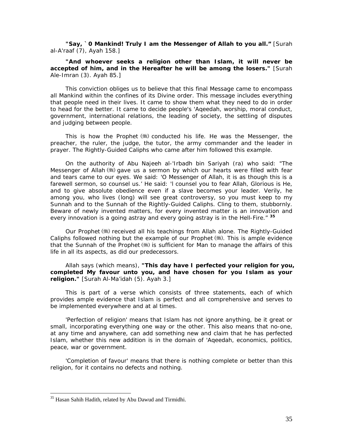*"Say, `0 Mankind! Truly I am the Messenger of Allah to you all."* [Surah al-A'raaf (7), Ayah 158.]

*"And whoever seeks a religion other than Islam, it will never be accepted of him, and in the Hereafter he will be among the losers."* [Surah Ale-Imran (3). Ayah 85.]

This conviction obliges us to believe that this final Message came to encompass all Mankind within the confines of its Divine order. This message includes everything that people need in their lives. It came to show them what they need to do in order to head for the better. It came to decide people's *'Aqeedah,* worship, moral conduct, government, international relations, the leading of society, the settling of disputes and judging between people.

This is how the Prophet  $(*)$  conducted his life. He was the Messenger, the preacher, the ruler, the judge, the tutor, the army commander and the leader in prayer. The Rightly-Guided Caliphs who came after him followed this example.

On the authority of Abu Najeeh al-'Irbadh bin Sariyah (ra) who said: *"The Messenger* of *Allah gave us a sermon by which our hearts were filled with fear and tears came to our eyes. We said: 'O Messenger of Allah, it is as though this is a farewell sermon, so counsel us.' He said: 'l counsel you to fear Allah, Glorious is He, and to give absolute obedience even if a slave becomes your leader. Verily, he among you, who lives (long) will see great controversy, so you must keep to my Sunnah and to the Sunnah of the Rightly-Guided Caliphs. Cling to them, stubbornly. Beware of newly invented matters, for every invented matter is an innovation and every innovation is a going astray and every going astray is in the Hell-Fire."* **[35](#page-35-0)**

Our Prophet (5) received all his teachings from Allah alone. The Rightly-Guided Caliphs followed nothing but the example of our Prophet  $(\frac{1}{2})$ . This is ample evidence that the Sunnah of the Prophet (\*) is sufficient for Man to manage the affairs of this life in all its aspects, as did our predecessors.

# Allah says (which means), *"This day have I perfected your religion for you, completed My favour unto you, and have chosen for you Islam as your religion."* [Surah Al-Ma'idah (5). Ayah 3.]

This is part of a verse which consists of three statements, each of which provides ample evidence that Islam is perfect and all comprehensive and serves to be implemented everywhere and at al times.

*'Perfection of religion'* means that Islam has not ignore anything, be it great or small, incorporating everything one way or the other. This also means that no-one, at any time and anywhere, can add something new and claim that he has perfected Islam, whether this new addition is in the domain of *'Aqeedah,* economics, politics, peace, war or government.

*'Completion of favour'* means that there is nothing complete or better than this religion, for it contains no defects and nothing.

<span id="page-35-0"></span><sup>&</sup>lt;sup>35</sup> Hasan Sahih Hadith, related by Abu Dawud and Tirmidhi.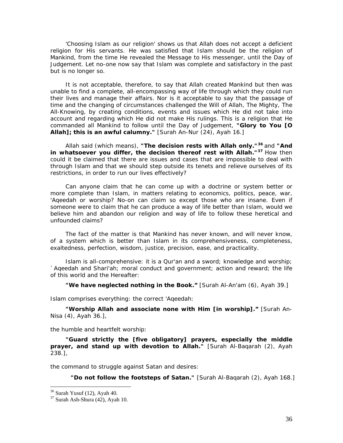*'Choosing Islam as our religion'* shows us that Allah does not accept a deficient religion for His servants. He was satisfied that Islam should be the religion of Mankind, from the time He revealed the Message to His messenger, until the Day of Judgement. Let no-one now say that Islam was complete and satisfactory in the past but is no longer so.

It is not acceptable, therefore, to say that Allah created Mankind but then was unable to find a complete, all-encompassing way of life through which they could run their lives and manage their affairs. Nor is it acceptable to say that the passage of time and the changing of circumstances challenged the Will of Allah, The Mighty, The All-Knowing, by creating conditions, events and issues which He did not take into account and regarding which He did not make His rulings. This is a religion that He commanded all Mankind to follow until the Day of Judgement, *"Glory to You [O Allah]; this is an awful calumny."* [Surah An-Nur (24), Ayah 16.]

Allah said (which means), *"The decision rests with Allah only."***[3](#page-36-0)6** and *"And in whatsoever you differ, the decision thereof rest with Allah."***[37](#page-36-1)** How then could it be claimed that there are issues and cases that are impossible to deal with through Islam and that we should step outside its tenets and relieve ourselves of its restrictions, in order to run our lives effectively?

Can anyone claim that he can come up with a doctrine or system better or more complete than Islam, in matters relating to economics, politics, peace, war, *'Aqeedah* or worship? No-on can claim so except those who are insane. Even if someone were to claim that he can produce a way of life better than Islam, would we believe him and abandon our religion and way of life to follow these heretical and unfounded claims?

The fact of the matter is that Mankind has never known, and will never know, of a system which is better than Islam in its comprehensiveness, completeness, exaltedness, perfection, wisdom, justice, precision, ease, and practicality.

Islam is all-comprehensive: it is a Qur'an and a sword; knowledge and worship; *`Aqeedah* and *Shari'ah*; moral conduct and government; action and reward; the life of this world and the Hereafter:

#### *"We have neglected nothing in the Book."* [Surah Al-An'am (6), Ayah 39.]

Islam comprises everything: the correct *'Aqeedah:* 

*"Worship Allah and associate none with Him [in worship]."* [Surah An-Nisa (4), Ayah 36.],

the humble and heartfelt worship:

*"Guard strictly the [five obligatory] prayers, especially the middle prayer, and stand up with devotion to Allah."* [Surah Al-Baqarah (2), Ayah 238.],

the command to struggle against Satan and desires:

*"Do not follow the footsteps of Satan."* [Surah Al-Baqarah (2), Ayah 168.]

 $36$  Surah Yusuf (12), Ayah 40.

<span id="page-36-1"></span><span id="page-36-0"></span> $37$  Surah Ash-Shura (42), Ayah 10.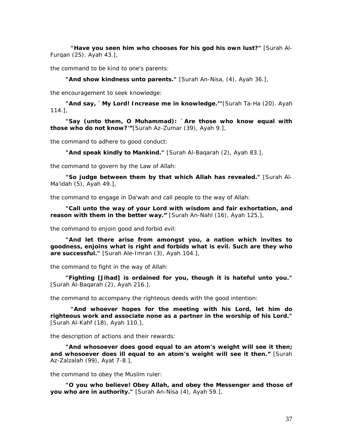*"Have you seen him who chooses for his god his own lust?"* [Surah Al-Furqan (25). Ayah 43.]*,* 

the command to be kind to one's parents:

*"And show kindness unto parents."* [Surah An-Nisa, (4), Ayah 36.]*,* 

the encouragement to seek knowledge:

*"And say, `My Lord! Increase me in knowledge.'"*[Surah Ta-Ha (20). Ayah 114.],

*"Say (unto them, O Muhammad): `Are those who know equal with those who do not know?'"*[Surah Az-Zumar (39), Ayah 9.],

the command to adhere to good conduct:

*"And speak kindly to Mankind."* [Surah Al-Baqarah (2), Ayah 83.]*,* 

the command to govern by the Law of Allah:

*"So judge between them by that which Allah has revealed."* [Surah Al-Ma'idah (5), Ayah 49.]*,* 

the command to engage in Da'wah and call people to the way of Allah:

*"Call unto the way of your Lord with wisdom and fair exhortation, and reason with them in the better way."* [Surah An-Nahl (16), Ayah 125.],

the command to enjoin good and forbid evil:

*"And let there arise from amongst you, a nation which invites to goodness, enjoins what is right and forbids what is evil. Such are they who are successful."* [Surah Ale-Imran (3), Ayah 104.]*,* 

the command to fight in the way of Allah:

*"Fighting [Jihad] is ordained for you, though it is hateful unto you."*  [Surah Al-Baqarah (2), Ayah 216.],

the command to accompany the righteous deeds with the good intention:

*"And whoever hopes for the meeting with his Lord, let him do righteous work and associate none as a partner in the worship of his Lord."* [Surah Al-Kahf (18), Ayah 110.],

the description of actions and their rewards:

*"And whosoever does good equal to an atom's weight will see it then; and whosoever does ill equal to an atom's weight will see it then."* [Surah Az-Zalzalah (99), Ayat 7-8.],

the command to obey the Muslim ruler:

*"O you who believe! Obey Allah, and obey the Messenger and those of you who are in authority."* [Surah An-Nisa (4), Ayah 59.],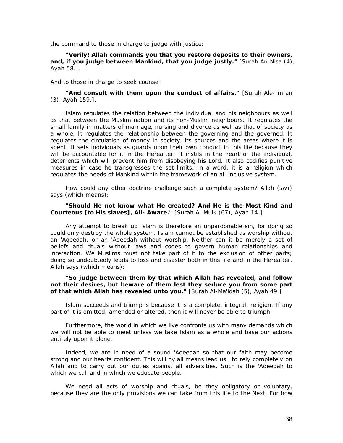the command to those in charge to judge with justice:

#### *"Verily! Allah commands you that you restore deposits to their owners, and, if you judge between Mankind, that you judge justly."* [Surah An-Nisa (4), Ayah 58.],

And to those in charge to seek counsel:

#### *"And consult with them upon the conduct of affairs."* [Surah Ale-Imran (3), Ayah 159.].

Islam regulates the relation between the individual and his neighbours as well as that between the Muslim nation and its non-Muslim neighbours. It regulates the small family in matters of marriage, nursing and divorce as well as that of society as a whole. It regulates the relationship between the governing and the governed. It regulates the circulation of money in society, its sources and the areas where it is spent. It sets individuals as guards upon their own conduct in this life because they will be accountable for it in the Hereafter. It instils in the heart of the individual, deterrents which will prevent him from disobeying his Lord. It also codifies punitive measures in case he transgresses the set limits. In a word, it is a religion which regulates the needs of Mankind within the framework of an all-inclusive system.

How could any other doctrine challenge such a complete system? Allah (SWT) says (which means):

#### *"Should He not know what He created? And He is the Most Kind and Courteous [to His slaves], All- Aware."* [Surah Al-Mulk (67), Ayah 14.]

Any attempt to break up Islam is therefore an unpardonable sin, for doing so could only destroy the whole system. Islam cannot be established as worship without an *'Aqeedah,* or an *'Aqeedah* without worship. Neither can it be merely a set of beliefs and rituals without laws and codes to govern human relationships and interaction. We Muslims must not take part of it to the exclusion of other parts; doing so undoubtedly leads to loss and disaster both in this life and in the Hereafter. Allah says (which means):

#### *"So judge between them by that which Allah has revealed, and follow not their desires, but beware of them lest they seduce you from some part of that which Allah has revealed unto you."* [Surah Al-Ma'idah (5), Ayah 49.]

Islam succeeds and triumphs because it is a complete, integral, religion. If any part of it is omitted, amended or altered, then it will never be able to triumph.

Furthermore, the world in which we live confronts us with many demands which we will not be able to meet unless we take Islam as a whole and base our actions entirely upon it alone.

Indeed, we are in need of a sound *'Aqeedah so* that our faith may become strong and our hearts confident. This will by all means lead us , to rely completely on Allah and to carry out our duties against all adversities. Such is the *'*A*qeedah* to which we call and in which we educate people.

We need all acts of worship and rituals, be they obligatory or voluntary, because they are the only provisions we can take from this life to the Next. For how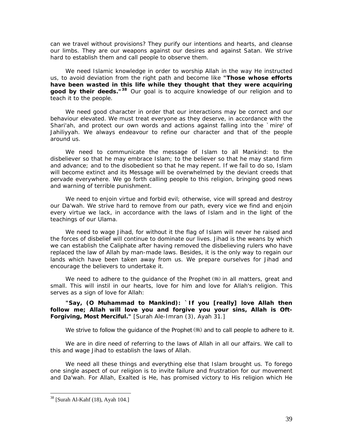can we travel without provisions? They purify our intentions and hearts, and cleanse our limbs. They are our weapons against our desires and against Satan. We strive hard to establish them and call people to observe them.

We need Islamic knowledge in order to worship Allah in the way He instructed us, to avoid deviation from the right path and become like *"Those whose efforts have been wasted in this life while they thought that they were acquiring*  good by their deeds.<sup>"[3](#page-39-0)8</sup> Our goal is to acquire knowledge of our religion and to teach it to the people.

We need good character in order that our interactions may be correct and our behaviour elevated. We must treat everyone as they deserve, in accordance with the *Shari'ah*, and protect our own words and actions against falling into the 'mire' of *Jahiliyyah.* We always endeavour to refine our character and that *of* the people around us.

We need to communicate the message of Islam to all Mankind: to the disbeliever so that he may embrace Islam; to the believer so that he may stand firm and advance; and to the disobedient so that he may repent. If we fail to do so, Islam will become extinct and its Message will be overwhelmed by the deviant creeds that pervade everywhere. We go forth calling people to this religion, bringing good news and warning of terrible punishment.

We need to enjoin virtue and forbid evil; otherwise, vice will spread and destroy our *Da'wah.* We strive hard to remove from our path, every vice we find and enjoin every virtue we lack, in accordance with the laws of Islam and in the light of the teachings of our *Ulama.* 

We need to wage *Jihad,* for without it the flag of Islam will never he raised and the forces of disbelief will continue to dominate our lives. *Jihad is* the weans by which we can establish the Caliphate after having removed the disbelieving rulers who have replaced the law of Allah by man-made laws. Besides, it is the only way to regain our lands which have been taken away from us. We prepare ourselves for *Jihad* and encourage the believers to undertake it.

We need to adhere to the quidance of the Prophet  $(\frac{4}{3})$  in all matters, great and small. This will instil in our hearts, love for him and love for Allah's religion. This serves as a sign of love for Allah:

*"Say, (O Muhammad to Mankind): `If you [really] love Allah then follow me; Allah will love you and forgive you your sins, Allah is Oft-Forgiving, Most Merciful."* [Surah Ale-Imran (3), Ayah 31.]

We strive to follow the guidance of the Prophet  $(\frac{4}{3})$  and to call people to adhere to it.

We are in dire need of referring to the laws of Allah in all our affairs. We call to this and wage *Jihad* to establish the laws of Allah.

We need all these things and everything else that Islam brought us. To forego one single aspect of our religion is to invite failure and frustration for our movement and *Da'wah.* For Allah, Exalted is He, has promised victory to His religion which He

<span id="page-39-0"></span><sup>38 [</sup>Surah Al-Kahf (18), Ayah 104.]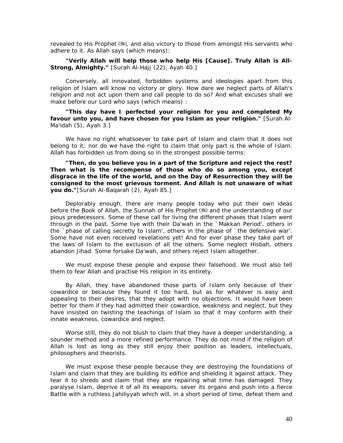revealed to His Prophet (.), and also victory to those from amongst His servants who adhere to it. As Allah says (which means):

#### *"Verily Allah will help those who help His [Cause]. Truly Allah is All-Strong, Almighty."* [Surah Al-Hajj (22), Ayah 40.]

Conversely, all innovated, forbidden systems and ideologies apart from this religion of Islam will know no victory or glory. How dare we neglect parts of Allah's religion and not act upon them and call people to do so? And what excuses shall we make before our Lord who says (which means) :

*"This day have I perfected your religion for you and completed My favour unto you, and have chosen for you Islam as your religion."* [Surah Al-Ma'idah (5), Ayah 3.]

We have no right whatsoever to take part of Islam and claim that it does not belong to it; nor do we have the right to claim that only part is the whole of Islam. Allah has forbidden us from doing so in the strongest possible terms:

*"Then, do you believe you in a part of the Scripture and reject the rest? Then what is the recompense of those who do so among you, except disgrace in the life of the world, and on the Day of Resurrection they will be consigned to the most grievous torment. And Allah is not unaware of what you do."*[Surah Al-Baqarah (2), Ayah 85.]

Deplorably enough, there are many people today who put their own ideas before the Book of Allah, the Sunnah of His Prophet (.) and the understanding of our pious predecessors. Some of these call for living the different phases that Islam went through in the past. Some live with their *Da'wah* in the `Makkan Period', others in the `phase of calling secretly to Islam', others in the phase of `the defensive war'. Some have not even received revelations yet! And for ever phase they take part of the laws of Islam to the exclusion of all the others. Some neglect *Hisbah,* others abandon *Jihad.* Some forsake *Da'wah,* and others reject Islam altogether.

We must expose these people and expose their falsehood. We must also tell them to fear Allah and practise His religion in its entirety.

By Allah, they have abandoned those parts of Islam only because of their cowardice or because they found it too hard, but as for whatever is easy and appealing to their desires, that they adopt with no objections. It would have been better for them if they had admitted their cowardice, weakness and neglect, but they have insisted on twisting the teachings of Islam so that it may conform with their innate weakness, cowardice and neglect.

Worse still, they do not blush to claim that they have a deeper understanding, a sounder method and a more refined performance. They do not mind if the religion of Allah is lost as long as they still enjoy their position as leaders, intellectuals, philosophers and theorists.

We must expose these people because they are destroying the foundations of Islam and claim that they are building its edifice and shielding it against attack. They tear it to shreds and claim that they are repairing what time has damaged. They paralyse Islam, deprive it of all its weapons, sever its organs and push into a fierce Battle with a ruthless *Jahiliyyah* which will, in a short period of time, defeat them and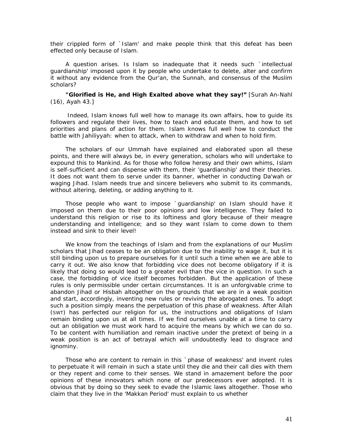their crippled form of `Islam' and make people think that this defeat has been effected only because of Islam.

A question arises. Is Islam so inadequate that it needs such `intellectual guardianship' imposed upon it by people who undertake to delete, alter and confirm it without any evidence from the Qur'an, the Sunnah, and consensus of the Muslim scholars?

#### *"Glorified is He, and High Exalted above what they say!"* [Surah An-Nahl (16), Ayah 43.]

 Indeed, Islam knows full well how to manage its own affairs, how to guide its followers and regulate their lives, how to teach and educate them, and how to set priorities and plans of action for them. Islam knows full well how to conduct the battle with *Jahiliyyah:* when to attack, when to withdraw and when to hold firm.

The scholars of our *Ummah* have explained and elaborated upon all these points, and there will always be, in every generation, scholars who will undertake to expound this to Mankind. As for those who follow heresy and their own whims, Islam is self-sufficient and can dispense with them, their 'guardianship' and their theories. It does not want them to serve under its banner, whether in conducting *Da'wah* or waging *Jihad.* Islam needs true and sincere believers who submit to its commands, without altering, deleting, or adding anything to it.

Those people who want to impose `guardianship' on Islam should have it imposed on them due to their poor opinions and low intelligence. They failed to understand this religion or rise to its loftiness and glory because of their meagre understanding and intelligence; and so they want Islam to come down to them instead and sink to their level!

We know from the teachings of Islam and from the explanations of our Muslim scholars that *Jihad* ceases to be an obligation due to the inability to wage it, but it is still binding upon us to prepare ourselves for it until such a time when we are able to carry it out. We also know that forbidding vice does not become obligatory if it is likely that doing so would lead to a greater evil than the vice in question. In such a case, the forbidding of vice itself becomes forbidden. But the application of these rules is only permissible under certain circumstances. It is an unforgivable crime to abandon *Jihad* or *Hisbah* altogether on the grounds that we are in a weak position and start, accordingly, inventing new rules or reviving the abrogated ones. To adopt such a position simply means the perpetuation of this phase of weakness. After Allah (SWT) has perfected our religion for us, the instructions and obligations of Islam remain binding upon us at all times. If we find ourselves unable at a time to carry out an obligation we must work hard to acquire the means by which we can do so. To be content with humiliation and remain inactive under the pretext of being in a weak position is an act of betrayal which will undoubtedly lead to disgrace and ignominy.

Those who are content to remain in this `phase of weakness' and invent rules to perpetuate it will remain in such a state until they die and their call dies with them or they repent and come to their senses. We stand in amazement before the poor opinions of these innovators which none of our predecessors ever adopted. It is obvious that by doing so they seek to evade the Islamic laws altogether. Those who claim that they live in the 'Makkan Period' must explain to us whether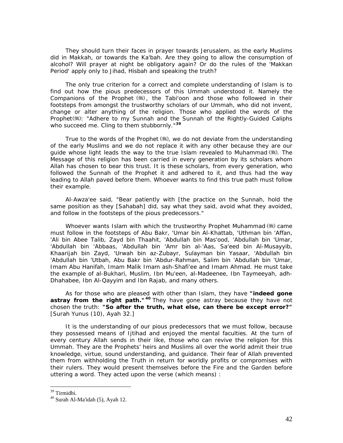They should turn their faces in prayer towards Jerusalem, as the early Muslims did in Makkah, or towards the Ka'bah. Are they going to allow the consumption of alcohol? Will prayer at night be obligatory again? Or do the rules of the 'Makkan Period' apply only to *Jihad, Hisbah* and speaking the truth?

The only true criterion for a correct and complete understanding of Islam is to find out how the pious predecessors of this *Ummah* understood it. Namely the Companions of the Prophet (,), the Tabi'oon and those who followed in their footsteps from amongst the trustworthy scholars of our *Ummah,* who did not invent, change or alter anything of the religion. Those who applied the words of the Prophet : *"Adhere to my Sunnah and the Sunnah of the Rightly-Guided Caliphs who succeed me. Cling to them stubbornly."***[39](#page-42-0)**

True to the words of the Prophet (,), we do not deviate from the understanding of the early Muslims and we do not replace it with any other because they are our guide whose light leads the way to the true Islam revealed to Muhammad (...). The Message of this religion has been carried in every generation by its scholars whom Allah has chosen to bear this trust. It is these scholars, from every generation, who followed the Sunnah of the Prophet it and adhered to it, and thus had the way leading to Allah paved before them. Whoever wants to find this true path must follow their example.

Al-Awza'ee said, "Bear patiently with [the practice on the Sunnah, hold the same position as they [Sahabah] did, say what they said, avoid what they avoided, and follow in the footsteps of the pious predecessors."

Whoever wants Islam with which the trustworthy Prophet Muhammad  $(\frac{4}{3})$  came must follow in the footsteps of Abu Bakr, 'Umar bin Al-Khattab, 'Uthman bin 'Affan, 'Ali bin Abee Talib, Zayd bin Thaahit, 'Abdullah bin Mas'ood, 'Abdullah bin 'Umar, 'Abdullah bin 'Abbaas, 'Abdullah bin 'Amr bin al-'Aas, Sa'eed bin Al-Musayyib, Khaarijah bin Zayd, 'Urwah bin az-Zubayr, Sulayman bin Yasaar, 'Abdullah bin 'Abdullah bin 'Utbah, Abu Bakr bin 'Abdur-Rahman, Salim bin 'Abdullah bin 'Umar, Imam Abu Hanifah, Imam Malik Imam ash-Shafi'ee and Imam Ahmad. He must take the example of al-Bukhari, Muslim, Ibn Mu'een, al-Madeenee, Ibn Taymeeyah, adh-Dhahabee, Ibn Al-Qayyim and Ibn Rajab, and many others.

As for those who are pleased with other than Islam, they have *"indeed gone*  **astray from the right path."<sup>[4](#page-42-1)0</sup> They have gone astray because they have not** chosen the truth: *"So after the truth, what else, can there be except error?"* [Surah Yunus (10), Ayah 32.]

It is the understanding of our pious predecessors that we must follow, because they possessed means of Ijtihad and enjoyed the mental faculties. At the turn of every century Allah sends in their like, those who can revive the religion for this *Ummah*. They are the Prophets' heirs and Muslims all over the world admit their true knowledge, virtue, sound understanding, and guidance. Their fear of Allah prevented them from withholding the Truth in return for worldly profits or compromises with their rulers. They would present themselves before the Fire and the Garden before uttering a word. They acted upon the verse (which means) :

<sup>&</sup>lt;sup>39</sup> Tirmidhi.

<span id="page-42-1"></span><span id="page-42-0"></span><sup>40</sup> Surah Al-Ma'idah (5), Ayah 12.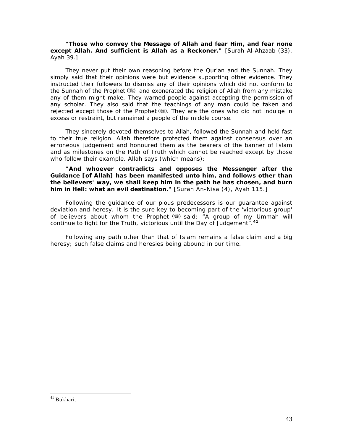#### *"Those who convey the Message of Allah and fear Him, and fear none except Allah. And sufficient is Allah as a Reckoner."* [Surah Al-Ahzaab (33), Ayah 39.]

They never put their own reasoning before the Qur'an and the Sunnah. They simply said that their opinions were but evidence supporting other evidence. They instructed their followers to dismiss any of their opinions which did not conform to the Sunnah of the Prophet (5) and exonerated the religion of Allah from any mistake any of them might make. They warned people against accepting the permission of any scholar. They also said that the teachings of any man could be taken and rejected except those of the Prophet  $(*)$ . They are the ones who did not indulge in excess or restraint, but remained a people of the middle course.

They sincerely devoted themselves to Allah, followed the Sunnah and held fast to their true religion. Allah therefore protected them against consensus over an erroneous judgement and honoured them as the bearers of the banner of Islam and as milestones on the Path of Truth which cannot be reached except by those who follow their example. Allah says (which means):

#### *"And whoever contradicts and opposes the Messenger after the Guidance [of Allah] has been manifested unto him, and follows other than the believers' way, we shall keep him in the path he has chosen, and burn him in Hell: what an evil destination."* [Surah An-Nisa (4), Ayah 115.]

Following the guidance of our pious predecessors is our guarantee against deviation and heresy. It is the sure key to becoming part of the 'victorious group' of believers about whom the Prophet ( **but it all as a group of my Ummah will** *continue to fight for the Truth, victorious until the Day of Judgement".***[41](#page-43-0)**

Following any path other than that of Islam remains a false claim and a big heresy; such false claims and heresies being abound in our time.

<span id="page-43-0"></span><sup>41</sup> Bukhari.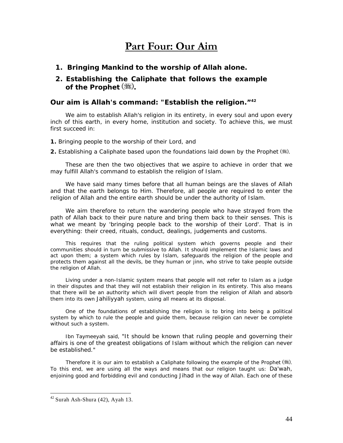# **Part Four: Our Aim**

*1. Bringing Mankind to the worship of Allah alone.* 

## *2. Establishing the Caliphate that follows the example of the Prophet* (紫).

### **Our aim is Allah's command:** *"Establish the religion."***[4](#page-44-0)2**

We aim to establish Allah's religion in its entirety, in every soul and upon every inch of this earth, in every home, institution and society. To achieve this, we must first succeed in:

**1.** Bringing people to the worship of their Lord, and

**2.** Establishing a Caliphate based upon the foundations laid down by the Prophet ( ).

These are then the two objectives that we aspire to achieve in order that we may fulfill Allah's command to establish the religion of Islam.

We have said many times before that all human beings are the slaves of Allah and that the earth belongs to Him. Therefore, all people are required to enter the religion of Allah and the entire earth should be under the authority of Islam.

We aim therefore to return the wandering people who have strayed from the path of Allah back to their pure nature and bring them back to their senses. This is what we meant by 'bringing people back to the worship of their Lord'. That is in everything: their creed, rituals, conduct, dealings, judgements and customs.

This requires that the ruling political system which governs people and their communities should in turn be submissive to Allah. It should implement the Islamic laws and act upon them; a system which rules by Islam, safeguards the religion of the people and protects them against all the devils, be they human or jinn, who strive to take people outside the religion of Allah.

Living under a non-Islamic system means that people will not refer to Islam as a judge in their disputes and that they will not establish their religion in its entirety. This also means that there will be an authority which will divert people from the religion of Allah and absorb them into its own *Jahiliyyah* system, using all means at its disposal.

One of the foundations of establishing the religion is to bring into being a political system by which to rule the people and guide them, because religion can never be complete without such a system.

Ibn Taymeeyah said, *"It should be known that ruling people and governing their affairs is one of the greatest obligations of Islam without which the religion can never be established."* 

Therefore it is our aim to establish a Caliphate following the example of the Prophet  $(\frac{4}{3})$ . To this end, we are using all the ways and means that our religion taught us: *Da'wah,*  enjoining good and forbidding evil and conducting *Jihad* in the way of Allah. Each one of these

<span id="page-44-0"></span> $42$  Surah Ash-Shura (42), Ayah 13.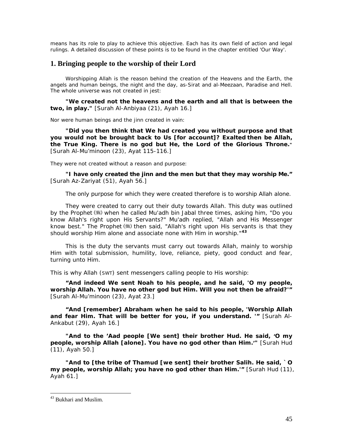means has its role to play to achieve this objective. Each has its own field of action and legal rulings. A detailed discussion of these points is to be found in the chapter entitled 'Our Way'.

## **1. Bringing people to the worship of their Lord**

Worshipping Allah is the reason behind the creation of the Heavens and the Earth, the angels and human beings, the night and the day, as-Sirat and al-Meezaan, Paradise and Hell. The whole universe was not created in jest:

*"We created not the heavens and the earth and all that is between the two, in play."* [Surah Al-Anbiyaa (21), Ayah 16.]

Nor were human beings and the jinn created in vain:

*"Did you then think that We had created you without purpose and that you would not be brought back to Us [for account]? Exalted then be Allah, the True King. There is no god but He, the Lord of the Glorious Throne."*  [Surah Al-Mu'minoon (23), Ayat 115-116.]

They were not created without a reason and purpose:

*"I have only created the jinn and the men but that they may worship Me."* [Surah Az-Zariyat (51), Ayah 56.]

The only purpose for which they were created therefore is to worship Allah alone.

They were created to carry out their duty towards Allah. This duty was outlined by the Prophet when he called Mu'adh bin Jabal three times, asking him, *"Do you know Allah's right upon His Servants?"* Mu'adh replied, *"Allah and His Messenger*  know best." The Prophet (\*) then said, "Allah's right upon His servants is that they *should worship Him alone and associate none with Him in worship."***[4](#page-45-0)3**

This is the duty the servants must carry out towards Allah, mainly to worship Him with total submission, humility, love, reliance, piety, good conduct and fear, turning unto Him.

This is why Allah (SWT) sent messengers calling people to His worship:

*"And indeed We sent Noah to his people, and he said, 'O my people, worship Allah. You have no other god but Him. Will you not then be afraid?'"*  [Surah Al-Mu'minoon (23), Ayat 23.]

*"And [remember] Abraham when he said to his people, 'Worship Allah and fear Him. That will be better for you, if you understand. '"* [Surah Al-Ankabut (29), Ayah 16.]

*"And to the 'Aad people [We sent] their brother Hud. He said, 'O my people, worship Allah [alone]. You have no god other than Him.'"* [Surah Hud (11), Ayah 50.]

*"And to [the tribe of Thamud [we sent] their brother Salih. He said, `O my people, worship Allah; you have no god other than Him.'"* [Surah Hud (11), Ayah 61.]

<span id="page-45-0"></span><sup>43</sup> Bukhari and Muslim.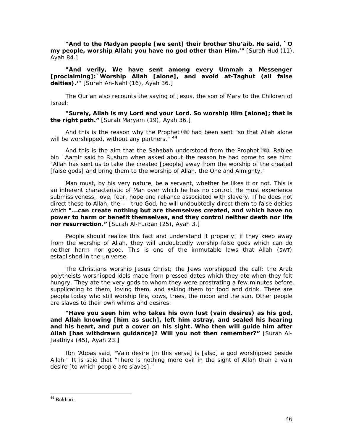*"And to the Madyan people [we sent] their brother Shu'aib. He said, `O my people, worship Allah; you have no god other than Him.'"* [Surah Hud (11), Ayah 84.]

*"And verily, We have sent among every Ummah a Messenger [proclaiming]:`Worship Allah [alone], and avoid at-Taghut (all false*  deities).<sup>'"</sup> [Surah An-Nahl (16), Ayah 36.]

The Qur'an also recounts the saying of Jesus, the son of Mary to the Children of Israel:

*"Surely, Allah is my Lord and your Lord. So worship Him [alone]; that is the right path."* [Surah Maryam (19), Ayah 36.]

And this is the reason why the Prophet () had been sent *"so that Allah alone will be worshipped, without any partners."* **[4](#page-46-0)4**

And this is the aim that the Sahabah understood from the Prophet  $(\frac{4}{3})$ . Rab'ee bin `Aamir said to Rustum when asked about the reason he had come to see him: *"Allah has sent us to take the created [people] away from the worship of the created [false gods] and bring them to the worship of Allah, the One and Almighty."* 

Man must, by his very nature, be a servant, whether he likes it or not. This is an inherent characteristic of Man over which he has no control. He must experience submissiveness, love, fear, hope and reliance associated with slavery. If he does not direct these to Allah, the - true God, he will undoubtedly direct them to false deities which *"...can create nothing but are themselves created, and which have no power to harm or benefit themselves, and they control neither death nor life nor resurrection."* [Surah Al-Furqan (25), Ayah 3.]

People should realize this fact and understand it properly: if they keep away from the worship of Allah, they will undoubtedly worship false gods which can do neither harm nor good. This is one of the immutable laws that Allah (SWT) established in the universe.

The Christians worship Jesus Christ; the Jews worshipped the calf; the Arab polytheists worshipped idols made from pressed dates which they ate when they felt hungry. They ate the very gods to whom they were prostrating a few minutes before, supplicating to them, loving them, and asking them for food and drink. There are people today who still worship fire, cows, trees, the moon and the sun. Other people are slaves to their own whims and desires:

*"Have you seen him who takes his own lust (vain desires) as his god, and Allah knowing [him as such], left him astray, and sealed his hearing and his heart, and put a cover on his sight. Who then will guide him after Allah [has withdrawn guidance]? Will you not then remember?"* [Surah Al-Jaathiya (45), Ayah 23.]

Ibn 'Abbas said, "Vain desire [in this verse] is [also] a god worshipped beside Allah." It is said that "There is nothing more evil in the sight of Allah than a vain desire [to which people are slaves]."

<span id="page-46-0"></span><sup>44</sup> Bukhari.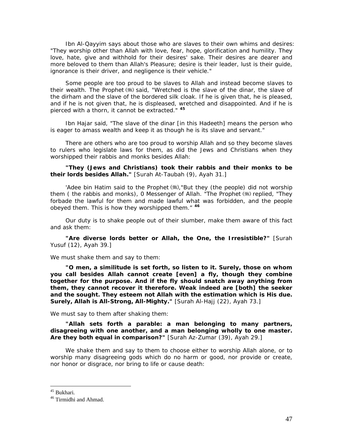Ibn Al-Qayyim says about those who are slaves to their own whims and desires: "They worship other than Allah with love, fear, hope, glorification and humility. They love, hate, give and withhold for their desires' sake. Their desires are dearer and more beloved to them than Allah's Pleasure; desire is their leader, lust is their guide, ignorance is their driver, and negligence is their vehicle."

Some people are too proud to be slaves to Allah and instead become slaves to their wealth. The Prophet ( ) said, *"Wretched is the slave of the dinar, the slave of the dirham and the slave of the bordered silk cloak. If he is given that, he is pleased, and if he is not given that, he is displeased, wretched and disappointed. And if he is pierced with a thorn, it cannot be extracted."* **[45](#page-47-0)**

Ibn Hajar said, "The slave of the dinar [in this Hadeeth] means the person who is eager to amass wealth and keep it as though he is its slave and servant."

There are others who are too proud to worship Allah and so they become slaves to rulers who legislate laws for them, as did the Jews and Christians when they worshipped their rabbis and monks besides Allah:

*"They (Jews and Christians) took their rabbis and their monks to be their lords besides Allah."* [Surah At-Taubah (9), Ayah 31.]

'Adee bin Hatim said to the Prophet ,*"But they (the people) did not worship them ( the rabbis and monks), 0 Messenger of Allah. "The Prophet (\*) replied, "They forbade the lawful for them and made lawful what was forbidden, and the people obeyed them. This is how they worshipped them."* **[46](#page-47-1)**

Our duty is to shake people out of their slumber, make them aware of this fact and ask them:

*"Are diverse lords better or Allah, the One, the Irresistible?"* [Surah Yusuf (12), Ayah 39.]

We must shake them and say to them:

*"O men, a similitude is set forth, so listen to it. Surely, those on whom you call besides Allah cannot create [even] a fly, though they combine together for the purpose. And if the fly should snatch away anything from them, they cannot recover it therefore. Weak indeed are [both] the seeker and the sought. They esteem not Allah with the estimation which is His due. Surely, Allah is All-Strong, All-Mighty."* [Surah Al-Hajj (22), Ayah 73.]

We must say to them after shaking them:

*"Allah sets forth a parable: a man belonging to many partners, disagreeing with one another, and a man belonging wholly to one master. Are they both equal in comparison?"* [Surah Az-Zumar (39), Ayah 29.]

We shake them and say to them to choose either to worship Allah alone, or to worship many disagreeing gods which do no harm or good, nor provide or create, nor honor or disgrace, nor bring to life or cause death:

<span id="page-47-0"></span><sup>45</sup> Bukhari.

<span id="page-47-1"></span><sup>&</sup>lt;sup>46</sup> Tirmidhi and Ahmad.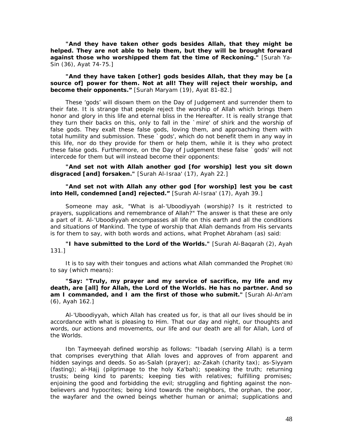*"And they have taken other gods besides Allah, that they might be helped. They are not able to help them, but they will be brought forward against those who worshipped them fat the time of Reckoning."* [Surah Ya-Sin (36), Ayat 74-75.]

*"And they have taken [other] gods besides Allah, that they may be [a source of] power for them. Not at all! They will reject their worship, and become their opponents."* [Surah Maryam (19), Ayat 81-82.]

These 'gods' will disown them on the Day of Judgement and surrender them to their fate. It is strange that people reject the worship of Allah which brings them honor and glory in this life and eternal bliss in the Hereafter. It is really strange that they turn their backs on this, only to fall in the `mire' of *shirk* and the worship of false gods. They exalt these false gods, loving them, and approaching them with total humility and submission. These `gods', which do not benefit them in any way in this life, nor do they provide for them or help them, while it is they who protect these false gods. Furthermore, on the Day of Judgement these false `gods' will not intercede for them but will instead become their opponents:

*"And set not with Allah another god [for worship] lest you sit down disgraced [and] forsaken."* [Surah Al-Israa' (17), Ayah 22.]

#### *"And set not with Allah any other god [for worship] lest you be cast into Hell, condemned [and] rejected."* [Surah Al-Israa' (17), Ayah 39.]

Someone may ask, "What is *al-'Uboodiyyah* (worship)? Is it restricted to prayers, supplications and remembrance of Allah?" The answer is that these are only a part of it. *Al-'Uboodiyyah* encompasses all life on this earth and all the conditions and situations of Mankind. The type of worship that Allah demands from His servants is for them to say, with both words and actions, what Prophet Abraham (as) said:

*"I have submitted to the Lord of the Worlds."* [Surah Al-Baqarah (2), Ayah 131.]

It is to say with their tongues and actions what Allah commanded the Prophet (5) to say (which means):

#### *"Say: "Truly, my prayer and my service of sacrifice, my life and my death, are [all] for Allah, the Lord of the Worlds. He has no partner. And so am I commanded, and I am the first of those who submit."* [Surah Al-An'am (6), Ayah 162.]

Al-'Uboodiyyah, which Allah has created us for, is that all our lives should be in accordance with what is pleasing to Him. That our day and night, our thoughts and words, our actions and movements, our life and our death are all for Allah, Lord of the Worlds.

Ibn Taymeeyah defined worship as follows: *"Ibadah (serving Allah) is a term that comprises everything that Allah loves and approves of from apparent and hidden sayings and deeds. So as-Salah (prayer); az-Zakah (charity tax); as-Siyyam (fasting); al-Hajj (pilgrimage to the holy Ka'bah); speaking the truth; returning trusts; being kind to parents; keeping ties with relatives; fulfilling promises; enjoining the good and forbidding the evil; struggling and fighting against the nonbelievers and hypocrites; being kind towards the neighbors, the orphan, the poor, the wayfarer and the owned beings whether human or animal; supplications and*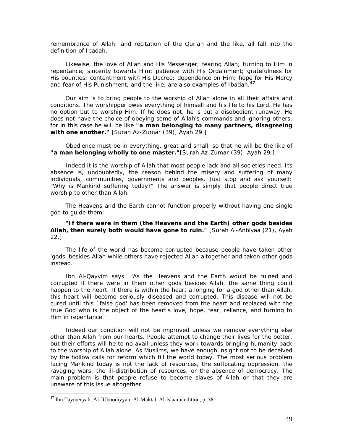*remembrance of Allah; and recitation of the Qur'an and the like, all fall into the definition of Ibadah.* 

Likewise, the love of Allah and His Messenger; fearing Allah; turning to Him in *repentance; sincerity towards Him; patience with His Ordainment; gratefulness for His bounties; contentment with His Decree; dependence on Him; hope for His Mercy and fear of His Punishment, and the like, are also examples of Ibadah.***[4](#page-49-0)7**

Our aim is to bring people to the worship of Allah alone in all their affairs and conditions. The worshipper owes everything of himself and his life to his Lord. He has no option but to worship Him. If he does not, he is but a disobedient runaway. He does not have the choice of obeying some of Allah's commands and ignoring others, for in this case he will be like *"a man belonging to many partners, disagreeing with one another."* [Surah Az-Zumar (39), Ayah 29.]

Obedience must be in everything, great and small, so that he will be the like of *"a man belonging wholly to one master."*[Surah Az-Zumar (39), Ayah 29.]

Indeed it is the worship of Allah that most people lack and all societies need. Its absence is, undoubtedly, the reason behind the misery and suffering of many individuals, communities, governments and peoples. Just stop and ask yourself: "Why is Mankind suffering today?" The answer is simply that people direct true worship to other than Allah.

The Heavens and the Earth cannot function properly without having one single god to guide them:

#### *"If there were in them (the Heavens and the Earth) other gods besides Allah, then surely both would have gone to ruin."* [Surah Al-Anbiyaa (21), Ayah 22.]

The life of the world has become corrupted because people have taken other 'gods' besides Allah while others have rejected Allah altogether and taken other gods instead.

Ibn Al-Qayyim says: "As the Heavens and the Earth would be ruined and corrupted if there were in them other gods besides Allah, the same thing could happen to the heart. If there is within the heart a longing for a god other than Allah, this heart will become seriously diseased and corrupted. This disease will not be cured until this `false god' has-been removed from the heart and replaced with the true God who is the object of the heart's love, hope, fear, reliance, and turning to Him in repentance."

Indeed our condition will not be improved unless we remove everything else other than Allah from our hearts. People attempt to change their lives for the better, but their efforts will he to no avail unless they work towards bringing humanity back to the worship of Allah alone. As Muslims, we have enough insight not to be deceived by the hollow calls for reform which fill the world today. The most serious problem facing Mankind today is not the lack of resources, the suffocating oppression, the ravaging wars, the ill-distribution of resources, or the absence of democracy. The main problem is that people refuse to become slaves of Allah or that they are unaware of this issue altogether.

<span id="page-49-0"></span><sup>47</sup> Ibn Taymeeyah, Al-`Uboodiyyah, Al-Maktab Al-lslaami edition, p. 38.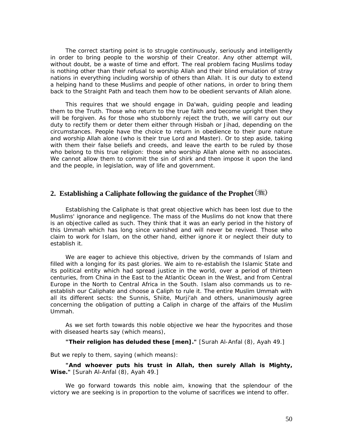The correct starting point is to struggle continuously, seriously and intelligently in order to bring people to the worship of their Creator. Any other attempt will, without doubt, be a waste of time and effort. The real problem facing Muslims today is nothing other than their refusal to worship Allah and their blind emulation of stray nations in everything including worship of others than Allah. It is our duty to extend a helping hand to these Muslims and people of other nations, in order to bring them back to the Straight Path and teach them how to be obedient servants of Allah alone.

This requires that we should engage in *Da'wah,* guiding people and leading them to the Truth. Those who return to the true faith and become upright then they will be forgiven. As for those who stubbornly reject the truth, we will carry out our duty to rectify them or deter them either through *Hisbah* or *Jihad,* depending on the circumstances. People have the choice to return in obedience to their pure nature and worship Allah alone (who is their true Lord and Master). Or to step aside, taking with them their false beliefs and creeds, and leave the earth to be ruled by those who belong to this true religion: those who worship Allah alone with no associates. We cannot allow them to commit the sin of *shirk* and then impose it upon the land and the people, in legislation, way of life and government.

### **2. Establishing a Caliphate following the guidance of the Prophet**

Establishing the Caliphate is that great objective which has been lost due to the Muslims' ignorance and negligence. The mass of the Muslims do not know that there is an objective called as such. They think that it was an early period in the history of this *Ummah* which has long since vanished and will never be revived. Those who claim to work for Islam, on the other hand, either ignore it or neglect their duty to establish it.

We are eager to achieve this objective, driven by the commands of Islam and filled with a longing for its past glories. We aim to re-establish the Islamic State and its political entity which had spread justice in the world, over a period of thirteen centuries, from China in the East to the Atlantic Ocean in the West, and from Central Europe in the North to Central Africa in the South. Islam also commands us to reestablish our Caliphate and choose a Caliph to rule it. The entire Muslim *Ummah* with all its different sects: the Sunnis, Shiite, Murji'ah and others, unanimously agree concerning the obligation of putting a Caliph in charge of the affairs of the Muslim *Ummah.* 

As we set forth towards this noble objective we hear the hypocrites and those with diseased hearts say (which means),

*"Their religion has deluded these [men]."* [Surah Al-Anfal (8), Ayah 49.]

But we reply to them, saying (which means):

*"And whoever puts his trust in Allah, then surely Allah is Mighty, Wise."* [Surah Al-Anfal (8), Ayah 49.]

We go forward towards this noble aim, knowing that the splendour of the victory we are seeking is in proportion to the volume of sacrifices we intend to offer.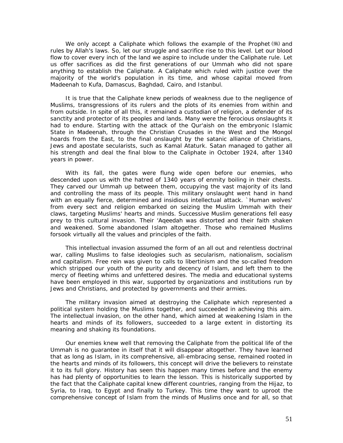We only accept a Caliphate which follows the example of the Prophet  $(*)$  and rules by Allah's laws. So, let our struggle and sacrifice rise to this level. Let our blood flow to cover every inch of the land we aspire to include under the Caliphate rule. Let us offer sacrifices as did the first generations of our *Ummah* who did not spare anything to establish the Caliphate. A Caliphate which ruled with justice over the majority of the world's population in its time, and whose capital moved from Madeenah to Kufa, Damascus, Baghdad, Cairo, and Istanbul.

It is true that the Caliphate knew periods of weakness due to the negligence of Muslims, transgressions of its rulers and the plots of its enemies from within and from outside. In spite of all this, it remained a custodian of religion, a defender of its sanctity and protector of its peoples and lands. Many were the ferocious onslaughts it had to endure. Starting with the attack of the Qur'aish on the embryonic Islamic State in Madeenah, through the Christian Crusades in the West and the Mongol hoards from the East, to the final onslaught by the satanic alliance of Christians, Jews and apostate secularists, such as Kamal Ataturk. Satan managed to gather all his strength and deal the final blow to the Caliphate in October 1924, after 1340 years in power.

With its fall, the gates were flung wide open before our enemies, who descended upon us with the hatred of 1340 years of enmity boiling in their chests. They carved our Ummah up between them, occupying the vast majority of its land and controlling the mass of its people. This military onslaught went hand in hand with an equally fierce, determined and insidious intellectual attack. `Human wolves' from every sect and religion embarked on seizing the Muslim *Ummah* with their claws, targeting Muslims' hearts and minds. Successive Muslim generations fell easy prey to this cultural invasion. Their *'Aqeedah* was distorted and their faith shaken and weakened. Some abandoned Islam altogether. Those who remained Muslims forsook virtually all the values and principles of the faith.

This intellectual invasion assumed the form of an all out and relentless doctrinal war, calling Muslims to false ideologies such as secularism, nationalism, socialism and capitalism. Free rein was given to calls to libertinism and the so-called freedom which stripped our youth of the purity and decency of Islam, and left them to the mercy of fleeting whims and unfettered desires. The media and educational systems have been employed in this war, supported by organizations and institutions run by Jews and Christians, and protected by governments and their armies.

The military invasion aimed at destroying the Caliphate which represented a political system holding the Muslims together, and succeeded in achieving this aim. The intellectual invasion, on the other hand, which aimed at weakening Islam in the hearts and minds of its followers, succeeded to a large extent in distorting its meaning and shaking its foundations.

Our enemies knew well that removing the Caliphate from the political life of the *Ummah is* no guarantee in itself that it will disappear altogether. They have learned that as long as Islam, in its comprehensive, all-embracing sense, remained rooted in the hearts and minds of its followers, this concept will drive the believers to reinstate it to its full glory. History has seen this happen many times before and the enemy has had plenty of opportunities to learn the lesson. This is historically supported by the fact that the Caliphate capital knew different countries, ranging from the Hijaz, to Syria, to Iraq, to Egypt and finally to Turkey. This time they want to uproot the comprehensive concept of Islam from the minds of Muslims once and for all, so that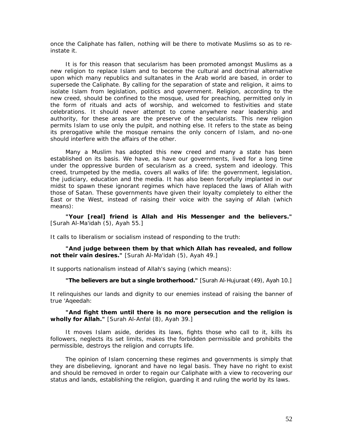once the Caliphate has fallen, nothing will be there to motivate Muslims so as to reinstate it.

It is for this reason that secularism has been promoted amongst Muslims as a new religion to replace Islam and to become the cultural and doctrinal alternative upon which many republics and sultanates in the Arab world are based, in order to supersede the Caliphate. By calling for the separation of state and religion, it aims to isolate Islam from legislation, politics and government. Religion, according to the new creed, should be confined to the mosque, used for preaching, permitted only in the form of rituals and acts of worship, and welcomed to festivities and state celebrations. It should never attempt to come anywhere near leadership and authority, for these areas are the preserve of the secularists. This new religion permits Islam to use only the pulpit, and nothing else. It refers to the state as being its prerogative while the mosque remains the only concern of Islam, and no-one should interfere with the affairs of the other.

Many a Muslim has adopted this new creed and many a state has been established on its basis. We have, as have our governments, lived for a long time under the oppressive burden of secularism as a creed, system and ideology. This creed, trumpeted by the media, covers all walks of life: the government, legislation, the judiciary, education and the media. It has also been forcefully implanted in our midst to spawn these ignorant regimes which have replaced the laws of Allah with those of Satan. These governments have given their loyalty completely to either the East or the West, instead of raising their voice with the saying of Allah (which means):

*"Your [real] friend is Allah and His Messenger and the believers."* [Surah Al-Ma'idah (5), Ayah 55.]

It calls to liberalism or socialism instead of responding to the truth:

*"And judge between them by that which Allah has revealed, and follow not their vain desires."* [Surah Al-Ma'idah (5), Ayah 49.]

It supports nationalism instead of Allah's saying (which means):

*"The believers are but a single brotherhood."* [Surah Al-Hujuraat (49), Ayah 10.]

It relinquishes our lands and dignity to our enemies instead of raising the banner of true *'Aqeedah:* 

*"And fight them until there is no more persecution and the religion is wholly for Allah."* [Surah Al-Anfal (8), Ayah 39.]

It moves Islam aside, derides its laws, fights those who call to it, kills its followers, neglects its set limits, makes the forbidden permissible and prohibits the permissible, destroys the religion and corrupts life.

The opinion of Islam concerning these regimes and governments is simply that they are disbelieving, ignorant and have no legal basis. They have no right to exist and should be removed in order to regain our Caliphate with a view to recovering our status and lands, establishing the religion, guarding it and ruling the world by its laws.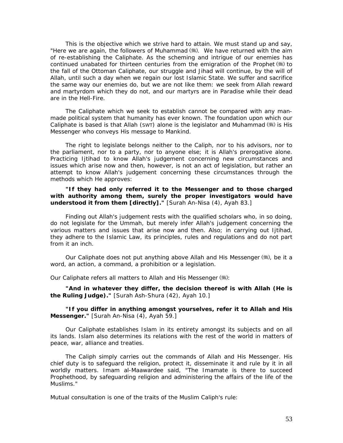This is the objective which we strive hard to attain. We must stand up and say, "Here we are again, the followers of Muhammad (,). We have returned with the aim of re-establishing the Caliphate. As the scheming and intrigue of our enemies has continued unabated for thirteen centuries from the emigration of the Prophet  $(\frac{4}{3})$  to the fall of the Ottoman Caliphate, our struggle and *Jihad* will continue, by the will of Allah, until such a day when we regain our lost Islamic State. We suffer and sacrifice the same way our enemies do, but we are not like them: we seek from Allah reward and martyrdom which they do not, and our martyrs are in Paradise while their dead are in the Hell-Fire.

The Caliphate which we seek to establish cannot be compared with any manmade political system that humanity has ever known. The foundation upon which our Caliphate is based is that Allah (SWT) alone is the legislator and Muhammad  $(\frac{4}{3})$  is His Messenger who conveys His message to Mankind.

The right to legislate belongs neither to the Caliph, nor to his advisors, nor to the parliament, nor to a party, nor to anyone else; it is Allah's prerogative alone. Practicing Ijtihad to know Allah's judgement concerning new circumstances and issues which arise now and then, however, is not an act of legislation, but rather an attempt to know Allah's judgement concerning these circumstances through the methods which He approves:

*"If they had only referred it to the Messenger and to those charged with authority among them, surely the proper investigators would have understood it from them [directly]."* [Surah An-Nisa (4), Ayah 83.]

Finding out Allah's judgement rests with the qualified scholars who, in so doing, do not legislate for the *Ummah,* but merely infer Allah's judgement concerning the various matters and issues that arise now and then. Also; in carrying out Ijtihad, they adhere to the Islamic Law, its principles, rules and regulations and do not part from it an inch.

Our Caliphate does not put anything above Allah and His Messenger ( ), be it a word, an action, a command, a prohibition or a legislation.

Our Caliphate refers all matters to Allah and His Messenger (卷):

*"And in whatever they differ, the decision thereof is with Allah (He is the Ruling Judge)."* [Surah Ash-Shura (42), Ayah 10.]

#### *"If you differ in anything amongst yourselves, refer it to Allah and His Messenger."* [Surah An-Nisa (4), Ayah 59.]

Our Caliphate establishes Islam in its entirety amongst its subjects and on all its lands. Islam also determines its relations with the rest of the world in matters of peace, war, alliance and treaties.

The Caliph simply carries out the commands of Allah and His Messenger. His chief duty is to safeguard the religion, protect it, disseminate it and rule by it in all worldly matters. Imam al-Maawardee said, "The Imamate is there to succeed Prophethood, by safeguarding religion and administering the affairs of the life of the Muslims."

Mutual consultation is one of the traits of the Muslim Caliph's rule: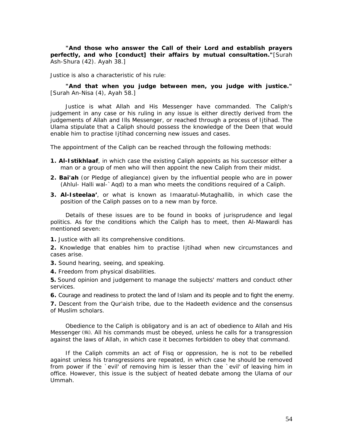*"And those who answer the Call of their Lord and establish prayers perfectly, and who [conduct] their affairs by mutual consultation."*[Surah Ash-Shura (42). Ayah 38.]

Justice is also a characteristic of his rule:

*"And that when you judge between men, you judge with justice."* [Surah An-Nisa (4), Ayah 58.]

Justice is what Allah and His Messenger have commanded. The Caliph's judgement in any case or his ruling in any issue is either directly derived from the judgements of Allah and Ills Messenger, or reached through a process of Ijtihad. The *Ulama* stipulate that a Caliph should possess the knowledge of the Deen that would enable him to practise Ijtihad concerning new issues and cases.

The appointment of the Caliph can be reached through the following methods:

- **1. Al-Istikhlaaf**, in which case the existing Caliph appoints as his successor either a man or a group of men who will then appoint the new Caliph from their midst.
- **2. Bai'ah** (or Pledge of allegiance) given by the influential people who are in power (Ahlul- Halli wal-`Aqd) to a man who meets the conditions required of a Caliph.
- **3. Al-Isteelaa'**, or what is known as Imaaratul-Mutaghallib, in which case the position of the Caliph passes on to a new man by force.

Details of these issues are to be found in books of jurisprudence and legal politics. As for the conditions which the Caliph has to meet, then Al-Mawardi has mentioned seven:

**1.** Justice with all its comprehensive conditions.

**2.** Knowledge that enables him to practise Ijtihad when new circumstances and cases arise.

**3.** Sound hearing, seeing, and speaking.

**4.** Freedom from physical disabilities.

**5.** Sound opinion and judgement to manage the subjects' matters and conduct other services.

**6.** Courage and readiness to protect the land of Islam and its people and to fight the enemy.

**7.** Descent from the Qur'aish tribe, due to the Hadeeth evidence and the consensus of Muslim scholars.

Obedience to the Caliph is obligatory and is an act of obedience to Allah and His Messenger ( ). All his commands must be obeyed, unless he calls for a transgression against the laws of Allah, in which case it becomes forbidden to obey that command.

If the Caliph commits an act of *Fisq or* oppression, he is not to be rebelled against unless his transgressions are repeated, in which case he should be removed from power if the `evil' of removing him is lesser than the `evil' of leaving him in office. However, this issue is the subject of heated debate among the *Ulama* of our *Ummah.*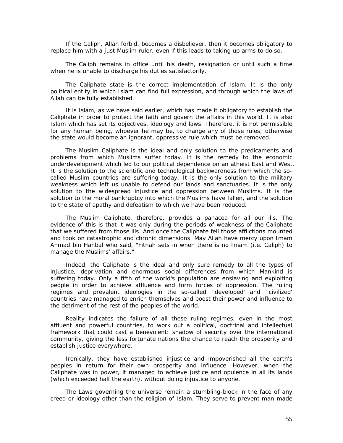If the Caliph, Allah forbid, becomes a disbeliever, then it becomes obligatory to replace him with a just Muslim ruler, even if this leads to taking up arms to do so.

The Caliph remains in office until his death, resignation or until such a time when he is unable to discharge his duties satisfactorily.

The Caliphate state is the correct implementation of Islam. It is the only political entity in which Islam can find full expression, and through which the laws of Allah can be fully established.

It is Islam, as we have said earlier, which has made it obligatory to establish the Caliphate in order to protect the faith and govern the affairs in this world. It is also Islam which has set its objectives, ideology and laws. Therefore, it is not permissible for any human being, whoever he may be, to change any of those rules; otherwise the state would become an ignorant, oppressive rule which must be removed.

The Muslim Caliphate is the ideal and only solution to the predicaments and problems from which Muslims suffer today. It is the remedy to the economic underdevelopment which led to our political dependence on an atheist East and West. It is the solution to the scientific and technological backwardness from which the socalled Muslim countries are suffering today. It is the only solution to the military weakness which left us unable to defend our lands and sanctuaries. It is the only solution to the widespread injustice and oppression between Muslims. It is the solution to the moral bankruptcy into which the Muslims have fallen, and the solution to the state of apathy and defeatism to which we have been reduced.

The Muslim Caliphate, therefore, provides a panacea for all our ills. The evidence of this is that it was only during the periods of weakness of the Caliphate that we suffered from those ills. And once the Caliphate fell those afflictions mounted and took on catastrophic and chronic dimensions. May Allah have mercy upon Imam Ahmad bin Hanbal who said, *"Fitnah sets in when there is no Imam (i.e. Caliph) to manage the Muslims' affairs."*

Indeed, the Caliphate is the ideal and only sure remedy to all the types of injustice, deprivation and enormous social differences from which Mankind is suffering today. Only a fifth of the world's population are enslaving and exploiting people in order to achieve affluence and form forces of oppression. The ruling regimes and prevalent ideologies in the so-called `developed' and `civilized' countries have managed to enrich themselves and boost their power and influence to the detriment of the rest of the peoples of the world.

Reality indicates the failure of all these ruling regimes, even in the most affluent and powerful countries, to work out a political, doctrinal and intellectual framework that could cast a benevolent: shadow of security over the international community, giving the less fortunate nations the chance to reach the prosperity and establish justice everywhere.

Ironically, they have established injustice and impoverished all the earth's peoples in return for their own prosperity and influence. However, when the Caliphate was in power, it managed to achieve justice and opulence in all its lands (which exceeded half the earth), without doing injustice to anyone.

The Laws governing the universe remain a stumbling-block in the face of any creed or ideology other than the religion of Islam. They serve to prevent man-made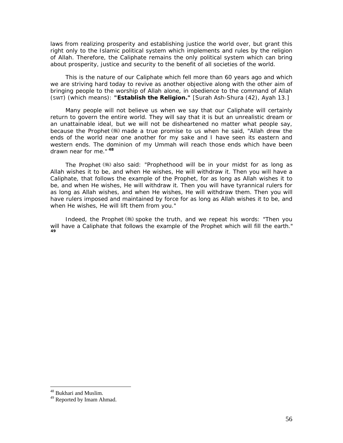laws from realizing prosperity and establishing justice the world over, but grant this right only to the Islamic political system which implements and rules by the religion of Allah. Therefore, the Caliphate remains the only political system which can bring about prosperity, justice and security to the benefit of all societies of the world.

This is the nature of our Caliphate which fell more than 60 years ago and which we are striving hard today to revive as another objective along with the other aim of bringing people to the worship of Allah alone, in obedience to the command of Allah (SWT) (which means): *"Establish the Religion."* [Surah Ash-Shura (42), Ayah 13.]

Many people will not believe us when we say that our Caliphate will certainly return to govern the entire world. They will say that it is but an unrealistic dream or an unattainable ideal, but we will not be disheartened no matter what people say, because the Prophet made a true promise to us when he said, *"Allah drew the ends of the world near one another for my sake and I have seen its eastern and western ends. The dominion of my Ummah will reach those ends which have been drawn near for me."* **[48](#page-56-0)**

The Prophet  $(*)$  also said: *"Prophethood will be in your midst for as long as Allah wishes it to be, and when He wishes, He will withdraw it. Then you will have a Caliphate, that follows the example of the Prophet, for as long as Allah wishes it to be, and when He wishes, He will withdraw it. Then you will have tyrannical rulers for*  as long as Allah wishes, and when He wishes, He will withdraw them. Then you will *have rulers imposed and maintained by force for as long as Allah wishes it to be, and when He wishes, He will lift them from you."*

Indeed, the Prophet (5) spoke the truth, and we repeat his words: *"Then you will have a Caliphate that follows the example of the Prophet which will fill the earth."*  **[4](#page-56-1)9**

<span id="page-56-0"></span><sup>48</sup> Bukhari and Muslim.

<span id="page-56-1"></span><sup>49</sup> Reported by Imam Ahmad.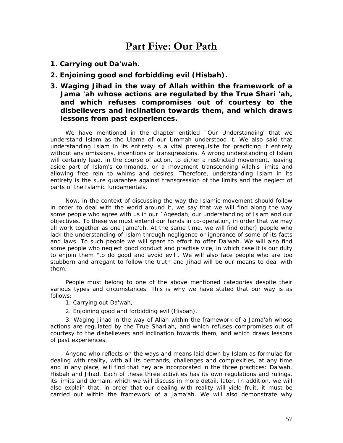# **Part Five: Our Path**

- *1. Carrying out Da'wah.*
- *2. Enjoining good and forbidding evil (Hisbah).*
- *3. Waging Jihad in the way of Allah within the framework of a Jama 'ah whose actions are regulated by the True Shari 'ah, and which refuses compromises out of courtesy to the disbelievers and inclination towards them, and which draws lessons from past experiences.*

We have mentioned in the chapter entitled *`Our Understanding'* that we understand Islam as the *Ulama of* our *Ummah* understood it. We also said that understanding Islam in its entirety is a vital prerequisite for practicing it entirely without any omissions, inventions or transgressions. A wrong understanding *of* Islam will certainly lead, in the course of action, to either a restricted movement, leaving aside part of Islam's commands, or a movement transcending Allah's limits and allowing free rein to whims and desires. Therefore, understanding Islam in its entirety is the sure guarantee against transgression of the limits and the neglect of parts of the Islamic fundamentals.

Now, in the context of discussing the way the Islamic movement should follow in order to deal with the world around it, we say that we will find along the way some people who agree with us in our *`Aqeedah,* our understanding of Islam and our objectives. To these we must extend our hands in co-operation, in order that we may all work together as one *Jama'ah.* At the same time, we will find other) people who lack the understanding of Islam through negligence or ignorance of some of its facts and laws. To such people we will spare to effort to offer *Da'wah.* We will also find some people who neglect good conduct and practise vice, in which case it is our duty to enjoin them "to do good and avoid evil". We will also face people who are too stubborn and arrogant to follow the truth and *Jihad* will be our means to deal with them.

People must belong to one of the above mentioned categories despite their various types and circumstances. This is why we have stated that our way is as follows:

- 1. Carrying out *Da'wah,*
- 2. Enjoining good and forbidding evil *(Hisbah),*

3. Waging *Jihad* in the way of Allah within the framework of a *Jama'ah* whose actions are regulated by the True *Shari'ah,* and which refuses compromises out of courtesy to the disbelievers and inclination towards them, and which draws lessons of past experiences.

Anyone who reflects on the ways and means laid down by Islam as formulae for dealing with reality, with all its demands, challenges and complexities, at any time and in any place, will find that hey are incorporated in the three practices: *Da'wah, Hisbah* and *Jihad.* Each of these three activities has its own regulations and rulings, its limits and domain, which we will discuss in more detail, later. In addition, we will also explain that, in order that our dealing with reality will yield fruit, it must be carried out within the framework of a *Jama'ah.* We will also demonstrate why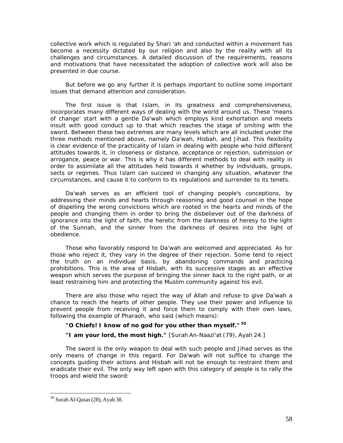collective work which is regulated by *Shari 'ah* and conducted within a movement has become a necessity dictated by our religion and also by the reality with all its challenges and circumstances. A detailed discussion of the requirements, reasons and motivations that have necessitated the adoption of collective work will also be presented in due course.

But before we go any further it is perhaps important to outline some important issues that demand attention and consideration.

The first issue is that Islam, in its greatness and comprehensiveness, incorporates many different ways of dealing with the world around us. These 'means of change' start with a gentle *Da'wah* which employs kind exhortation and meets insult with good conduct up to that which reaches the stage of smiting with the sword. Between these two extremes are many levels which are all included under the three methods mentioned above, namely *Da'wah, Hisbah,* and *Jihad.* This flexibility is clear evidence of the practicality of Islam in dealing with people who hold different attitudes towards it, in closeness or distance, acceptance or rejection, submission or arrogance, peace or war. This is why it has different methods to deal with reality in order to assimilate all the attitudes held towards it whether by individuals, groups, sects or regimes. Thus Islam can succeed in changing any situation, whatever the circumstances, and cause it to conform to its regulations and surrender to its tenets.

*Da'wah* serves as an efficient tool of changing people's conceptions, by addressing their minds and hearts through reasoning and good counsel in the hope of dispelling the wrong convictions which are rooted in the hearts and minds of the people and changing them in order to bring the disbeliever out of the darkness of ignorance into the light of faith, the heretic from the darkness of heresy to the light of the Sunnah, and the sinner from the darkness of desires into the light of obedience.

Those who favorably respond to *Da'wah* are welcomed and appreciated. As for those who reject it, they vary in the degree of their rejection. Some tend to reject the truth on an individual basis, by abandoning commands and practicing prohibitions. This is the area of *Hisbah,* with its successive stages as an effective weapon which serves the purpose of bringing the sinner back to the right path, or at least restraining him and protecting the Muslim community against his evil.

There are also those who reject the way of Allah and refuse to give *Da'wah* a chance to reach the hearts of other people. They use their power and influence to prevent people from receiving it and force them to comply with their own laws, following the example of Pharaoh, who said (which means):

# *"O Chiefs! I know of no god for you other than myself."* **[50](#page-58-0)** *"I am your lord, the most high."* [Surah An-Naazi'at (79), Ayah 24.]

The sword is the only weapon to deal with such people and *Jihad* serves as the only means of change in this regard. For *Da'wah* will not suffice to change the concepts guiding their actions and *Hisbah* will not be enough to restraint them and eradicate their evil. The only way left open with this category of people is to rally the troops and wield the sword:

<span id="page-58-0"></span><sup>50</sup> Surah Al-Qasas(28), Ayah 38.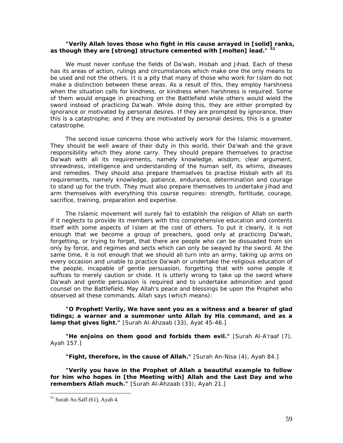#### *"Verily Allah loves those who fight in His cause arrayed in [solid] ranks, as though they are [strong] structure cemented with [molten] lead."* **[5](#page-59-0)1**

We must never confuse the fields of *Da'wah*, *Hisbah* and *Jihad*. Each of these has its areas of action, rulings and circumstances which make one the only means to be used and not the others. It is a pity that many of those who work for Islam do not make a distinction between these areas. As a result of this, they employ harshness when the situation calls for kindness, or kindness when harshness is required. Some of them would engage in preaching on the Battlefield while others would wield the sword instead of practicing *Da'wah*. While doing this, they are either prompted by ignorance or motivated by personal desires. If they are prompted by ignorance, then this is a catastrophe; and if they are motivated by personal desires, this is a greater catastrophe.

The second issue concerns those who actively work for the Islamic movement. They should be well aware of their duty in this world, their *Da'wah* and the grave responsibility which they alone carry. They should prepare themselves to practise *Da'wah* with all its requirements, namely knowledge, wisdom, clear argument, shrewdness, intelligence and understanding of the human self, its whims, diseases and remedies. They should also prepare themselves to practise *Hisbah* with all its requirements, namely knowledge, patience, endurance, determination and courage to stand up for the truth. They must also prepare themselves to undertake *Jihad* and arm themselves with everything this course requires: strength, fortitude, courage, sacrifice, training, preparation and expertise.

The Islamic movement will surely fail to establish the religion of Allah on earth if it neglects to provide its members with this comprehensive education and contents itself with some aspects of Islam at the cost of others. To put it clearly, it is not enough that we become a group of preachers, good only at practicing *Da'wah*, forgetting, or trying to forget, that there are people who can be dissuaded from sin only by force, and regimes and sects which can only be swayed by the sword. At the same time, it is not enough that we should all turn into an army, taking up arms on every occasion and unable to practice *Da'wah* or undertake the religious education of the people, incapable of gentle persuasion, forgetting that with some people it suffices to merely caution or chide. It is utterly wrong to take up the sword where *Da'wah* and gentle persuasion is required and to undertake admonition and good counsel on the Battlefield. May Allah's peace and blessings be upon the Prophet who observed all these commands. Allah says (which means):

*"O Prophet! Verily, We have sent you as a witness and a bearer of glad tidings; a warner and a summoner unto Allah by His command, and as a lamp that gives light."* [Surah Al-Ahzaab (33), Ayat 45-46.]

*"He enjoins on them good and forbids them evil."* [Surah Al-A'raaf (7), Ayah 157.]

*"Fight, therefore, in the cause of Allah."* [Surah An-Nisa (4), Ayah 84.]

*"Verily you have in the Prophet of Allah a beautiful example to follow for him who hopes in [the Meeting with] Allah and the Last Day and who remembers Allah much."* [Surah Al-Ahzaab (33), Ayah 21.]

<span id="page-59-0"></span> $<sup>51</sup>$  Surah As-Saff (61), Ayah 4.</sup>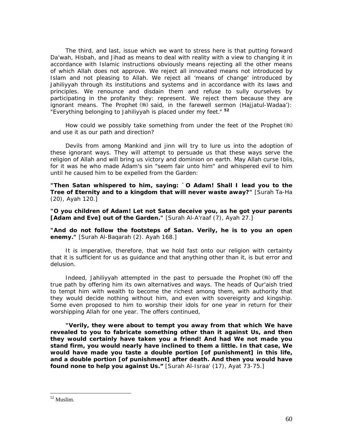The third, and last, issue which we want to stress here is that putting forward *Da'wah*, *Hisbah*, and *Jihad* as means to deal with reality with a view to changing it in accordance with Islamic instructions obviously means rejecting all the other means of which Allah does not approve. We reject all innovated means not introduced by Islam and not pleasing to Allah. We reject all 'means of change' introduced by *Jahiliyyah* through its institutions and systems and in accordance with its laws and principles. We renounce and disdain them and refuse to sully ourselves by participating in the profanity they: represent. We reject them because they are ignorant means. The Prophet (5) said, in the farewell sermon *(Hajjatul-Wadaa'): "Everything belonging to Jahiliyyah is placed under my feet."* **[52](#page-60-0)**

How could we possibly take something from under the feet of the Prophet ( $\frac{1}{2}$ ) and use it as our path and direction?

Devils from among Mankind and jinn will try to lure us into the adoption of these ignorant ways. They will attempt to persuade us that these ways serve the religion of Allah and will bring us victory and dominion on earth. May Allah curse Iblis, for it was he who made Adam's sin "seem fair unto him" and whispered evil to him until he caused him to be expelled from the Garden:

*"Then Satan whispered to him, saying: `O Adam! Shall I lead you to the Tree of Eternity and to a kingdom that will never waste away?"* [Surah Ta-Ha (20), Ayah 120.]

*"O you children of Adam! Let not Satan deceive you, as he got your parents*  [Adam and Eve] out of the Garden." [Surah Al-A'raaf (7), Ayah 27.]

*"And do not follow the footsteps of Satan. Verily, he is to you an open enemy."* [Surah Al-Baqarah (2). Ayah 168.]

It is imperative, therefore, that we hold fast onto our religion with certainty that it is sufficient for us as guidance and that anything other than it, is but error and delusion.

Indeed, *Jahiliyyah* attempted in the past to persuade the Prophet (.) off the true path by offering him its own alternatives and ways. The heads of Qur'aish tried to tempt him with wealth to become the richest among them, with authority that they would decide nothing without him, and even with sovereignty and kingship. Some even proposed to him to worship their idols for one year in return for their worshipping Allah for one year. The offers continued,

*"Verily, they were about to tempt you away from that which We have revealed to you to fabricate something other than it against Us, and then they would certainly have taken you a friend! And had We not made you stand firm, you would nearly have inclined to them a little. In that case, We would have made you taste a double portion [of punishment] in this life, and a double portion [of punishment] after death. And then you would have found none to help you against Us."* [Surah Al-Israa' (17), Ayat 73-75.]

<span id="page-60-0"></span><sup>52</sup> Muslim.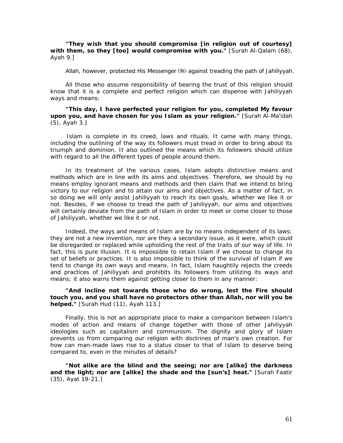*"They wish that you should compromise [in religion out of courtesy] with them, so they [too] would compromise with you."* [Surah Al-Qalam (68), Ayah 9.]

Allah, however, protected His Messenger (5) against treading the path of *Jahiliyyah.* 

All those who assume responsibility of bearing the trust of this religion should know that it is a complete and perfect religion which can dispense with *Jahiliyyah*  ways and means:

#### *"This day, I have perfected your religion for you, completed My favour upon you, and have chosen for you Islam as your religion."* [Surah Al-Ma'idah (5), Ayah 3.]

Islam is complete in its creed, laws and rituals. It came with many things, including the outlining of the way its followers must tread in order to bring about its triumph and dominion. It also outlined the means which its followers should utilize with regard to all the different types of people around them.

In its treatment of the various cases, Islam adopts distinctive means and methods which are in line with its aims and objectives. Therefore, we should by no means employ ignorant means and methods and then claim that we intend to bring victory to our religion and to attain our aims and objectives. As a matter of fact, in so doing we will only assist *Jahiliyyah* to reach its own goals, whether we like it or not. Besides, if we choose to tread the path of *Jahiliyyah,* our aims and objectives will certainly deviate from the path of Islam in order to meet or come closer to those of *Jahiliyyah,* whether we like it or not.

Indeed, the ways and means of Islam are by no means independent of its laws; they are not a new invention, nor are they a secondary issue, as it were, which could be disregarded or replaced while upholding the rest of the traits of our way of life. In fact, this is pure illusion. It is impossible to retain Islam if we choose to change its set of beliefs or practices. It is also impossible to think of the survival of Islam if we tend to change its own ways and means. In fact, Islam haughtily rejects the creeds and practices of *Jahiliyyah* and prohibits its followers from utilizing its ways and means; it also warns them against getting closer to them in any manner:

#### *"And incline not towards those who do wrong, lest the Fire should touch you, and you shall have no protectors other than Allah, nor will you be helped."* [Surah Hud (11), Ayah 113.]

Finally, this is not an appropriate place to make a comparison between Islam's modes of action and means of change together with those of other *Jahiliyyah*  ideologies such as capitalism and communism. The dignity and glory of Islam prevents us from comparing our religion with doctrines of man's own creation. For how can man-made laws rise to a status closer to that of Islam to deserve being compared to, even in the minutes of details?

*"Not alike are the blind and the seeing; nor are [alike] the darkness and the light; nor are [alike] the shade and the [sun's] heat."* [Surah Faatir (35), Ayat 19-21.]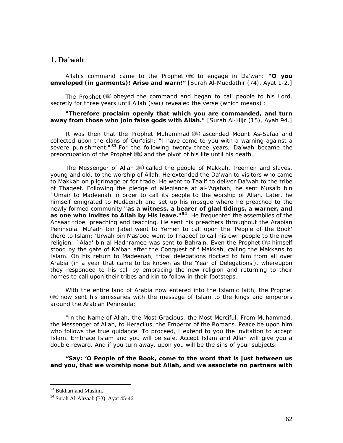# **1. Da'wah**

Allah's command came to the Prophet to engage in *Da'wah: "O you enveloped (in garments)! Arise and warn!"* [Surah Al-Muddathir (74), Ayat 1-2.]

The Prophet  $(\frac{1}{2})$  obeyed the command and began to call people to his Lord, secretly for three years until Allah (SWT) revealed the verse (which means) :

#### *"Therefore proclaim openly that which you are commanded, and turn away from those who join false gods with Allah."* [Surah Al-Hijr (15), Ayah 94.]

It was then that the Prophet Muhammad (5) ascended Mount As-Safaa and collected upon the clans of Qur'aish: *"I have come to you with a warning against a severe punishment."* **[53](#page-62-0)** For the following twenty-three years, *Da'wah* became the preoccupation of the Prophet  $(*)$  and the pivot of his life until his death.

The Messenger of Allah  $(\frac{4\pi}{3})$  called the people of Makkah, freemen and slaves, young and old, to the worship of Allah. He extended the *Da'wah* to visitors who came to Makkah on pilgrimage or for trade. He went to Taa'if to deliver *Da'wah* to the tribe of Thaqeef. Following the pledge of allegiance at al-'Aqabah, he sent Musa'b bin `Umair to Madeenah in order to call its people to the worship of Allah. Later, he himself emigrated to Madeenah and set up his mosque where he preached to the newly formed community *"as a witness, a bearer of glad tidings, a warner, and as one who invites to Allah by His leave.***"[5](#page-62-1)4**. He frequented the assemblies of the Ansaar tribe, preaching and teaching. He sent his preachers throughout the Arabian Peninsula: Mu'adh bin Jabal went to Yemen to call upon the 'People of the Book' there to Islam; 'Urwah bin Mas'ood went to Thaqeef to call his own people to the new religion; `Alaa' bin al-Hadhramee was sent to Bahrain. Even the Prophet ( t ) himself stood by the gate of Ka'bah after the Conquest of f Makkah, calling the Makkans to Islam. On his return to Madeenah, tribal delegations flocked to him from all over Arabia (in a year that came to be known as the '*Year of Delegations'),* whereupon they responded to his call by embracing the new religion and returning to their homes to call upon their tribes and kin to follow in their footsteps.

With the entire land of Arabia now entered into the Islamic faith, the Prophet now sent his emissaries with the message of Islam to the kings and emperors around the Arabian Peninsula:

*"In the Name of Allah, the Most Gracious, the Most Merciful. From Muhammad, the Messenger of Allah, to Heraclius, the Emperor of the Romans. Peace be upon him who follows the true guidance. To proceed, I extend to you the invitation to accept Islam. Embrace Islam and you will be safe. Accept Islam and Allah will give you a double reward. And if you turn away, upon you will be the sins of your subjects:* 

*"Say: 'O People of the Book, come to the word that is just between us and you, that we worship none but Allah, and we associate no partners with* 

<span id="page-62-0"></span><sup>53</sup> Bukhari and Muslim.

<span id="page-62-1"></span><sup>54</sup> Surah Al-Ahzaab (33), Ayat 45-46.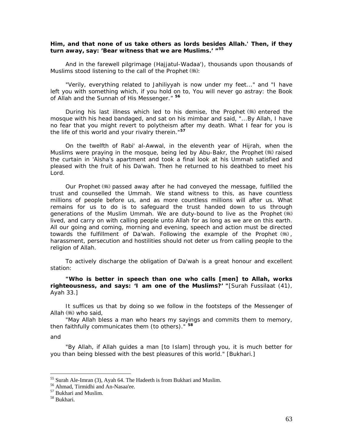#### *Him, and that none of us take others as lords besides Allah.' Then, if they turn away, say: 'Bear witness that we are Muslims.' "[5](#page-63-0)5*

And in the farewell pilgrimage *(Hajjatul-Wadaa'),* thousands upon thousands of Muslims stood listening to the call of the Prophet (...):

*"Verily, everything related to Jahiliyyah is now under my feet..."* and *"I have left you with something which, if you hold on to, You will never go astray: the Book of Allah and the Sunnah of His Messenger."* **[5](#page-63-1)6**

During his last illness which led to his demise, the Prophet  $(\frac{4}{3})$  entered the mosque with his head bandaged, and sat on his mimbar and said, *"...By Allah, I have no fear that you might revert to polytheism after my death. What I fear for you is the life of this world and your rivalry therein."***[5](#page-63-2)7**

On the twelfth of Rabi' al-Awwal, in the eleventh year of Hijrah, when the Muslims were praying in the mosque, being led by Abu-Bakr, the Prophet ( used the curtain in 'Aisha's apartment and took a final look at his Ummah satisfied and pleased with the fruit of his *Da'wah*. Then he returned to his deathbed to meet his Lord.

Our Prophet (5) passed away after he had conveyed the message, fulfilled the trust and counselled the *Ummah*. We stand witness to this, as have countless millions of people before us, and as more countless millions will after us. What remains for us to do is to safeguard the trust handed down to us through generations of the Muslim *Ummah*. We are duty-bound to live as the Prophet lived, and carry on with calling people unto Allah for as long as we are on this earth. All our going and coming, morning and evening, speech and action must be directed towards the fulfillment of *Da'wah.* Following the example of the Prophet , harassment, persecution and hostilities should not deter us from calling people to the religion of Allah.

To actively discharge the obligation of *Da'wah is* a great honour and excellent station:

*"Who is better in speech than one who calls [men] to Allah, works righteousness, and says: 'I am one of the Muslims?' "*[Surah Fussilaat (41), Ayah 33.]

It suffices us that by doing so we follow in the footsteps of the Messenger of Allah (卷) who said,

*"May Allah bless a man who hears my sayings and commits them to memory, then faithfully communicates them (to others)."* **[5](#page-63-3)8**

and

 $\overline{a}$ 

*"By Allah, if Allah guides a man [to Islam] through you, it is much better for you than being blessed with the best pleasures of this world."* [Bukhari.]

<sup>55</sup> Surah Ale-Imran (3), Ayah 64. The Hadeeth is from Bukhari and Muslim.

<span id="page-63-1"></span><span id="page-63-0"></span><sup>56</sup> Ahmad, Tirmidhi and An-Nasaa'ee.

<span id="page-63-2"></span><sup>57</sup> Bukhari and Muslim.

<span id="page-63-3"></span><sup>58</sup> Bukhari.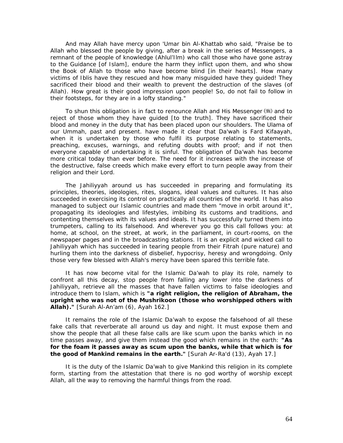And may Allah have mercy upon 'Umar bin Al-Khattab who said, *"Praise be to Allah who blessed the people by giving, after a break in the series of Messengers, a remnant of the people of knowledge (Ahlul'Ilm) who call those who have gone astray to the Guidance [of Islam], endure the harm they inflict upon them, and who show the Book of Allah to those who have become blind [in their hearts]. How many victims of Iblis have they rescued and how many misguided have they guided! They sacrificed their blood and their wealth to prevent the destruction of the slaves (of Allah). How great is their good impression upon people! So, do not fail to follow in their footsteps, for they are in a lofty standing."* 

To shun this obligation is in fact to renounce Allah and His Messenger (38) and to reject of those whom *they* have guided [to the truth]. They have sacrificed their blood and money in the duty that has been placed upon our shoulders. The *Ulama* of our *Ummah,* past and present. have made it clear that *Da'wah is Fard Kifaayah,*  when it is undertaken by those who fulfil its purpose relating to statements, preaching, excuses, warnings, and refuting doubts with proof; and if not then everyone capable of undertaking it is sinful. The obligation of *Da'wah* has become more critical today than ever before. The need for it increases with the increase of the destructive, false creeds which make every effort to turn people away from their religion and their Lord.

The *Jahiliyyah* around us has succeeded in preparing and formulating its principles, theories, ideologies, rites, slogans, ideal values and cultures. It has also succeeded in exercising its control on practically all countries of the world. It has also managed to subject our Islamic countries and made them "move in orbit around it", propagating its ideologies and lifestyles, imbibing its customs and traditions, and contenting themselves with its values and ideals. It has successfully turned them into trumpeters, calling to its falsehood. And wherever you go this call follows you: at home, at school, on the street, at work, in the parliament, in court-rooms, on the newspaper pages and in the broadcasting stations. It is an explicit and wicked call to *Jahiliyyah* which has succeeded in tearing people from their *Fitrah* (pure nature) and hurling them into the darkness of disbelief, hypocrisy, heresy and wrongdoing. Only those very few blessed with Allah's mercy have been spared this terrible fate.

It has now become vital for the Islamic *Da'wah to* play its role, namely to confront all this decay, stop people from falling any lower into the darkness of *Jahiliyyah,* retrieve all the masses that have fallen victims to false ideologies and introduce them to Islam, which *is "a right religion, the religion of Abraham, the upright who was not of the Mushrikoon (those who worshipped others with Allah)."* [Surah Al-An'am (6), Ayah 162.]

It remains the role of the Islamic *Da'wah* to expose the falsehood of all these fake calls that reverberate all around us day and night. It must expose them and show the people that all these false calls are like scum upon the banks which in no time passes away, and give them instead the good which remains in the earth: *"As for the foam it passes away as scum upon the banks, while that which is for the good of Mankind remains in the earth."* [Surah Ar-Ra'd (13), Ayah 17.]

It is the duty of the Islamic *Da'wah* to give Mankind this religion in its complete form, starting from the attestation that there is no god worthy of worship except Allah, all the way to removing the harmful things from the road.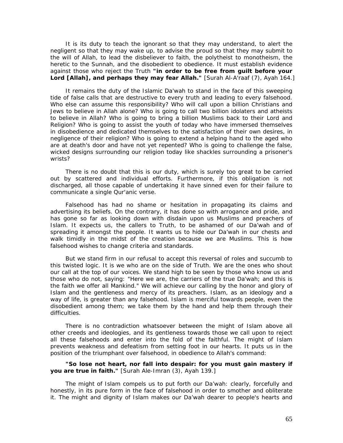It is its duty to teach the ignorant so that they may understand, to alert the negligent so that they may wake up, to advise the proud so that they may submit to the will of Allah, to lead the disbeliever to faith, the polytheist to monotheism, the heretic to the Sunnah, and the disobedient to obedience. It must establish evidence against those who reject the Truth *"in order to be free from guilt before your Lord [Allah], and perhaps they may fear Allah."* [Surah Al-A'raaf (7), Ayah 164.]

It remains the duty of the Islamic *Da'wah* to stand in the face of this sweeping tide of false *calls* that are destructive to every truth and leading to every falsehood. Who else can assume this responsibility? Who will call upon a billion Christians and Jews to believe in Allah alone? Who is going to call two billion idolaters and atheists to believe in Allah? Who is going to bring a billion Muslims back to their Lord and Religion? Who is going to assist the youth of today who have immersed themselves in disobedience and dedicated themselves to the satisfaction of their own desires, in negligence of their religion? Who is going to extend a helping hand to the aged who are at death's door and have not yet repented? Who is going to challenge the false, wicked designs surrounding our religion today like shackles surrounding a prisoner's wrists?

There is no doubt that this is our duty, which is surely too great to be carried out by scattered and individual efforts. Furthermore, if this obligation is not discharged, all those capable of undertaking it have sinned even for their failure to communicate a single Qur'anic verse.

Falsehood has had no shame or hesitation in propagating its claims and advertising its beliefs. On the contrary, it has done so with arrogance and pride, and has gone so far as looking down with disdain upon us Muslims and preachers of Islam. It expects us, the callers to Truth, to be ashamed of our *Da'wah* and of spreading it amongst the people. It wants us to hide our *Da'wah* in our chests and walk timidly in the midst of the creation because we are Muslims. This is how falsehood wishes to change criteria and standards.

But we stand firm in our refusal to accept this reversal of roles and succumb to this twisted logic. It is we who are on the side of Truth. We are the ones who shout our call at the top of our voices. We stand high to be seen by those who know us and those who do not, saying: "Here we are, the carriers of the true *Da'wah;* and this is the faith we offer all Mankind." We will achieve our calling by the honor and glory of Islam and the gentleness and mercy of its preachers. Islam, as an ideology and a way of life, is greater than any falsehood. Islam is merciful towards people, even the disobedient among them; we take them by the hand and help them through their difficulties.

There is no contradiction whatsoever between the might of Islam above all other creeds and ideologies, and its gentleness towards those we call upon to reject all these falsehoods and enter into the fold of the faithful. The might of Islam prevents weakness and defeatism from setting foot in our hearts. It puts us in the position of the triumphant over falsehood, in obedience to Allah's command:

#### *"So lose not heart, nor fall into despair: for you must gain mastery if you are true in faith."* [Surah Ale-Imran (3), Ayah 139.]

The might of Islam compels us to put forth our *Da'wah:* clearly, forcefully and honestly, in its pure form in the face of falsehood in order to smother and obliterate it. The might and dignity of Islam makes our *Da'wah* dearer to people's hearts and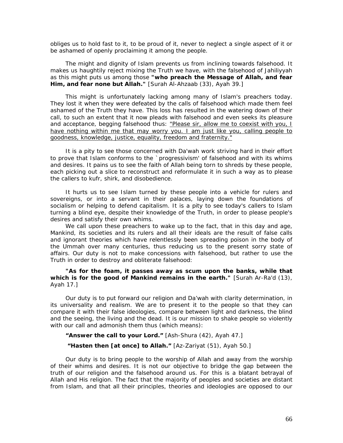obliges us to hold fast to it, to be proud of it, never to neglect a single aspect of it or be ashamed of openly proclaiming it among the people.

The might and dignity of Islam prevents us from inclining towards falsehood. It makes us haughtily reject mixing the Truth we have, with the falsehood of *Jahiliyyah*  as this might puts us among those *"who preach the Message of Allah, and fear Him, and fear none but Allah."* [Surah Al-Ahzaab (33), Ayah 39.]

This might is unfortunately lacking among many of Islam's preachers today. They lost it when they were defeated by the calls of falsehood which made them feel ashamed of the Truth they have. This loss has resulted in the watering down of their call, to such an extent that it now pleads with falsehood and even seeks its pleasure and acceptance, begging falsehood thus: "Please sir, allow me to coexist with you, I have nothing within me that may worry you. I am just like you, calling people to goodness, knowledge, justice, equality, freedom and fraternity."

It is a pity to see those concerned with *Da'wah* work striving hard in their effort to prove that Islam conforms to the `progressivism' of falsehood and with its whims and desires. It pains us to see the faith of Allah being torn to shreds by these people, each picking out a slice to reconstruct and reformulate it in such a way as to please the callers to *kufr, shirk,* and disobedience.

It hurts us to see Islam turned by these people into a vehicle for rulers and sovereigns, or into a servant in their palaces, laying down the foundations of socialism or helping to defend capitalism. It is a pity to see today's callers to Islam turning a blind eye, despite their knowledge of the Truth, in order to please people's desires and satisfy their own whims.

We call upon these preachers to wake up to the fact, that in this day and age, Mankind, its societies and its rulers and all their ideals are the result of false calls and ignorant theories which have relentlessly been spreading poison in the body of the *Ummah* over many centuries, thus reducing us to the present sorry state of affairs. Our duty is not to make concessions with falsehood, but rather to use the Truth in order to destroy and obliterate falsehood:

"As for the foam, it passes away as scum upon the banks, while that which is for the good of Mankind remains in the earth." [Surah Ar-Ra'd (13), Ayah 17.]

Our duty is to put forward our religion and *Da'wah* with clarity determination, in its universality and realism. We are to present it to the people so that they can compare it with their false ideologies, compare between light and darkness, the blind and the seeing, the living and the dead. It is our mission to shake people so violently with our call and admonish them thus (which means):

*"Answer the call to your Lord."* [Ash-Shura (42), Ayah 47.]

 *"Hasten then [at once] to Allah."* [Az-Zariyat (51), Ayah 50.]

Our duty is to bring people to the worship of Allah and away from the worship of their whims and desires. It is not our objective to bridge the gap between the truth of our religion and the falsehood around us. For this is a blatant betrayal of Allah and His religion. The fact that the majority of peoples and societies are distant from Islam, and that all their principles, theories and ideologies are opposed to our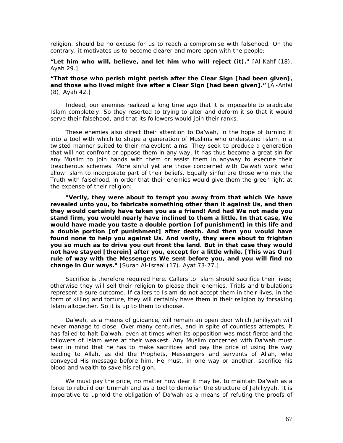religion, should be no excuse for us to reach a compromise with falsehood. On the contrary, it motivates us to become clearer and more open with the people:

#### *"Let him who will, believe, and let him who will reject (it)."* [Al-Kahf (18), Ayah 29.]

#### *"That those who perish might perish after the Clear Sign [had been given], and those who lived might live after a Clear Sign [had been given]."* [Al-Anfal (8), Ayah 42.]

Indeed, our enemies realized a long time ago that it is impossible to eradicate Islam completely. So they resorted to trying to alter and deform it so that it would serve their falsehood, and that its followers would join their ranks.

These enemies also direct their attention to *Da'wah,* in the hope of turning it into a tool with which to shape a generation of Muslims who understand Islam in a twisted manner suited to their malevolent aims. They seek to produce a generation that will not confront or oppose them in any way. It has thus become a great sin for any Muslim to join hands with them or assist them in anyway to execute their treacherous schemes. More sinful yet are those concerned with *Da'wah* work who allow Islam to incorporate part of their beliefs. Equally sinful are those who mix the Truth with falsehood, in order that their enemies would give them the green light at the expense of their religion:

*"Verily, they were about to tempt you away from that which We have revealed unto you, to fabricate something other than it against Us, and then they would certainly have taken you as a friend! And had We not made you stand firm, you would nearly have inclined to them a little. In that case, We would have made you taste a double portion [of punishment] in this life and a double portion [of punishment] after death. And then you would have found none to help you against Us. And verily, they were about to frighten you so much as to drive you out front the land. But in that case they would not have stayed [therein] after you, except for a little while. [This was Our] rule of way with the Messengers We sent before you, and you will find no change in Our ways."* [Surah Al-Israa' (17). Ayat 73-77.]

Sacrifice is therefore required here. Callers to Islam should sacrifice their lives; otherwise they will sell their religion to please their enemies. Trials and tribulations represent a sure outcome. If callers to Islam do not accept them in their lives, in the form of killing and torture, they will certainly have them in their religion by forsaking Islam altogether. So it is up to them to choose.

*Da'wah*, as a means of guidance, will remain an open door which *Jahiliyyah will*  never manage to close. Over many centuries, and in spite of countless attempts, it has failed to halt *Da'wah,* even at times when its opposition was most fierce and the followers of Islam were at their weakest. Any Muslim concerned with *Da'wah* must bear in mind that he has to make sacrifices and pay the price of using the way leading to Allah, as did the Prophets, Messengers and servants of Allah, who conveyed His message before him. He must, in one way or another, sacrifice his blood and wealth to save his religion.

We must pay the price, no matter how dear it may be, to maintain *Da'wah* as a force to rebuild our *Ummah* and as a tool to demolish the structure of *Jahiliyyah.* It is imperative to uphold the obligation of *Da'wah* as a means of refuting the proofs of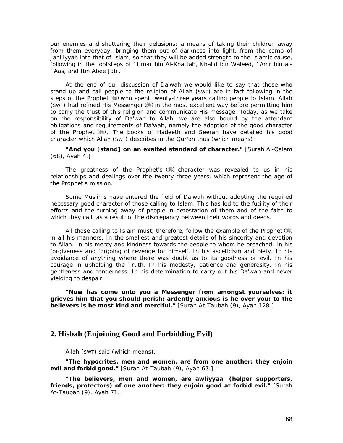our enemies and shattering their delusions; a means of taking their children away from them everyday, bringing them out of darkness into light, from the camp of Jahiliyyah into that of Islam, so that they will be added strength to the Islamic cause, following in the footsteps of `Umar bin Al-Khattab, Khalid bin Waleed, `Amr bin al- `Aas, and Ibn Abee Jahl.

At the end of our discussion of *Da'wah* we would like to say that those who stand up and call people to the religion of Allah (SWT) are in fact following in the steps of the Prophet (5) who spent twenty-three years calling people to Islam. Allah  $(swr)$  had refined His Messenger  $(s)$  in the most excellent way before permitting him to carry the trust of this religion and communicate His message. Today, as we take on the responsibility of *Da'wah* to Allah, we are also bound by the attendant obligations and requirements of *Da'wah,* namely the adoption of the good character of the Prophet (5). The books of Hadeeth and *Seerah* have detailed his good character which Allah (SWT) describes in the Qur'an thus (which means):

*"And you [stand] on an exalted standard of character."* [Surah Al-Qalam (68), Ayah 4.]

The greatness of the Prophet's  $(*)$  character was revealed to us in his relationships and dealings over the twenty-three years, which represent the age of the Prophet's mission.

Some Muslims have entered the field of *Da'wah* without adopting the required necessary good character of those calling to Islam. This has led to the futility of their efforts and the turning away of people in detestation of them and of the faith to which they call, as a result of the discrepancy between their words and deeds.

All those calling to Islam must, therefore, follow the example of the Prophet ( ) in all his manners. In the smallest and greatest details of his sincerity and devotion to Allah. In his mercy and kindness towards the people to whom he preached. In his forgiveness and forgoing of revenge for himself. In his asceticism and piety. In his avoidance of anything where there was doubt as to its goodness or evil. In his courage in upholding the Truth. In his modesty, patience and generosity. In his gentleness and tenderness. In his determination to carry out his *Da'wah* and never yielding to despair.

*"Now has come unto you a Messenger from amongst yourselves: it grieves him that you should perish: ardently anxious is he over you: to the believers is he most kind and merciful."* [Surah At-Taubah (9), Ayah 128.]

## **2. Hisbah (Enjoining Good and Forbidding Evil)**

Allah (SWT) said (which means):

*"The hypocrites, men and women, are from one another: they enjoin evil and forbid good."* [Surah At-Taubah (9), Ayah 67.]

*"The believers, men and women, are awliyyaa' (helper supporters, friends, protectors) of one another: they enjoin good at forbid evil."* [Surah At-Taubah (9), Ayah 71.]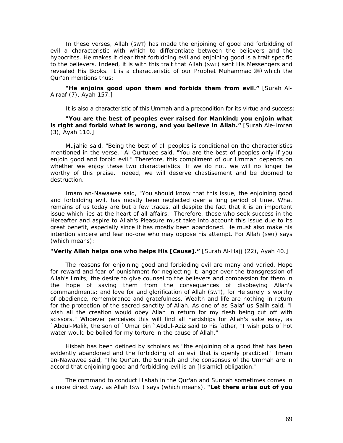In these verses, Allah (SWT) has made the enjoining of good and forbidding of evil a characteristic with which to differentiate between the believers and the hypocrites. He makes it clear that forbidding evil and enjoining good is a trait specific to the believers. Indeed, it is with this trait that Allah (SWT) sent His Messengers and revealed His Books. It is a characteristic of our Prophet Muhammad (#) which the Qur'an mentions thus:

*"He enjoins good upon them and forbids them from evil."* [Surah Al-A'raaf (7), Ayah 157.]

It is also a characteristic of this *Ummah* and a precondition for its virtue and success:

*"You are the best of peoples ever raised for Mankind; you enjoin what is right and forbid what is wrong, and you believe in Allah."* [Surah Ale-Imran (3), Ayah 110.]

Mujahid said, *"Being the best of all peoples is conditional on the characteristics mentioned in the verse."* Al-Qurtubee said, "You *are the best of peoples only if you enjoin good and forbid evil."* Therefore, this compliment of our *Ummah* depends on whether we enjoy these two characteristics. If we do not, we will no longer be worthy of this praise. Indeed, we will deserve chastisement and be doomed to destruction.

Imam an-Nawawee said, "You *should know that this issue, the enjoining good*  and forbidding evil, has mostly been neglected over a long period of time. What *remains of us today are but a few traces, all despite the fact that it is an important issue which lies at the heart of all affairs."* Therefore, those who seek success in the Hereafter and aspire to Allah's Pleasure must take into account this issue due to its great benefit, especially since it has mostly been abandoned. He must also make his intention sincere and fear no-one who may oppose his attempt. For Allah (SWT) says (which means):

#### *"Verily Allah helps one who helps His [Cause]."* [Surah Al-Hajj (22), Ayah 40.]

The reasons for enjoining good and forbidding evil are many and varied. Hope for reward and fear of punishment for neglecting it; anger over the transgression of Allah's limits; the desire to give counsel to the believers and compassion for them in the hope of saving them from the consequences of disobeying Allah's commandments; and love for and glorification of Allah (SWT), for He surely is worthy of obedience, remembrance and gratefulness. Wealth and life are nothing in return for the protection of the sacred sanctity of Allah. As one of as-Salaf-us-Salih said, *"I wish all the creation would obey Allah in return for my flesh being cut off with scissors."* Whoever perceives this will find all hardships for Allah's sake easy, as `Abdul-Malik, the son of `Umar bin `Abdul-Aziz said to his father, *"I wish pots of hot water would be boiled for my torture in the cause of Allah."* 

*Hisbah* has been defined by scholars as *"the enjoining of a good that has been evidently abandoned and the forbidding of an evil that is openly practiced."* Imam an-Nawawee said, *"The Qur'an, the Sunnah and the consensus of the Ummah are in accord that enjoining good and forbidding evil is an [Islamic] obligation."* 

The command to conduct *Hisbah* in the Qur'an and Sunnah sometimes comes in a more direct way, as Allah (SWT) says (which means), *"Let there arise out of you*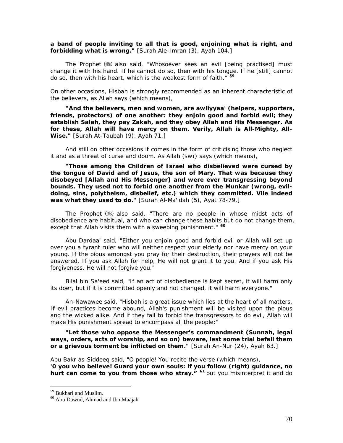*a band of people inviting to all that is good, enjoining what is right, and forbidding what is wrong."* [Surah Ale-Imran (3), Ayah 104.]

The Prophet also said, *"Whosoever sees an evil [being practised] must change it with his hand. If he cannot do so, then with his tongue. If he [still] cannot do so, then with his heart, which is the weakest form of faith."* **[5](#page-70-0)9**

On other occasions, *Hisbah is* strongly recommended as an inherent characteristic of the believers, as Allah says (which means),

*"And the believers, men and women, are awliyyaa' (helpers, supporters, friends, protectors) of one another: they enjoin good and forbid evil; they establish Salah, they pay Zakah, and they obey Allah and His Messenger. As for these, Allah will have mercy on them. Verily, Allah is All-Mighty, All-Wise."* [Surah At-Taubah (9), Ayah 71.]

And still on other occasions it comes in the form of criticising those who neglect it and as a threat of curse and doom. As Allah (SWT) says (which means),

*"Those among the Children of Israel who disbelieved were cursed by the tongue of David and of Jesus, the son of Mary. That was because they disobeyed [Allah and His Messenger] and were ever transgressing beyond bounds. They used not to forbid one another from the Munkar (wrong, evildoing, sins, polytheism, disbelief, etc.) which they committed. Vile indeed was what they used to do."* [Surah Al-Ma'idah (5), Ayat 78-79.]

The Prophet also said, *"There are no people in whose midst acts of disobedience are habitual, and who can change these habits but do not change them, except that Allah visits them with a sweeping punishment."* **[60](#page-70-1)**

Abu-Dardaa' said, *"Either you enjoin good and forbid evil or Allah will set up over you a tyrant ruler who will neither respect your elderly nor have mercy on your young. If the pious amongst you pray for their destruction, their. prayers will not be answered. If you ask Allah for help, He will not grant it to you. And if you ask His forgiveness, He will not forgive you."* 

Bilal bin Sa'eed said, *"If an act of disobedience is kept secret, it will harm only its doer, but if it is committed openly and not changed, it will harm everyone."* 

An-Nawawee *said, "Hisbah is a great issue which lies at the heart of all matters. If evil practices become abound, Allah's punishment will be visited upon the pious*  and the wicked alike. And if they fail to forbid the transgressors to do evil, Allah will *make His punishment spread to encompass all the people:"* 

*"Let those who oppose the Messenger's commandment (Sunnah, legal ways, orders, acts of worship, and so on) beware, lest some trial befall them or a grievous torment be inflicted on them."* [Surah An-Nur (24), Ayah 63.]

Abu Bakr as-Siddeeq said, *"O people! You recite the verse (which means), '0 you who believe! Guard your own souls: if you follow (right) guidance, no hurt can come to you from those who stray."* **[6](#page-70-2)1** *but you misinterpret it and do* 

<span id="page-70-2"></span><span id="page-70-0"></span><sup>59</sup> Bukhari and Muslim.

<span id="page-70-1"></span><sup>60</sup> Abu Dawud, Ahmad and Ibn Maajah.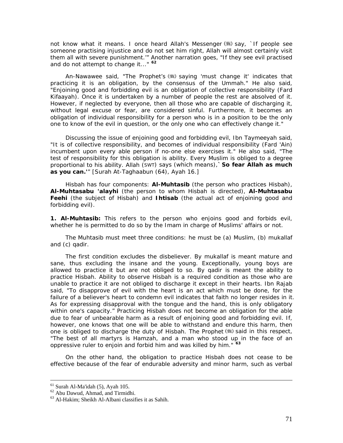*not know what it means. I once heard Allah's Messenger* (  $\frac{1}{2}$  *say, `If people see someone practising injustice and do not set him right, Allah will almost certainly visit them all with severe punishment.'"* Another narration goes, *"If they see evil practised and do not attempt to change it..."* **[62](#page-71-0)**

An-Nawawee said, *"The Prophet's saying 'must change it' indicates that practicing it is an obligation, by the consensus of the Ummah."* He also said, *"Enjoining good and forbidding evil is an obligation of collective responsibility (Fard Kifaayah). Once it is undertaken by a number of people the rest are absolved of it. However, if neglected by everyone, then all those who are capable of discharging it, without legal excuse or fear, are considered sinful. Furthermore, it becomes an obligation of individual responsibility for a person who is in a position to be the only one to know of the evil in question, or the only one who can effectively change it."* 

Discussing the issue of enjoining good and forbidding evil, Ibn Taymeeyah said, *"It is of collective responsibility, and becomes of individual responsibility (Fard 'Ain) incumbent upon every able person if no-one else exercises it."* He also said, *"The test of responsibility for this obligation is ability. Every Muslim is obliged to a degree proportional to his ability. Allah (SWT) says (which means),`So fear Allah as much as you can.'"* [Surah At-Taghaabun (64), Ayah 16.]

*Hisbah* has four components: *Al-Muhtasib* (the person who practices *Hisbah), Al-Muhtasabu 'alayhi* (the person to whom *Hisbah is* directed), *Al-Muhtasabu Feehi* (the subject of *Hisbah)* and *Ihtisab* (the actual act of enjoining good and forbidding evil).

**1. Al-Muhtasib:** This refers to the person who enjoins good and forbids evil, whether he is permitted to do so by the Imam in charge of Muslims' affairs or not.

The Muhtasib must meet three conditions: he must be (a) Muslim, (b) *mukallaf*  and (c) *qadir.* 

The first condition excludes the disbeliever. By *mukallaf is* meant mature and sane, thus excluding the insane and the young. Exceptionally, young boys are allowed to practice it but are not obliged to so. By *qadir* is meant the ability to practice *Hisbah.* Ability to observe *Hisbah is* a required condition as those who are unable to practice it are not obliged to discharge it except in their hearts. Ibn Rajab said, *"To disapprove of evil with the heart is an act which must be done, for the*  failure of a believer's heart to condemn evil indicates that faith no longer resides in it. *As for expressing disapproval with the tongue and the hand, this is only obligatory within one's capacity."* Practicing *Hisbah* does not become an obligation for the able due to fear of unbearable harm as a result of enjoining good and forbidding evil. If, however, one knows that one will be able to withstand and endure this harm, then one is obliged to discharge the duty of *Hisbah*. The Prophet (,) said in this respect, *"The best of all martyrs is Hamzah, and a man who stood up in the face of an oppressive ruler to enjoin and forbid him and was killed by him."* **[6](#page-71-1)3**

On the other hand, the obligation to practice *Hisbah* does not cease to be effective because of the fear of endurable adversity and minor harm, such as verbal

 <sup>61</sup> Surah Al-Ma'idah (5), Ayah 105.

<span id="page-71-0"></span><sup>62</sup> Abu Dawud, Ahmad, and Tirmidhi.

<span id="page-71-1"></span><sup>63</sup> Al-Hakim; Sheikh Al-Albani classifies it as Sahih.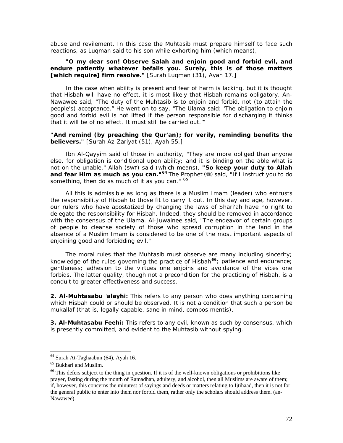abuse and revilement. In this case the Muhtasib must prepare himself to face such reactions, as Luqman said to his son while exhorting him (which means),

#### *"O my dear son! Observe Salah and enjoin good and forbid evil, and endure patiently whatever befalls you. Surely, this is of those matters [which require] firm resolve."* [Surah Luqman (31), Ayah 17.]

In the case when ability is present and fear of harm is lacking, but it is thought that *Hisbah* will have no effect, it is most likely that *Hisbah* remains obligatory. An-Nawawee said, *"The duty of the Muhtasib is to enjoin and forbid, not (to attain the people's) acceptance."* He went on to say, *"The Ulama said: 'The obligation to enjoin good and forbid evil is not lifted if the person responsible for discharging it thinks that it will be of no effect. It must still be carried out.'"* 

#### *"And remind (by preaching the Qur'an); for verily, reminding benefits the believers."* [Surah Az-Zariyat (51), Ayah 55.]

Ibn Al-Qayyim said of those in authority, *"They are more obliged than anyone else, for obligation is conditional upon ability; and it is binding on the able what is not on the unable."* Allah (SWT) said (which means), *"So keep your duty to Allah and fear Him as much as you can.* "<sup>[6](#page-72-0)4</sup> The Prophet (\$) said, "If I instruct you to do *something, then do as much of it as you can."* **[65](#page-72-1)**

All this is admissible as long as there is a Muslim Imam (leader) who entrusts the responsibility of *Hisbah* to those fit to carry it out. In this day and age, however, our rulers who have apostatized by changing the laws of *Shari'ah* have no right to delegate the responsibility for *Hisbah.* Indeed, they should be removed in accordance with the consensus of the *Ulama.* Al-Juwainee said, *"The endeavor of certain groups of people to cleanse society of those who spread corruption in the land in the absence of a Muslim Imam is considered to be one of the most important aspects of enjoining good and forbidding evil."* 

The moral rules that the Muhtasib must observe are many including sincerity; knowledge of the rules governing the practice of *Hisbah***[6](#page-72-2)6***;* patience and endurance; gentleness; adhesion to the virtues one enjoins and avoidance of the vices one forbids. The latter quality, though not a precondition for the practicing of *Hisbah, is* a conduit to greater effectiveness and success.

**2. Al-Muhtasabu** '**alayhi:** This refers to any person who does anything concerning which *Hisbah* could or should be observed. It is not a condition that such a person be *mukallaf* (that is, legally capable, sane in mind, *compos mentis).* 

**3. Al-Muhtasabu Feehi:** This refers to any evil, known as such by consensus, which is presently committed, and evident to the Muhtasib without spying.

 $64$  Surah At-Taghaabun (64), Ayah 16.

<span id="page-72-1"></span><span id="page-72-0"></span><sup>65</sup> Bukhari and Muslim.

<span id="page-72-2"></span> $66$  This defers subject to the thing in question. If it is of the well-known obligations or prohibitions like prayer, fasting during the month of Ramadhan, adultery, and alcohol, then all Muslims are aware of them; if, however, this concerns the minutest of sayings and deeds or matters relating to Ijtihaad, then it is not for the general public to enter into them nor forbid them, rather only the scholars should address them. (an-Nawawee).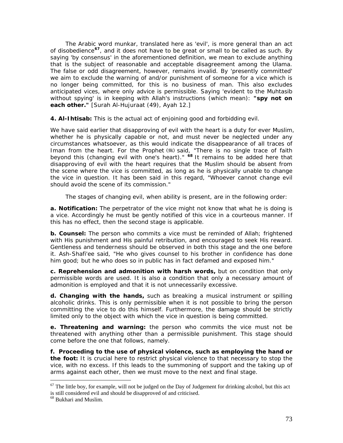The Arabic word *munkar,* translated here as 'evil', is more general than an act of disobedience**[67](#page-73-0)**, and it does not have to be great or small to be called as such. By saying 'by consensus' in the aforementioned definition, we mean to exclude anything that is the subject of reasonable and acceptable disagreement among the *Ulama.*  The false or odd disagreement, however, remains invalid. By 'presently committed' we aim to exclude the warning of and/or punishment of someone for a vice which is no longer being committed, for this is no business of man. This also excludes anticipated vices, where only advice is permissible. Saying 'evident to the Muhtasib without spying' is in keeping with Allah's instructions (which mean): *"spy not on each other."* [Surah Al-Hujuraat (49), Ayah 12.]

**4. Al-Ihtisab:** This is the actual act of enjoining good and forbidding evil.

We have said earlier that disapproving of evil with the heart is a duty for ever Muslim, whether he is physically capable or not, and must never be neglected under any circumstances whatsoever, as this would indicate the disappearance *of* all traces *of Iman* from the heart. For the Prophet (\*) said, "There is no single trace of faith *beyond this (changing evil with one's heart)."* **[68](#page-73-1)** It remains to be added here that disapproving of evil with the heart requires that the Muslim should be absent from the scene where the vice is committed, as long as he is physically unable to change the vice in question. It has been said in this regard, *"Whoever cannot change evil should avoid the scene of its commission."* 

The stages of changing evil, when ability is present, are in the following order:

**a. Notification:** The perpetrator *of* the vice might not know that what he is doing is a vice. Accordingly he must be gently notified *of* this vice in a courteous manner. If this has no effect, then the second stage is applicable.

**b. Counsel:** The person who commits a vice must be reminded of Allah; frightened with His punishment and His painful retribution, and encouraged to seek His reward. Gentleness and tenderness should be observed in both this stage and the one before it. Ash-Shafi'ee said, *"He who gives counsel to his brother in confidence has done him good; but he who does so in public has in fact defamed and exposed him."* 

**c. Reprehension and admonition with harsh words,** but on condition that only permissible words are used. It is also a condition that only a necessary amount of admonition is employed and that it is not unnecessarily excessive.

**d. Changing with the hands,** such as breaking a musical instrument or spilling alcoholic drinks. This is only permissible when it is not possible to bring the person committing the vice to do this himself. Furthermore, the damage should be strictly limited only to the object with which the vice in question is being committed.

**e. Threatening and warning:** the person who commits the vice must not be threatened with anything other than a permissible punishment. This stage should come before the one that follows, namely.

**f. Proceeding to the use of physical violence, such as employing the hand or the foot:** It is crucial here to restrict physical violence to that necessary to stop the vice, with no excess. If this leads to the summoning of support and the taking up of arms against each other, then we must move to the next and final stage.

<span id="page-73-0"></span> $67$  The little boy, for example, will not be judged on the Day of Judgement for drinking alcohol, but this act is still considered evil and should be disapproved of and criticised.

<span id="page-73-1"></span><sup>&</sup>lt;sup>68</sup> Bukhari and Muslim.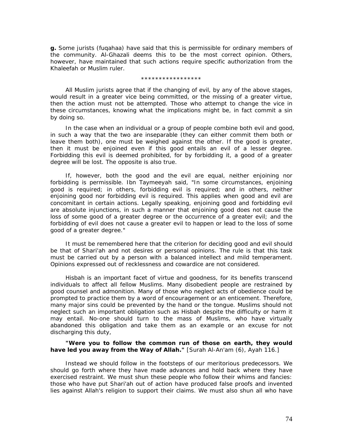**g.** Some jurists *(fuqahaa)* have said that this is permissible for ordinary members of the community. Al-Ghazali deems this to be the most correct opinion. Others, however, have maintained that such actions require specific authorization from the Khaleefah or Muslim ruler.

#### \*\*\*\*\*\*\*\*\*\*\*\*\*\*\*\*\*

All Muslim jurists agree that if the changing of evil, by any of the above stages, would result in a greater vice being committed, or the missing of a greater virtue, then the action must not be attempted. Those who attempt to change the vice in these circumstances, knowing what the implications might be, in fact commit a sin by doing so.

In the case when an individual or a group of people combine both evil and good, in such a way that the two are inseparable (they can either commit them both or leave them both), one must be weighed against the other. If the good is greater, then it must be enjoined even if this good entails an evil of a lesser degree. Forbidding this evil is deemed prohibited, for by forbidding it, a good of a greater degree will be lost. The opposite is also true.

If, however, both the good and the evil are equal, neither enjoining nor forbidding is permissible. Ibn Taymeeyah said, *"In some circumstances, enjoining good is required; in others, forbidding evil is required; and in others, neither enjoining good nor forbidding evil is required. This applies when good and evil are concomitant in certain actions. Legally speaking, enjoining good and forbidding evil are absolute injunctions, in such a manner that enjoining good does not cause the loss of some good of a greater degree or the occurrence of a greater evil; and the forbidding of evil does not cause a greater evil to happen or lead to the loss of some good of a greater degree."* 

It must be remembered here that the criterion for deciding good and evil should be that of *Shari'ah* and not desires or personal opinions. The rule is that this task must be carried out by a person with a balanced intellect and mild temperament. Opinions expressed out of recklessness and cowardice are not considered.

*Hisbah* is an important facet of virtue and goodness, for its benefits transcend individuals to affect all fellow Muslims. Many disobedient people are restrained by good counsel and admonition. Many of those who neglect acts of obedience could be prompted to practice them by a word of encouragement or an enticement. Therefore, many major sins could be prevented by the hand or the tongue. Muslims should not neglect such an important obligation such as *Hisbah* despite the difficulty or harm it may entail. No-one should turn to the mass of Muslims, who have virtually abandoned this obligation and take them as an example or an excuse for not discharging this duty,

#### *"Were you to follow the common run of those on earth, they would have led you away from the Way of Allah."* [Surah Al-An'am (6), Ayah 116.]

Instead we should follow in the footsteps of our meritorious predecessors. We should go forth where they have made advances and hold back where they have exercised restraint. We must shun these people who follow their whims and fancies: those who have put *Shari'ah* out of action have produced false proofs and invented lies against Allah's religion to support their claims. We must also shun all who have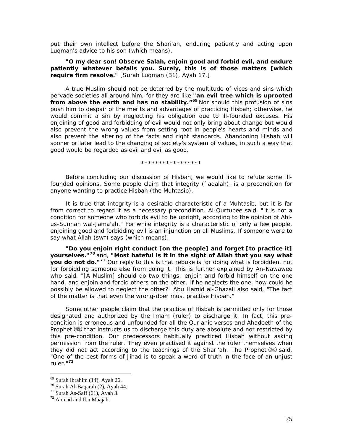put their own intellect before the *Shari'ah,* enduring patiently and acting upon Luqman's advice to his son (which means),

#### *"O my dear son! Observe Salah, enjoin good and forbid evil, and endure patiently whatever befalls you. Surely, this is of those matters [which require firm resolve."* [Surah Luqman (31), Ayah 17.]

A true Muslim should not be deterred by the multitude of vices and sins which pervade societies all around him, for they are like *"an evil tree which is uprooted from above the earth and has no stability."***[6](#page-75-0)9** Nor should this profusion of sins push him to despair of the merits and advantages of practicing *Hisbah;* otherwise, he would commit a sin by neglecting his obligation due to ill-founded excuses. His enjoining of good and forbidding of evil would not only bring about change but would also prevent the wrong values from setting root in people's hearts and minds and also prevent the altering of the facts and right standards. Abandoning *Hisbah will*  sooner or later lead to the changing of society's system of values, in such a way that good would be regarded as evil and evil as good.

\*\*\*\*\*\*\*\*\*\*\*\*\*\*\*\*\*

Before concluding our discussion of *Hisbah,* we would like to refute some illfounded opinions. Some people claim that integrity (*`adalah), is* a precondition for anyone wanting to practice *Hisbah* (the *Muhtasib).* 

It is true that integrity is a desirable characteristic of a Muhtasib, but it is far from correct to regard it as a necessary precondition. Al-Qurtubee said, *"It is not a condition for someone who forbids evil to be upright, according to the opinion of Ahlus-Sunnah wal-Jama'ah."* For while integrity is a characteristic of only a few people, enjoining good and forbidding evil is an injunction on all Muslims. If someone were to say what Allah (SWT) says (which means),

*"Do you enjoin right conduct [on the people] and forget [to practice it] yourselves."***[7](#page-75-1)0** and, *"Most hateful is it in the sight of Allah that you say what you do not do."***[71](#page-75-2)** Our reply to this is that rebuke is for doing what is forbidden, not for forbidding someone else from doing it. This is further explained by An-Nawawee who said, *"[A Muslim] should do two things: enjoin and forbid himself on the one hand, and enjoin and forbid others on the other. If he neglects the one, how could he possibly be allowed to neglect the other?"* Abu Hamid al-Ghazali also *said, "The fact of the matter is that even the wrong-doer must practise Hisbah."* 

Some other people claim that the practice *of Hisbah* is permitted only for those designated and authorized by the *Imam* (ruler) to discharge it. In fact, this precondition is erroneous and unfounded for all the Qur'anic verses and Ahadeeth of the Prophet ( $\equiv$ ) that instructs us to discharge this duty are absolute and not restricted by this pre-condition. Our predecessors habitually practiced *Hisbah* without asking permission from the ruler. They even practised it against the ruler themselves when they did not act according to the teachings of the *Shari'ah*. The Prophet (.) said, *"One of the best forms of Jihad is to speak a word of truth in the face of an unjust ruler."***[72](#page-75-3)**

 $69$  Surah Ibrahim (14), Ayah 26.

<span id="page-75-1"></span><span id="page-75-0"></span><sup>70</sup> Surah Al-Baqarah (2), Ayah 44.

<span id="page-75-2"></span><sup>&</sup>lt;sup>71</sup> Surah As-Saff (61), Ayah 3.

<span id="page-75-3"></span> $72$  Ahmad and Ibn Maajah.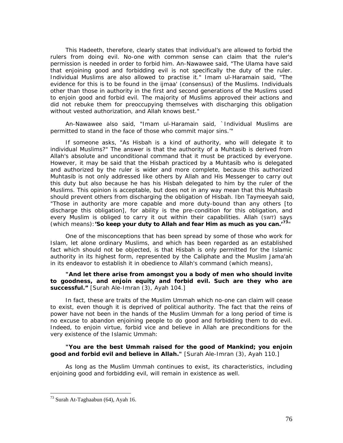This Hadeeth, therefore, clearly states that individual's are allowed to forbid the rulers from doing evil. No-one with common sense can claim that the ruler's permission is needed in order to forbid him. An-Nawawee said, *"The Ulama have said that enjoining good and forbidding evil is not specifically the duty of the ruler. Individual Muslims are also allowed to practise it." Imam ul-Haramain said, "The evidence for this is to be found in the ijmaa' (consensus) of the Muslims. Individuals other than those in authority in the first and second generations of the Muslims used*  to enjoin good and forbid evil. The majority of Muslims approved their actions and *did not rebuke them for preoccupying themselves with discharging this obligation without vested authorization, and Allah knows best."* 

An*-*Nawawee also said, *"Imam ul-Haramain said, `Individual Muslims are permitted to stand in the face of those who commit major sins.'"* 

If someone asks, "As Hisbah is a kind of authority, who will delegate it to individual Muslims?" The answer is that the authority of a Muhtasib is derived from Allah's absolute and unconditional command that it must be practiced by everyone. However, it may be said that the *Hisbah* practiced by a Muhtasib who is delegated and authorized by the ruler is wider and more complete, because this authorized Muhtasib is not only addressed like others by Allah and His Messenger to carry out this duty but also because he has his Hisbah delegated to him by the ruler of the Muslims. This opinion is acceptable, but does not in any way mean that this Muhtasib should prevent others from discharging the obligation of *Hisbah*. Ibn Taymeeyah said, *"Those in authority are more capable and more duty-bound than any others [to discharge this obligation], for ability is the pre-condition for this obligation, and every Muslim is obliged to carry it out within their capabilities. Allah (SWT) says (which means):'So keep your duty to Allah and fear Him as much as you can.'***[73](#page-76-0)**"

One of the misconceptions that has been spread by some of those who work for Islam, let alone ordinary Muslims, and which has been regarded as an established fact which should not be objected, is that *Hisbah* is only permitted for the Islamic authority in its highest form, represented by the Caliphate and the Muslim *Jama'ah* in its endeavor to establish it in obedience to Allah's command (which means),

#### **"And let there arise from amongst you a body of men who should invite to goodness, and enjoin equity and forbid evil. Such are they who are successful."** [Surah Ale-Imran (3), Ayah 104.]

In fact, these are traits of the Muslim *Ummah* which no-one can claim will cease to exist, even though it is deprived of political authority. The fact that the reins of power have not been in the hands of the Muslim *Ummah* for a long period of time is no excuse to abandon enjoining people to do good and forbidding them to do evil. Indeed, to enjoin virtue, forbid vice and believe in Allah are preconditions for the very existence of the Islamic *Ummah*:

#### *"You are the best Ummah raised for the good of Mankind; you enjoin good and forbid evil and believe in Allah."* [Surah Ale-Imran (3), Ayah 110.]

As long as the Muslim *Ummah* continues to exist, its characteristics, including enjoining good and forbidding evil, will remain in existence as well.

<span id="page-76-0"></span><sup>73</sup> Surah At-Taghaabun (64), Ayah 16.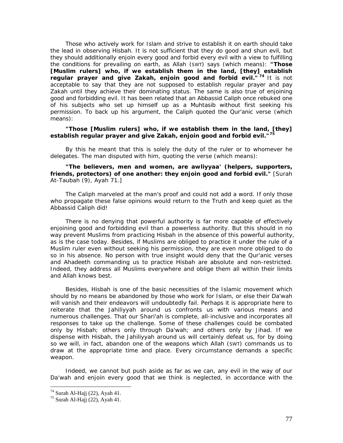Those who actively work for Islam and strive to establish it on earth should take the lead in observing *Hisbah.* It is not sufficient that they do good and shun evil, but they should additionally enjoin every good and forbid every evil with a view to fulfilling the conditions for prevailing on earth, as Allah (SWT) says (which means): *"Those [Muslim rulers] who, if we establish them in the land, [they] establish regular prayer and give Zakah, enjoin good and forbid evil."<sup>[74](#page-77-0)</sup> It is not* acceptable to say that they are not supposed to establish regular prayer and pay *Zakah* until they achieve their dominating status. The same is also true of enjoining good and forbidding evil. It has been related that an Abbassid Caliph once rebuked one of his subjects who set up himself up as a Muhtasib without first seeking his permission. To back up his argument, the Caliph quoted the Qur'anic verse (which means):

#### *"Those [Muslim rulers] who, if we establish them in the land, [they] establish regular prayer and give Zakah, enjoin good and forbid evil."[7](#page-77-1)5*

By this he meant that this is solely the duty of the ruler or to whomever he delegates. The man disputed with him, quoting the verse (which means):

#### *"The believers, men and women, are awliyyaa' (helpers, supporters, friends, protectors) of one another: they enjoin good and forbid evil."* [Surah At-Taubah (9), Ayah 71.]

The Caliph marveled at the man's proof and could not add a word. If only those who propagate these false opinions would return to the Truth and keep quiet as the Abbassid Caliph did!

There is no denying that powerful authority is far more capable of effectively enjoining good and forbidding evil than a powerless authority. But this should in no way prevent Muslims from practicing *Hisbah* in the absence of this powerful authority, as is the case today. Besides, if Muslims are obliged to practice it under the rule of a Muslim ruler even without seeking his permission, they are even more obliged to do so in his absence. No person with true insight would deny that the Qur'anic verses and Ahadeeth commanding us to practice *Hisbah* are absolute and non-restricted. Indeed, they address all Muslims everywhere and oblige them all within their limits and Allah knows best.

Besides, *Hisbah is* one of the basic necessities of the Islamic movement which should by no means be abandoned by those who work for Islam, or else their *Da'wah will* vanish and their endeavors will undoubtedly fail. Perhaps it is appropriate here to reiterate that the *Jahiliyyah* around us confronts us with various means and numerous challenges. That our *Shari'ah is* complete, all-inclusive and incorporates all responses to take up the challenge. Some of these challenges could be combated only by *Hisbah;* others only through *Da'wah;* and others only by *Jihad. If* we dispense with *Hisbah,* the *Jahiliyyah* around us will certainly defeat us, for by doing so we will, in fact, abandon one of the weapons which Allah (SWT) commands us to draw at the appropriate time and place. Every circumstance demands a specific weapon.

Indeed, we cannot but push aside as far as we can, any evil in the way of our *Da'wah* and enjoin every good that we think is neglected, in accordance with the

 $74$  Surah Al-Hajj (22), Ayah 41.

<span id="page-77-1"></span><span id="page-77-0"></span> $75$  Surah Al-Hajj (22), Ayah 41.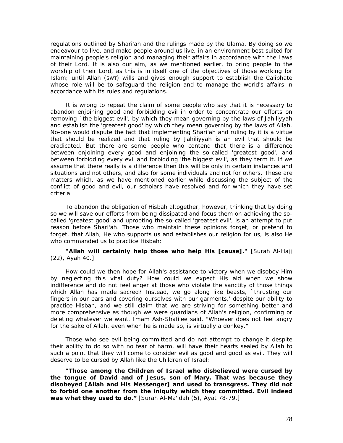regulations outlined by *Shari'ah* and the rulings made by the *Ulama*. By doing so we endeavour to live, and make people around us live, in an environment best suited for maintaining people's religion and managing their affairs in accordance with the Laws *of* their Lord. It is also our aim, as we mentioned earlier, to bring people to the worship of their Lord, as this is in itself one of the objectives of those working for Islam; until Allah (SWT) wills and gives enough support to establish the Caliphate whose role will be to safeguard the religion and to manage the world's affairs in accordance with its rules and regulations.

It is wrong to repeat the claim of some people who say that it is necessary to abandon enjoining good and forbidding evil in order to concentrate our efforts on removing `the biggest evil', by which they mean governing by the laws of *Jahiliyyah*  and establish the 'greatest good' by which they mean governing by the laws of Allah. No-one would dispute the fact that implementing *Shari'ah* and ruling by it is a virtue that should be realized and that ruling by *Jahiliyyah is* an evil that should be eradicated. But there are some people who contend that there is a difference between enjoining every good and enjoining the so-called 'greatest good', and between forbidding every evil and forbidding 'the biggest evil', as they term it. If we assume that there really is a difference then this will be only in certain instances and situations and not others, and also for some individuals and not for others. These are matters which, as we have mentioned earlier while discussing the subject of the conflict of good and evil, our scholars have resolved and for which they have set criteria.

To abandon the obligation of *Hisbah* altogether, however, thinking that by doing so we will save our efforts from being dissipated and focus them on achieving the socalled 'greatest good' and uprooting the so-called 'greatest evil', is an attempt to put reason before *Shari'ah.* Those who maintain these opinions forget, or pretend to forget, that Allah, He who supports us and establishes our religion for us, is also He who commanded us to practice *Hisbah:* 

#### *"Allah will certainly help those who help His [cause]."* [Surah Al-Hajj (22), Ayah 40.]

How could we then hope for Allah's assistance to victory when we disobey Him by neglecting this vital duty? How could we expect His aid when we show indifference and do not feel anger at those who violate the sanctity of those things which Allah has made sacred? Instead, we go along like beasts, `thrusting our fingers in our ears and covering ourselves with our garments,' despite our ability to practice *Hisbah,* and we still claim that we are striving for something better and more comprehensive as though we were guardians of Allah's religion, confirming or deleting whatever we want. Imam Ash-Shafi'ee said, *"Whoever does not feel angry for the sake of Allah, even when he is made so, is virtually a donkey."* 

Those who see evil being committed and do not attempt to change it despite their ability to do so with no fear of harm, will have their hearts sealed by Allah to such a point that they will come to consider evil as good and good as evil. They will deserve to be cursed by Allah like the Children of Israel:

*"Those among the Children of Israel who disbelieved were cursed by the tongue of David and of Jesus, son of Mary. That was because they disobeyed [Allah and His Messenger] and used to transgress. They did not to forbid one another from the iniquity which they committed. Evil indeed was what they used to do."* [Surah Al-Ma'idah (5), Ayat 78-79.]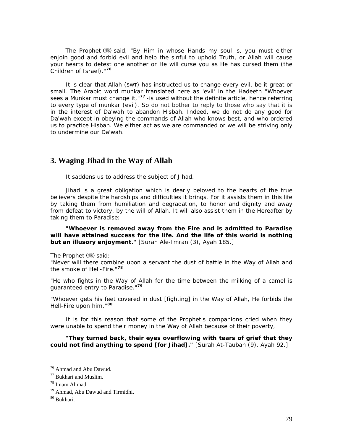The Prophet (5) said, "By *Him in whose Hands my soul is, you must either enjoin good and forbid evil and help the sinful to uphold Truth, or Allah will cause your hearts to detest one another or He will curse you as He has cursed them (the Children of Israel)."***[76](#page-79-0)**

It is clear that Allah (SWT) has instructed us to change every evil, be it great or small. The Arabic word *munkar* translated here as 'evil' in the Hadeeth *"Whoever sees a Munkar must change it,"***[77](#page-79-1)** -is used without the definite article, hence referring to every type of *munkar* (evil). So do not bother to [reply to](http://reply.to/) those who say that it is in the interest of *Da'wah* to abandon *Hisbah.* Indeed, we do not do any good for *Da'wah* except in obeying the commands of Allah who knows best, and who ordered us to practice *Hisbah.* We either act as we are commanded or we will be striving only to undermine our *Da'wah.* 

## **3. Waging Jihad in the Way of Allah**

It saddens us to address the subject of *Jihad.* 

*Jihad is* a great obligation which is dearly beloved to the hearts of the true believers despite the hardships and difficulties it brings. For it assists them in this life by taking them from humiliation and degradation, to honor and dignity and away from defeat to victory, by the will of Allah. It will also assist them in the Hereafter by taking them to Paradise:

*"Whoever is removed away from the Fire and is admitted to Paradise will have attained success for the life. And the life of this world is nothing but an illusory enjoyment."* [Surah Ale-Imran (3), Ayah 185.]

The Prophet ( ) said:

*"Never will there combine upon a servant the dust of battle in the Way of Allah and the smoke of Hell-Fire."***[78](#page-79-2)**

*"He who fights in the Way of Allah for the time between the milking of a camel is guaranteed entry to Paradise."***[79](#page-79-3)**

*"Whoever gets his feet covered in dust [fighting] in the Way of Allah, He forbids the Hell-Fire upon him."***[8](#page-79-4)0**

It is for this reason that some of the Prophet's companions cried when they were unable to spend their money in the Way of Allah because of their poverty,

*"They turned back, their eyes overflowing with tears of grief that they could not find anything to spend [for Jihad]."* [Surah At-Taubah (9), Ayah 92.]

<span id="page-79-0"></span><sup>76</sup> Ahmad and Abu Dawud.

<span id="page-79-1"></span><sup>77</sup> Bukhari and Muslim.

<span id="page-79-2"></span><sup>78</sup> Imam Ahmad.

<span id="page-79-3"></span><sup>79</sup> Ahmad, Abu Dawud and Tirmidhi.

<span id="page-79-4"></span><sup>80</sup> Bukhari.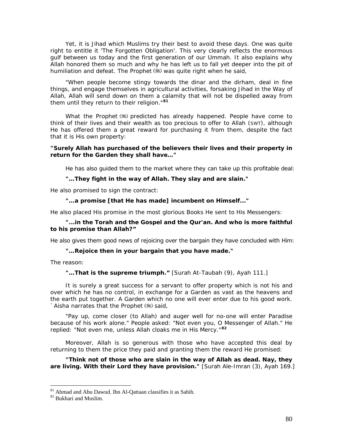Yet, it is *Jihad* which Muslims try their best to avoid these days. One was quite right to entitle it 'The Forgotten Obligation'. This very clearly reflects the enormous gulf between us today and the first generation of our *Ummah.* It also explains why Allah honored them so much and why he has left us to fall yet deeper into the pit of humiliation and defeat. The Prophet (#) was quite right when he said,

*"When people become stingy towards the dinar and the dirham, deal in fine things, and engage themselves in agricultural activities, forsaking Jihad in the Way of Allah, Allah will send down on them a calamity that will not be dispelled away from them until they return to their religion."***[8](#page-80-0)1**

What the Prophet (.) predicted has already happened. People have come to think of their lives and their wealth as too precious to offer to Allah (SWT), although He has offered them a great reward for purchasing it from them, despite the fact that it is His own property:

#### *"Surely Allah has purchased of the believers their lives and their property in return for the Garden they shall have…"*

He has also guided them to the market where they can take up this profitable deal:

#### *"…They fight in the way of Allah. They slay and are slain."*

He also promised to sign the contract:

#### *"…a promise [that He has made] incumbent on Himself..."*

He also placed His promise in the most glorious Books He sent to His Messengers:

#### *"...in the Torah and the Gospel and the Qur'an. And who is more faithful to his promise than Allah?"*

He also gives them good news of rejoicing over the bargain they have concluded with Him:

#### *"…Rejoice then in your bargain that you have made."*

The reason:

#### *"…That is the supreme triumph."* [Surah At-Taubah (9), Ayah 111.]

It is surely a great success for a servant to offer property which is not his and over which he has no control, in exchange for a Garden as vast as the heavens and the earth put together. A Garden which no one will ever enter due to his good work. `Aisha narrates that the Prophet ( us) said,

*"Pay up, come closer (to Allah) and auger well for no-one will enter Paradise because of his work alone." People asked: "Not even you, O Messenger of Allah." He replied: "Not even me, unless Allah cloaks me in His Mercy."***[8](#page-80-1)2**

Moreover, Allah is so generous with those who have accepted this deal by returning to them the price they paid and granting them the reward He promised:

*"Think not of those who are slain in the way of Allah as dead. Nay, they are living. With their Lord they have provision."* [Surah Ale-Imran (3), Ayah 169.]

<span id="page-80-0"></span> $81 \text{ Ahmad}$  and Abu Dawud. Ibn Al-Qattaan classifies it as Sahih.  $82 \text{ Bukhari}$  and Muslim.

<span id="page-80-1"></span>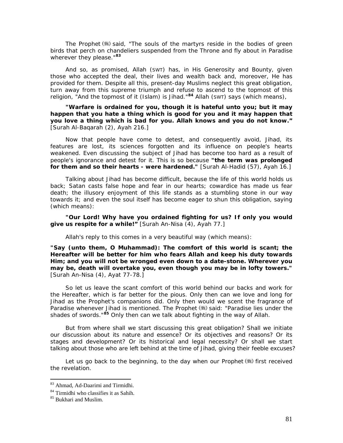The Prophet  $(*)$  said, "The souls of the martyrs reside in the bodies of green *birds that perch on chandeliers suspended from the Throne and* fly *about in Paradise wherever they please."***[8](#page-81-0)3**

And so, as promised, Allah (SWT) has, in His Generosity and Bounty, given those who accepted the deal, their lives and wealth back and, moreover, He has provided for them. Despite all this, present-day Muslims neglect this great obligation, turn away from this supreme triumph and refuse to ascend to the topmost of this religion, *"And the topmost of it (Islam) is Jihad."***[84](#page-81-1)** Allah (SWT) says (which means),

*"Warfare is ordained for you, though it is hateful unto you; but it may happen that you hate a thing which is good for you and it may happen that you love a thing which is bad for you. Allah knows and you do not know."* [Surah Al-Baqarah (2), Ayah 216.]

Now that people have come to detest, and consequently avoid, *Jihad,* its features are lost, its sciences forgotten and its influence on people's hearts weakened. Even discussing the subject of *Jihad* has become too hard as a result of people's ignorance and detest for it. This is so because *"the term was prolonged for them and so their hearts - were hardened."* [Surah Al-Hadid (57), Ayah 16.]

Talking about *Jihad* has become difficult, because the life of this world holds us back; Satan casts false hope and fear in our hearts; cowardice has made us fear death; the illusory enjoyment of this life stands as a stumbling stone in our way towards it; and even the soul itself has become eager to shun this obligation, saying (which means):

*"Our Lord! Why have you ordained fighting for us? If only you would give us respite for a while!"* [Surah An-Nisa (4), Ayah 77.]

Allah's reply to this comes in a very beautiful way (which means):

*"Say (unto them, O Muhammad): The comfort of this world is scant; the Hereafter will be better for him who fears Allah and keep his duty towards Him; and you will not be wronged even down to a date-stone. Wherever you may be, death will overtake you, even though you may be in lofty towers."* [Surah An-Nisa (4), Ayat 77-78.]

So let us leave the scant comfort of this world behind our backs and work for the Hereafter, which is far better for the pious. Only then can we love and long for *Jihad* as the Prophet's companions did. Only then would we scent the fragrance of Paradise whenever *Jihad is* mentioned. The Prophet (.) said: *"Paradise lies under the shades of swords."***[8](#page-81-2)5** Only then can we talk about fighting in the way of Allah.

But from where shall we start discussing this great obligation? Shall we initiate our discussion about its nature and essence? Or its objectives and reasons? Or its stages and development? Or its historical and legal necessity? Or shall we start talking about those who are left behind at the time of *Jihad,* giving their feeble excuses?

Let us go back to the beginning, to the day when our Prophet  $(\mathcal{H})$  first received the revelation.

<sup>83</sup> Ahmad, Ad-Daarimi and Tirmidhi.

<span id="page-81-1"></span><span id="page-81-0"></span><sup>84</sup> Tirmidhi who classifies it as Sahih.

<span id="page-81-2"></span><sup>&</sup>lt;sup>85</sup> Bukhari and Muslim.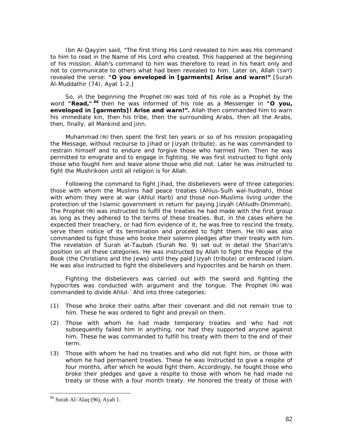Ibn Al-Qayyim said, *"The first thing His Lord revealed to him was His command*  to him to read in the Name of His Lord who created. This happened at the beginning *of his mission. Allah's command to him was therefore to read in his heart only and not to communicate to others what had been revealed to him. Later on, Allah (SWT) revealed the verse: "O you enveloped in [garments] Arise and warn!"* [Surah Al-Muddathir (74), Ayat 1-2.]

So, in the beginning the Prophet  $(*)$  was told of his role as a Prophet by the word "Read, "<sup>[86](#page-82-0)</sup> then he was informed of his role as a Messenger in "O you, *enveloped in [garments]! Arise and warn!".* Allah then commanded him to warn his immediate kin, then his tribe, then the surrounding Arabs, then all the Arabs, then, finally, all Mankind and jinn.

Muhammad  $\left(\frac{1}{2}\right)$  then spent the first ten years or so of his mission propagating the Message, without recourse to *Jihad* or *Jizyah* (tribute), as he was commanded to restrain himself and to endure and forgive those who harmed him. Then he was permitted to emigrate and to engage in fighting. He was first instructed to fight only those who fought him and leave alone those who did not. Later he was instructed to fight the *Mushrikoon* until all religion is for Allah.

Following the command to fight *Jihad,* the disbelievers were of three categories: those with whom the Muslims had peace treaties *(Ahlus-Sulh wal-hudnah),* those with whom they were at war *(Ahlul Harb)* and those non-Muslims living under the protection of the Islamic government in return for paying *Jizyah (Ahludh-Dhimmah).*  The Prophet (,) was instructed to fulfil the treaties he had made with the first group as long as they adhered to the terms of these treaties. But, in the cases where he expected their treachery, or had firm evidence of it, he was free to rescind the treaty, serve them notice of its termination and proceed to fight them. He  $(\frac{1}{2})$  was also commanded to fight those who broke their solemn pledges after their treaty with him. The revelation of Surah at-Taubah (Surah No. 9) set out in detail the *Shari'ah's*  position on all these categories. He was instructed by Allah to fight the People of the Book (the Christians and the Jews) until they paid *Jizyah* (tribute) or embraced Islam. He was also instructed to fight the disbelievers and hypocrites and be harsh on them.

Fighting the disbelievers was carried out with the sword and fighting the hypocrites was conducted with argument and the tongue. The Prophet (卷) was commanded to divide *Ahlul-`Ahd* into three categories:

- (1) Those who broke their oaths after their covenant and did not remain true to him. These he was ordered to fight and prevail on them.
- (2) Those with whom he had made temporary treaties and who had not subsequently failed him in anything, nor had they supported anyone against him. These he was commanded to fulfill his treaty with them to the end of their term.
- (3) Those with whom he had no treaties and who did not fight him, or those with whom he had permanent treaties. These he was instructed to give a respite of four months, after which he would fight them. Accordingly, he fought those who broke their pledges and gave a respite to those with whom he had made no treaty or those with a four month treaty. He honored the treaty of those with

<span id="page-82-0"></span><sup>86</sup> Surah Al-'Alaq (96), Ayah 1.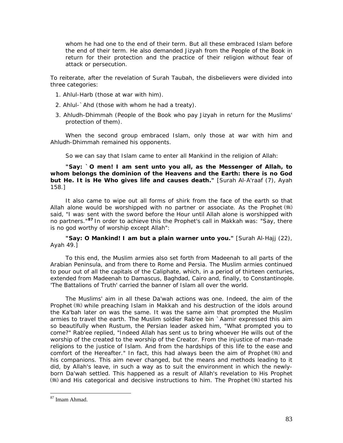whom he had one to the end of their term. But all these embraced Islam before the end of their term. He also demanded *Jizyah* from the People of the Book in return for their protection and the practice of their religion without fear of attack or persecution.

To reiterate, after the revelation of Surah Taubah, the disbelievers were divided into three categories:

- *1. Ahlul-Harb* (those at war with him).
- *2. Ahlul-`Ahd* (those with whom he had a treaty).
- *3. Ahludh-Dhimmah* (People of the Book who pay *Jizyah* in return for the Muslims' protection of them).

When the second group embraced Islam, only those at war with him and *Ahludh-Dhimmah* remained his opponents.

So we can say that Islam came to enter all Mankind in the religion of Allah:

*"Say: `O men! I am sent unto you all, as the Messenger of Allah, to whom belongs the dominion of the Heavens and the Earth: there is no God but He. It is He Who gives life and causes death.***"** [Surah Al-A'raaf (7), Ayah 158.]

It also came to wipe out all forms of *shirk* from the face of the earth so that Allah alone would be worshipped with no partner or associate. As the Prophet (\*) said, "I was sent with the sword before the Hour until Allah alone is worshipped with *no partners."***[87](#page-83-0)** In order to achieve this the Prophet's call in Makkah was: *"Say, there is no god worthy of worship except Allah":* 

*"Say: O Mankind! I am but a plain warner unto you."* [Surah Al-Hajj (22), Ayah 49.]

To this end, the Muslim armies also set forth from Madeenah to all parts of the Arabian Peninsula, and from there to Rome and Persia. The Muslim armies continued to pour out of all the capitals of the Caliphate, which, in a period of thirteen centuries, extended from Madeenah to Damascus, Baghdad, Cairo and, finally, to Constantinople. 'The Battalions of Truth' carried the banner of Islam all over the world.

The Muslims' aim in all these *Da'wah* actions was one. Indeed, the aim of the Prophet (5) while preaching Islam in Makkah and his destruction of the idols around the Ka'bah later on was the same. It was the same aim that prompted the Muslim armies to travel the earth. The Muslim soldier Rab'ee bin `Aamir expressed this aim so beautifully when Rustum, the Persian leader asked him, *"What prompted you to come?"* Rab'ee replied, *"Indeed Allah has sent us to bring whoever He wills out of the worship of the created to the worship of the Creator. From the injustice of man-made religions to the justice of Islam. And from the hardships of this life to the ease and comfort of the Hereafter."* In fact, this had always been the aim of Prophet ( $\ddot{\mathbf{x}}$ ) and his companions. This aim never changed, but the means and methods leading to it did, by Allah's leave, in such a way as to suit the environment in which the newlyborn *Da'wah* settled. This happened as a result of Allah's revelation to His Prophet ()) and His categorical and decisive instructions to him. The Prophet ()) started his

<span id="page-83-0"></span><sup>87</sup> Imam Ahmad.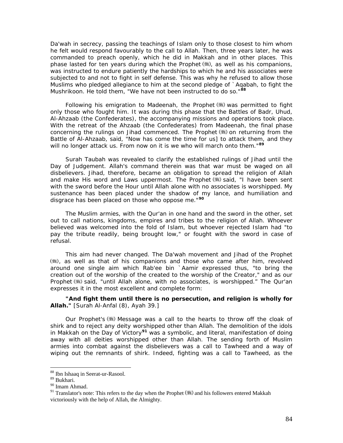*Da'wah* in secrecy, passing the teachings of Islam only to those closest to him whom he felt would respond favourably to the call to Allah. Then, three years later, he was commanded to preach openly, which he did in Makkah and in other places. This phase lasted for ten years during which the Prophet (,), as well as his companions, was instructed to endure patiently the hardships to which he and his associates were subjected to and not to fight in self defense. This was why he refused to allow those Muslims who pledged allegiance to him at the second pledge of `Aqabah, to fight the *Mushrikoon.* He told them, *"We have not been instructed to do so*.*"***[88](#page-84-0)**

Following his emigration to Madeenah, the Prophet  $(\frac{1}{2})$  was permitted to fight only those who fought him. It was during this phase that the Battles of Badr, Uhud, Al-Ahzaab (the Confederates), the accompanying missions and operations took place. With the retreat of the Ahzaab (the Confederates) from Madeenah, the final phase concerning the rulings on *Jihad* commenced. The Prophet (#) on returning from the Battle of Al-Ahzaab, said, *"Now has come the time for us] to attack them, and they will no longer attack us. From now on it is we who will march onto them."***[8](#page-84-1)9**

Surah Taubah was revealed to clarify the established rulings of *Jihad* until the Day of Judgement. Allah's command therein was that war must be waged on all disbelievers. *Jihad,* therefore, became an obligation to spread the religion of Allah and make His word and Laws uppermost. The Prophet (,) said, *"I have been sent with the sword before the Hour until Allah alone with no associates is worshipped. My sustenance has been placed under the shadow of my lance, and humiliation and disgrace has been placed on those who oppose me."***[90](#page-84-2)**

The Muslim armies, with the Qur'an in one hand and the sword in the other, set out to call nations, kingdoms, empires and tribes to the religion of Allah. Whoever believed was welcomed into the fold of Islam, but whoever rejected Islam had "to pay the tribute readily, being brought low," or fought with the sword in case of refusal.

This aim had never changed. The *Da'wah* movement and *Jihad* of the Prophet (), as well as that of his companions and those who came after him, revolved around one single aim which Rab'ee bin `Aamir expressed thus, *"to bring the creation out of the worship of the created to the worship of the Creator,"* and as our Prophet (5) said, *"until Allah alone, with no associates, is worshipped."* The Qur'an expresses it in the most excellent and complete form:

#### *"And fight them until there is no persecution, and religion is wholly for Allah."* [Surah Al-Anfal (8), Ayah 39.]

Our Prophet's Message was a call to the hearts to throw off the cloak of *shirk* and to reject any deity worshipped other than Allah. The demolition of the idols in Makkah on the Day of Victory**[9](#page-84-3)1** was a symbolic, and literal, manifestation of doing away with all deities worshipped other than Allah. The sending forth of Muslim armies into combat against the disbelievers was a call to *Tawheed* and a way of wiping out the remnants of *shirk.* Indeed, fighting was a call to Tawheed, as the

<sup>&</sup>lt;sup>88</sup> Ibn Ishaaq in Seerat-ur-Rasool.

<span id="page-84-1"></span><span id="page-84-0"></span><sup>89</sup> Bukhari.

<span id="page-84-2"></span> $\,$ 90 Imam Ahmad.

<span id="page-84-3"></span><sup>&</sup>lt;sup>91</sup> Translator's note: This refers to the day when the Prophet  $(\frac{4}{36})$  and his followers entered Makkah victoriously with the help of Allah, the Almighty.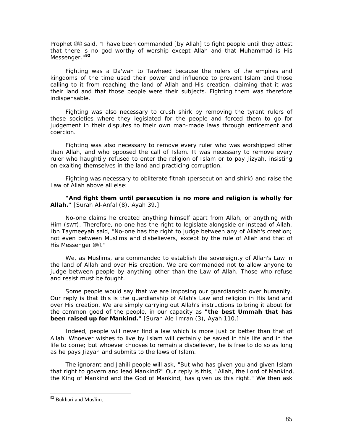Prophet ( $\gg$ ) said, "I have been commanded [by Allah] to fight people until they attest *that there is no god worthy of worship except Allah and that Muhammad is His Messenger."***[92](#page-85-0)**

Fighting was a *Da'wah* to *Tawheed* because the rulers of the empires and kingdoms of the time used their power and influence to prevent Islam and those calling to it from reaching the land of Allah and His creation, claiming that it was their land and that those people were their subjects. Fighting them was therefore indispensable.

Fighting was also necessary to crush *shirk* by removing the tyrant rulers of these societies where they legislated for the people and forced them to go for judgement in their disputes to their own man-made laws through enticement and coercion.

Fighting was also necessary to remove every ruler who was worshipped other than Allah, and who opposed the call of Islam. It was necessary to remove every ruler who haughtily refused to enter the religion of Islam or to pay *Jizyah,* insisting on exalting themselves in the land and practicing corruption.

Fighting was necessary to obliterate *fitnah* (persecution and *shirk)* and raise the Law of Allah above all else:

*"And fight them until persecution is no more and religion is wholly for Allah."* [Surah Al-Anfal (8), Ayah 39.]

No-one claims he created anything himself apart from Allah, or anything with Him (SWT). Therefore, no-one has the right to legislate alongside or instead of Allah. Ibn Taymeeyah said, *"No-one has the right to judge between any of Allah's creation;*  not even between Muslims and disbelievers, except by the rule of Allah and that of *His Messenger* (  $\frac{1}{2}$  ). "

We, as Muslims, are commanded to establish the sovereignty of Allah's Law in the land of Allah and over His creation. We are commanded not to allow anyone to judge between people by anything other than the Law of Allah. Those who refuse and resist must be fought.

Some people would say that we are imposing our guardianship over humanity. Our reply is that this is the guardianship of Allah's Law and religion in His land and over His creation. We are simply carrying out Allah's instructions to bring it about for the common good of the people, in our capacity as *"the best Ummah that has been raised up for Mankind."* [Surah Ale-Imran (3), Ayah 110.]

Indeed, people will never find a law which is more just or better than that of Allah. Whoever wishes to live by Islam will certainly be saved in this life and in the life to come; but whoever chooses to remain a disbeliever, he is free to do so as long as he pays *Jizyah* and submits to the laws of Islam.

The ignorant and *Jahili* people will ask, "But who has given you and given Islam that right to govern and lead Mankind?" Our reply is this, "Allah, the Lord of Mankind, the King of Mankind and the God of Mankind, has given us this right." We then ask

<span id="page-85-0"></span><sup>&</sup>lt;sup>92</sup> Bukhari and Muslim.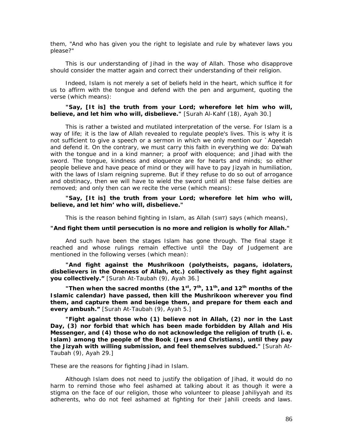them, "And who has given you the right to legislate and rule by whatever laws you please?"

This is our understanding of *Jihad* in the way of Allah. Those who disapprove should consider the matter again and correct their understanding of their religion.

Indeed, Islam is not merely a set of beliefs held in the heart, which suffice it for us to affirm with the tongue and defend with the pen and argument, quoting the verse (which means):

#### *"Say, [It is] the truth from your Lord; wherefore let him who will, believe, and let him who will, disbelieve."* [Surah Al-Kahf (18), Ayah 30.]

This is rather a twisted and mutilated interpretation of the verse. For Islam is a way of life; it is the law of Allah revealed to regulate people's lives. This is why it is not sufficient to give a speech or a sermon in which we only mention our *`Aqeedah*  and defend it. On the contrary, we must carry this faith in everything we do: *Da'wah*  with the tongue and in a kind manner; a proof with eloquence; and *Jihad* with the sword. The tongue, kindness and eloquence are for hearts and minds; so either people believe and have peace of mind or they will have to pay *Jizyah* in humiliation, with the laws of Islam reigning supreme. But if they refuse to do so out of arrogance and obstinacy, then we will have to wield the sword until all these false deities are removed; and only then can we recite the verse (which means):

*"Say, [It is] the truth from your Lord; wherefore let him who will, believe, and let him' who will, disbelieve."* 

This is the reason behind fighting in Islam, as Allah (SWT) says (which means),

#### *"And fight them until persecution is no more and religion is wholly for Allah."*

And such have been the stages Islam has gone through. The final stage it reached and whose rulings remain effective until the Day of Judgement are mentioned in the following verses (which mean):

*"And fight against the Mushrikoon (polytheists, pagans, idolaters, disbelievers in the Oneness of Allah, etc.) collectively as they fight against you collectively."* [Surah At-Taubah (9), Ayah 36.]

*"Then when the sacred months (the 1st, 7th, 11th, and 12th months of the Islamic calendar) have passed, then kill the Mushrikoon wherever you find them, and capture them and besiege them, and prepare for them each and every ambush."* [Surah At-Taubah (9), Ayah 5.]

*"Fight against those who (1) believe not in Allah, (2) nor in the Last Day, (3) nor forbid that which has been made forbidden by Allah and His Messenger, and (4) those who do not acknowledge the religion of truth (i. e. Islam) among the people of the Book (Jews and Christians), until they pay the Jizyah with willing submission, and feel themselves subdued."* [Surah At-Taubah (9), Ayah 29.]

These are the reasons for fighting *Jihad* in Islam.

Although Islam does not need to justify the obligation of *Jihad,* it would do no harm to remind those who feel ashamed at talking about it as though it were a stigma on the face of our religion, those who volunteer to please *Jahiliyyah* and its adherents, who do not feel ashamed at fighting for their *Jahili* creeds and laws.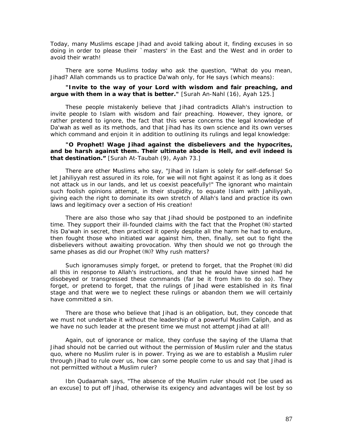Today, many Muslims escape *Jihad* and avoid talking about it, finding excuses in so doing in order to please their `masters' in the East and the West and in order to avoid their wrath!

There are some Muslims today who ask the question, "What do you mean, *Jihad?* Allah commands us to practice *Da'wah* only, for He says (which means):

#### *"Invite to the way of your Lord with wisdom and fair preaching, and argue with them in a way that is better."* [Surah An-Nahl (16), Ayah 125.]

These people mistakenly believe that *Jihad* contradicts Allah's instruction to invite people to Islam with wisdom and fair preaching. However, they ignore, or rather pretend to ignore, the fact that this verse concerns the legal knowledge of *Da'wah* as well as its methods, and that *Jihad* has its own science and its own verses which command and enjoin it in addition to outlining its rulings and legal knowledge:

#### *"O Prophet! Wage Jihad against the disbelievers and the hypocrites, and be harsh against them. Their ultimate abode is Hell, and evil indeed is that destination."* [Surah At-Taubah (9), Ayah 73.]

There are other Muslims who say, "*Jihad* in Islam is solely for self-defense! So let *Jahiliyyah* rest assured in its role, for we will not fight against it as long as it does not attack us in our lands, and let us coexist peacefully!" The ignorant who maintain such foolish opinions attempt, in their stupidity, to equate Islam with *Jahiliyyah,*  giving each the right to dominate its own stretch of Allah's land and practice its own laws and legitimacy over a section of His creation!

There are also those who say that *Jihad* should be postponed to an indefinite time. They support their ill-founded claims with the fact that the Prophet (#) started his *Da'wah* in secret, then practiced it openly despite all the harm he had to endure, then fought those who initiated war against him, then, finally, set out to fight the disbelievers without awaiting provocation. Why then should we not go through the same phases as did our Prophet (#)? Why rush matters?

Such ignoramuses simply forget, or pretend to forget, that the Prophet  $(\mathcal{H})$  did all this in response to Allah's instructions, and that he would have sinned had he disobeyed or transgressed these commands (far be it from him to do so). They forget, or pretend to forget, that the rulings of *Jihad* were established in its final stage and that were we to neglect these rulings or abandon them we will certainly have committed a sin.

There are those who believe that *Jihad is* an obligation, but, they concede that we must not undertake it without the leadership of a powerful Muslim Caliph, and as we have no such leader at the present time we must not attempt *Jihad* at all!

Again, out of ignorance or malice, they confuse the saying of the *Ulama* that *Jihad* should not be carried out without the permission of Muslim ruler and the status quo, where no Muslim ruler is in power. Trying as we are to establish a Muslim ruler through *Jihad* to rule over us, how can some people come to us and say that *Jihad is*  not permitted without a Muslim ruler?

Ibn Qudaamah says, *"The absence of the Muslim ruler should not [be used as an excuse] to put off Jihad, otherwise its exigency and advantages will be lost by so*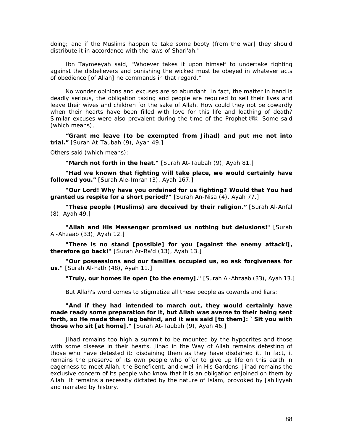*doing; and if the Muslims happen to take some booty (from the war] they should distribute it in accordance with the laws of Shari'ah."* 

Ibn Taymeeyah said, *"Whoever takes it upon himself to undertake fighting against the disbelievers and punishing the wicked must be obeyed in whatever acts of obedience [of Allah] he commands in that regard."* 

No wonder opinions and excuses are so abundant. In fact, the matter in hand is deadly serious, the obligation taxing and people are required to sell their lives and leave their wives and children for the sake of Allah. How could they not be cowardly when their hearts have been filled with love for this life and loathing of death? Similar excuses were also prevalent during the time of the Prophet (#): Some said (which means),

*"Grant me leave (to be exempted from Jihad) and put me not into trial."* [Surah At-Taubah (9), Ayah 49.]

Others said (which means):

*"March not forth in the heat."* [Surah At-Taubah (9), Ayah 81.]

*"Had we known that fighting will take place, we would certainly have followed you."* [Surah Ale-Imran (3), Ayah 167.]

*"Our Lord! Why have you ordained for us fighting? Would that You had granted us respite for a short period?"* [Surah An-Nisa (4), Ayah 77.]

*"These people (Muslims) are deceived by their religion."* [Surah Al-Anfal (8), Ayah 49.]

*"Allah and His Messenger promised us nothing but delusions!"* [Surah Al-Ahzaab (33), Ayah 12.]

*"There is no stand [possible] for you [against the enemy attack!], therefore go back!"* [Surah Ar-Ra'd (13), Ayah 13.]

*"Our possessions and our families occupied us, so ask forgiveness for us."* [Surah Al-Fath (48), Ayah 11.]

*"Truly, our homes lie open [to the enemy]."* [Surah Al-Ahzaab (33), Ayah 13.]

But Allah's word comes to stigmatize all these people as cowards and liars:

*"And if they had intended to march out, they would certainly have made ready some preparation for it, but Allah was averse to their being sent forth, so He made them lag behind, and it was said [to them]: `Sit you with those who sit [at home]."* [Surah At-Taubah (9), Ayah 46.]

*Jihad* remains too high a summit to be mounted by the hypocrites and those with some disease in their hearts. *Jihad* in the Way of Allah remains detesting of those who have detested it: disdaining *them* as they have disdained it. In fact, it remains the preserve of its own people who offer to give up life on this earth in eagerness to meet Allah, the Beneficent, and dwell in His Gardens. *Jihad* remains the exclusive concern of its people who know that it is an obligation enjoined on them by Allah. It remains a necessity dictated by the nature of Islam, provoked by *Jahiliyyah*  and narrated by history.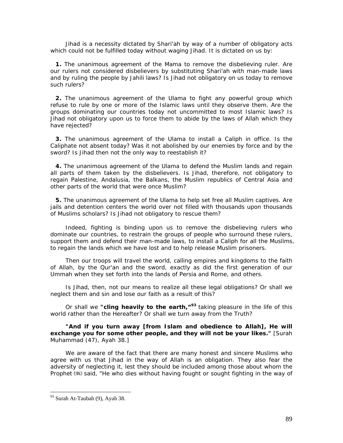*Jihad is* a necessity dictated by *Shari'ah* by way of a number of obligatory acts which could not be fulfilled today without waging *Jihad.* It is dictated on us by:

**1.** The unanimous agreement of the *Mama* to remove the disbelieving ruler. Are our rulers not considered disbelievers by substituting *Shari'ah* with man-made laws and by ruling the people by *Jahili* laws? *Is Jihad* not obligatory on us today to remove such rulers?

**2.** The unanimous agreement of the *Ulama* to fight any powerful group which refuse to rule by one or more of the Islamic laws until they observe them. Are the groups dominating our countries today not uncommitted to most Islamic laws? Is *Jihad* not obligatory upon us to force them to abide by the laws of Allah which they have rejected?

**3.** The unanimous agreement of the *Ulama* to install a Caliph in office. Is the Caliphate not absent today? Was it not abolished by our enemies by force and by the sword? Is *Jihad* then not the only way to reestablish it?

**4.** The unanimous agreement of the *Ulama* to defend the Muslim lands and regain all parts of them taken by the disbelievers. Is *Jihad,* therefore, not obligatory to regain Palestine, Andalusia, the Balkans, the Muslim republics of Central Asia and other parts of the world that were once Muslim?

**5.** The unanimous agreement of the *Ulama* to help set free all Muslim captives. Are jails and detention centers the world over not filled with thousands upon thousands of Muslims scholars? Is *Jihad* not obligatory to rescue them?

Indeed, fighting is binding upon us to remove the disbelieving rulers who dominate our countries, to restrain the groups of people who surround these rulers, support them and defend their man-made laws, to install a Caliph for all the Muslims, to regain the lands which we have lost and to help release Muslim prisoners.

Then our troops will travel the world, calling empires and kingdoms to the faith of Allah, by the Qur'an and the sword, exactly as did the first generation of our *Ummah* when they set forth into the lands of Persia and Rome, and others.

Is *Jihad,* then, not our means to realize all these legal obligations? Or shall we neglect them and sin and lose our faith as a result of this?

Or shall we *"cling heavily to the earth,"***[9](#page-89-0)3** taking pleasure in the life of this world rather than the Hereafter? Or shall we turn away from the Truth?

*"And if you turn away [from Islam and obedience to Allah], He will exchange you for some other people, and they will not be your likes."* [Surah Muhammad (47), Ayah 38.]

We are aware of the fact that there are many honest and sincere Muslims who agree with us that *Jihad* in the way of Allah is an obligation. They also fear the adversity of neglecting it, lest they should be included among those about whom the Prophet ( $\equiv$ ) said, "He who dies without having fought or sought fighting in the way of

<span id="page-89-0"></span><sup>93</sup> Surah At-Taubah (9), Ayah 38.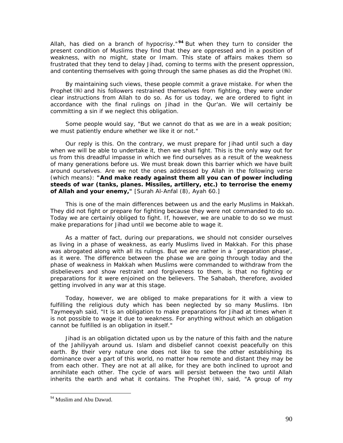*Allah, has died on a branch of hypocrisy."* **[9](#page-90-0)4** But when they turn to consider the present condition of Muslims they find that they are oppressed and in a position of weakness, with no might, state or *Imam.* This state of affairs makes them so frustrated that they tend to delay *Jihad,* coming to terms with the present oppression, and contenting themselves with going through the same phases as did the Prophet (...).

By maintaining such views, these people commit a grave mistake. For when the Prophet (5) and his followers restrained themselves from fighting, they were under clear instructions from Allah to do so. As for us today, we are ordered to fight in accordance with the final rulings on *Jihad* in the Qur'an. We will certainly be committing a sin if we neglect this obligation.

Some people would say, "But we cannot do that as we are in a weak position; we must patiently endure whether we like it or not."

Our reply is this. On the contrary, we must prepare for *Jihad* until such a day when we will be able to undertake it, then we shall fight. This is the only way out for us from this dreadful impasse in which we find ourselves as a result of the weakness of many generations before us. We must break down this barrier which we have built around ourselves. Are we not the ones addressed by Allah in the following verse (which means): *"And make ready against them all you can of power including steeds of war (tanks, planes. Missiles, artillery, etc.) to terrorise the enemy of Allah and your enemy,"* [Surah Al-Anfal (8), Ayah 60.]

This is one of the main differences between us and the early Muslims in Makkah. They did not fight or prepare for fighting because they were not commanded to do so. Today we are certainly obliged to fight. If, however, we are unable to do so we must make preparations for *Jihad* until we become able to wage it.

As a matter of fact, during our preparations, we should not consider ourselves as living in a phase of weakness, as early Muslims lived in Makkah. For this phase was abrogated along with all its rulings. But we are rather in a `preparation phase', as it were. The difference between the phase we are going through today and the phase of weakness in Makkah when Muslims were commanded to withdraw from the disbelievers and show restraint and forgiveness to them, is that no fighting or preparations for it were enjoined on the believers. The *Sahabah,* therefore, avoided getting involved in any war at this stage.

Today, however, we are obliged to make preparations for it with a view to fulfilling the religious duty which has been neglected by so many Muslims. Ibn Taymeeyah said, *"It is an obligation to make preparations for Jihad at times when it is not possible to wage it due to weakness. For anything without which an obligation cannot be fulfilled is an obligation in itself."* 

*Jihad* is an obligation dictated upon us by the nature of this faith and the nature of the *Jahiliyyah* around us. Islam and disbelief cannot coexist peacefully on this earth. By their very nature one does not like to see the other establishing its dominance over a part of this world, no matter how remote and distant they may be from each other. They are not at all alike, for they are both inclined to uproot and annihilate each other. The cycle of wars will persist between the two until Allah inherits the earth and what it contains. The Prophet (,), said, "A group of my

<span id="page-90-0"></span><sup>&</sup>lt;sup>94</sup> Muslim and Abu Dawud.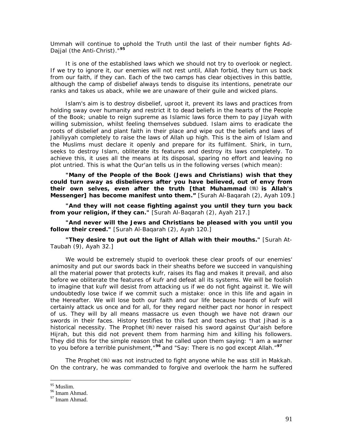*Ummah will continue to uphold the Truth until the last of their number fights Ad-Dajjal (the Anti-Christ)."***[95](#page-91-0)**

It is one of the established laws which we should not try to overlook or neglect. If we try to ignore it, our enemies will not rest until, Allah forbid, they turn us back from our faith, if they can. Each of the two camps has clear objectives in this battle, although the camp of disbelief always tends to disguise its intentions, penetrate our ranks and takes us aback, while we are unaware of their guile and wicked plans.

Islam's aim is to destroy disbelief, uproot it, prevent its laws and practices from holding sway over humanity and restrict it to dead beliefs in the hearts of the People of the Book; unable to reign supreme as Islamic laws force them to pay *Jizyah* with willing submission, whilst feeling themselves subdued. Islam aims to eradicate the roots of disbelief and plant faith in their place and wipe out the beliefs and laws *of Jahiliyyah* completely to raise the laws of Allah up high. This is the aim of Islam and the Muslims must declare it openly and prepare for its fulfilment. *Shirk,* in turn, seeks to destroy Islam, obliterate its features and destroy its laws completely. To achieve this, it uses all the means at its disposal, sparing no effort and leaving no plot untried. This is what the Qur'an tells us in the following verses (which mean):

*"Many of the People of the Book (Jews and Christians) wish that they could turn away as disbelievers after you have believed, out of envy from*  their own selves, even after the truth [that Muhammad (5) is Allah's *Messenger] has become manifest unto them."* [Surah Al-Baqarah (2), Ayah 109.]

*"And they will not cease fighting against you until they turn you back from your religion, if they can."* [Surah Al-Baqarah (2), Ayah 217.]

*"And never will the Jews and Christians be pleased with you until you follow their creed."* [Surah Al-Baqarah (2), Ayah 120.]

*"They desire to put out the light of Allah with their mouths."* [Surah At-Taubah (9), Ayah 32.]

We would be extremely stupid to overlook these clear proofs of our enemies' animosity and put our swords back in their sheaths before we succeed in vanquishing all the material power that protects *kufr,* raises its flag and makes it prevail, and also before we obliterate the features of *kufr* and defeat all its systems. We will be foolish to imagine that *kufr* will desist from attacking us if we do not fight against it. We will undoubtedly lose twice if we commit such a mistake: once in this life and again in the Hereafter. We will lose both our faith and our life because hoards of *kufr* will certainly attack us once and for all, for they regard neither pact nor honor in respect of us. They will by all means massacre us even though we have not drawn our swords in their faces. History testifies to this fact and teaches us that *Jihad is* a historical necessity. The Prophet (.) never raised his sword against Qur'aish before *Hijrah,* but this did not prevent them from harming him and killing his followers. They did this for the simple reason that he called upon them saying: *"I am a warner to you before a terrible punishment,"***[9](#page-91-1)6** and *"Say: There is no god except Allah."***[9](#page-91-2)7**

The Prophet (5) was not instructed to fight anyone while he was still in Makkah. On the contrary, he was commanded to forgive and overlook the harm he suffered

<sup>&</sup>lt;sup>95</sup> Muslim.

<span id="page-91-1"></span><span id="page-91-0"></span><sup>96</sup> Imam Ahmad.

<span id="page-91-2"></span><sup>97</sup> Imam Ahmad.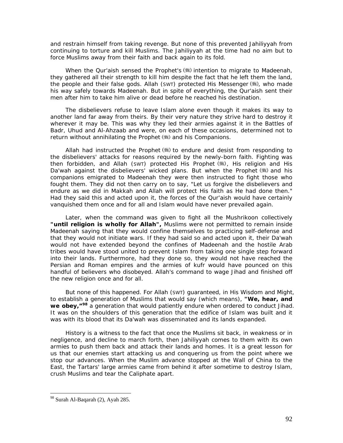and restrain himself from taking revenge. But none of this prevented *Jahiliyyah* from continuing to torture and kill Muslims. The *Jahiliyyah* at the time had no aim but to force Muslims away from their faith and back again to its fold.

When the Qur'aish sensed the Prophet's (\*) intention to migrate to Madeenah, they gathered all their strength to kill him despite the fact that he left them the land, the people and their false gods. Allah (SWT) protected His Messenger  $(\frac{4}{3})$ , who made his way safely towards Madeenah. But in spite of everything, the Qur'aish sent their men after him to take him alive or dead before he reached his destination.

The disbelievers refuse to leave Islam alone even though it makes its way to another land far away from theirs. By their very nature they strive hard to destroy it wherever it may be. This was why they led their armies against it in the Battles of Badr, Uhud and Al-Ahzaab and were, on each of these occasions, determined not to return without annihilating the Prophet (\*) and his Companions.

Allah had instructed the Prophet  $(\mathcal{H})$  to endure and desist from responding to the disbelievers' attacks for reasons required by the newly-born faith. Fighting was then forbidden, and Allah (SWT) protected His Prophet ( um), His religion and His *Da'wah* against the disbelievers' wicked plans. But when the Prophet (#) and his companions emigrated to Madeenah they were then instructed to fight those who fought them. They did not then carry on to say, "Let us forgive the disbelievers and endure as we did in Makkah and Allah will protect His faith as He had done then." Had they said this and acted upon it, the forces of the Qur'aish would have certainly vanquished them once and for all and Islam would have never prevailed again.

Later, when the command was given to fight all the *Mushrikoon* collectively *"until religion is wholly for Allah",* Muslims were not permitted to remain inside Madeenah saying that they would confine themselves to practicing self-defense and that they would not initiate wars. If they had said so and acted upon it, their *Da'wah*  would not have extended beyond the confines of Madeenah and the hostile Arab tribes would have stood united to prevent Islam from taking one single step forward into their lands. Furthermore, had they done so, they would not have reached the Persian and Roman empires and the armies of *kufr* would have pounced on this handful of believers who disobeyed. Allah's command to wage *Jihad* and finished off the new religion once and for all.

But none of this happened. For Allah (SWT) guaranteed, in His Wisdom and Might, to establish a generation of Muslims that would say (which means), *"We, hear, and we obey,"***[98](#page-92-0)** a generation that would patiently endure when ordered to conduct *Jihad.*  It was on the shoulders of this generation that the edifice of Islam was built and it was with its blood that its *Da'wah* was disseminated and its lands expanded.

History is a witness to the fact that once the Muslims sit back, in weakness or in negligence, and decline to march forth, then *Jahiliyyah* comes to them with its own armies to push them back and attack their lands and homes. It is a great lesson for us that our enemies start attacking us and conquering us from the point where we stop our advances. When the Muslim advance stopped at the Wall of China to the East, the Tartars' large armies came from behind it after sometime to destroy Islam, crush Muslims and tear the Caliphate apart.

<span id="page-92-0"></span><sup>98</sup> Surah Al-Baqarah (2), Ayah 285.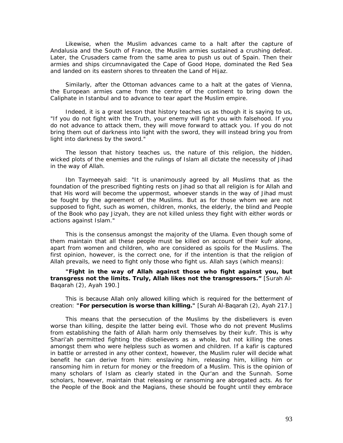Likewise, when the Muslim advances came to a halt after the capture of Andalusia and the South of France, the Muslim armies sustained a crushing defeat. Later, the Crusaders came from the same area to push us out of Spain. Then their armies and ships circumnavigated the Cape of Good Hope, dominated the Red Sea and landed on its eastern shores to threaten the Land of Hijaz.

Similarly, after the Ottoman advances came to a halt at the gates of Vienna, the European armies came from the centre of the continent to bring down the Caliphate in Istanbul and to advance to tear apart the Muslim empire.

Indeed, it is a great lesson that history teaches us as though it is saying to us, "If you do not fight with the Truth, your enemy will fight you with falsehood. If you do not advance to attack them, they will move forward to attack you. If you do not bring them out of darkness into light with the sword, they will instead bring you from light into darkness by the sword."

The lesson that history teaches us, the nature of this religion, the hidden, wicked plots of the enemies and the rulings of Islam all dictate the necessity of *Jihad*  in the way of Allah.

Ibn Taymeeyah said: *"It is unanimously agreed by all Muslims that as the foundation of the prescribed fighting rests on Jihad so that all religion is for Allah and that His word will become the uppermost, whoever stands in the way of Jihad must*  be fought by the agreement of the Muslims. But as for those whom we are not *supposed to fight, such as women, children, monks, the elderly, the blind and People of the Book who pay Jizyah, they are not killed unless they fight with either words or actions against Islam."* 

This is the consensus amongst the majority of the *Ulama.* Even though some of them maintain that all these people must be killed on account of their *kufr* alone, apart from women and children, who are considered as spoils for the Muslims. The first opinion, however, is the correct one, for if the intention is that the religion of Allah prevails, we need to fight only those who fight us. Allah says (which means):

*"Fight in the way of Allah against those who fight against you, but transgress not the limits. Truly, Allah likes not the transgressors."* [Surah Al-Baqarah (2), Ayah 190.]

This is because Allah only allowed killing which is required for the betterment of creation: *"For persecution is worse than killing."* [Surah Al-Baqarah (2), Ayah 217.]

This means that the persecution of the Muslims by the disbelievers is even worse than killing, despite the latter being evil. Those who do not prevent Muslims from establishing the faith of Allah harm only themselves by their *kufr.* This is why *Shari'ah* permitted fighting the disbelievers as a whole, but not killing the ones amongst them who were helpless such as women and children. If a *kafir is* captured in battle or arrested in any other context, however, the Muslim ruler will decide what benefit he can derive from him: enslaving him, releasing him, killing him or ransoming him in return for money or the freedom of a Muslim. This is the opinion of many scholars of Islam as clearly stated in the Qur'an and the Sunnah. Some scholars, however, maintain that releasing or ransoming are abrogated acts. As for the People of the Book and the Magians, these should be fought until they embrace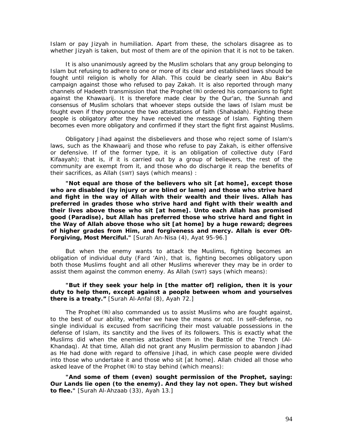Islam or pay *Jizyah* in humiliation. Apart from these, the scholars disagree as to whether *Jizyah* is taken, but most of them are of the opinion that it is not to be taken.

It is also unanimously agreed by the Muslim scholars that any group belonging to Islam but refusing to adhere to one or more of its clear and established laws should be fought until religion is wholly for Allah. This could be clearly seen in Abu Bakr's campaign against those who refused to pay *Zakah.* It is also reported through many channels of Hadeeth transmission that the Prophet  $(*)$  ordered his companions to fight against the *Khawaarij.* It is therefore made clear by the Qur'an, the Sunnah and consensus of Muslim scholars that whoever steps outside the laws of Islam must be fought even if they pronounce the two attestations of faith (Shahadah). Fighting these people is obligatory after they have received the message of Islam. Fighting them becomes even more obligatory and confirmed if they start the fight first against Muslims.

Obligatory *Jihad* against the disbelievers and those who reject some of Islam's laws, such as the *Khawaarij* and those who refuse to pay *Zakah, is* either offensive or defensive. If of the former type, it is an obligation of collective duty *(Fard Kifaayah);* that is, if it is carried out by a group of believers, the rest of the community are exempt from it, and those who do discharge it reap the benefits of their sacrifices, as Allah (SWT) says (which means) :

*"Not equal are those of the believers who sit [at home], except those who are disabled (by injury or are blind or lame) and those who strive hard and fight in the way of Allah with their wealth and their lives. Allah has preferred in grades those who strive hard and fight with their wealth and their lives above those who sit [at home]. Unto each Allah has promised good (Paradise), but Allah has preferred those who strive hard and fight in the Way of Allah above those who sit [at home] by a huge reward; degrees of higher grades from Him, and forgiveness and mercy. Allah is ever Oft-Forgiving, Most Merciful."* [Surah An-Nisa (4), Ayat 95-96.]

But when the enemy wants to attack the Muslims, fighting becomes an obligation of individual duty *(Fard 'Ain),* that is, fighting becomes obligatory upon both those Muslims fought and all other Muslims wherever they may be in order to assist them against the common enemy. As Allah (SWT) says (which means):

#### *"But if they seek your help in [the matter of] religion, then it is your duty to help them, except against a people between whom and yourselves there is a treaty."* [Surah Al-Anfal (8), Ayah 72.]

The Prophet  $(*)$  also commanded us to assist Muslims who are fought against, to the best of our ability, whether we have the means or not. In self-defense, no single individual is excused from sacrificing their most valuable possessions in the defense of Islam, its sanctity and the lives of its followers. This is exactly what the Muslims did when the enemies attacked them in the Battle of the Trench (Al-Khandaq). At that time, Allah did not grant any Muslim permission to abandon *Jihad*  as He had done with regard to offensive *Jihad,* in which case people were divided into those who undertake it and those who sit [at home]. Allah chided all those who asked leave of the Prophet  $(\frac{4}{3})$  to stay behind (which means):

*"And some of them (even) sought permission of the Prophet, saying: Our Lands lie open (to the enemy). And they lay not open. They but wished to flee."* [Surah Al-Ahzaab (33), Ayah 13.]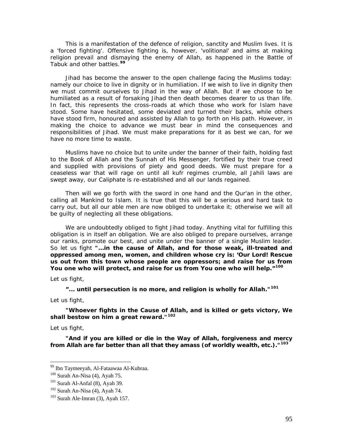This is a manifestation of the defence of religion, sanctity and Muslim lives. It is a 'forced fighting'. Offensive fighting is, however, 'volitional' and aims at making religion prevail and dismaying the enemy of Allah, as happened in the Battle of Tabuk and other battles.**[9](#page-95-0)9**

*Jihad* has become the answer to the open challenge facing the Muslims today: namely our choice to live in dignity or in humiliation. If we wish to live in dignity then we must commit ourselves to *Jihad* in the way of Allah. But if we choose to be humiliated as a result of forsaking *Jihad* then death becomes dearer to us than life. In fact, this represents the cross-roads at which those who work for Islam have stood. Some have hesitated, some deviated and turned their backs, while others have stood firm, honoured and assisted by Allah to go forth on His path. However, in making the choice to advance we must bear in mind the consequences and responsibilities of *Jihad.* We must make preparations for it as best we can, for we have no more time to waste.

Muslims have no choice but to unite under the banner of their faith, holding fast to the Book of Allah and the Sunnah of His Messenger, fortified by their true creed and supplied with provisions of piety and good deeds. We must prepare for a ceaseless war that will rage on until all *kufr* regimes crumble, all *Jahili* laws are swept away, our Caliphate is re-established and all our lands regained.

Then will we go forth with the sword in one hand and the Qur'an in the other, calling all Mankind to Islam. It is true that this will be a serious and hard task to carry out, but all our able men are now obliged to undertake it; otherwise we will all be guilty of neglecting all these obligations.

We are undoubtedly obliged to fight *Jihad* today. Anything vital for fulfilling this obligation is in itself an obligation. We are also obliged to prepare ourselves, arrange our ranks, promote our best, and unite under the banner of a single Muslim leader. So let us fight *"...in the cause of Allah, and for those weak, ill-treated and oppressed among men, women, and children whose cry is: 'Our Lord! Rescue us out from this town whose people are oppressors; and raise for us from You one who will protect, and raise for us from You one who will help."***[1](#page-95-1)00**

Let us fight,

**"***... until persecution is no more, and religion is wholly for Allah."***[1](#page-95-2)01**

Let us fight,

*"Whoever fights in the Cause of Allah, and is killed or gets victory, We shall bestow on him a great reward."***[1](#page-95-3)02**

Let us fight,

 $\overline{a}$ 

*"And if you are killed or die in the Way of Allah, forgiveness and mercy from Allah are far better than all that they amass (of worldly wealth, etc.)."***[10](#page-95-4)3**

<span id="page-95-0"></span><sup>99</sup> Ibn Taymeeyah, Al-Fataawaa Al-Kubraa.

<span id="page-95-2"></span><span id="page-95-1"></span><sup>&</sup>lt;sup>100</sup> Surah An-Nisa (4), Ayah 75.<br><sup>101</sup> Surah Al-Anfal (8), Ayah 39.<br><sup>102</sup> Surah An-Nisa (4), Ayah 74.<br><sup>103</sup> Surah Ale-Imran (3), Ayah 157.

<span id="page-95-3"></span>

<span id="page-95-4"></span>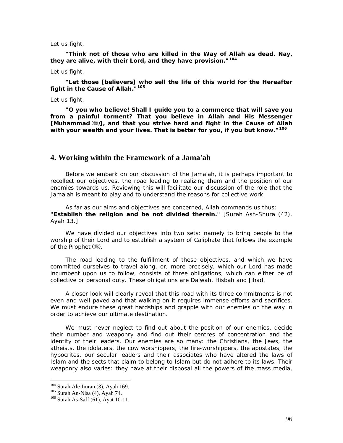Let us fight,

*"Think not of those who are killed in the Way of Allah as dead. Nay, they are alive, with their Lord, and they have provision."***[10](#page-96-0)4**

Let us fight,

*"Let those [believers] who sell the life of this world for the Hereafter fight in the Cause of Allah."***[10](#page-96-1)5**

Let us fight,

*"O you who believe! Shall I guide you to a commerce that will save you from a painful torment? That you believe in Allah and His Messenger*  [Muhammad<sup>(\\\\</sup>ill], and that you strive hard and fight in the Cause of Allah *with your wealth and your lives. That is better for you, if you but know."***[1](#page-96-2)06**

## **4. Working within the Framework of a Jama'ah**

Before we embark on our discussion of the *Jama'ah,* it is perhaps important to recollect our objectives, the road leading to realizing them and the position of our enemies towards us. Reviewing this will facilitate our discussion of the role that the *Jama'ah is* meant to play and to understand the reasons for collective work.

As far as our aims and objectives are concerned, Allah commands us thus: *"Establish the religion and be not divided therein."* [Surah Ash-Shura (42), Ayah 13.]

We have divided our objectives into two sets: namely to bring people to the worship of their Lord and to establish a system of Caliphate that follows the example of the Prophet  $(\frac{4}{3})$ .

The road leading to the fulfillment of these objectives, and which we have committed ourselves to travel along, or, more precisely, which our Lord has made incumbent upon us to follow, consists of three obligations, which can either be of collective or personal duty. These obligations are *Da'wah, Hisbah* and *Jihad.* 

A closer look will clearly reveal that this road with its three commitments is not even and well-paved and that walking on it requires immense efforts and sacrifices. We must endure these great hardships and grapple with our enemies on the way in order to achieve our ultimate destination.

We must never neglect to find out about the position of our enemies, decide their number and weaponry and find out their centres of concentration and the identity of their leaders. Our enemies are so many: the Christians, the Jews, the atheists, the idolaters, the cow worshippers, the fire-worshippers, the apostates, the hypocrites, our secular leaders and their associates who have altered the laws of Islam and the sects that claim to belong to Islam but do not adhere to its laws. Their weaponry also varies: they have at their disposal all the powers of the mass media,

<span id="page-96-0"></span><sup>&</sup>lt;sup>104</sup> Surah Ale-Imran (3), Ayah 169.

<span id="page-96-2"></span><span id="page-96-1"></span><sup>&</sup>lt;sup>105</sup> Surah An-Nisa (4), Ayah 74. <sup>106</sup> Surah As-Saff (61), Ayat 10-11.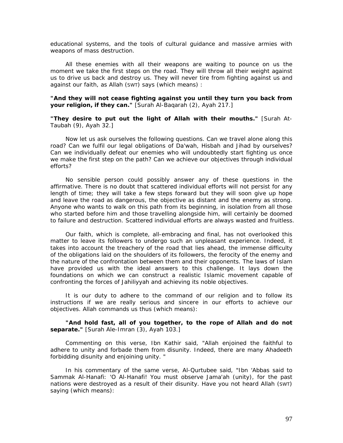educational systems, and the tools of cultural guidance and massive armies with weapons of mass destruction.

All these enemies with all their weapons are waiting to pounce on us the moment we take the first steps on the road. They will throw all their weight against us to drive us back and destroy us. They will never tire from fighting against us and against our faith, as Allah (SWT) says (which means) :

#### *"And they will not cease fighting against you until they turn you back from your religion, if they can."* [Surah Al-Baqarah (2), Ayah 217.]

*"They desire to put out the light of Allah with their mouths."* [Surah At-Taubah (9), Ayah 32.]

Now let us ask ourselves the following questions. Can we travel alone along this road? Can we fulfil our legal obligations of *Da'wah, Hisbah* and *Jihad* by ourselves? Can we individually defeat our enemies who will undoubtedly start fighting us once we make the first step on the path? Can we achieve our objectives through individual efforts?

No sensible person could possibly answer any of these questions in the affirmative. There is no doubt that scattered individual efforts will not persist for any length of time; they will take a few steps forward but they will soon give up hope and leave the road as dangerous, the objective as distant and the enemy as strong. Anyone who wants to walk on this path from its beginning, in isolation from all those who started before him and those travelling alongside him, will certainly be doomed to failure and destruction. Scattered individual efforts are always wasted and fruitless.

Our faith, which is complete, all-embracing and final, has not overlooked this matter to leave its followers to undergo such an unpleasant experience. Indeed, it takes into account the treachery of the road that lies ahead, the immense difficulty of the obligations laid on the shoulders of its followers, the ferocity of the enemy and the nature of the confrontation between them and their opponents. The laws of Islam have provided us with the ideal answers to this challenge. It lays down the foundations on which we can construct a realistic Islamic movement capable of confronting the forces of *Jahiliyyah* and achieving its noble objectives.

It is our duty to adhere to the command of our religion and to follow its instructions if we are really serious and sincere in our efforts to achieve our objectives. Allah commands us thus (which means):

*"And hold fast, all of you together, to the rope of Allah and do not separate."* [Surah Ale-Imran (3), Ayah 103.]

Commenting on this verse, Ibn Kathir said, *"Allah enjoined the faithful to adhere to unity and forbade them from disunity. Indeed, there are many Ahadeeth forbidding disunity and enjoining unity. "* 

In his commentary of the same verse, Al-Qurtubee said, *"Ibn 'Abbas said to Sammak Al-Hanafi: 'O Al-Hanafi! You must observe Jama'ah (unity), for the past nations were destroyed as a result of their disunity. Have you not heard Allah (SWT) saying (which means):*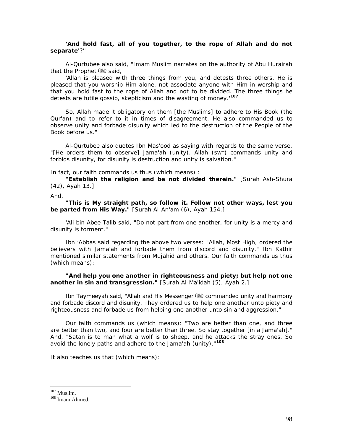#### *'And hold fast, all of you together, to the rope of Allah and do not separate'?'"*

Al-Qurtubee also said, *"Imam Muslim narrates on the authority of Abu Hurairah that the Prophet* (  $\frac{1}{2}$  *said*,

*'Allah is pleased with three things from you, and detests three others. He is pleased that you worship Him alone, not associate anyone with Him in worship and that you hold fast to the rope of Allah and not to be divided. The three things he detests are futile gossip, skepticism and the wasting of money.'***[1](#page-98-0)07**

*So, Allah made it obligatory on them [the Muslims] to adhere to His Book (the Qur'an) and to refer to it in times of disagreement. He also commanded us to observe unity and forbade disunity which led to the destruction of the People of the Book before us."* 

Al-Qurtubee also quotes Ibn Mas'ood as saying with regards to the same verse, *"[He orders them to observe] Jama'ah (unity). Allah (SWT) commands unity and forbids disunity, for disunity is destruction and unity is salvation."* 

In fact, our faith commands us thus (which means) :

*"Establish the religion and be not divided therein."* [Surah Ash-Shura (42), Ayah 13.]

And,

*"This is My straight path, so follow it. Follow not other ways, lest you be parted from His Way."* [Surah Al-An'am (6), Ayah 154.]

'Ali bin Abee Talib said, *"Do not part from one another, for unity is a mercy and disunity is torment."* 

Ibn 'Abbas said regarding the above two verses: *"Allah, Most High, ordered the believers with Jama'ah and forbade them from discord and disunity."* Ibn Kathir mentioned similar statements from Mujahid and others. Our faith commands us thus (which means):

*"And help you one another in righteousness and piety; but help not one another in sin and transgression."* [Surah Al-Ma'idah (5), Ayah 2.]

Ibn Taymeeyah said, *"Allah and His Messenger* (5) commanded unity and harmony *and forbade discord and disunity. They ordered us to help one another unto piety and righteousness and forbade us from helping one another unto sin and aggression."* 

Our faith commands us (which means): *"Two are better than one, and three are better than two, and four are better than three. So stay together [in a Jama'ah]."*  And, *"Satan is to man what a wolf is to sheep, and he attacks the stray ones. So avoid the lonely paths and adhere to the Jama'ah (unity)."***[10](#page-98-1)8**

It also teaches us that (which means):

 $107$  Muslim.

<span id="page-98-1"></span><span id="page-98-0"></span> $108$  Imam Ahmed.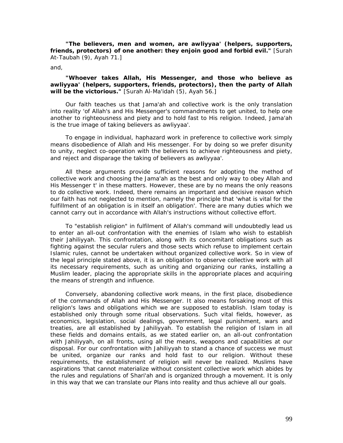*"The believers, men and women, are awliyyaa' (helpers, supporters, friends, protectors) of one another: they enjoin good and forbid evil."* [Surah At-Taubah (9), Ayah 71.]

and,

#### *"Whoever takes Allah, His Messenger, and those who believe as awliyyaa' (helpers, supporters, friends, protectors), then the party of Allah will be the victorious."* [Surah Al-Ma'idah (5), Ayah 56.]

Our faith teaches us that *Jama'ah* and collective work is the only translation into reality 'of Allah's and His Messenger's commandments to get united, to help one another to righteousness and piety and to hold fast to His religion. Indeed, *Jama'ah*  is the true image of taking believers as awliyyaa'.

To engage in individual, haphazard work in preference to collective work simply means disobedience of Allah and His messenger. For by doing so we prefer disunity to unity, neglect co-operation with the believers to achieve righteousness and piety, and reject and disparage the taking of believers as awliyyaa'.

All these arguments provide sufficient reasons for adopting the method of collective work and choosing the *Jama'ah* as the best and only way to obey Allah and His Messenger t' in these matters. However, these are by no means the only reasons to do collective work. Indeed, there remains an important and decisive reason which our faith has not neglected to mention, namely the principle that 'what is vital for the fulfillment of an obligation is in itself an obligation'. There are many duties which we cannot carry out in accordance with Allah's instructions without collective effort.

To "establish religion" in fulfilment of Allah's command will undoubtedly lead us to enter an all-out confrontation with the enemies of Islam who wish to establish their *Jahiliyyah.* This confrontation, along with its concomitant obligations such as fighting against the secular rulers and those sects which refuse to implement certain Islamic rules, cannot be undertaken without organized collective work. So in view of the legal principle stated above, it is an obligation to observe collective work with all its necessary requirements, such as uniting and organizing our ranks, installing a Muslim leader, placing the appropriate skills in the appropriate places and acquiring the means of strength and influence.

Conversely, abandoning collective work means, in the first place, disobedience of the commands of Allah and His Messenger. It also means forsaking most of this religion's laws and obligations which we are supposed to establish. Islam today is established only through some ritual observations. Such vital fields, however, as economics, legislation, social dealings, government, legal punishment, wars and treaties, are all established by *Jahiliyyah.* To establish the religion of Islam in all these fields and domains entails, as we stated earlier on, an all-out confrontation with *Jahiliyyah,* on all fronts, using all the means, weapons and capabilities at our disposal. For our confrontation with *Jahiliyyah* to stand a chance of success we must be united, organize our ranks and hold fast to our religion. Without these requirements, the establishment of religion will never be realized. Muslims have aspirations 'that cannot materialize without consistent collective work which abides by the rules and regulations of *Shari'ah* and is organized through a movement. It is only in this way that we can translate our Plans into reality and thus achieve all our goals.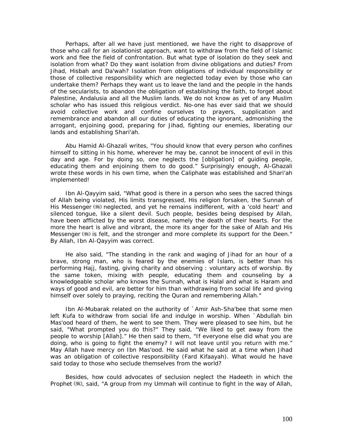Perhaps, after all we have just mentioned, we have the right to disapprove of those who call for an isolationist approach, want to withdraw from the field of Islamic work and flee the field of confrontation. But what type of isolation do they seek and isolation from what? Do they want isolation from divine obligations and duties? From *Jihad, Hisbah* and *Da'wah?* Isolation from obligations of individual responsibility or those of collective responsibility which are neglected today even by those who can undertake them? Perhaps they want us to leave the land and the people in the hands of the secularists, to abandon the obligation of establishing the faith, to forget about Palestine, Andalusia and all the Muslim lands. We do not know as yet of any Muslim scholar who has issued this religious verdict. No-one has ever said that we should avoid collective work and confine ourselves to prayers, supplication and remembrance and abandon all our duties of educating the ignorant, admonishing the arrogant, enjoining good, preparing for *Jihad,* fighting our enemies, liberating our lands and establishing *Shari'ah.* 

Abu Hamid Al-Ghazali writes, *"You should know that every person who confines himself to sitting in his home, wherever he may be, cannot be innocent of evil in this day and age. For by doing so, one neglects the [obligation] of guiding people, educating them and enjoining them to do good." Surprisingly* enough, Al-Ghazali wrote these words in his own time, when the Caliphate was established and *Shari'ah*  implemented!

Ibn Al-Qayyim said, *"What good is there in a person who sees the sacred things of Allah being violated, His limits transgressed, His religion forsaken, the Sunnah of His Messenger* (5) *neglected, and yet he remains indifferent, with a 'cold heart' and silenced tongue, like a silent devil. Such people, besides being despised by Allah, have been afflicted by the worst disease, namely the death of their hearts. For the more the heart is alive and vibrant, the more its anger for the sake of Allah and His Messenger* ( $\frac{1}{2}$ ) is felt, and the stronger and more complete its support for the Deen." By Allah, Ibn Al-Qayyim was correct.

He also said, *"The standing in the rank and waging of Jihad for an hour of a brave, strong man, who is feared by the enemies of Islam, is better than his performing Hajj, fasting, giving charity and observing : voluntary acts of worship. By the same token, mixing with people, educating them and counseling by a knowledgeable scholar who knows the Sunnah, what is Halal and what is Haram and ways of good and evil, are better for him than withdrawing from social life and giving himself over solely to praying, reciting the Quran and remembering Allah."* 

Ibn Al-Mubarak related on the authority of `Amir Ash-Sha'bee that some men left Kufa to withdraw from social life and indulge in worship. When `Abdullah bin Mas'ood heard of them, he went to see them. They were pleased to see him, but he said, *"What prompted you do this?"* They said, *"We liked to get away from the people to worship [Allah]."* He then said to them, "If *everyone else did what you are doing, who is going to fight the enemy? I will not leave until you return with me."*  May Allah have mercy on Ibn Mas'ood. He said what he said at a time when *Jihad*  was an obligation of collective responsibility *(Fard Kifaayah).* What would he have said today to those who seclude themselves from the world?

Besides, how could advocates of seclusion neglect the Hadeeth in which the Prophet , said, *"A group from my Ummah will continue to fight in the way of Allah,*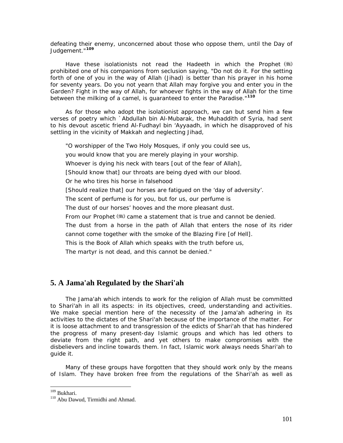*defeating their enemy, unconcerned about those who oppose them, until the Day of Judgement."***[10](#page-101-0)9**

Have these isolationists not read the *Hadeeth* in which the Prophet prohibited one of his companions from seclusion saying, "Do *not do it. For the setting*  forth of one of you in the way of Allah (Jihad) is better than his prayer in his home *for seventy years. Do you not yearn that Allah may forgive you and enter you in the*  Garden? Fight in the way of Allah, for whoever fights in the way of Allah for the time *between the milking of a camel, is guaranteed to enter the Paradise."***[1](#page-101-1)10**

As for those who adopt the isolationist approach, we can but send him a few verses of poetry which `Abdullah bin Al-Mubarak, the *Muhaddith* of Syria, had sent to his devout ascetic friend Al-Fudhayl bin 'Ayyaadh, in which he disapproved of his settling in the vicinity of Makkah and neglecting *Jihad,*

*"O worshipper of the Two Holy Mosques, if only you could see us, you would know that you are merely playing in your worship. Whoever is dying his neck with tears [out of the fear of Allah], [Should know that] our throats are being dyed with our blood. Or he who tires his horse in falsehood [Should realize that] our horses are fatigued on the 'day of adversity'. The scent of perfume is for you, but for us, our perfume is The dust of our horses' hooves and the more pleasant dust. From our Prophet* ( $\ddot{\mathbf{x}}$ ) came a statement that is true and cannot be denied. The dust from a horse in the path of Allah that enters the nose of its rider *cannot come together with the smoke of the Blazing Fire [of Hell]. This is the Book of Allah which speaks with the truth before us, The martyr is not dead, and this cannot be denied."* 

## **5. A Jama'ah Regulated by the Shari'ah**

The *Jama'ah* which intends to work for the religion of Allah must be committed to *Shari'ah* in all its aspects: in its objectives, creed, understanding and activities. We make special mention here of the necessity of the *Jama'ah* adhering in its activities to the dictates of the *Shari'ah* because of the importance of the matter. For it is loose attachment to and transgression of the edicts of *Shari'ah* that has hindered the progress of many present-day Islamic groups and which has led others to deviate from the right path, and yet others to make compromises with the disbelievers and incline towards them. In fact, Islamic work always needs *Shari'ah* to guide it.

Many of these groups have forgotten that they should work only by the means of Islam. They have broken free from the regulations of the *Shari'ah* as well as

<span id="page-101-0"></span><sup>&</sup>lt;sup>109</sup> Bukhari.

<span id="page-101-1"></span> $110$  Abu Dawud, Tirmidhi and Ahmad.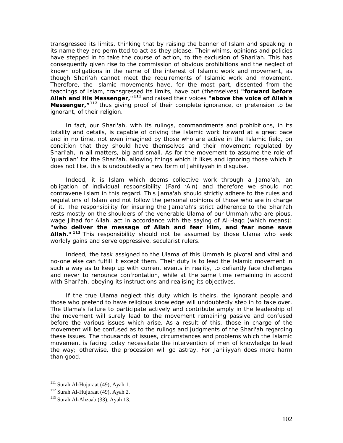transgressed its limits, thinking that by raising the banner of Islam and speaking in its name they are permitted to act as they please. Their whims, opinions and policies have stepped in to take the course of action, to the exclusion of *Shari'ah.* This has consequently given rise to the commission of obvious prohibitions and the neglect of known obligations in the name of the interest of Islamic work and movement, as though *Shari'ah* cannot meet the requirements of Islamic work and movement. Therefore, the Islamic movements have, for the most part, dissented from the teachings of Islam, transgressed its limits, have put (themselves) *"forward before Allah and His Messenger,"***[1](#page-102-0)11** and raised their voices *"above the voice of Allah's Messenger*,  $n^{112}$  $n^{112}$  $n^{112}$  thus giving proof of their complete ignorance, or pretension to be ignorant, of their religion.

In fact, our *Shari'ah,* with its rulings, commandments and prohibitions, in its totality and details, is capable of driving the Islamic work forward at a great pace and in no time, not even imagined by those who are active in the Islamic field, on condition that they should have themselves and their movement regulated by *Shari'ah,* in all matters, big and small. As for the movement to assume the role of 'guardian' for the *Shari'ah,* allowing things which it likes and ignoring those which it does not like, this is undoubtedly a new form of *Jahiliyyah* in disguise.

Indeed, it is Islam which deems collective work through a *Jama'ah,* an obligation of individual responsibility *(Fard 'Ain)* and therefore we should not contravene Islam in this regard. This *Jama'ah* should strictly adhere to the rules and regulations of Islam and not follow the personal opinions of those who are in charge of it. The responsibility for insuring the *Jama'ah's* strict adherence to the *Shari'ah*  rests mostly on the shoulders of the venerable *Ulama* of our *Ummah* who are pious, wage *Jihad* for Allah, act in accordance with the saying of Al-Haqq (which means): *"who deliver the message of Allah and fear Him, and fear none save Allah."* **[11](#page-102-2)3** This responsibility should not be assumed by those *Ulama* who seek worldly gains and serve oppressive, secularist rulers.

Indeed, the task assigned to the *Ulama* of this *Ummah is* pivotal and vital and no-one else can fulfill it except them. Their duty is to lead the Islamic movement in such a way as to keep up with current events in reality, to defiantly face challenges and never to renounce confrontation, while at the same time remaining in accord with *Shari'ah,* obeying its instructions and realising its objectives.

If the true *Ulama* neglect this duty which is theirs, the ignorant people and those who pretend to have religious knowledge will undoubtedly step in to take over. The *Ulama's* failure to participate actively and contribute amply in the leadership of the movement will surely lead to the movement remaining passive and confused before the various issues which arise. As a result of this, those in charge of the movement will be confused as to the rulings and judgments of the *Shari'ah* regarding these issues. The thousands of issues, circumstances and problems which the Islamic movement is facing today necessitate the intervention of men of knowledge to lead the way; otherwise, the procession will go astray. For *Jahiliyyah* does more harm than good.

<span id="page-102-1"></span><span id="page-102-0"></span><sup>&</sup>lt;sup>111</sup> Surah Al-Hujuraat (49), Ayah 1.<br><sup>112</sup> Surah Al-Hujuraat (49), Ayah 2.<br><sup>113</sup> Surah Al-Ahzaab (33), Ayah 13.

<span id="page-102-2"></span>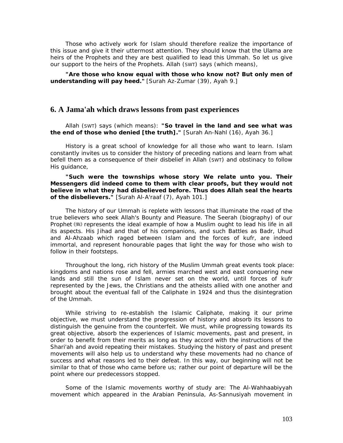Those who actively work for Islam should therefore realize the importance of this issue and give it their uttermost attention. They should know that the *Ulama* are heirs of the Prophets and they are best qualified to lead this *Ummah. So* let us give our support to the heirs of the Prophets. Allah (SWT) says (which means),

"Are those who know equal with those who know not? But only men of *understanding will pay heed."* [Surah Az-Zumar (39), Ayah 9.]

### **6. A Jama'ah which draws lessons from past experiences**

Allah (SWT) says (which means): *"So travel in the land and see what was the end of those who denied [the truth]."* [Surah An-Nahl (16), Ayah 36.]

History is a great school of knowledge for all those who want to learn. Islam constantly invites us to consider the history of preceding nations and learn from what befell them as a consequence of their disbelief in Allah (SWT) and obstinacy to follow His guidance,

#### *"Such were the townships whose story We relate unto you. Their Messengers did indeed come to them with clear proofs, but they would not believe in what they had disbelieved before. Thus does Allah seal the hearts of the disbelievers."* [Surah Al-A'raaf (7), Ayah 101.]

The history of our *Ummah is* replete with lessons that illuminate the road of the true believers who seek Allah's Bounty and Pleasure. The *Seerah* (biography) of our Prophet (.) represents the ideal example of how a Muslim ought to lead his life in all its aspects. His *Jihad* and that of his companions, and such Battles as Badr, Uhud and Al-Ahzaab which raged between Islam and the forces of *kufr,* are indeed immortal, and represent honourable pages that light the way for those who wish to follow in their footsteps.

Throughout the long, rich history of the Muslim *Ummah* great events took place: kingdoms and nations rose and fell, armies marched west and east conquering new lands and still the sun of Islam never set on the world, until forces of *kufr*  represented by the Jews, the Christians and the atheists allied with one another and brought about the eventual fall of the Caliphate in 1924 and thus the disintegration of the *Ummah.* 

While striving to re-establish the Islamic Caliphate, making it our prime objective, we must understand the progression of history and absorb its lessons to distinguish the genuine from the counterfeit. We must, while progressing towards its great objective, absorb the experiences of Islamic movements, past and present, in order to benefit from their merits as long as they accord with the instructions of the *Shari'ah* and avoid repeating their mistakes. Studying the history of past and present movements will also help us to understand why these movements had no chance of success and what reasons led to their defeat. In this way, our beginning will not be similar to that of those who came before us; rather our point of departure will be the point where our predecessors stopped.

Some of the Islamic movements worthy of study are: The *Al*-*Wahhaabiyyah*  movement which appeared in the Arabian Peninsula, *As-Sannusiyah* movement in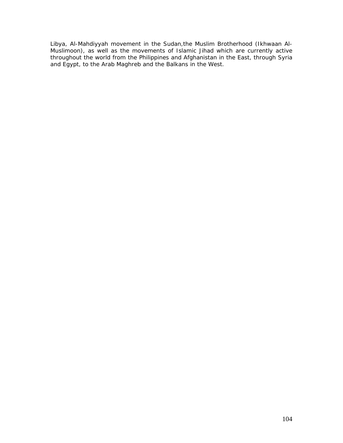Libya, *Al-Mahdiyyah* movement in the Sudan,the *Muslim Brotherhood (Ikhwaan Al-Muslimoon),* as well as the movements of Islamic *Jihad* which are currently active throughout the world from the Philippines and Afghanistan in the East, through Syria and Egypt, to the Arab Maghreb and the Balkans in the West.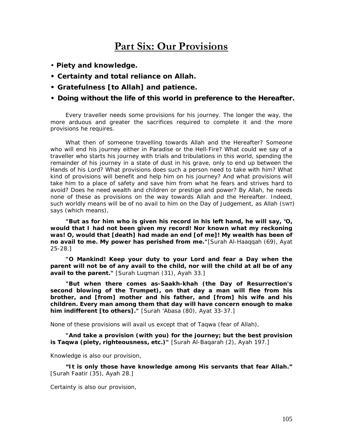# **Part Six: Our Provisions**

- *Piety and knowledge.*
- *Certainty and total reliance on Allah.*
- *Gratefulness [to Allah] and patience.*
- *Doing without the life of this world in preference to the Hereafter.*

Every traveller needs some provisions for his journey. The longer the way, the more arduous and greater the sacrifices required to complete it and the more provisions he requires.

What then of someone travelling towards Allah and the Hereafter? Someone who will end his journey either in Paradise or the Hell-Fire? What could we say of a traveller who starts his journey with trials and tribulations in this world, spending the remainder of his journey in a state of dust in his grave, only to end up between the Hands of his Lord? What provisions does such a person need to take with him? What kind of provisions will benefit and help him on his journey? And what provisions will take him to a place of safety and save him from what he fears and strives hard to avoid? Does he need wealth and children or prestige and power? By Allah, he needs none of these as provisions on the way towards Allah and the Hereafter. Indeed, such worldly means will be of no avail to him on the Day of Judgement, as Allah (SWT) says (which means),

*"But as for him who is given his record in his left hand, he will say, 'O, would that I had not been given my record! Nor known what my reckoning*  was! O, would that [death] had made an end [of me]! My wealth has been of *no avail to me. My power has perished from me."*[Surah Al-Haaqqah (69), Ayat 25-28.]

*"O Mankind! Keep your duty to your Lord and fear a Day when the parent will not be of any avail to the child, nor will the child at all be of any avail to the parent."* [Surah Luqman (31), Ayah 33.]

*"But when there comes as-Saakh-khah (the Day of Resurrection's second blowing of the Trumpet), on that day a man will flee from his brother, and [from] mother and his father, and [from] his wife and his children. Every man among them that day will have concern enough to make him indifferent [to others]."* [Surah 'Abasa (80), Ayat 33-37.]

None of these provisions will avail us except that of *Taqwa* (fear of Allah),

*"And take a provision (with you) for the journey; but the best provision is Taqwa (piety, righteousness, etc.)"* [Surah Al-Baqarah (2), Ayah 197.]

Knowledge is also our provision,

*"It is only those have knowledge among His servants that fear Allah."* [Surah Faatir (35), Ayah 28.]

Certainty is also our provision,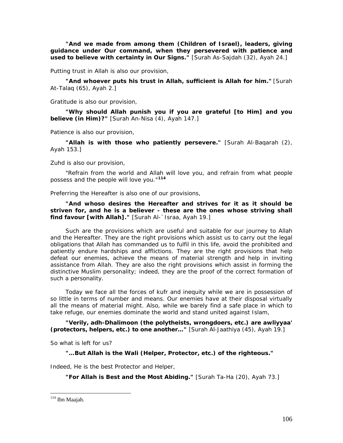*"And we made from among them (Children of Israel), leaders, giving guidance under Our command, when they persevered with patience and used to believe with certainty in Our Signs."* [Surah As-Sajdah (32), Ayah 24.]

Putting trust in Allah is also our provision,

*"And whoever puts his trust in Allah, sufficient is Allah for him."* [Surah At-Talaq (65), Ayah 2.]

Gratitude is also our provision,

*"Why should Allah punish you if you are grateful [to Him] and you believe (in Him)?"* [Surah An-Nisa (4), Ayah 147.]

Patience is also our provision,

*"Allah is with those who patiently persevere."* [Surah Al-Baqarah (2), Ayah 153.]

Zuhd is also our provision,

*"Refrain from the world and Allah will love you, and refrain from what people possess and the people will love you."***[11](#page-106-0)4**

Preferring the Hereafter is also one of our provisions,

*"And whoso desires the Hereafter and strives for it as it should be striven for, and he is a believer - these are the ones whose striving shall find favour [with Allah].*" [Surah Al-`Israa, Ayah 19.]

Such are the provisions which are useful and suitable for our journey to Allah and the Hereafter. They are the right provisions which assist us to carry out the legal obligations that Allah has commanded us to fulfil in this life, avoid the prohibited and patiently endure hardships and afflictions. They are the right provisions that help defeat our enemies, achieve the means of material strength and help in inviting assistance from Allah. They are also the right provisions which assist in forming the distinctive Muslim personality; indeed, they are the proof of the correct formation of such a personality.

Today we face all the forces of *kufr* and inequity while we are in possession of so little in terms of number and means. Our enemies have at their disposal virtually all the means of material might. Also, while we barely find a safe place in which to take refuge, our enemies dominate the world and stand united against Islam,

*"Verily, adh-Dhalimoon (the polytheists, wrongdoers, etc.) are awliyyaa' (protectors, helpers, etc.) to one another…"* [Surah Al-Jaathiya (45), Ayah 19.]

So what is left for us?

*"…But Allah is the Wali (Helper, Protector, etc.) of the righteous."*

Indeed, He is the best Protector and Helper,

*"For Allah is Best and the Most Abiding."* [Surah Ta-Ha (20), Ayah 73.]

<span id="page-106-0"></span> $114$  Ibn Maajah.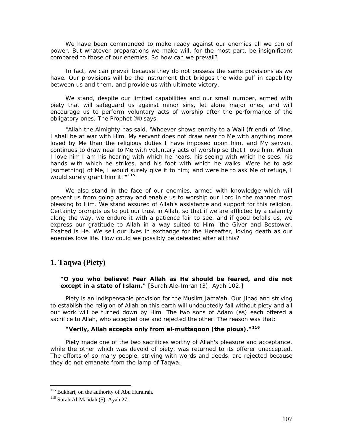We have been commanded to make ready against our enemies all we can of power. But whatever preparations we make will, for the most part, be insignificant compared to those of our enemies. So how can we prevail?

In fact, we can prevail because they do not possess the same provisions as we have. Our provisions will be the instrument that bridges the wide gulf in capability between us and them, and provide us with ultimate victory.

We stand, despite our limited capabilities and our small number, armed with piety that will safeguard us against minor sins, let alone major ones, and will encourage us to perform voluntary acts of worship after the performance of the obligatory ones. The Prophet (5) says,

*"Allah the Almighty has said, 'Whoever shows enmity to a Wali (friend) of Mine, I shall be at war with Him. My servant does not draw near to Me with anything more loved by Me than the religious duties I have imposed upon him, and My servant continues to draw near to Me with voluntary acts of worship so that I love him. When I love him I am his hearing with which he hears, his seeing with which he sees, his hands with which he strikes, and his foot with which he walks. Were he to ask [something] of Me, I would surely give it to him; and were he to ask Me of refuge, I would surely grant him it.'"***[1](#page-107-0)15**

We also stand in the face of our enemies, armed with knowledge which will prevent us from going astray and enable us to worship our Lord in the manner most pleasing to Him. We stand assured of Allah's assistance and support for this religion. Certainty prompts us to put our trust in Allah, so that if we are afflicted by a calamity along the way, we endure it with a patience fair to see, and if good befalls us, we express our gratitude to Allah in a way suited to Him, the Giver and Bestower, Exalted is He. We sell our lives in exchange for the Hereafter, loving death as our enemies love life. How could we possibly be defeated after all this?

## **1. Taqwa (Piety)**

*"O you who believe! Fear Allah as He should be feared, and die not except in a state of Islam."* [Surah Ale-Imran (3), Ayah 102.]

Piety is an indispensable provision for the Muslim *Jama'ah.* Our *Jihad* and striving to establish the religion of Allah on this earth will undoubtedly fail without piety and all our work will be turned down by Him. The two sons of Adam (as) each offered a sacrifice to Allah, who accepted one and rejected the other. The reason was that:

## *"Verily, Allah accepts only from al-muttaqoon (the pious)."***[11](#page-107-1)6**

Piety made one of the two sacrifices worthy of Allah's pleasure and acceptance, while the other which was devoid of piety, was returned to its offerer unaccepted. The efforts of so many people, striving with words and deeds, are rejected because they do not emanate from the lamp of *Taqwa.* 

<span id="page-107-0"></span><sup>&</sup>lt;sup>115</sup> Bukhari, on the authority of Abu Hurairah.<br><sup>116</sup> Surah Al-Ma'idah (5), Ayah 27.

<span id="page-107-1"></span>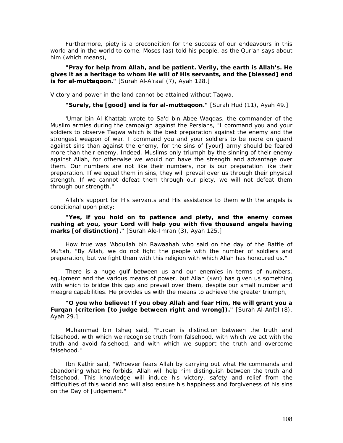Furthermore, piety is a precondition for the success of our endeavours in this world and in the world to come. Moses (as) told his people, as the Qur'an says about him (which means),

*"Pray for help from Allah, and be patient. Verily, the earth is Allah's. He gives it as a heritage to whom He will of His servants, and the [blessed] end is for al-muttaqoon."* [Surah Al-A'raaf (7), Ayah 128.]

Victory and power in the land cannot be attained without *Taqwa,* 

*"Surely, the [good] end is for al-muttaqoon."* [Surah Hud (11), Ayah 49.]

'Umar bin Al-Khattab wrote to Sa'd bin Abee Waqqas, the commander of the Muslim armies during the campaign against the Persians, "*I command you and your soldiers to observe Taqwa which is the best preparation against the enemy and the strongest weapon of war. I command you and your soldiers to be more on guard against sins than against the enemy, for the sins of [your] army should be feared more than their enemy. Indeed, Muslims only triumph by the sinning of their enemy against Allah, for otherwise we would not have the strength and advantage over them. Our numbers are not like their numbers, nor is our preparation like their preparation. If we equal them in sins, they will prevail over us through their physical strength. If we cannot defeat them through our piety, we will not defeat them through our strength."* 

Allah's support for His servants and His assistance to them with the angels is conditional upon piety:

*"Yes, if you hold on to patience and piety, and the enemy comes rushing at you, your Lord will help you with five thousand angels having marks [of distinction]."* [Surah Ale-Imran (3), Ayah 125.]

How true was 'Abdullah bin Rawaahah who said on the day of the Battle of Mu'tah, *"By Allah, we do not fight the people with the number of soldiers and preparation, but we fight them with this religion with which Allah has honoured us."* 

There is a huge gulf between us and our enemies in terms of numbers, equipment and the various means of power, but Allah (SWT) has given us something with which to bridge this gap and prevail over them, despite our small number and meagre capabilities. He provides us with the means to achieve the greater triumph,

## *"O you who believe! If you obey Allah and fear Him, He will grant you a Furqan (criterion [to judge between right and wrong])."* [Surah Al-Anfal (8), Ayah 29.]

Muhammad bin Ishaq said, *"Furqan is distinction between the truth and*  falsehood, with which we recognise truth from falsehood, with which we act with the *truth and avoid falsehood, and with which we support the truth and overcome falsehood."* 

Ibn Kathir said, *"Whoever fears Allah by carrying out what He commands and abandoning what He forbids, Allah will help him distinguish between the truth and*  falsehood. This knowledge will induce his victory, safety and relief from the *difficulties of this world and will also ensure his happiness and forgiveness of his sins on the Day of Judgement."*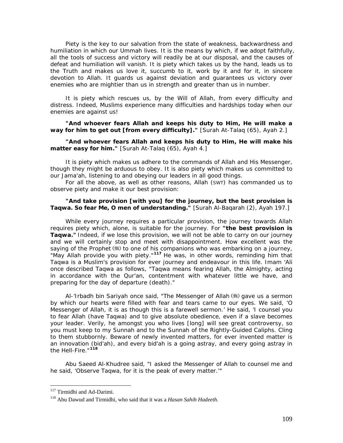Piety is the key to our salvation from the state of weakness, backwardness and humiliation in which our *Ummah* lives. It is the means by which, if we adopt faithfully, all the tools of success and victory will readily be at our disposal, and the causes of defeat and humiliation will vanish. It is piety which takes us by the hand, leads us to the Truth and makes us love it, succumb to it, work by it and for it, in sincere devotion to Allah. It guards us against deviation and guarantees us victory over enemies who are mightier than us in strength and greater than us in number.

It is piety which rescues us, by the Will of Allah, from every difficulty and distress. Indeed, Muslims experience many difficulties and hardships today when our enemies are against us!

*"And whoever fears Allah and keeps his duty to Him, He will make a way for him to get out [from every difficulty]."* [Surah At-Talaq (65), Ayah 2.]

# *"And whoever fears Allah and keeps his duty to Him, He will make his matter easy for him."* [Surah At-Talaq (65), Ayah 4.]

It is piety which makes us adhere to the commands of Allah and His Messenger, though they might be arduous to obey. It is also piety which makes us committed to our *Jama'ah,* listening to and obeying our leaders in all good things.

For all the above, as well as other reasons, Allah (SWT) has commanded us to observe piety and make it our best provision:

#### *"And take provision [with you] for the journey, but the best provision is Taqwa. So fear Me, O men of understanding."* [Surah Al-Baqarah (2), Ayah 197.]

While every journey requires a particular provision, the journey towards Allah requires piety which, alone, is suitable for the journey. For *"the best provision is Taqwa."* Indeed, if we lose this provision, we will not be able to carry on our journey and we will certainly stop and meet with disappointment. How excellent was the saying of the Prophet (5) to one of his companions who was embarking on a journey, *"May Allah provide you with piety."***[1](#page-109-0)17** He was, in other words, reminding him that *Taqwa is* a Muslim's provision for ever journey and endeavour in this life. Imam 'Ali once described *Taqwa* as follows, *"Taqwa means fearing Allah, the Almighty, acting in accordance with the Qur'an, contentment with whatever little we have, and preparing for the day of departure (death)."* 

Al-'Irbadh bin Sariyah once said, *"The Messenger of Allah gave us a sermon by which our hearts were filled with fear and tears came to our eyes. We said, 'O Messenger of Allah, it is as though this is a farewell sermon.' He said, 'I counsel you to fear Allah (have Taqwa) and to give absolute obedience, even if a slave becomes your leader. Verily, he amongst you who lives [long] will see great controversy, so you must keep to my Sunnah and to the Sunnah of the Rightly-Guided Caliphs. Cling to them stubbornly. Beware of newly invented matters, for ever invented matter is an innovation (bid'ah), and every bid'ah is a going astray, and every going astray in the Hell-Fire."***[1](#page-109-1)18**

Abu Saeed Al-Khudree said, *"I asked the Messenger of Allah to counsel me and he said, 'Observe Taqwa, for it is the peak of every matter.'"* 

<span id="page-109-0"></span><sup>&</sup>lt;sup>117</sup> Tirmidhi and Ad-Darimi.

<span id="page-109-1"></span><sup>&</sup>lt;sup>118</sup> Abu Dawud and Tirmidhi, who said that it was a *Hasan Sahih Hadeeth*.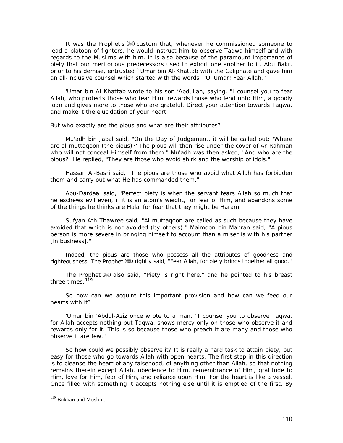It was the Prophet's (5) custom that, whenever he commissioned someone to lead a platoon of fighters, he would instruct him to observe *Taqwa* himself and with regards to the Muslims with him. It is also because of the paramount importance of piety that our meritorious predecessors used to exhort one another to it. Abu Bakr, prior to his demise, entrusted `Umar bin Al-Khattab with the Caliphate and gave him an all-inclusive counsel which started with the words, *"O 'Umar! Fear Allah."* 

'Umar bin Al-Khattab wrote to his son 'Abdullah, saying, *"I counsel you to fear Allah, who protects those who fear Him, rewards those who lend unto Him, a goodly loan and gives more to those who are grateful. Direct your attention towards Taqwa, and make it the elucidation of your heart."* 

But who exactly are the pious and what are their attributes?

Mu'adh bin Jabal said, *"On the Day of Judgement, it will be called out: 'Where are al-muttaqoon (the pious)?' The pious will then rise under the cover of Ar-Rahman who will not conceal Himself from them."* Mu'adh was then asked, *"And who are the pious?"* He replied, *"They are those who avoid shirk and the worship of idols."* 

Hassan Al-Basri said, *"The pious are those who avoid what Allah has forbidden them and carry out what He has commanded them."* 

Abu-Dardaa' said, *"Perfect piety is when the servant fears Allah so much that he eschews evil even, if it is an atom's weight, for fear of Him, and abandons some of the things he thinks are Halal for fear that they might be Haram. "* 

Sufyan Ath-Thawree said, *"Al-muttaqoon are called as such because they have avoided that which is not avoided (by others)."* Maimoon bin Mahran said, *"A pious*  person is more severe in bringing himself to account than a miser is with his partner *[in business]."* 

Indeed, the pious are those who possess all the attributes of goodness and righteousness. The Prophet (5) rightly said, "Fear Allah, for piety brings together all good."

The Prophet  $\left(\frac{1}{2}\right)$  also said, *"Piety is right here,"* and he pointed to his breast three times.**[1](#page-110-0)19**

So how can we acquire this important provision and how can we feed our hearts with it?

'Umar bin 'Abdul-Aziz once wrote to a man, *"I counsel you to observe Taqwa, for Allah accepts nothing but Taqwa, shows mercy only on those who observe it and rewards only for it. This is so because those who preach it are many and those who observe it are few."* 

So how could we possibly observe it? It is really a hard task to attain piety, but easy for those who go towards Allah with open hearts. The first step in this direction is to cleanse the heart of any falsehood, of anything other than Allah, so that nothing remains therein except Allah, obedience to Him, remembrance of Him, gratitude to Him, love for Him, fear of Him, and reliance upon Him. For the heart is like a vessel. Once filled with something it accepts nothing else until it is emptied of the first. By

<span id="page-110-0"></span><sup>&</sup>lt;sup>119</sup> Bukhari and Muslim.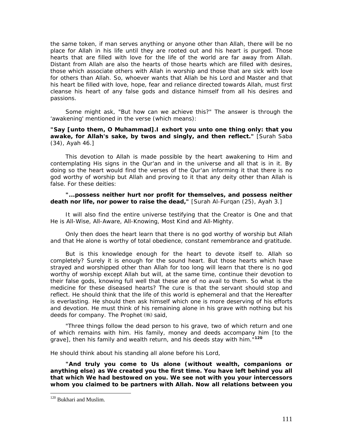the same token, if man serves anything or anyone other than Allah, there will be no place for Allah in his life until they are rooted out and his heart is purged. Those hearts that are filled with love for the life of the world are far away from Allah. Distant from Allah are also the hearts of those hearts which are filled with desires, those which associate others with Allah in worship and those that are sick with love for others than Allah. So, whoever wants that Allah be his Lord and Master and that his heart be filled with love, hope, fear and reliance directed towards Allah, must first cleanse his heart of any false gods and distance himself from all his desires and passions.

Some might ask, "But how can we achieve this?" The answer is through the 'awakening' mentioned in the verse (which means):

## *"Say [unto them, O Muhammad].I exhort you unto one thing only: that you awake, for Allah's sake, by twos and singly, and then reflect."* [Surah Saba (34), Ayah 46.]

This devotion to Allah is made possible by the heart awakening to Him and contemplating His signs in the Qur'an and in the universe and all that is in it. By doing so the heart would find the verses of the Qur'an informing it that there is no god worthy of worship but Allah and proving to it that any deity other than Allah is false. For these deities:

### *"...possess neither hurt nor profit for themselves, and possess neither death nor life, nor power to raise the dead,"* [Surah Al-Furgan (25), Ayah 3.]

It will also find the entire universe testifying that the Creator is One and that He is All-Wise, All-Aware, All-Knowing, Most Kind and All-Mighty.

Only then does the heart learn that there is no god worthy of worship but Allah and that He alone is worthy of total obedience, constant remembrance and gratitude.

But is this knowledge enough for the heart to devote itself to. Allah so completely? Surely it is enough for the sound heart. But those hearts which have strayed and worshipped other than Allah for too long will learn that there is no god worthy of worship except Allah but will, at the same time, continue their devotion to their false gods, knowing full well that these are of no avail to them. So what is the medicine for these diseased hearts? The cure is that the servant should stop and reflect. He should think that the life of this world is ephemeral and that the Hereafter is everlasting. He should then ask himself which one is more deserving of his efforts and devotion. He must think of his remaining alone in his grave with nothing but his deeds for company. The Prophet (5) said,

*"Three things follow the dead person to his grave, two of which return and one of which remains with him. His family, money and deeds accompany him [to the grave], then his family and wealth return, and his deeds stay with him."***[1](#page-111-0)20**

He should think about his standing all alone before his Lord,

*"And truly you come to Us alone (without wealth, companions or anything else) as We created you the first time. You have left behind you all that which We had bestowed on you. We see not with you your intercessors whom you claimed to be partners with Allah. Now all relations between you* 

<span id="page-111-0"></span><sup>&</sup>lt;sup>120</sup> Bukhari and Muslim.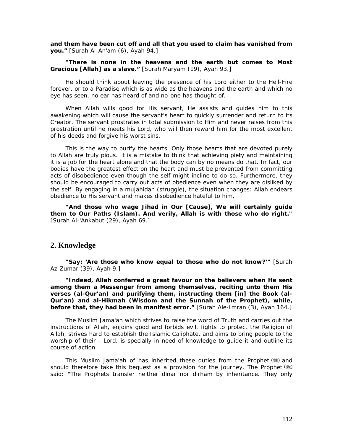*and them have been cut off and all that you used to claim has vanished from you."* [Surah Al-An'am (6), Ayah 94.]

## *"There is none in the heavens and the earth but comes to Most Gracious [Allah] as a slave."* [Surah Maryam (19), Ayah 93.]

He should think about leaving the presence of his Lord either to the Hell-Fire forever, or to a Paradise which is as wide as the heavens and the earth and which no eye has seen, no ear has heard of and no-one has thought of.

When Allah wills good for His servant, He assists and guides him to this awakening which will cause the servant's heart to quickly surrender and return to its Creator. The servant prostrates in total submission to Him and never raises from this prostration until he meets his Lord, who will then reward him for the most excellent of his deeds and forgive his worst sins.

This is the way to purify the hearts. Only those hearts that are devoted purely to Allah are truly pious. It is a mistake to think that achieving piety and maintaining it is a job for the heart alone and that the body can by no means do that. In fact, our bodies have the greatest effect on the heart and must be prevented from committing acts of disobedience even though the self might incline to do so. Furthermore, they should be encouraged to carry out acts of obedience even when they are disliked by the self. By engaging in a mujahidah (struggle), the situation changes: Allah endears obedience to His servant and makes disobedience hateful to him,

*"And those who wage Jihad in Our [Cause], We will certainly guide them to Our Paths (Islam). And verily, Allah is with those who do right."* [Surah Al-'Ankabut (29), Ayah 69.]

# **2. Knowledge**

*"Say: 'Are those who know equal to those who do not know?'"* [Surah Az-Zumar (39), Ayah 9.]

*"Indeed, Allah conferred a great favour on the believers when He sent among them a Messenger from among themselves, reciting unto them His verses (al-Qur'an) and purifying them, instructing them [in] the Book (al-Qur'an) and al-Hikmah (Wisdom and the Sunnah of the Prophet), while, before that, they had been in manifest error."* [Surah Ale-Imran (3), Ayah 164.]

The Muslim *Jama'ah* which strives to raise the word of Truth and carries out the instructions of Allah, enjoins good and forbids evil, fights to protect the Religion of Allah, strives hard to establish the Islamic Caliphate, and aims to bring people to the worship of their - Lord, is specially in need of knowledge to guide it and outline its course of action.

This Muslim *Jama'ah* of has inherited these duties from the Prophet (\*) and should therefore take this bequest as a provision for the journey. The Prophet (5) said: *"The Prophets transfer neither dinar nor dirham by inheritance. They only*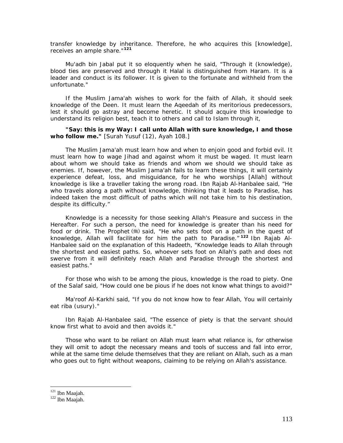*transfer knowledge by inheritance. Therefore, he who acquires this [knowledge], receives an ample share."***[12](#page-113-0)1**

Mu'adh bin Jabal put it so eloquently when he said, *"Through it (knowledge), blood ties are preserved and through it Halal is distinguished from Haram. It is a*  leader and conduct is its follower. It is given to the fortunate and withheld from the *unfortunate."* 

If the Muslim *Jama'ah* wishes to work for the faith of Allah, it should seek knowledge of the Deen. It must learn the *Aqeedah* of its meritorious predecessors, lest it should go astray and become heretic. It should acquire this knowledge to understand its religion best, teach it to others and call to Islam through it,

*"Say: this is my Way: I call unto Allah with sure knowledge, I and those who follow me."* [Surah Yusuf (12), Ayah 108.]

The Muslim *Jama'ah* must learn how and when to enjoin good and forbid evil. It must learn how to wage *Jihad* and against whom it must be waged. It must learn about whom we should take as friends and whom we should we should take as enemies. If, however, the Muslim *Jama'ah* fails to learn these things, it will certainly experience defeat, loss, and misguidance, for he who worships [Allah] without knowledge is like a traveller taking the wrong road. Ibn Rajab Al-Hanbalee said, *"He who travels along a path without knowledge, thinking that it leads to Paradise, has indeed taken the most difficult of paths which will not take him to his destination, despite its difficulty."* 

Knowledge is a necessity for those seeking Allah's Pleasure and success in the Hereafter. For such a person, the need for knowledge is greater than his need for food or drink. The Prophet (5) said, *"He who sets foot on a path in the quest of knowledge, Allah will facilitate for him the path to Paradise."* **[12](#page-113-1)2** Ibn Rajab Al-Hanbalee said on the explanation of this Hadeeth, *"Knowledge leads to Allah through the shortest and easiest paths. So, whoever sets foot on Allah's path and does not swerve from it will definitely reach Allah and Paradise through the shortest and easiest paths."* 

For those who wish to be among the pious, knowledge is the road to piety. One of the Salaf said, *"How could one be pious if he does not know what things to avoid?"* 

Ma'roof Al-Karkhi said, *"If you do not know how to fear Allah, You will certainly eat riba (usury)."* 

Ibn Rajab Al-Hanbalee said, *"The essence of piety is that the servant should know first what to avoid and then avoids it."* 

Those who want to be reliant on Allah must learn what reliance is, for otherwise they will omit to adopt the necessary means and tools of success and fall into error, while at the same time delude themselves that they are reliant on Allah, such as a man who goes out to fight without weapons, claiming to be relying on Allah's assistance.

<span id="page-113-0"></span><sup>&</sup>lt;sup>121</sup> Ibn Maajah.

<span id="page-113-1"></span> $122$  Ibn Maajah.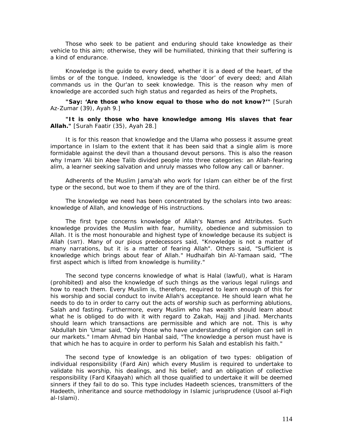Those who seek to be patient and enduring should take knowledge as their vehicle to this aim; otherwise, they will be humiliated, thinking that their suffering is a kind of endurance.

Knowledge is the guide to every deed, whether it is a deed of the heart, of the limbs or of the tongue. Indeed, knowledge is the 'door' of every deed; and Allah commands us in the Qur'an to seek knowledge. This is the reason why men of knowledge are accorded such high status and regarded as heirs of the Prophets,

*"Say: 'Are those who know equal to those who do not know?'"* [Surah Az-Zumar (39), Ayah 9.]

*"It is only those who have knowledge among His slaves that fear Allah."* [Surah Faatir (35), Ayah 28.]

It is for this reason that knowledge and the *Ulama* who possess it assume great importance in Islam to the extent that it has been said that a single *alim is* more formidable against the devil than a thousand devout persons. This is also the reason why Imam 'Ali bin Abee Talib divided people into three categories: an Allah-fearing *alim,* a learner seeking salvation and unruly masses who follow any call or banner.

Adherents of the Muslim *Jama'ah* who work for Islam can either be of the first type or the second, but woe to them if they are of the third.

The knowledge we need has been concentrated by the scholars into two areas: knowledge of Allah, and knowledge of His instructions.

The first type concerns knowledge of Allah's Names and Attributes. Such knowledge provides the Muslim with fear, humility, obedience and submission to Allah. It is the most honourable and highest type of knowledge because its subject is Allah (SWT). Many of our pious predecessors said, *"Knowledge is not a matter of many narrations, but it is a matter of fearing Allah".* Others said, *"Sufficient is knowledge which brings about fear of Allah."* Hudhaifah bin Al-Yamaan said, *"The first aspect which is lifted from knowledge is humility."* 

The second type concerns knowledge of what is *Halal* (lawful), what is *Haram*  (prohibited) and also the knowledge of such things as the various legal rulings and how to reach them. Every Muslim is, therefore, required to learn enough of this for his worship and social conduct to invite Allah's acceptance. He should learn what he needs to do to in order to carry out the acts of worship such as performing ablutions, *Salah* and fasting. Furthermore, every Muslim who has wealth should learn about what he is obliged to do with it with regard to *Zakah, Hajj* and *Jihad.* Merchants should learn which transactions are permissible and which are not. This is why 'Abdullah bin 'Umar said, *"Only those who have understanding of religion can sell in our markets."* Imam Ahmad bin Hanbal said, *"The knowledge a person must have is that which he has to acquire in order to perform his Salah and establish his faith."* 

The second type of knowledge is an obligation of two types: obligation of individual responsibility *(Fard Ain)* which every Muslim is required to undertake to validate his worship, his dealings, and his belief; and an obligation of collective responsibility *(Fard Kifaayah)* which all those qualified to undertake it will be deemed sinners if they fail to do so. This type includes Hadeeth sciences, transmitters of the Hadeeth, inheritance and source methodology in Islamic jurisprudence (Usool al-Fiqh al-Islami).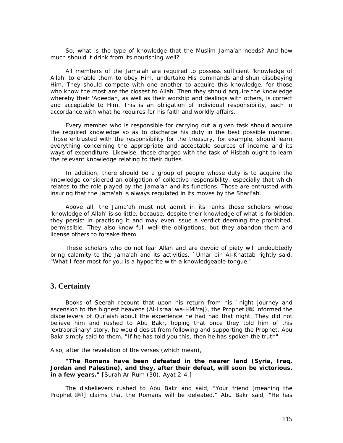So, what is the type of knowledge that the Muslim *Jama'ah* needs? And how much should it drink from its nourishing well?

All members of the *Jama'ah* are required to possess sufficient 'knowledge of Allah' to enable them to obey Him, undertake His commands and shun disobeying Him. They should compete with one another to acquire this knowledge, for those who know the most are the closest to Allah. Then they should acquire the knowledge whereby their *'Aqeedah,* as well as their worship and dealings with others, is correct and acceptable to Him. This is an obligation of individual responsibility, each in accordance with what he requires for his faith and worldly affairs.

Every member who is responsible for carrying out a given task should acquire the required knowledge so as to discharge his duty in the best possible manner. Those entrusted with the responsibility for the treasury, for example, should learn everything concerning the appropriate and acceptable sources of income and its ways of expenditure. Likewise, those charged with the task of *Hisbah* ought to learn the relevant knowledge relating to their duties.

In addition, there should be a group of people whose duty is to acquire the knowledge considered an obligation of collective responsibility, especially that which relates to the role played by the *Jama'ah* and its functions. These are entrusted with insuring that the *Jama'ah is* always regulated in its moves by the *Shari'ah.* 

Above all, the *Jama'ah* must not admit in its ranks those scholars whose 'knowledge of Allah' is so little, because, despite their knowledge of what is forbidden, they persist in practising it and may even issue a verdict deeming the prohibited, permissible. They also know full well the obligations, but they abandon them and license others to forsake them.

These scholars who do not fear Allah and are devoid of piety will undoubtedly bring calamity to the *Jama'ah* and its activities. `Umar bin Al-Khattab rightly said, *"What I fear most for you is a hypocrite with a knowledgeable tongue."* 

# **3. Certainty**

Books of *Seerah* recount that upon his return from his `night journey and ascension to the highest heavens *(Al-Israa' wa-l-Mi'raj)*, the Prophet ( the informed the disbelievers of Qur'aish about the experience he had had that night. They did not believe him and rushed to Abu Bakr, hoping that once they told him of this 'extraordinary' story, he would desist from following and supporting the Prophet. Abu Bakr simply said to them, *"If he has told you this, then he has spoken the truth".* 

Also, after the revelation of the verses (which mean),

*"The Romans have been defeated in the nearer land (Syria, Iraq, Jordan and Palestine), and they, after their defeat, will soon be victorious, in a few years."* [Surah Ar-Rum (30), Ayat 2-4.]

The disbelievers rushed to Abu Bakr and said, *"Your friend [meaning the Prophet ] claims that the Romans will be defeated."* Abu Bakr said, *"He has*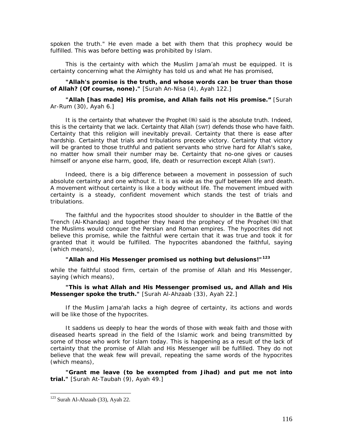*spoken the truth."* He even made a bet with them that this prophecy would be fulfilled. This was before betting was prohibited by Islam.

This is the certainty with which the Muslim *Jama'ah* must be equipped. It is certainty concerning what the Almighty has told us and what He has promised,

## *"Allah's promise is the truth, and whose words can be truer than those of Allah? (Of course, none)."* [Surah An-Nisa (4), Ayah 122.]

## *"Allah [has made] His promise, and Allah fails not His promise."* [Surah Ar-Rum (30), Ayah 6.]

It is the certainty that whatever the Prophet  $(\frac{4}{3})$  said is the absolute truth. Indeed, this is the certainty that we lack. Certainty that Allah (SWT) defends those who have faith. Certainty that this religion will inevitably prevail. Certainty that there is ease after hardship. Certainty that trials and tribulations precede victory. Certainty that victory will be granted to those truthful and patient servants who strive hard for Allah's sake, no matter how small their number may be. Certainty that no-one gives or causes himself or anyone else harm, good, life, death or resurrection except Allah (SWT).

Indeed, there is a big difference between a movement in possession of such absolute certainty and one without it. It is as wide as the gulf between life and death. A movement without certainty is like a body without life. The movement imbued with certainty is a steady, confident movement which stands the test of trials and tribulations.

The faithful and the hypocrites stood shoulder to shoulder in the Battle of the Trench (Al-Khandaq) and together they heard the prophecy of the Prophet  $(\frac{4}{3})$  that the Muslims would conquer the Persian and Roman empires. The hypocrites did not believe this promise, while the faithful were certain that it was true and took it for granted that it would be fulfilled. The hypocrites abandoned the faithful, saying (which means),

# *"Allah and His Messenger promised us nothing but delusions!"***[1](#page-116-0)23**

while the faithful stood firm, certain of the promise of Allah and His Messenger, saying (which means),

*"This is what Allah and His Messenger promised us, and Allah and His Messenger spoke the truth."* [Surah Al-Ahzaab (33), Ayah 22.]

If the Muslim *Jama'ah* lacks a high degree of certainty, its actions and words will be like those of the hypocrites.

It saddens us deeply to hear the words of those with weak faith and those with diseased hearts spread in the field of the Islamic work and being transmitted by some of those who work for Islam today. This is happening as a result of the lack of certainty that the promise of Allah and His Messenger will be fulfilled. They do not believe that the weak few will prevail, repeating the same words of the hypocrites (which means),

*"Grant me leave (to be exempted from Jihad) and put me not into trial."* [Surah At-Taubah (9), Ayah 49.]

<span id="page-116-0"></span> $123$  Surah Al-Ahzaab (33), Ayah 22.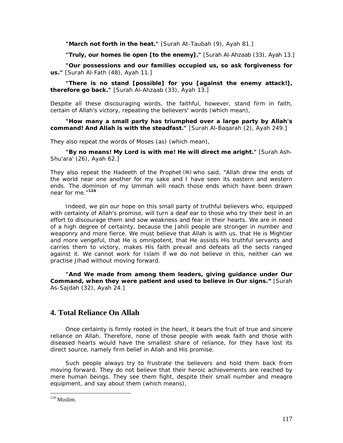*"March not forth in the heat."* [Surah At-Taubah (9), Ayah 81.]

*"Truly, our homes lie open [to the enemy]."* [Surah Al-Ahzaab (33), Ayah 13.]

*"Our possessions and our families occupied us, so ask forgiveness for us."* [Surah Al-Fath (48), Ayah 11.]

*"There is no stand [possible] for you [against the enemy attack!], therefore go back."* [Surah Al-Ahzaab (33), Ayah 13.]

Despite all these discouraging words, the faithful, however, stand firm in faith, certain of Allah's victory, repeating the believers' words (which mean),

*"How many a small party has triumphed over a large party by Allah's command! And Allah is with the steadfast."* [Surah Al-Baqarah (2), Ayah 249.]

They also repeat the words of Moses (as) (which mean),

*"By no means! My Lord is with me! He will direct me aright."* [Surah Ash-Shu'ara' (26), Ayah 62.]

They also repeat the Hadeeth of the Prophet (\*) who said, *"Allah drew the ends of the world near one another for my sake and I have seen its eastern and western ends. The dominion of my Ummah will reach those ends which have been drawn near for me."***[1](#page-117-0)24**

Indeed, we pin our hope on this small party of truthful believers who, equipped with certainty of Allah's promise, will turn a deaf ear to those who try their best in an effort to discourage them and sow weakness and fear in their hearts. We are in need of a high degree of certainty, because the *Jahili* people are stronger in number and weaponry and more fierce. We must believe that Allah is with us, that He is Mightier and more vengeful, that He is omnipotent, that He assists His truthful servants and carries them to victory, makes His faith prevail and defeats all the sects ranged against it. We cannot work for Islam if we do not believe in this, neither can we practise *Jihad* without moving forward.

*"And We made from among them leaders, giving guidance under Our Command, when they were patient and used to believe in Our signs."* [Surah As-Sajdah (32), Ayah 24.]

# **4. Total Reliance On Allah**

Once certainty is firmly rooted in the heart, it bears the fruit of true and sincere reliance on Allah. Therefore, none of those people with weak faith and those with diseased hearts would have the smallest share of reliance, for they have lost its direct source, namely firm belief in Allah and His promise.

Such people always try to frustrate the believers and hold them back from moving forward. They do not believe that their heroic achievements are reached by mere human beings. They see them fight, despite their small number and meagre equipment, and say about them (which means),

<span id="page-117-0"></span> $124$  Muslim.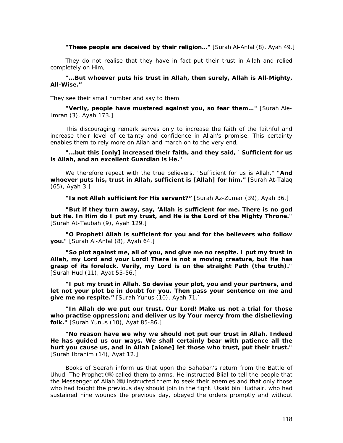*"These people are deceived by their religion..."* [Surah Al-Anfal (8), Ayah 49.]

They do not realise that they have in fact put their trust in Allah and relied completely on Him,

# *"…But whoever puts his trust in Allah, then surely, Allah is All-Mighty, All-Wise."*

They see their small number and say to them

*"Verily, people have mustered against you, so fear them…"* [Surah Ale-Imran (3), Ayah 173.]

This discouraging remark serves only to increase the faith of the faithful and increase their level of certainty and confidence in Allah's promise. This certainty enables them to rely more on Allah and march on to the very end,

*"...but this [only] increased their faith, and they said, `Sufficient for us is Allah, and an excellent Guardian is He."* 

We therefore repeat with the true believers, "Sufficient for us is Allah." *"And whoever puts his, trust in Allah, sufficient is [Allah] for him."* [Surah At-Talaq (65), Ayah 3.]

*"Is not Allah sufficient for His servant?"* [Surah Az-Zumar (39), Ayah 36.]

*"But if they turn away, say, 'Allah is sufficient for me. There is no god but He. In Him do I put my trust, and He is the Lord of the Mighty Throne."* [Surah At-Taubah (9), Ayah 129.]

*"O Prophet! Allah is sufficient for you and for the believers who follow you."* [Surah Al-Anfal (8), Ayah 64.]

*"So plot against me, all of you, and give me no respite. I put my trust in Allah, my Lord and your Lord! There is not a moving creature, but He has grasp of its forelock. Verily, my Lord is on the straight Path (the truth)."* [Surah Hud (11), Ayat 55-56.]

*"I put my trust in Allah. So devise your plot, you and your partners, and let not your plot be in doubt for you. Then pass your sentence on me and give me no respite."* [Surah Yunus (10), Ayah 71.]

*"In Allah do we put our trust. Our Lord! Make us not a trial for those who practise oppression; and deliver us by Your mercy from the disbelieving folk."* [Surah Yunus (10), Ayat 85-86.]

*"No reason have we why we should not put our trust in Allah. Indeed He has guided us our ways. We shall certainly bear with patience all the hurt you cause us, and in Allah [alone] let those who trust, put their trust."* [Surah Ibrahim (14), Ayat 12.]

Books of *Seerah* inform us that upon the *Sahabah's* return from the Battle of Uhud, The Prophet  $(\frac{4}{3})$  called them to arms. He instructed Biial to tell the people that the Messenger of Allah (#) instructed them to seek their enemies and that only those who had fought the previous day should join in the fight. Usaid bin Hudhair, who had sustained nine wounds the previous day, obeyed the orders promptly and without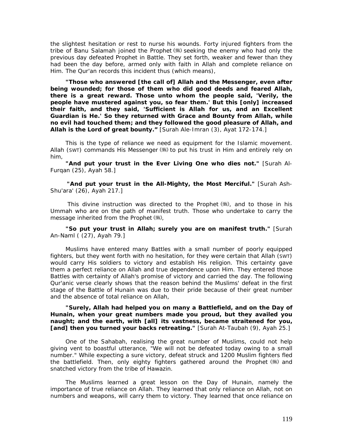the slightest hesitation or rest to nurse his wounds. Forty injured fighters from the tribe of Banu Salamah joined the Prophet (\*) seeking the enemy who had only the previous day defeated Prophet in Battle. They set forth, weaker and fewer than they had been the day before, armed only with faith in Allah and complete reliance on Him. The Qur'an records this incident thus (which means),

*"Those who answered [the call of] Allah and the Messenger, even after being wounded; for those of them who did good deeds and feared Allah, there is a great reward. Those unto whom the people said, 'Verily, the people have mustered against you, so fear them.' But this [only] increased their faith, and they said, 'Sufficient is Allah for us, and an Excellent Guardian is He.' So they returned with Grace and Bounty from Allah, while no evil had touched them; and they followed the good pleasure of Allah, and Allah is the Lord of great bounty."* [Surah Ale-Imran (3), Ayat 172-174.]

This is the type of reliance we need as equipment for the Islamic movement. Allah (SWT) commands His Messenger (卷) to put his trust in Him and entirely rely on him,

*"And put your trust in the Ever Living One who dies not."* [Surah Al-Furqan (25), Ayah 58.]

*"And put your trust in the All-Mighty, the Most Merciful."* [Surah Ash-Shu'ara' (26), Ayah 217.]

This divine instruction was directed to the Prophet  $(\frac{4}{3})$ , and to those in his *Ummah* who are on the path of manifest truth. Those who undertake to carry the message inherited from the Prophet (卷),

*"So put your trust in Allah; surely you are on manifest truth."* [Surah An-Naml ( (27), Ayah 79.]

Muslims have entered many Battles with a small number of poorly equipped fighters, but they went forth with no hesitation, for they were certain that Allah (SWT) would carry His soldiers to victory and establish His religion. This certainty gave them a perfect reliance on Allah and true dependence upon Him. They entered those Battles with certainty of Allah's promise of victory and carried the day. The following Qur'anic verse clearly shows that the reason behind the Muslims' defeat in the first stage of the Battle of Hunain was due to their pride because of their great number and the absence of total reliance on Allah,

# *"Surely, Allah had helped you on many a Battlefield, and on the Day of Hunain, when your great numbers made you proud, but they availed you naught; and the earth, with [all] its vastness, became straitened for you, [and] then you turned your backs retreating."* [Surah At-Taubah (9), Ayah 25.]

One of the Sahabah, realising the great number of Muslims, could not help giving vent to boastful utterance, *"We will not be defeated today owing to a small number."* While expecting a sure victory, defeat struck and 1200 Muslim fighters fled the battlefield. Then, only eighty fighters gathered around the Prophet ( and snatched victory from the tribe of Hawazin.

The Muslims learned a great lesson on the Day of Hunain, namely the importance of true reliance on Allah. They learned that only reliance on Allah, not on numbers and weapons, will carry them to victory. They learned that once reliance on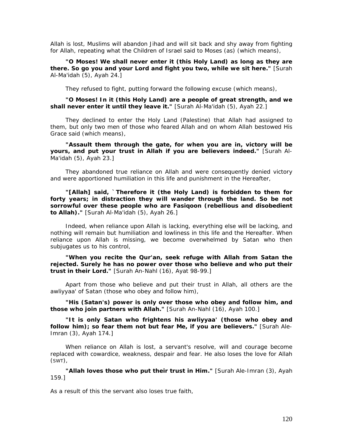Allah is lost, Muslims will abandon *Jihad* and will sit back and shy away from fighting for Allah, repeating what the Children of Israel said to Moses (as) (which means),

*"O Moses! We shall never enter it (this Holy Land) as long as they are there. So go you and your Lord and fight you two, while we sit here."* [Surah Al-Ma'idah (5), Ayah 24.]

They refused to fight, putting forward the following excuse (which means),

#### *"O Moses! In it (this Holy Land) are a people of great strength, and we shall never enter it until they leave it."* [Surah Al-Ma'idah (5), Ayah 22.]

They declined to enter the Holy Land (Palestine) that Allah had assigned to them, but only two men of those who feared Allah and on whom Allah bestowed His Grace said (which means),

*"Assault them through the gate, for when you are in, victory will be yours, and put your trust in Allah if you are believers indeed."* [Surah Al-Ma'idah (5), Ayah 23.]

They abandoned true reliance on Allah and were consequently denied victory and were apportioned humiliation in this life and punishment in the Hereafter,

*"[Allah] said, `Therefore it (the Holy Land) is forbidden to them for forty years; in distraction they will wander through the land. So be not sorrowful over these people who are Fasiqoon (rebellious and disobedient to Allah)."* [Surah Al-Ma'idah (5), Ayah 26.]

Indeed, when reliance upon Allah is lacking, everything else will be lacking, and nothing will remain but humiliation and lowliness in this life and the Hereafter. When reliance upon Allah is missing, we become overwhelmed by Satan who then subjugates us to his control,

*"When you recite the Qur'an, seek refuge with Allah from Satan the rejected. Surely he has no power over those who believe and who put their trust in their Lord."* [Surah An-Nahl (16), Ayat 98-99.]

Apart from those who believe and put their trust in Allah, all others are the *awliyyaa'* of Satan (those who obey and follow him),

*"His (Satan's) power is only over those who obey and follow him, and those who join partners with Allah."* [Surah An-Nahl (16), Ayah 100.]

*"It is only Satan who frightens his awliyyaa' (those who obey and follow him); so fear them not but fear Me, if you are believers."* [Surah Ale-Imran (3), Ayah 174.]

When reliance on Allah is lost, a servant's resolve, will and courage become replaced with cowardice, weakness, despair and fear. He also loses the love for Allah (SWT),

*"Allah loves those who put their trust in Him."* [Surah Ale-Imran (3), Ayah 159.]

As a result of this the servant also loses true faith,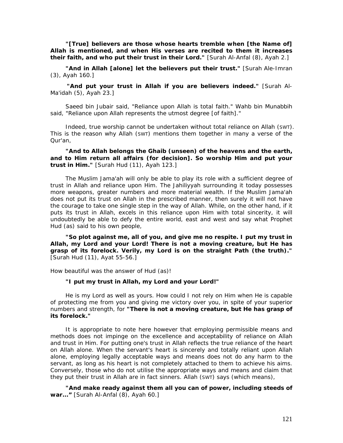*"[True] believers are those whose hearts tremble when [the Name of] Allah is mentioned, and when His verses are recited to them it increases their faith, and who put their trust in their Lord."* [Surah Al-Anfal (8), Ayah 2.]

*"And in Allah [alone] let the believers put their trust."* [Surah Ale-Imran (3), Ayah 160.]

*"And put your trust in Allah if you are believers indeed."* [Surah Al-Ma'idah (5), Ayah 23.]

Saeed bin Jubair said, *"Reliance upon Allah is total faith."* Wahb bin Munabbih said, *"Reliance upon Allah represents the utmost degree [of faith]."* 

Indeed, true worship cannot be undertaken without total reliance on Allah (SWT). This is the reason why Allah (SWT) mentions them together in many a verse of the Qur'an,

# *"And to Allah belongs the Ghaib (unseen) of the heavens and the earth, and to Him return all affairs (for decision]. So worship Him and put your trust in Him."* [Surah Hud (11), Ayah 123.]

The Muslim *Jama'ah will* only be able to play its role with a sufficient degree of trust in Allah and reliance upon Him. The *Jahiliyyah* surrounding it today possesses more weapons, greater numbers and more material wealth. If the Muslim *Jama'ah*  does not put its trust on Allah in the prescribed manner, then surely it will not have the courage to take one single step in the way of Allah. While, on the other hand, if it puts its trust in Allah, excels in this reliance upon Him with total sincerity, it will undoubtedly be able to defy the entire world, east and west and say what Prophet Hud (as) said to his own people,

*"So plot against me, all of you, and give me no respite. I put my trust in Allah, my Lord and your Lord! There is not a moving creature, but He has grasp of its forelock. Verily, my Lord is on the straight Path (the truth)."* [Surah Hud (11), Ayat 55-56.]

How beautiful was the answer of Hud (as)!

#### *"I put my trust in Allah, my Lord and your Lord!"*

He is my Lord as well as yours. How could I not rely on Him when He is capable of protecting me from you and giving me victory over you, in spite of your superior numbers and strength, for *"There is not a moving creature, but He has grasp of its forelock."* 

It is appropriate to note here however that employing permissible means and methods does not impinge on the excellence and acceptability of reliance on Allah and trust in Him. For putting one's trust in Allah reflects the true reliance of the heart on Allah alone. When the servant's heart is sincerely and totally reliant upon Allah alone, employing legally acceptable ways and means does not do any harm to the servant, as long as his heart is not completely attached to them to achieve his aims. Conversely, those who do not utilise the appropriate ways and means and claim that they put their trust in Allah are in fact sinners. Allah (SWT) says (which means),

*"And make ready against them all you can of power, including steeds of war..."* [Surah Al-Anfal (8), Ayah 60.]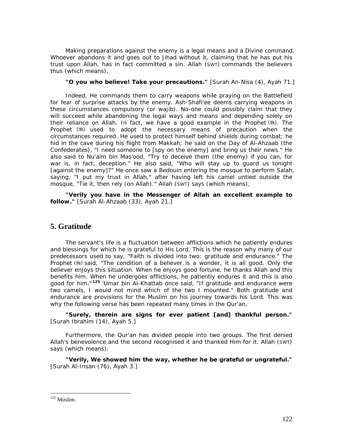Making preparations against the enemy is a legal means and a Divine command. Whoever abandons it and goes out to *Jihad* without it, claiming that he has put his trust upon Allah, has in fact committed a sin. Allah (SWT) commands the believers thus (which means),

# *"O you who believe! Take your precautions."* [Surah An-Nisa (4), Ayah 71.]

Indeed, He commands them to carry weapons while praying on the Battlefield for fear of surprise attacks by the enemy. Ash-Shafi'ee deems carrying weapons in these circumstances compulsory (or wajib). No-one could possibly claim that they will succeed while abandoning the legal ways and means and depending solely on their reliance on Allah. In fact, we have a good example in the Prophet  $(\frac{4}{3})$ . The Prophet ( used to adopt the necessary means of precaution when the circumstances required. He used to protect himself behind shields during combat; he hid in the cave during his flight from Makkah; he said on the Day of Al-Ahzaab (the Confederates), *"I need someone to [spy on the enemy] and bring us their news."* He also said to Nu'aim bin Mas'ood, *"Try to deceive them (the enemy) if you can, for war is, in fact, deception."* He also said, *"Who will stay up to guard us tonight [against the enemy]?"* He once saw a Bedouin entering the mosque to perform *Salah,*  saying, *"I put my trust in Allah,"* after having left his camel untied outside the mosque, *"Tie it, then rely (on Allah)."* Allah (SWT) says (which means),

*"Verily you have in the Messenger of Allah an excellent example to follow."* [Surah Al-Ahzaab (33), Ayah 21.]

# **5. Gratitude**

The servant's life is a fluctuation between afflictions which he patiently endures and blessings for which he is grateful to His Lord. This is the reason why many of our predecessors used to say, *"Faith is divided into two: gratitude and endurance."* The Prophet ( $\equiv$ ) said, "The condition of a believer is a wonder, it is all good. Only the *believer enjoys this situation. When he enjoys good fortune, he thanks Allah and this benefits him. When he undergoes afflictions, he patiently endures it and this is also good for him."***[12](#page-122-0)5** *'*Umar bin Al-Khattab once said, *"If gratitude and endurance were two camels, I would not mind which of the two I mounted."* Both gratitude and endurance are provisions for the Muslim on his journey towards his Lord. This was why the following verse has been repeated many times in the Qur'an,

*"Surely, therein are signs for ever patient [and] thankful person."* [Surah Ibrahim (14), Ayah 5.]

Furthermore, the Qur'an has divided people into two groups. The first denied Allah's benevolence and the second recognised it and thanked Him for it. Allah (SWT) says (which means):

*"Verily, We showed him the way, whether he be grateful or ungrateful."* [Surah Al-Insan (76), Ayah 3.]

<span id="page-122-0"></span> $125$  Muslim.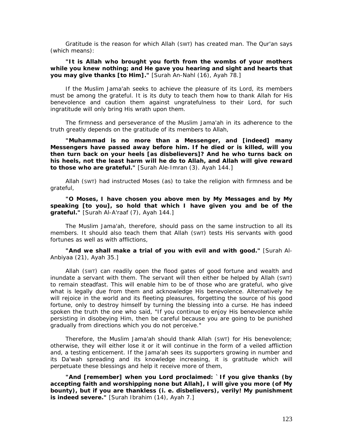Gratitude is the reason for which Allah (SWT) has created man. The Qur'an says (which means):

# *"It is Allah who brought you forth from the wombs of your mothers while you knew nothing; and He gave you hearing and sight and hearts that you may give thanks [to Him]."* [Surah An-Nahl (16), Ayah 78.]

If the Muslim *Jama'ah* seeks to achieve the pleasure of its Lord, its members must be among the grateful. It is its duty to teach them how to thank Allah for His benevolence and caution them against ungratefulness to their Lord, for such ingratitude will only bring His wrath upon them.

The firmness and perseverance of the Muslim Jama'ah in its adherence to the truth greatly depends on the gratitude of its members to Allah,

*"Muhammad is no more than a Messenger, and [indeed] many Messengers have passed away before him. If he died or is killed, will you then turn back on your heels [as disbelievers]? And he who turns back on his heels, not the least harm will he do to Allah, and Allah will give reward to those who are grateful."* [Surah Ale-Imran (3). Ayah 144.]

Allah (SWT) had instructed Moses (as) to take the religion with firmness and be grateful,

*"O Moses, I have chosen you above men by My Messages and by My speaking [to you], so hold that which I have given you and be of the grateful."* [Surah Al-A'raaf (7), Ayah 144.]

The Muslim *Jama'ah,* therefore, should pass on the same instruction to all its members. It should also teach them that Allah (SWT) tests His servants with good fortunes as well as with afflictions,

*"And we shall make a trial of you with evil and with good."* [Surah Al-Anbiyaa (21), Ayah 35.]

Allah (SWT) can readily open the flood gates of good fortune and wealth and inundate a servant with them. The servant will then either be helped by Allah (SWT) to remain steadfast. This will enable him to be of those who are grateful, who give what is legally due from them and acknowledge His benevolence. Alternatively he will rejoice in the world and its fleeting pleasures, forgetting the source of his good fortune, only to destroy himself by turning the blessing into a curse. He has indeed spoken the truth the one who said, "If you *continue to enjoy His benevolence while persisting in disobeying Him, then be careful because you are going to be punished gradually from directions which you do not perceive."* 

Therefore, the Muslim *Jama'ah* should thank Allah (SWT) for His benevolence; otherwise, they will either lose it or it will continue in the form of a veiled affliction and, a testing enticement. If the *Jama'ah* sees its supporters growing in number and its *Da'wah* spreading and its knowledge increasing, it is gratitude which will perpetuate these blessings and help it receive more of them,

*"And [remember] when you Lord proclaimed: `If you give thanks (by accepting faith and worshipping none but Allah], I will give you more (of My bounty), but if you are thankless (i. e. disbelievers), verily! My punishment is indeed severe."* [Surah Ibrahim (14), Ayah 7.]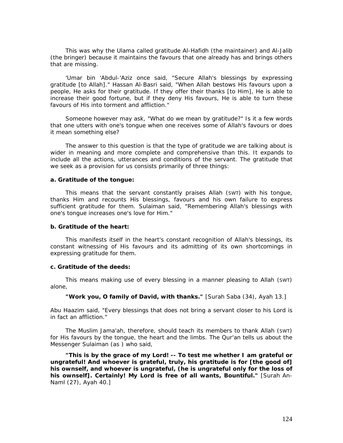This was why the *Ulama* called gratitude *Al-Hafidh* (the maintainer) and *Al-Jalib*  (the bringer) because it maintains the favours that one already has and brings others that are missing.

'Umar bin 'Abdul-'Aziz once said, *"Secure Allah's blessings by expressing gratitude [to Allah]."* Hassan Al-Basri said, *"When Allah bestows His favours upon a people, He asks for their gratitude. If they offer their thanks [to Him], He is able to increase their good fortune, but if they deny His favours, He is able to turn these favours of His into torment and affliction."* 

Someone however may ask, "What do we mean by gratitude?" Is it a few words that one utters with one's tongue when one receives some of Allah's favours or does it mean something else?

The answer to this question is that the type of gratitude we are talking about is wider in meaning and more complete and comprehensive than this. It expands to include all the actions, utterances and conditions of the servant. The gratitude that we seek as a provision for us consists primarily of three things:

#### **a. Gratitude of the tongue:**

This means that the servant constantly praises Allah (SWT) with his tongue, thanks Him and recounts His blessings, favours and his own failure to express sufficient gratitude for them. Sulaiman said, *"Remembering Allah's blessings with one's tongue increases one's love for Him."* 

#### **b. Gratitude of the heart:**

This manifests itself in the heart's constant recognition of Allah's blessings, its constant witnessing of His favours and its admitting of its own shortcomings in expressing gratitude for them.

#### **c. Gratitude of the deeds:**

This means making use of every blessing in a manner pleasing to Allah (SWT) alone,

*"Work you, O family of David, with thanks."* [Surah Saba (34), Ayah 13.]

Abu Haazim said, *"Every blessings that does not bring a servant closer to his Lord is in fact an affliction."* 

The Muslim *Jama'ah,* therefore, should teach its members to thank Allah (SWT) for His favours by the tongue, the heart and the limbs. The Qur'an tells us about the Messenger Sulaiman (as ) who said,

*"This is by the grace of my Lord! -- To test me whether I am grateful or ungrateful! And whoever is grateful, truly, his gratitude is for [the good of] his ownself, and whoever is ungrateful, (he is ungrateful only for the loss of his ownself]. Certainly! My Lord is free of all wants, Bountiful."* [Surah An-Naml (27), Ayah 40.]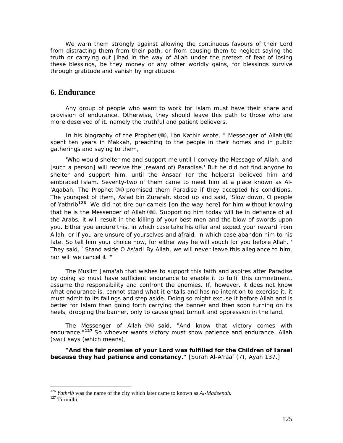We warn them strongly against allowing the continuous favours of their Lord from distracting them from their path, or from causing them to neglect saying the truth or carrying out *Jihad* in the way of Allah under the pretext of fear of losing these blessings, be they money or any other worldly gains, for blessings survive through gratitude and vanish by ingratitude.

# **6. Endurance**

Any group of people who want to work for Islam must have their share and provision of endurance. Otherwise, they should leave this path to those who are more deserved of it, namely the truthful and patient believers.

In his biography of the Prophet (,) Ibn Kathir wrote, " *Messenger of Allah* (,)) *spent ten years in Makkah, preaching to the people in their homes and in public gatherings and saying to them,* 

'Who would shelter me and support me until I convey the Message of Allah, and *[such a person] will receive the [reward* of) *Paradise.' But he did not find anyone to shelter and support him, until the Ansaar (or the helpers) believed him and embraced Islam. Seventy-two of them came to meet him at a place known as Al- 'Aqabah. The Prophet* (\*) promised them Paradise if they accepted his conditions. *The youngest of them, As'ad bin Zurarah, stood up and said, 'Slow down, O people of Yathrib***[1](#page-125-0)26***. We did not tire our camels [on the way here] for him without knowing*  that he is the Messenger of Allah (). Supporting him today will be in defiance of all *the Arabs, it will result in the killing of your best men and the blow of swords upon you. Either you endure this, in which case take his offer and expect your reward from Allah, or if you are unsure of yourselves and afraid, in which case abandon him to his fate. So tell him your choice now, for either way he will vouch for you before Allah. ' They said, `Stand aside O As'ad! By Allah, we will never leave this allegiance to him, nor will we cancel it.'"* 

The Muslim *Jama'ah* that wishes to support this faith and aspires after Paradise by doing so must have sufficient endurance to enable it to fulfil this commitment, assume the responsibility and confront the enemies. If, however, it does not know what endurance is, cannot stand what it entails and has no intention to exercise it, it must admit to its failings and step aside. Doing so might excuse it before Allah and is better for Islam than going forth carrying the banner and then soon turning on its heels, drooping the banner, only to cause great tumult and oppression in the land.

The Messenger of Allah ( ) said, "And know that victory comes with *endurance."***[12](#page-125-1)7** So whoever wants victory must show patience and endurance. Allah (SWT) says (which means),

"And the fair promise of your Lord was fulfilled for the Children of Israel *because they had patience and constancy."* [Surah Al-A'raaf (7), Ayah 137.]

<span id="page-125-1"></span><span id="page-125-0"></span><sup>126</sup> *Yathrib* was the name of the city which later came to known as *Al-Madeenah.* 127 Tirmidhi*.*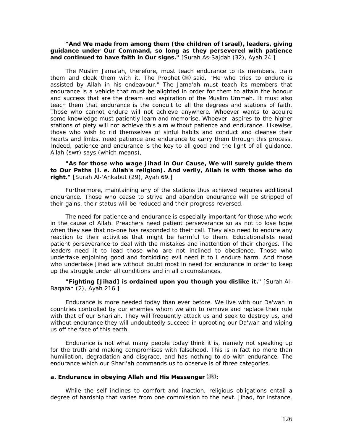# *"And We made from among them (the children of Israel), leaders, giving guidance under Our Command, so long as they persevered with patience and continued to have faith in Our signs."* [Surah As-Sajdah (32), Ayah 24.]

The Muslim *Jama'ah,* therefore, must teach endurance to its members, train them and cloak them with it. The Prophet (5) said, "He who tries to endure is *assisted by Allah in his endeavour."* The *Jama'ah* must teach its members that endurance is a vehicle that must be alighted in order for them to attain the honour and success that are the dream and aspiration of the Muslim *Ummah.* It must also teach them that endurance is the conduit to all the degrees and stations of faith. Those who cannot endure will not achieve anywhere. Whoever wants to acquire some knowledge must patiently learn and memorise. Whoever aspires to the higher stations of piety will not achieve this aim without patience and endurance. Likewise, those who wish to rid themselves of sinful habits and conduct and cleanse their hearts and limbs, need patience and endurance to carry them through this process. Indeed, patience and endurance is the key to all good and the light of all guidance. Allah (SWT) says (which means),

# *"As for those who wage Jihad in Our Cause, We will surely guide them to Our Paths (i. e. Allah's religion). And verily, Allah is with those who do right."* [Surah Al-'Ankabut (29), Ayah 69.]

Furthermore, maintaining any of the stations thus achieved requires additional endurance. Those who cease to strive and abandon endurance will be stripped of their gains, their status will be reduced and their progress reversed.

The need for patience and endurance is especially important for those who work in the cause of Allah. Preachers need patient perseverance so as not to lose hope when they see that no-one has responded to their call. They also need to endure any reaction to their activities that might be harmful to them. Educationalists need patient perseverance to deal with the mistakes and inattention of their charges. The leaders need it to lead those who are not inclined to obedience. Those who undertake enjoining good and forbidding evil need it to I endure harm. And those who undertake *Jihad* are without doubt most in need for endurance in order to keep up the struggle under all conditions and in all circumstances,

*"Fighting [Jihad] is ordained upon you though you dislike it."* [Surah Al-Baqarah (2), Ayah 216.]

Endurance is more needed today than ever before. We live with our *Da'wah* in countries controlled by our enemies whom we aim to remove and replace their rule with that of our *Shari'ah.* They will frequently attack us and seek to destroy us, and without endurance they will undoubtedly succeed in uprooting our *Da'wah* and wiping us off the face of this earth.

Endurance is not what many people today think it is, namely not speaking up for the truth and making compromises with falsehood. This is in fact no more than humiliation, degradation and disgrace, and has nothing to do with endurance. The endurance which our Shari'ah commands us to observe is of three categories.

#### **a. Endurance in obeying Allah and His Messenger ( ):**

While the self inclines to comfort and inaction, religious obligations entail a degree of hardship that varies from one commission to the next. *Jihad,* for instance,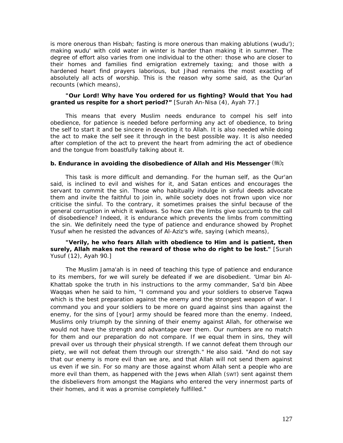is more onerous than *Hisbah;* fasting is more onerous than making ablutions (wudu'); making wudu' with cold water in winter is harder than making it in summer. The degree of effort also varies from one individual to the other: those who are closer to their homes and families find emigration extremely taxing; and those with a hardened heart find prayers laborious, but *Jihad* remains the most exacting of absolutely all acts of worship. This is the reason why some said, as the Qur'an recounts (which means),

# *"Our Lord! Why have You ordered for us fighting? Would that You had granted us respite for a short period?"* [Surah An-Nisa (4), Ayah 77.]

This means that every Muslim needs endurance to compel his self into obedience, for patience is needed before performing any act of obedience, to bring the self to start it and be sincere in devoting it to Allah. It is also needed while doing the act to make the self see it through in the best possible way. It is also needed after completion of the act to prevent the heart from admiring the act of obedience and the tongue from boastfully talking about it.

# **b. Endurance in avoiding the disobedience of Allah and His Messenger (卷):**

This task is more difficult and demanding. For the human self, as the Qur'an said, is inclined to evil and wishes for it, and Satan entices and encourages the servant to commit the sin. Those who habitually indulge in sinful deeds advocate them and invite the faithful to join in, while society does not frown upon vice nor criticise the sinful. To the contrary, it sometimes praises the sinful because of the general corruption in which it wallows. So how can the limbs give succumb to the call of disobedience? Indeed, it is endurance which prevents the limbs from committing the sin. We definitely need the type of patience and endurance showed by Prophet Yusuf when he resisted the advances of Al-Aziz's wife, saying (which means),

# *"Verily, he who fears Allah with obedience to Him and is patient, then surely, Allah makes not the reward of those who do right to be lost."* [Surah Yusuf (12), Ayah 90.]

The Muslim *Jama'ah is* in need of teaching this type of patience and endurance to its members, for we will surely be defeated if we are disobedient. 'Umar bin Al-Khattab spoke the truth in his instructions to the army commander, Sa'd bin Abee Waqqas when he said to him, *"I command you and your soldiers to observe Taqwa which is the best preparation against the enemy and the strongest weapon of war. I command you and your soldiers to be more on guard against sins than against the enemy, for the sins of [your] army should be feared more than the enemy. Indeed, Muslims only triumph by the sinning of their enemy against Allah, for otherwise we would not have the strength and advantage over them. Our numbers are no match for them and our preparation do not compare. If we equal them in sins, they will prevail over us through their physical strength. If we cannot defeat them through our piety, we will not defeat them through our strength."* He also said. *"And do not say that our enemy is more evil than we are, and that Allah will not send them against us even if we sin. For so many are those against whom Allah sent a people who are more evil than them, as happened with the Jews when Allah* (SWT) *sent against them the disbelievers from amongst the Magians who entered the very innermost parts of their homes, and it was a promise completely fulfilled."*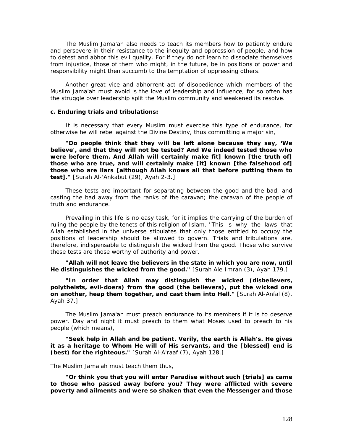The Muslim *Jama'ah* also needs to teach its members how to patiently endure and persevere in their resistance to the inequity and oppression of people, and how to detest and abhor this evil quality. For if they do not learn to dissociate themselves from injustice, those of them who might, in the future, be in positions of power and responsibility might then succumb to the temptation of oppressing others.

Another great vice and abhorrent act of disobedience which members of the Muslim *Jama'ah* must avoid is the love of leadership and influence, for so often has the struggle over leadership split the Muslim community and weakened its resolve.

#### **c. Enduring trials and tribulations:**

It is necessary that every Muslim must exercise this type of endurance, for otherwise he will rebel against the Divine Destiny, thus committing a major sin,

*"Do people think that they will be left alone because they say, 'We believe', and that they will not be tested? And We indeed tested those who*  were before them. And Allah will certainly make fit] known [the truth of] *those who are true, and will certainly make [it] known [the falsehood of] those who are liars [although Allah knows all that before putting them to test]."* [Surah Al-'Ankabut (29), Ayah 2-3.]

These tests are important for separating between the good and the bad, and casting the bad away from the ranks of the caravan; the caravan of the people of truth and endurance.

Prevailing in this life is no easy task, for it implies the carrying of the burden of ruling the people by the tenets of this religion of Islam. ' This is why the laws that Allah established in the universe stipulates that only those entitled to occupy the positions of leadership should be allowed to govern. Trials and tribulations are, therefore, indispensable to distinguish the wicked from the good. Those who survive these tests are those worthy of authority and power,

*"Allah will not leave the believers in the state in which you are now, until He distinguishes the wicked from the good."* [Surah Ale-Imran (3), Ayah 179.]

*"In order that Allah may distinguish the wicked (disbelievers, polytheists, evil-doers) from the good (the believers), put the wicked one on another, heap them together, and cast them into Hell."* [Surah Al-Anfal (8), Ayah 37.]

The Muslim *Jama'ah* must preach endurance to its members if it is to deserve power. Day and night it must preach to them what Moses used to preach to his people (which means),

*"Seek help in Allah and be patient. Verily, the earth is Allah's. He gives it as a heritage to Whom He will of His servants, and the [blessed] end is (best) for the righteous."* [Surah Al-A'raaf (7), Ayah 128.]

The Muslim *Jama'ah* must teach them thus,

*"Or think you that you will enter Paradise without such [trials] as came to those who passed away before you? They were afflicted with severe poverty and ailments and were so shaken that even the Messenger and those*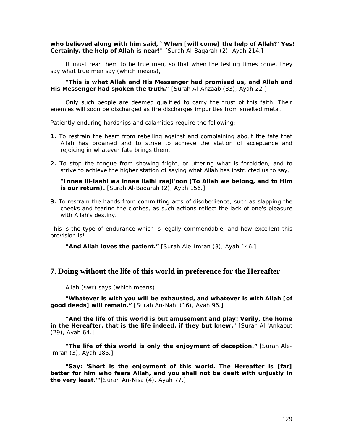*who believed along with him said, `When [will come] the help of Allah?' Yes! Certainly, the help of Allah is near!"* [Surah Al-Baqarah (2), Ayah 214.]

It must rear them to be true men, so that when the testing times come, they say what true men say (which means),

*"This is what Allah and His Messenger had promised us, and Allah and His Messenger had spoken the truth."* [Surah Al-Ahzaab (33), Ayah 22.]

Only such people are deemed qualified to carry the trust of this faith. Their enemies will soon be discharged as fire discharges impurities from smelted metal.

Patiently enduring hardships and calamities require the following:

- **1.** To restrain the heart from rebelling against and complaining about the fate that Allah has ordained and to strive to achieve the station of acceptance and rejoicing in whatever fate brings them.
- **2.** To stop the tongue from showing fright, or uttering what is forbidden, and to strive to achieve the higher station of saying what Allah has instructed us to say,

*"Innaa lil-laahi wa innaa ilaihi raaji'oon (To Allah we belong, and to Him is our return).* [Surah Al-Bagarah (2), Ayah 156.]

**3.** To restrain the hands from committing acts of disobedience, such as slapping the cheeks and tearing the clothes, as such actions reflect the lack of one's pleasure with Allah's destiny.

This is the type of endurance which is legally commendable, and how excellent this provision is!

*"And Allah loves the patient."* [Surah Ale-Imran (3), Ayah 146.]

# **7. Doing without the life of this world in preference for the Hereafter**

Allah (SWT) says (which means):

*"Whatever is with you will be exhausted, and whatever is with Allah [of good deeds] will remain."* [Surah An-Nahl (16), Ayah 96.]

*"And the life of this world is but amusement and play! Verily, the home in the Hereafter, that is the life indeed, if they but knew."* [Surah Al-'Ankabut (29), Ayah 64.]

*"The life of this world is only the enjoyment of deception."* [Surah Ale-Imran (3), Ayah 185.]

"Say: 'Short is the enjoyment of this world. The Hereafter is [far] *better for him who fears Allah, and you shall not be dealt with unjustly in the very least.'"*[Surah An-Nisa (4), Ayah 77.]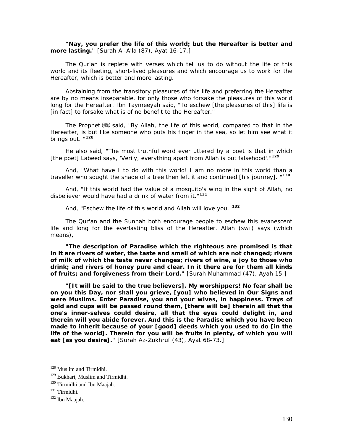*"Nay, you prefer the life of this world; but the Hereafter is better and more lasting."* [Surah Al-A'la (87), Ayat 16-17.]

The Qur'an is replete with verses which tell us to do without the life of this world and its fleeting, short-lived pleasures and which encourage us to work for the Hereafter, which is better and more lasting.

Abstaining from the transitory pleasures of this life and preferring the Hereafter are by no means inseparable, for only those who forsake the pleasures of this world long for the Hereafter. Ibn Taymeeyah said, *"To eschew [the pleasures of this]* life *is [in fact] to forsake what is of no benefit to the Hereafter."* 

The Prophet  $\left(\frac{1}{2}\right)$  said, *"By Allah, the life of this world, compared to that in the Hereafter, is but like someone who puts his finger in the sea, so let him see what it brings out. "***[12](#page-130-0)8**

He also said, *"The most truthful word ever uttered by a poet is that in which [the poet] Labeed says, 'Verily, everything apart from Allah is but falsehood'."***[12](#page-130-1)9**

And, *"What have I to do with this world! I am no more in this world than a traveller who sought the shade of a tree then left it and continued [his journey]. "***[1](#page-130-2)30**

And, *"If this world had the value of a mosquito's wing in the sight of Allah, no disbeliever would have had a drink of water from it."***[13](#page-130-3)1**

And, *"Eschew the life of this world and Allah will love you."***[13](#page-130-4)2**

The Qur'an and the Sunnah both encourage people to eschew this evanescent life and long for the everlasting bliss of the Hereafter. Allah (SWT) says (which means),

*"The description of Paradise which the righteous are promised is that in it are rivers of water, the taste and smell of which are not changed; rivers of milk of which the taste never changes; rivers of wine, a joy to those who drink; and rivers of honey pure and clear. In it there are for them all kinds of fruits; and forgiveness from their Lord."* [Surah Muhammad (47), Ayah 15.]

*"[It will be said to the true believers]. My worshippers! No fear shall be on you this Day, nor shall you grieve, [you] who believed in Our Signs and were Muslims. Enter Paradise, you and your wives, in happiness. Trays of gold and cups will be passed round them, [there will be] therein all that the one's inner-selves could desire, all that the eyes could delight in, and therein will you abide forever. And this is the Paradise which you have been made to inherit because of your [good] deeds which you used to do [in the*  life of the world]. Therein for you will be fruits in plenty, of which you will *eat [as you desire]."* [Surah Az-Zukhruf (43), Ayat 68-73.]

<span id="page-130-0"></span><sup>&</sup>lt;sup>128</sup> Muslim and Tirmidhi.

<span id="page-130-2"></span><span id="page-130-1"></span><sup>&</sup>lt;sup>129</sup> Bukhari, Muslim and Tirmidhi.<br><sup>130</sup> Tirmidhi and Ibn Maajah.<br><sup>131</sup> Tirmidhi.<br><sup>132</sup> Ibn Maajah.

<span id="page-130-3"></span>

<span id="page-130-4"></span>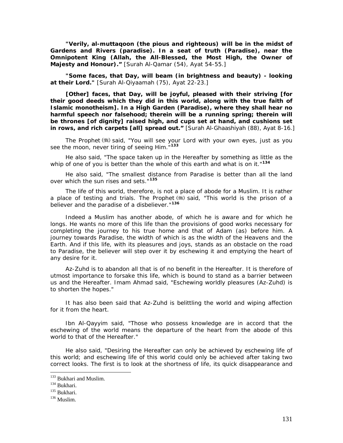*"Verily, al-muttaqoon (the pious and righteous) will be in the midst of Gardens and Rivers (paradise). In a seat of truth (Paradise), near the Omnipotent King (Allah, the All-Blessed, the Most High, the Owner of Majesty and Honour)."* [Surah Al-Qamar (54), Ayat 54-55.]

*"Some faces, that Day, will beam (in brightness and beauty) - looking at their Lord."* [Surah Al-Qiyaamah (75), Ayat 22-23.]

*[Other] faces, that Day, will be joyful, pleased with their striving [for their good deeds which they did in this world, along with the true faith of Islamic monotheism]. In a High Garden (Paradise), where they shall hear no harmful speech nor falsehood; therein will be a running spring; therein will be thrones [of dignity] raised high, and cups set at hand, and cushions set in rows, and rich carpets [all] spread out."* [Surah Al-Ghaashiyah (88), Ayat 8-16.]

The Prophet () said, "You will see your Lord with your own eyes, just as you *see the moon, never tiring of seeing Him."***[13](#page-131-0)3**

He also said, *"The space taken up in the Hereafter by something as little as the whip of one of you is better than the whole of this earth and what is on it."***[1](#page-131-1)34**

He also said, *"The smallest distance from Paradise is better than all the land over which the sun rises and sets."***[13](#page-131-2)5**

The life of this world, therefore, is not a place of abode for a Muslim. It is rather a place of testing and trials. The Prophet (\*) said, *"This world is the prison of a believer and the paradise of a disbeliever."***[1](#page-131-3)36**

Indeed a Muslim has another abode, of which he is aware and for which he longs. He wants no more of this life than the provisions of good works necessary for completing the journey to his true home and that of Adam (as) before him. A journey towards Paradise, the width of which is as the width of the Heavens and the Earth. And if this life, with its pleasures and joys, stands as an obstacle on the road to Paradise, the believer will step over it by eschewing it and emptying the heart of any desire for it.

Az-Zuhd is to abandon all that is of no benefit in the Hereafter. It is therefore of utmost importance to forsake this life, which is bound to stand as a barrier between us and the Hereafter. Imam Ahmad said, *"Eschewing worldly pleasures (Az-Zuhd) is to shorten the hopes."* 

It has also been said that *Az-Zuhd is* belittling the world and wiping affection for it from the heart.

Ibn Al-Qayyim said, *"Those who possess knowledge are in accord that the eschewing of the world means the departure of the heart from the abode of this world to that of the Hereafter."* 

He also said, *"Desiring the Hereafter can only be achieved by eschewing life of this world; and eschewing life of this world could only be achieved after taking two correct looks. The first is to look at the shortness of life, its quick disappearance and* 

<span id="page-131-0"></span><sup>&</sup>lt;sup>133</sup> Bukhari and Muslim.<br><sup>134</sup> Bukhari.<br><sup>135</sup> Bukhari.<br><sup>136</sup> Muslim.

<span id="page-131-2"></span><span id="page-131-1"></span>

<span id="page-131-3"></span>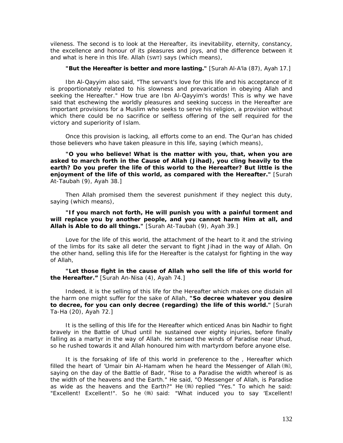*vileness. The second is to look at the Hereafter, its inevitability, eternity, constancy, the excellence and honour of its pleasures and joys, and the difference between it and what is here in this life. Allah (SWT) says (which means),* 

#### *"But the Hereafter is better and more lasting."* [Surah Al-A'la (87), Ayah 17.]

Ibn Al-Qayyim also said, *"The servant's love for this life and his acceptance of it is proportionately related to his slowness and prevarication in obeying Allah and seeking the Hereafter."* How true are Ibn Al-Qayyim's words! This is why we have said that eschewing the worldly pleasures and seeking success in the Hereafter are important provisions for a Muslim who seeks to serve his religion, a provision without which there could be no sacrifice or selfless offering of the self required for the victory and superiority of Islam.

Once this provision is lacking, all efforts come to an end. The Qur'an has chided those believers who have taken pleasure in this life, saying (which means),

*"O you who believe! What is the matter with you, that, when you are asked to march forth in the Cause of Allah (Jihad), you cling heavily to the*  earth? Do you prefer the life of this world to the Hereafter? But little is the *enjoyment of the life of this world, as compared with the Hereafter."* [Surah At-Taubah (9), Ayah 38.]

Then Allah promised them the severest punishment if they neglect this duty, saying (which means),

# *"If you march not forth, He will punish you with a painful torment and will replace you by another people, and you cannot harm Him at all, and Allah is Able to do all things."* [Surah At-Taubah (9), Ayah 39.]

Love for the life of this world, the attachment of the heart to it and the striving of the limbs for its sake all deter the servant to fight *Jihad* in the way of Allah. On the other hand, selling this life for the Hereafter is the catalyst for fighting in the way of Allah,

"Let those fight in the cause of Allah who sell the life of this world for *the Hereafter."* [Surah An-Nisa (4), Ayah 74.]

Indeed, it is the selling of this life for the Hereafter which makes one disdain all the harm one might suffer for the sake of Allah, *"So decree whatever you desire to decree, for you can only decree (regarding) the life of this world."* [Surah Ta-Ha (20), Ayah 72.]

It is the selling of this life for the Hereafter which enticed Anas bin Nadhir to fight bravely in the Battle of Uhud until he sustained over eighty injuries, before finally falling as a martyr in the way of Allah. He sensed the winds of Paradise near Uhud, so he rushed towards it and Allah honoured him with martyrdom before anyone else.

It is the forsaking of life of this world in preference to the , Hereafter which filled the heart of 'Umair bin Al-Hamam when he heard the Messenger of Allah  $(\frac{4}{3})$ , saying on the day of the Battle of Badr, *"Rise to a Paradise the width whereof is as the width of the heavens and the Earth."* He said, *"O Messenger of Allah, is Paradise as wide as the heavens and the Earth?"* He replied *"Yes."* To which he said: "Excellent! Excellent!". So he (,) said: "What induced you to say 'Excellent!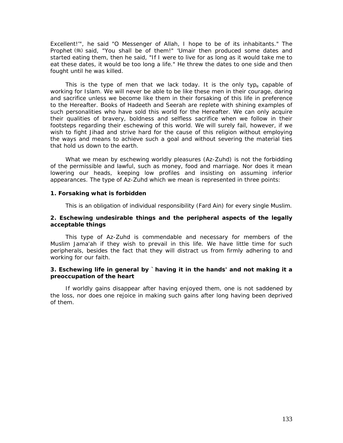*Excellent!'",* he said *"O Messenger of Allah, I hope to be of its inhabitants."* The Prophet () said, "You shall be of them!" 'Umair then produced some dates and started eating them, then he said, "If I were to live for as long as it would take me to eat these dates, it would be too long a life." He threw the dates to one side and then fought until he was killed.

This is the type of men that we lack today. It is the only typ<sub>e</sub> capable of working for Islam. We will never be able to be like these men in their courage, daring and sacrifice unless we become like them in their forsaking of this life in preference to the Hereafter. Books of Hadeeth and *Seerah* are replete with shining examples of such personalities who have sold this world for the Hereafter. We can only acquire their qualities of bravery, boldness and selfless sacrifice when we follow in their footsteps regarding their eschewing of this world. We will surely fail, however, if we wish to fight *Jihad* and strive hard for the cause of this religion without employing the ways and means to achieve such a goal and without severing the material ties that hold us down to the earth.

What we mean by eschewing worldly pleasures *(Az-Zuhd) is* not the forbidding of the permissible and lawful, such as money, food and marriage. Nor does it mean lowering our heads, keeping low profiles and insisting on assuming inferior appearances. The type of *Az-Zuhd* which we mean is represented in three points:

#### **1. Forsaking what is forbidden**

This is an obligation of individual responsibility *(Fard Ain)* for every single Muslim.

#### **2. Eschewing undesirable things and the peripheral aspects of the legally acceptable things**

This type of *Az-Zuhd is* commendable and necessary for members of the Muslim *Jama'ah* if they wish to prevail in this life. We have little time for such peripherals, besides the fact that they will distract us from firmly adhering to and working for our faith.

## **3. Eschewing life in general by `having it in the hands' and not making it a preoccupation of the heart**

If worldly gains disappear after having enjoyed them, one is not saddened by the loss, nor does one rejoice in making such gains after long having been deprived of them.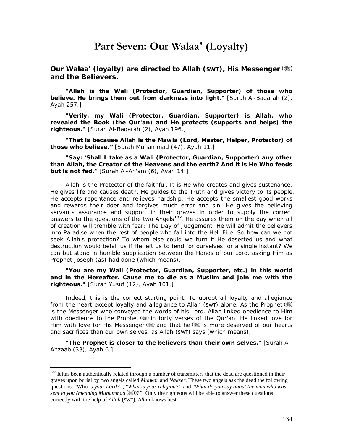# **Part Seven: Our Walaa' (Loyalty)**

*Our Walaa' (loyalty) are directed to Allah (SWT), His Messenger and the Believers.* 

*"Allah is the Wali (Protector, Guardian, Supporter) of those who believe. He brings them out from darkness into light."* [Surah Al-Baqarah (2), Ayah 257.]

*"Verily, my Wali (Protector, Guardian, Supporter) is Allah, who revealed the Book (the Qur'an) and He protects (supports and helps) the righteous."* [Surah Al-Baqarah (2), Ayah 196.]

*"That is because Allah is the Mawla (Lord, Master, Helper, Protector) of those who believe."* [Surah Muhammad (47), Ayah 11.]

*"Say: 'Shall I take as a Wali (Protector, Guardian, Supporter) any other than Allah, the Creator of the Heavens and the earth? And it is He Who feeds but is not fed.'"*[Surah Al-An'am (6), Ayah 14.]

Allah is the Protector of the faithful. It is He who creates and gives sustenance. He gives life and causes death. He guides to the Truth and gives victory to its people. He accepts repentance and relieves hardship. He accepts the smallest good works and rewards their doer and forgives much error and sin. He gives the believing servants assurance and support in their graves in order to supply the correct answers to the questions of the two Angels**[13](#page-134-0)7**. He assures them on the day when all of creation will tremble with fear: The Day of Judgement. He will admit the believers into Paradise when the rest of people who fall into the Hell-Fire. So how can we not seek Allah's protection? To whom else could we turn if He deserted us and what destruction would befall us if He left us to fend for ourselves for a single instant? We can but stand in humble supplication between the Hands of our Lord, asking Him as Prophet Joseph (as) had done (which means),

*"You are my Wali (Protector, Guardian, Supporter, etc.) in this world and in the Hereafter. Cause me to die as a Muslim and join me with the righteous."* [Surah Yusuf (12), Ayah 101.]

Indeed, this is the correct starting point. To uproot all loyalty and allegiance from the heart except loyalty and allegiance to Allah (SWT) alone. As the Prophet (#8) is the Messenger who conveyed the words of his Lord. Allah linked obedience to Him with obedience to the Prophet  $(\frac{1}{2})$  in forty verses of the Qur'an. He linked love for Him with love for His Messenger (5) and that he  $\ddot{\mathcal{L}}$  is more deserved of our hearts and sacrifices than our own selves, as Allah (SWT) says (which means),

*"The Prophet is closer to the believers than their own selves."* [Surah Al-Ahzaab (33), Ayah 6.]

<span id="page-134-0"></span> $137$  It has been authentically related through a number of transmitters that the dead are questioned in their graves upon burial by two angels called *Munkar* and *Nakeer.* These two angels ask the dead the following questions: "Who is *your Lord?", "What is your religion?"* and *"What do you say about the man who was sent to you (meaning Muhammad )?".* Only the righteous will be able to answer these questions correctly with the help of *Allah* (SWT)*. Allah* knows best.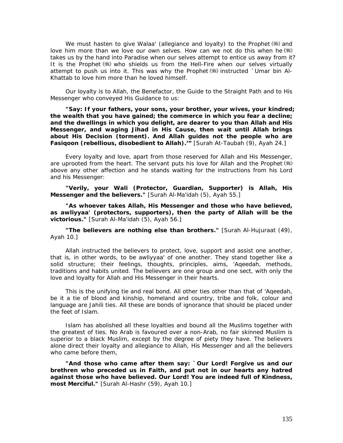We must hasten to give *Walaa'* (allegiance and loyalty) to the Prophet (.) and love him more than we love our own selves. How can we not do this when he (\*) takes us by the hand into Paradise when our selves attempt to entice us away from it? It is the Prophet () who shields us from the Hell-Fire when our selves virtually attempt to push us into it. This was why the Prophet  $(\frac{1}{2})$  instructed `Umar bin Al-Khattab to love him more than he loved himself.

Our loyalty is to Allah, the Benefactor, the Guide to the Straight Path and to His Messenger who conveyed His Guidance to us:

*"Say: If your fathers, your sons, your brother, your wives, your kindred; the wealth that you have gained; the commerce in which you fear a decline; and the dwellings in which you delight, are dearer to you than Allah and His Messenger, and waging Jihad in His Cause, then wait until Allah brings about His Decision (torment). And Allah guides not the people who are Fasiqoon (rebellious, disobedient to Allah).'"* [Surah At-Taubah (9), Ayah 24.]

Every loyalty and love, apart from those reserved for Allah and His Messenger, are uprooted from the heart. The servant puts his love for Allah and the Prophet (\*) above any other affection and he stands waiting for the instructions from his Lord and his Messenger:

*"Verily, your Wali (Protector, Guardian, Supporter) is Allah, His Messenger and the believers."* [Surah Al-Ma'idah (5), Ayah 55.]

*"As whoever takes Allah, His Messenger and those who have believed, as awliyyaa' (protectors, supporters), then the party of Allah will be the victorious."* [Surah Al-Ma'idah (5), Ayah 56.]

*"The believers are nothing else than brothers."* [Surah Al-Hujuraat (49), Ayah 10.]

Allah instructed the believers to protect, love, support and assist one another, that is, in other words, to be *awliyyaa'* of one another. They stand together like a solid structure; their feelings, thoughts, principles, aims, *'Aqeedah,* methods, traditions and habits united. The believers are one group and one sect, with only the love and loyalty for Allah and His Messenger in their hearts.

This is the unifying tie and real bond. All other ties other than that of *'Aqeedah,*  be it a tie of blood and kinship, homeland and country, tribe and folk, colour and language are *Jahili* ties. All these are bonds of ignorance that should be placed under the feet of Islam.

Islam has abolished all these loyalties and bound all the Muslims together with the greatest of ties. No Arab is favoured over a non-Arab, no fair skinned Muslim is superior to a black Muslim, except by the degree of piety they have. The believers alone direct their loyalty and allegiance to Allah, His Messenger and all the believers who came before them,

*"And those who came after them say: `Our Lord! Forgive us and our brethren who preceded us in Faith, and put not in our hearts any hatred against those who have believed. Our Lord! You are indeed full of Kindness, most Merciful."* [Surah Al-Hashr (59), Ayah 10.]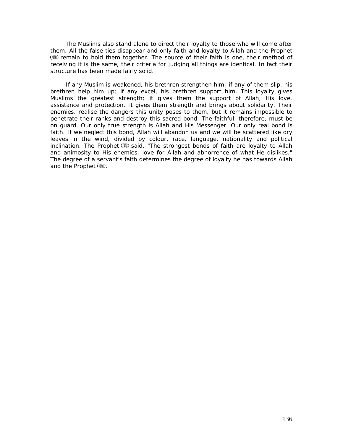The Muslims also stand alone to direct their loyalty to those who will come after them. All the false ties disappear and only faith and loyalty to Allah and the Prophet remain to hold them together. The source of their faith is one, their method of receiving it is the same, their criteria for judging all things are identical. In fact their structure has been made fairly solid.

If any Muslim is weakened, his brethren strengthen him; if any of them slip, his brethren help him up; if any excel, his brethren support him. This loyalty gives Muslims the greatest strength; it gives them the support of Allah, His love, assistance and protection. It gives them strength and brings about solidarity. Their enemies. realise the dangers this unity poses to them, but it remains impossible to penetrate their ranks and destroy this sacred bond. The faithful, therefore, must be on guard. Our only true strength is Allah and His Messenger. Our only real bond is faith. If we neglect this bond, Allah will abandon us and we will be scattered like dry leaves in the wind, divided by colour, race, language, nationality and political inclination. The Prophet (  $\gg$  said, "The strongest bonds of faith are loyalty to Allah *and animosity to His enemies, love for Allah and abhorrence of what He dislikes."*  The degree of a servant's faith determines the degree of loyalty he has towards Allah and the Prophet ( ).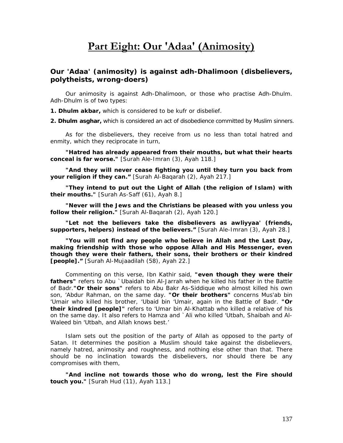# **Part Eight: Our 'Adaa' (Animosity)**

# *Our 'Adaa' (animosity) is against adh-Dhalimoon (disbelievers, polytheists, wrong-doers)*

Our animosity is against *Adh-Dhalimoon,* or those who practise *Adh-Dhulm. Adh-Dhulm is of* two types:

*1. Dhulm akbar,* which is considered to be *kufr* or disbelief.

*2. Dhulm asghar,* which is considered an act of disobedience committed by Muslim sinners.

As for the disbelievers, they receive from us no less than total hatred and enmity, which they reciprocate in turn,

*"Hatred has already appeared from their mouths, but what their hearts conceal is far worse."* [Surah Ale-Imran (3), Ayah 118.]

*"And they will never cease fighting you until they turn you back from your religion if they can."* [Surah Al-Baqarah (2), Ayah 217.]

*"They intend to put out the Light of Allah (the religion of Islam) with their mouths."* [Surah As-Saff (61), Ayah 8.]

*"Never will the Jews and the Christians be pleased with you unless you follow their religion."* [Surah Al-Baqarah (2), Ayah 120.]

*"Let not the believers take the disbelievers as awliyyaa' (friends, supporters, helpers) instead of the believers."* [Surah Ale-Imran (3), Ayah 28.]

*"You will not find any people who believe in Allah and the Last Day, making friendship with those who oppose Allah and His Messenger, even though they were their fathers, their sons, their brothers or their kindred [people]."* [Surah Al-Mujaadilah (58), Ayah 22.]

Commenting on this verse, Ibn Kathir said, *"even though they were their fathers" refers to Abu `Ubaidah bin Al-Jarrah when he killed his father in the Battle of Badr."Or their sons" refers to Abu Bakr As-Siddique who almost killed his own son, 'Abdur Rahman, on the same day. "Or their brothers" concerns Mus'ab bin 'Umair who killed his brother, 'Ubaid bin 'Umair, again in the Battle of Badr. "Or their kindred [people]" refers to 'Umar bin Al-Khattab who killed a relative of his on the same day. It also refers to Hamza and `Ali who killed 'Utbah, Shaibah and Al-Waleed bin 'Utbah, and Allah knows best.'* 

Islam sets out the position of the party of Allah as opposed to the party of Satan. It determines the position a Muslim should take against the disbelievers, namely hatred, animosity and roughness, and nothing else other than that. There should be no inclination towards the disbelievers, nor should there be any compromises with them,

*"And incline not towards those who do wrong, lest the Fire should touch you."* [Surah Hud (11), Ayah 113.]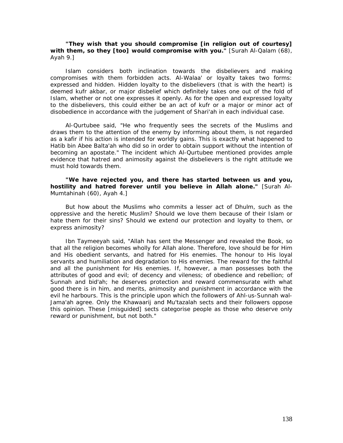# *"They wish that you should compromise [in religion out of courtesy] with them, so they [too] would compromise with you."* [Surah Al-Qalam (68), Ayah 9.]

Islam considers both inclination towards the disbelievers and making compromises with them forbidden acts. *Al-Walaa'* or loyalty takes two forms: expressed and hidden. Hidden loyalty to the disbelievers (that is with the heart) is deemed *kufr akbar,* or major disbelief which definitely takes one out of the fold of Islam, whether or not one expresses it openly. As for the open and expressed loyalty to the disbelievers, this could either be an act of *kufr* or a major or minor act of disobedience in accordance with the judgement of *Shari'ah* in each individual case.

Al-Qurtubee said, *"He who frequently sees the secrets of the Muslims and draws them to the attention of the enemy by informing about them, is not regarded as a kafir if his action is intended for worldly gains. This is exactly what happened to Hatib bin Abee Balta'ah who did so in order to obtain support without the intention of becoming an apostate."* The incident which Al-Qurtubee mentioned provides ample evidence that hatred and animosity against the disbelievers is the right attitude we must hold towards them.

# *"We have rejected you, and there has started between us and you, hostility and hatred forever until you believe in Allah alone."* [Surah Al-Mumtahinah (60), Ayah 4.]

But how about the Muslims who commits a lesser act of Dhulm, such as the oppressive and the heretic Muslim? Should we love them because of their Islam or hate them for their sins? Should we extend our protection and loyalty to them, or express animosity?

Ibn Taymeeyah said, *"Allah has sent the Messenger and revealed the Book, so that all the religion becomes wholly for Allah alone. Therefore, love should be for Him and His obedient servants, and hatred for His enemies. The honour to His loyal servants and humiliation and degradation to His enemies. The reward for the faithful and all the punishment for His enemies. If, however, a man possesses both the attributes of good and evil; of decency and vileness; of obedience and rebellion; of Sunnah and bid'ah; he deserves protection and reward commensurate with what good there is in him, and merits, animosity and punishment in accordance with the evil he harbours. This is the principle upon which the followers of Ahl-us-Sunnah wal-Jama'ah agree. Only the Khawaarij and Mu'tazalah sects and their followers oppose this opinion. These [misguided] sects categorise people as those who deserve only reward or punishment, but not both."*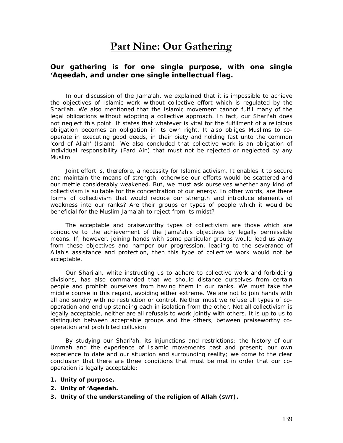# **Part Nine: Our Gathering**

# *Our gathering is for one single purpose, with one single 'Aqeedah, and under one single intellectual flag.*

In our discussion of the *Jama'ah,* we explained that it is impossible to achieve the objectives of Islamic work without collective effort which is regulated by the *Shari'ah.* We also mentioned that the Islamic movement cannot fulfil many of the legal obligations without adopting a collective approach. In fact, our *Shari'ah* does not neglect this point. It states that whatever is vital for the fulfilment of a religious obligation becomes an obligation in its own right. It also obliges Muslims to cooperate in executing good deeds, in their piety and holding fast unto the common 'cord of Allah' (Islam). We also concluded that collective work is an obligation of individual responsibility *(Fard Ain)* that must not be rejected or neglected by any Muslim.

Joint effort is, therefore, a necessity for Islamic activism. It enables it to secure and maintain the means of strength, otherwise our efforts would be scattered and our mettle considerably weakened. But, we must ask ourselves whether any kind of collectivism is suitable for the concentration of our energy. In other words, are there forms of collectivism that would reduce our strength and introduce elements of weakness into our ranks? Are their groups or types of people which it would be beneficial for the Muslim *Jama'ah* to reject from its midst?

The acceptable and praiseworthy types of collectivism are those which are conducive to the achievement of the *Jama'ah's* objectives by legally permissible means. If, however, joining hands with some particular groups would lead us away from these objectives and hamper our progression, leading to the severance of Allah's assistance and protection, then this type of collective work would not be acceptable.

Our *Shari'ah,* white instructing us to adhere to collective work and forbidding divisions, has also commanded that we should distance ourselves from certain people and prohibit ourselves from having them in our ranks. We must take the middle course in this regard, avoiding either extreme. We are not to join hands with all and sundry with no restriction or control. Neither must we refuse all types of cooperation and end up standing each in isolation from the other. Not all collectivism is legally acceptable, neither are all refusals to work jointly with others. It is up to us to distinguish between acceptable groups and the others, between praiseworthy cooperation and prohibited collusion.

By studying our *Shari'ah,* its injunctions and restrictions; the history of our *Ummah* and the experience of Islamic movements past and present; our own experience to date and our situation and surrounding reality; we come to the clear conclusion that there are three conditions that must be met in order that our cooperation is legally acceptable:

- **1. Unity of purpose.**
- **2. Unity of '***Aqeedah.*
- **3. Unity of the understanding of the religion of Allah (SWT).**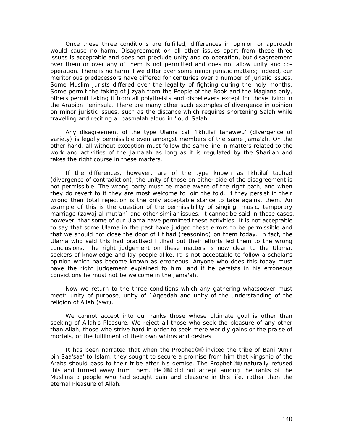Once these three conditions are fulfilled, differences in opinion or approach would cause no harm. Disagreement on all other issues apart from these three issues is acceptable and does not preclude unity and co-operation, but disagreement over them or over any of them is not permitted and does not allow unity and cooperation. There is no harm if we differ over some minor juristic matters; indeed, our meritorious predecessors have differed for centuries over a number of juristic issues. Some Muslim jurists differed over the legality of fighting during the holy months. Some permit the taking of *Jizyah* from the People of the Book and the Magians only, others permit taking it from all polytheists and disbelievers except for those living in the Arabian Peninsula. There are many other such examples of divergence in opinion on minor juristic issues, such as the distance which requires shortening *Salah* while travelling and reciting *al-basmalah* aloud in 'loud' *Salah.* 

Any disagreement of the type *Ulama* call '*Ikhtilaf tanawwu'* (divergence of variety) is legally permissible even amongst members of the same *Jama'ah.* On the other hand, all without exception must follow the same line in matters related to the work and activities of the *Jama'ah* as long as it is regulated by the *Shari'ah* and takes the right course in these matters.

If the differences, however, are of the type known as *Ikhtilaf tadhad*  (divergence of contradiction), the unity of those on either side of the disagreement is not permissible. The wrong party must be made aware of the right path, and when they do revert to it they are most welcome to join the fold. If they persist in their wrong then total rejection is the only acceptable stance to take against them. An example of this is the question of the permissibility of singing, music, temporary marriage *(zawaj al-mut'ah)* and other similar issues. It cannot be said in these cases, however, that some of our *Ulama* have permitted these activities. It is not acceptable to say that some *Ulama* in the past have judged these errors to be permissible and that we should not close the door of Ijtihad (reasoning) on them today. In fact, the *Ulama* who said this had practised Ijtihad but their efforts led them to the wrong conclusions. The right judgement on these matters is now clear to the *Ulama*, seekers of knowledge and lay people alike. It is not acceptable to follow a scholar's opinion which has become known as erroneous. Anyone who does this today must have the right judgement explained to him, and if he persists in his erroneous convictions he must not be welcome in the *Jama'ah.* 

Now we return to the three conditions which any gathering whatsoever must meet: unity of purpose, unity of *`Aqeedah* and unity of the understanding of the religion of Allah (SWT).

We cannot accept into our ranks those whose ultimate goal is other than seeking of Allah's Pleasure. We reject all those who seek the pleasure of any other than Allah, those who strive hard in order to seek mere worldly gains or the praise of mortals, or the fulfilment of their own whims and desires.

It has been narrated that when the Prophet (\*) invited the tribe of Bani 'Amir bin Saa'saa' to Islam, they sought to secure a promise from him that kingship of the Arabs should pass to their tribe after his demise. The Prophet  $(*)$  naturally refused this and turned away from them. He  $\left(\frac{1}{2}\right)$  did not accept among the ranks of the Muslims a people who had sought gain and pleasure in this life, rather than the eternal Pleasure of Allah.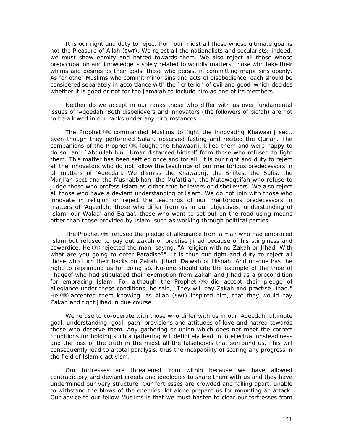It is our right and duty to reject from our midst all those whose ultimate goal is not the Pleasure of Allah (SWT). We reject all the nationalists and secularists; indeed, we must show enmity and hatred towards them. We also reject all those whose preoccupation and knowledge is solely related to worldly matters, those who take their whims and desires as their gods, those who persist in committing major sins openly. As for other Muslims who commit minor sins and acts of disobedience, each should be considered separately in accordance with the `criterion of evil and good' which decides whether it is good or not for the *Jama'ah* to include him as one of its members.

Neither do we accept in our ranks those who differ with us over fundamental issues of '*Aqeedah.* Both disbelievers and innovators (the followers of *bid'ah)* are not to be allowed in our ranks under any circumstances.

The Prophet  $(\frac{1}{2})$  commanded Muslims to fight the innovating Khawaarij sect, even though they performed *Salah,* observed fasting and recited the Qur'an. The companions of the Prophet (.) fought the Khawaarij, killed them and were happy to do so; and `Abdullah bin `Umar distanced himself from those who refused to fight them. This matter has been settled once and for all. It is our right and duty to reject all the innovators who do not follow the teachings of our meritorious predecessors in all matters of '*Aqeedah.* We dismiss the Khawaarij, the Shiites, the Sufis, the Murji'ah sect and the Mushabbihah, the Mu'attilah, the Mutawaqqifah who refuse to judge those who profess Islam as either true believers or disbelievers. We also reject all those who have a deviant understanding of Islam. We do not join with those who innovate in religion or reject the teachings of our meritorious predecessors in matters of '*Aqeedah;* those who differ from us in our objectives, understanding of Islam, our *Walaa'* and *Baraa',* those who want to set out on the road using means other than those provided by Islam, such as working through political parties.

The Prophet (5) refused the pledge of allegiance from a man who had embraced Islam but refused to pay out *Zakah* or practise *Jihad* because of his stinginess and cowardice. He (:) rejected the man, saying, "A religion with no Zakah or Jihad! With *what are you going to enter Paradise?".* It is thus our right and duty to reject all those who turn their backs on *Zakah, Jihad, Da'wah* or *Hisbah.* And no-one has the right to reprimand us for doing so. No-one should cite the example of the tribe of Thaqeef who had stipulated their exemption from *Zakah* and *Jihad* as a precondition for embracing Islam. For although the Prophet (.) did accept their pledge of allegiance under these conditions, he said, *"They will pay Zakah and practise Jihad."* He  $\left(\frac{1}{2}\right)$  accepted them knowing, as Allah (SWT) inspired him, that they would pay *Zakah* and fight *Jihad* in due course.

We refuse to co-operate with those who differ with us in our '*Aqeedah,* ultimate goal, understanding, goal, path, provisions and attitudes of love and hatred towards those who deserve them. Any gathering or union which does not meet the correct conditions for holding such a gathering will definitely lead to intellectual unsteadiness and the loss of the truth in the midst all the falsehoods that surround us. This will consequently lead to a total paralysis, thus the incapability of scoring any progress in the field of Islamic activism.

Our fortresses are threatened from within because we have allowed contradictory and deviant creeds and ideologies to share them with us and they have undermined our very structure. Our fortresses are crowded and falling apart, unable to withstand the blows of the enemies, let alone prepare us for mounting an attack. Our advice to our fellow Muslims is that we must hasten to clear our fortresses from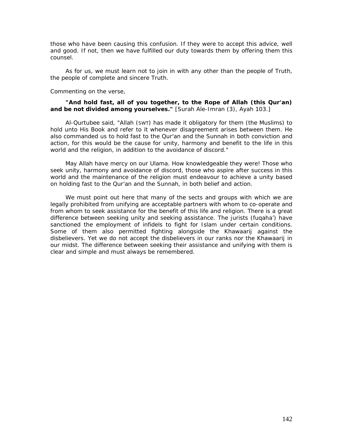those who have been causing this confusion. If they were to accept this advice, well and good. If not, then we have fulfilled our duty towards them by offering them this counsel.

As for us, we must learn not to join in with any other than the people of Truth, the people of complete and sincere Truth.

#### Commenting on the verse,

# *"And hold fast, all of you together, to the Rope of Allah (this Qur'an) and be not divided among yourselves."* [Surah Ale-Imran (3), Ayah 103.]

Al-Qurtubee said, *"Allah (SWT) has made it obligatory for them (the Muslims) to hold unto His Book and refer to it whenever disagreement arises between them. He also commanded us to hold fast to the Qur'an and the Sunnah in both conviction and action, for this would be the cause for unity, harmony and benefit to the life in this world and the religion, in addition to the avoidance of discord."* 

May Allah have mercy on our *Ulama. How* knowledgeable they were! Those who seek unity, harmony and avoidance of discord, those who aspire after success in this world and the maintenance of the religion must endeavour to achieve a unity based on holding fast to the Qur'an and the Sunnah, in both belief and action.

We must point out here that many of the sects and groups with which we are legally prohibited from unifying are acceptable partners with whom to co-operate and from whom to seek assistance for the benefit of this life and religion. There is a great difference between seeking unity and seeking assistance. The jurists *(fuqaha')* have sanctioned the employment of infidels to fight for Islam under certain conditions. Some of them also permitted fighting alongside the Khawaarij against the disbelievers. Yet we do not accept the disbelievers in our ranks nor the Khawaarij in our midst. The difference between seeking their assistance and unifying with them is clear and simple and must always be remembered.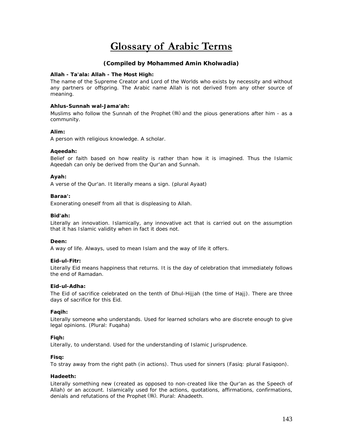# **Glossary of Arabic Terms**

# **(Compiled by Mohammed Amin Kholwadia)**

#### **Allah - Ta'ala: Allah - The Most High:**

The name of the Supreme Creator and Lord of the Worlds who exists by necessity and without any partners or offspring. The Arabic name Allah is not derived from any other source of meaning.

### **Ahlus-Sunnah wal-Jama'ah:**

Muslims who follow the Sunnah of the Prophet  $(\frac{m}{2})$  and the pious generations after him - as a community.

## **Alim:**

A person with religious knowledge. A scholar.

## **Aqeedah:**

Belief or faith based on how reality is rather than how it is imagined. Thus the Islamic Aqeedah can only be derived from the Qur'an and Sunnah.

## **Ayah:**

A verse of the Qur'an. It literally means a sign. (plural Ayaat)

#### **Baraa':**

Exonerating oneself from all that is displeasing to Allah.

#### **Bid'ah:**

Literally an innovation. Islamically, any innovative act that is carried out on the assumption that it has Islamic validity when in fact it does not.

#### **Deen:**

A way of life. Always, used to mean Islam and the way of life it offers.

#### **Eid-ul-Fitr:**

Literally Eid means happiness that returns. It is the day of celebration that immediately follows the end of Ramadan.

#### **Eid-ul-Adha:**

The Eid of sacrifice celebrated on the tenth of Dhul-Hijjah (the time of *Hajj).* There are three days of sacrifice for this Eid.

#### **Faqih:**

Literally someone who understands. Used for learned scholars who are discrete enough to give legal opinions. (Plural: Fuqaha)

#### **Fiqh:**

Literally, to understand. Used for the understanding of Islamic Jurisprudence.

#### **Fisq:**

To stray away from the right path (in actions). Thus used for sinners (Fasiq: plural Fasiqoon).

#### **Hadeeth:**

Literally something new (created as opposed to non-created like the Qur'an as the Speech of Allah) or an account. Islamically used for the actions, quotations, affirmations, confirmations, denials and refutations of the Prophet (,.). Plural: Ahadeeth.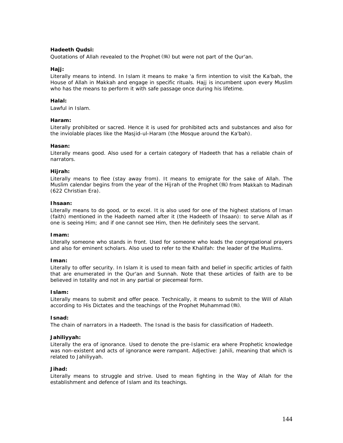## **Hadeeth Qudsi:**

Quotations of Allah revealed to the Prophet (5) but were not part of the Qur'an.

### Haii:

Literally means to intend. In Islam it means to make 'a firm intention to visit the Ka'bah, the House of Allah in Makkah and engage in specific rituals. Hajj is incumbent upon every Muslim who has the means to perform it with safe passage once during his lifetime.

### **Halal:**

Lawful in Islam.

## **Haram:**

Literally prohibited or sacred. Hence it is used for prohibited acts and substances and also for the inviolable places like the Masjid-ul-Haram (the Mosque around the Ka'bah).

### **Hasan:**

Literally means good. Also used for a certain category of Hadeeth that has a reliable chain of narrators.

## **Hijrah:**

Literally means to flee (stay away from). It means to emigrate for the sake of Allah. The Muslim calendar begins from the year of the Hijrah of the Prophet ( i ) from Makkah to Madinah (622 Christian Era).

# **Ihsaan:**

Literally means to do good, or to excel. It is also used for one of the highest stations of Iman (faith) mentioned in the Hadeeth named after it (the Hadeeth of Ihsaan): to serve Allah as if one is seeing Him; and if one cannot see Him, then He definitely sees the servant.

### **Imam:**

Literally someone who stands in front. Used for someone who leads the congregational prayers and also for eminent scholars. Also used to refer to the Khalifah: the leader of the Muslims.

### **Iman:**

Literally to offer security. In Islam it is used to mean faith and belief in specific articles of faith that are enumerated in the Qur'an and Sunnah. Note that these articles of faith are to be believed in totality and not in any partial or piecemeal form.

### **Islam:**

Literally means to submit and offer peace. Technically, it means to submit to the Will of Allah according to His Dictates and the teachings of the Prophet Muhammad (卷).

### **Isnad:**

The chain of narrators in a Hadeeth. The Isnad is the basis for classification of Hadeeth.

### **Jahiliyyah:**

Literally the era of ignorance. Used to denote the pre-Islamic era where Prophetic knowledge was non-existent and acts of ignorance were rampant. Adjective: Jahili, meaning that which is related to Jahiliyyah.

### **Jihad:**

Literally means to struggle and strive. Used to mean fighting in the Way of Allah for the establishment and defence of Islam and its teachings.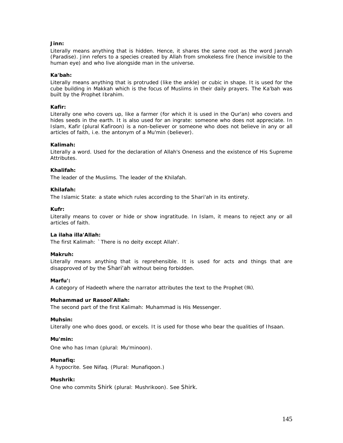# **Jinn:**

Literally means anything that is hidden. Hence, it shares the same root as the word Jannah (Paradise). Jinn refers to a species created by Allah from smokeless fire (hence invisible to the human eye) and who live alongside man in the universe.

### **Ka'bah:**

Literally means anything that is protruded (like the ankle) or cubic in shape. It is used for the cube building in Makkah which is the focus of Muslims in their daily prayers. The Ka'bah was built by the Prophet Ibrahim.

## **Kafir:**

Literally one who covers up, like a farmer (for which it is used in the Qur'an) who covers and hides seeds in the earth. It is also used for an ingrate: someone who does not appreciate. In Islam, Kafir (plural Kafiroon) is a non-believer or someone who does not believe in any or all articles of faith, i.e. the antonym of a Mu'min (believer).

## **Kalimah:**

Literally a word. Used for the declaration of Allah's Oneness and the existence of His Supreme Attributes.

### **Khalifah:**

The leader of the Muslims. The leader of the Khilafah.

### **Khilafah:**

The Islamic State: a state which rules according to the Shari'ah in its entirety.

### **Kufr:**

Literally means to cover or hide or show ingratitude. In Islam, it means to reject any or all articles of faith.

### **La ilaha illa'Allah:**

The first Kalimah: `There is no deity except Allah'.

### **Makruh:**

Literally means anything that is reprehensible. It is used for acts and things that are disapproved of by the *Shari'ah* without being forbidden.

### **Marfu':**

A category of Hadeeth where the narrator attributes the text to the Prophet (卷).

### **Muhammad ur Rasool'Allah:**

The second part of the first Kalimah: Muhammad is His Messenger.

### **Muhsin:**

Literally one who does good, or excels. It is used for those who bear the qualities of Ihsaan.

### **Mu'min:**

One who has Iman (plural: Mu'minoon).

### **Munafiq:**

A hypocrite. See Nifaq. (Plural: Munafiqoon.)

### **Mushrik:**

One who commits *Shirk* (plural: Mushrikoon). See *Shirk.*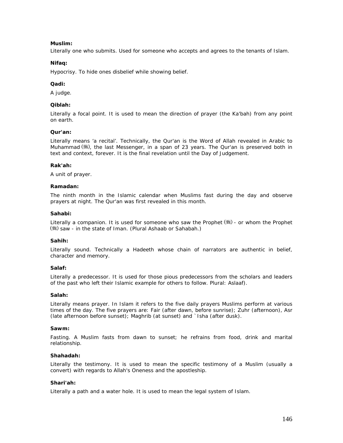## **Muslim:**

Literally one who submits. Used for someone who accepts and agrees to the tenants of Islam.

## **Nifaq:**

Hypocrisy. To hide ones disbelief while showing belief.

## **Qadi:**

A judge.

## **Qiblah:**

Literally a focal point. It is used to mean the direction of prayer (the Ka'bah) from any point on earth.

### **Qur'an:**

Literally means 'a recital'. Technically, the Qur'an is the Word of Allah revealed in Arabic to Muhammad (卷), the last Messenger, in a span of 23 years. The Qur'an is preserved both in text and context, forever. It is the final revelation until the Day of Judgement.

### **Rak'ah:**

A unit of prayer.

## **Ramadan:**

The ninth month in the Islamic calendar when Muslims fast during the day and observe prayers at night. The Qur'an was first revealed in this month.

## **Sahabi:**

Literally a companion. It is used for someone who saw the Prophet  $(\frac{4}{3})$  - or whom the Prophet ( ) saw - in the state of Iman. (Plural Ashaab or Sahabah.)

### **Sahih:**

Literally sound. Technically a Hadeeth whose chain of narrators are authentic in belief, character and memory.

# **Salaf:**

Literally a predecessor. It is used for those pious predecessors from the scholars and leaders of the past who left their Islamic example for others to follow. Plural: Aslaaf).

### **Salah:**

Literally means prayer. In Islam it refers to the five daily prayers Muslims perform at various times of the day. The five prayers are: Fair (after dawn, before sunrise); Zuhr (afternoon), Asr (late afternoon before sunset); Maghrib (at sunset) and `Isha (after dusk).

### **Sawm:**

Fasting. A Muslim fasts from dawn to sunset; he refrains from food, drink and marital relationship.

# **Shahadah:**

Literally the testimony. It is used to mean the specific testimony of a Muslim (usually a convert) with regards to Allah's Oneness and the apostleship.

# **Shari'ah:**

Literally a path and a water hole. It is used to mean the legal system of Islam.